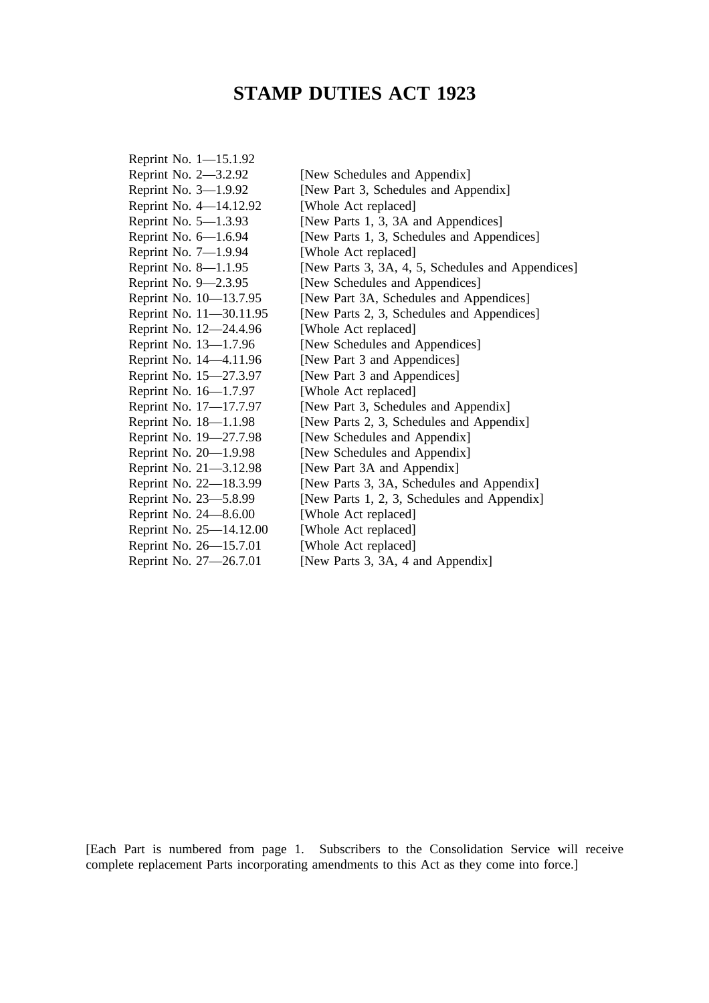# **STAMP DUTIES ACT 1923**

| Reprint No. 1-15.1.92   |                                                   |
|-------------------------|---------------------------------------------------|
| Reprint No. 2-3.2.92    | [New Schedules and Appendix]                      |
| Reprint No. 3-1.9.92    | [New Part 3, Schedules and Appendix]              |
| Reprint No. 4-14.12.92  | [Whole Act replaced]                              |
| Reprint No. 5-1.3.93    | [New Parts 1, 3, 3A and Appendices]               |
| Reprint No. 6-1.6.94    | [New Parts 1, 3, Schedules and Appendices]        |
| Reprint No. 7-1.9.94    | [Whole Act replaced]                              |
| Reprint No. 8-1.1.95    | [New Parts 3, 3A, 4, 5, Schedules and Appendices] |
| Reprint No. 9–2.3.95    | [New Schedules and Appendices]                    |
| Reprint No. 10-13.7.95  | [New Part 3A, Schedules and Appendices]           |
| Reprint No. 11–30.11.95 | [New Parts 2, 3, Schedules and Appendices]        |
| Reprint No. 12-24.4.96  | [Whole Act replaced]                              |
| Reprint No. 13-1.7.96   | [New Schedules and Appendices]                    |
| Reprint No. 14-4.11.96  | [New Part 3 and Appendices]                       |
| Reprint No. 15-27.3.97  | [New Part 3 and Appendices]                       |
| Reprint No. 16-1.7.97   | [Whole Act replaced]                              |
| Reprint No. 17-17.7.97  | [New Part 3, Schedules and Appendix]              |
| Reprint No. 18-1.1.98   | [New Parts 2, 3, Schedules and Appendix]          |
| Reprint No. 19-27.7.98  | [New Schedules and Appendix]                      |
| Reprint No. 20-1.9.98   | [New Schedules and Appendix]                      |
| Reprint No. 21-3.12.98  | [New Part 3A and Appendix]                        |
| Reprint No. 22-18.3.99  | [New Parts 3, 3A, Schedules and Appendix]         |
| Reprint No. 23-5.8.99   | [New Parts 1, 2, 3, Schedules and Appendix]       |
| Reprint No. 24-8.6.00   | [Whole Act replaced]                              |
| Reprint No. 25-14.12.00 | [Whole Act replaced]                              |
| Reprint No. 26-15.7.01  | [Whole Act replaced]                              |
| Reprint No. 27-26.7.01  | [New Parts 3, 3A, 4 and Appendix]                 |
|                         |                                                   |

[Each Part is numbered from page 1. Subscribers to the Consolidation Service will receive complete replacement Parts incorporating amendments to this Act as they come into force.]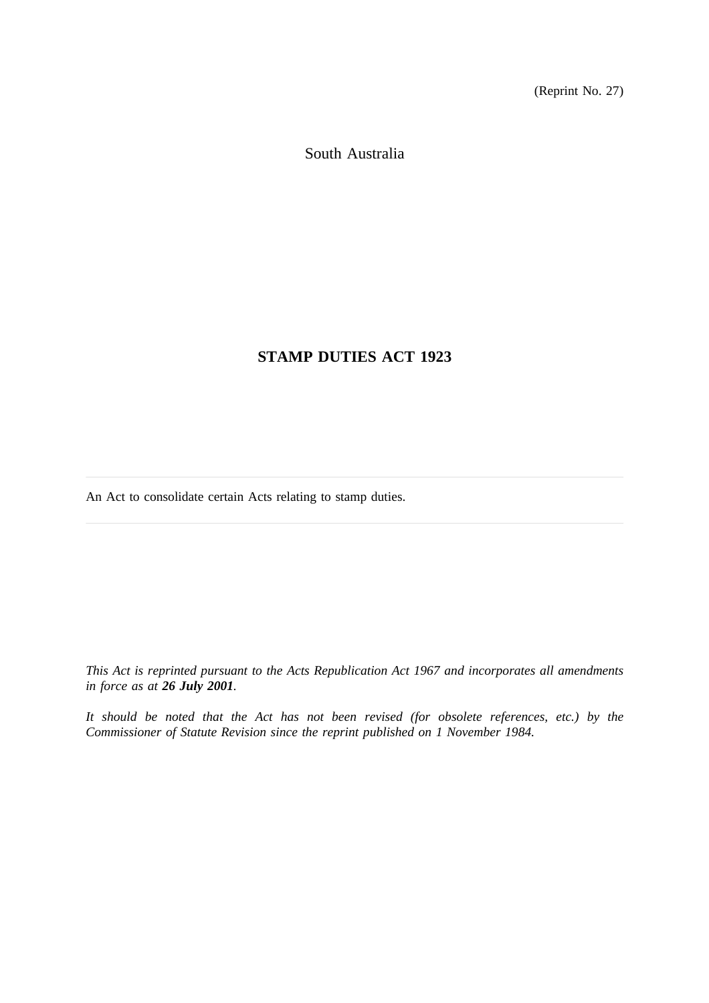(Reprint No. 27)

South Australia

# **STAMP DUTIES ACT 1923**

An Act to consolidate certain Acts relating to stamp duties.

*This Act is reprinted pursuant to the Acts Republication Act 1967 and incorporates all amendments in force as at 26 July 2001.*

*It should be noted that the Act has not been revised (for obsolete references, etc.) by the Commissioner of Statute Revision since the reprint published on 1 November 1984.*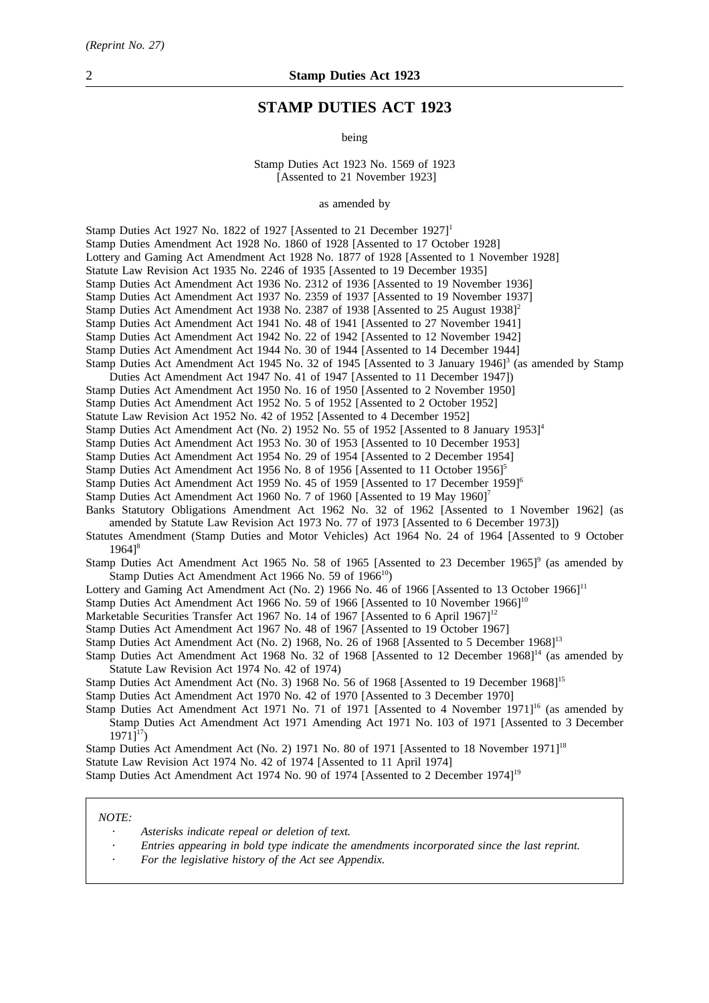# **STAMP DUTIES ACT 1923**

being

Stamp Duties Act 1923 No. 1569 of 1923 [Assented to 21 November 1923]

as amended by

Stamp Duties Act 1927 No. 1822 of 1927 [Assented to 21 December 1927]<sup>1</sup> Stamp Duties Amendment Act 1928 No. 1860 of 1928 [Assented to 17 October 1928] Lottery and Gaming Act Amendment Act 1928 No. 1877 of 1928 [Assented to 1 November 1928] Statute Law Revision Act 1935 No. 2246 of 1935 [Assented to 19 December 1935] Stamp Duties Act Amendment Act 1936 No. 2312 of 1936 [Assented to 19 November 1936] Stamp Duties Act Amendment Act 1937 No. 2359 of 1937 [Assented to 19 November 1937] Stamp Duties Act Amendment Act 1938 No. 2387 of 1938 [Assented to 25 August 1938]<sup>2</sup> Stamp Duties Act Amendment Act 1941 No. 48 of 1941 [Assented to 27 November 1941] Stamp Duties Act Amendment Act 1942 No. 22 of 1942 [Assented to 12 November 1942] Stamp Duties Act Amendment Act 1944 No. 30 of 1944 [Assented to 14 December 1944] Stamp Duties Act Amendment Act 1945 No. 32 of 1945 [Assented to 3 January 1946]<sup>3</sup> (as amended by Stamp Duties Act Amendment Act 1947 No. 41 of 1947 [Assented to 11 December 1947]) Stamp Duties Act Amendment Act 1950 No. 16 of 1950 [Assented to 2 November 1950] Stamp Duties Act Amendment Act 1952 No. 5 of 1952 [Assented to 2 October 1952] Statute Law Revision Act 1952 No. 42 of 1952 [Assented to 4 December 1952] Stamp Duties Act Amendment Act (No. 2) 1952 No. 55 of 1952 [Assented to 8 January 1953]<sup>4</sup> Stamp Duties Act Amendment Act 1953 No. 30 of 1953 [Assented to 10 December 1953] Stamp Duties Act Amendment Act 1954 No. 29 of 1954 [Assented to 2 December 1954] Stamp Duties Act Amendment Act 1956 No. 8 of 1956 [Assented to 11 October 1956]<sup>5</sup> Stamp Duties Act Amendment Act 1959 No. 45 of 1959 [Assented to 17 December 1959]6 Stamp Duties Act Amendment Act 1960 No. 7 of 1960 [Assented to 19 May 1960]<sup>7</sup> Banks Statutory Obligations Amendment Act 1962 No. 32 of 1962 [Assented to 1 November 1962] (as amended by Statute Law Revision Act 1973 No. 77 of 1973 [Assented to 6 December 1973]) Statutes Amendment (Stamp Duties and Motor Vehicles) Act 1964 No. 24 of 1964 [Assented to 9 October  $1964$ <sup>8</sup> Stamp Duties Act Amendment Act 1965 No. 58 of 1965 [Assented to 23 December 1965]<sup>9</sup> (as amended by Stamp Duties Act Amendment Act 1966 No. 59 of  $1966<sup>10</sup>$ ) Lottery and Gaming Act Amendment Act (No. 2) 1966 No. 46 of 1966 [Assented to 13 October 1966]<sup>11</sup> Stamp Duties Act Amendment Act 1966 No. 59 of 1966 [Assented to 10 November 1966]<sup>10</sup> Marketable Securities Transfer Act 1967 No. 14 of 1967 [Assented to 6 April 1967]<sup>12</sup> Stamp Duties Act Amendment Act 1967 No. 48 of 1967 [Assented to 19 October 1967] Stamp Duties Act Amendment Act (No. 2) 1968, No. 26 of 1968 [Assented to 5 December 1968]<sup>13</sup> Stamp Duties Act Amendment Act 1968 No. 32 of 1968 [Assented to 12 December 1968]<sup>14</sup> (as amended by Statute Law Revision Act 1974 No. 42 of 1974) Stamp Duties Act Amendment Act (No. 3) 1968 No. 56 of 1968 [Assented to 19 December 1968]<sup>15</sup> Stamp Duties Act Amendment Act 1970 No. 42 of 1970 [Assented to 3 December 1970] Stamp Duties Act Amendment Act 1971 No. 71 of 1971 [Assented to 4 November 1971]<sup>16</sup> (as amended by Stamp Duties Act Amendment Act 1971 Amending Act 1971 No. 103 of 1971 [Assented to 3 December  $1971$ <sup>17</sup>) Stamp Duties Act Amendment Act (No. 2) 1971 No. 80 of 1971 [Assented to 18 November 1971]<sup>18</sup> Statute Law Revision Act 1974 No. 42 of 1974 [Assented to 11 April 1974] Stamp Duties Act Amendment Act 1974 No. 90 of 1974 [Assented to 2 December 1974]19

#### *NOTE:*

- *Asterisks indicate repeal or deletion of text.*
- *Entries appearing in bold type indicate the amendments incorporated since the last reprint.*
- *For the legislative history of the Act see Appendix.*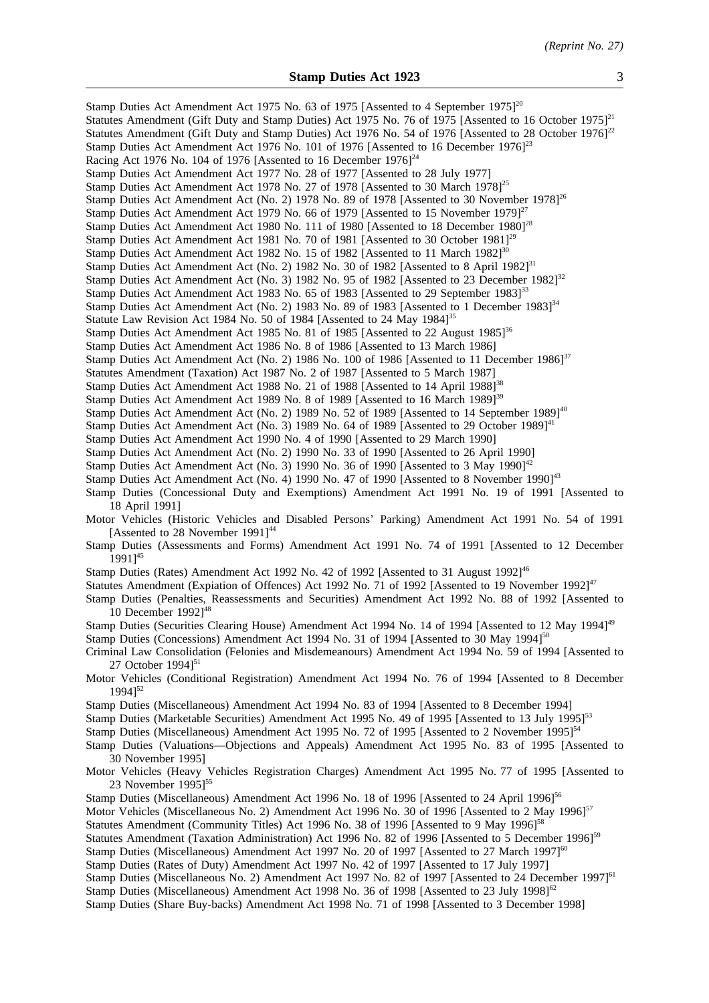| Stamp Duties Act Amendment Act 1975 No. 63 of 1975 [Assented to 4 September 1975] <sup>20</sup><br>Statutes Amendment (Gift Duty and Stamp Duties) Act 1975 No. 76 of 1975 [Assented to 16 October 1975] $^{21}$<br>Statutes Amendment (Gift Duty and Stamp Duties) Act 1976 No. 54 of 1976 [Assented to 28 October 1976] <sup>22</sup><br>Stamp Duties Act Amendment Act 1976 No. 101 of 1976 [Assented to 16 December 1976] <sup>23</sup><br>Racing Act 1976 No. 104 of 1976 [Assented to 16 December $1976$ ] <sup>24</sup><br>Stamp Duties Act Amendment Act 1977 No. 28 of 1977 [Assented to 28 July 1977]<br>Stamp Duties Act Amendment Act 1978 No. 27 of 1978 [Assented to 30 March 1978] <sup>25</sup><br>Stamp Duties Act Amendment Act (No. 2) 1978 No. 89 of 1978 [Assented to 30 November 1978] <sup>26</sup><br>Stamp Duties Act Amendment Act 1979 No. 66 of 1979 [Assented to 15 November 1979] $^{27}$<br>Stamp Duties Act Amendment Act 1980 No. 111 of 1980 [Assented to 18 December 1980] <sup>28</sup><br>Stamp Duties Act Amendment Act 1981 No. 70 of 1981 [Assented to 30 October 1981] <sup>29</sup><br>Stamp Duties Act Amendment Act 1982 No. 15 of 1982 [Assented to 11 March 1982] <sup>30</sup><br>Stamp Duties Act Amendment Act (No. 2) 1982 No. 30 of 1982 [Assented to 8 April 1982] <sup>31</sup><br>Stamp Duties Act Amendment Act (No. 3) 1982 No. 95 of 1982 [Assented to 23 December 1982] <sup>32</sup><br>Stamp Duties Act Amendment Act 1983 No. 65 of 1983 [Assented to 29 September 1983] <sup>33</sup> |
|-----------------------------------------------------------------------------------------------------------------------------------------------------------------------------------------------------------------------------------------------------------------------------------------------------------------------------------------------------------------------------------------------------------------------------------------------------------------------------------------------------------------------------------------------------------------------------------------------------------------------------------------------------------------------------------------------------------------------------------------------------------------------------------------------------------------------------------------------------------------------------------------------------------------------------------------------------------------------------------------------------------------------------------------------------------------------------------------------------------------------------------------------------------------------------------------------------------------------------------------------------------------------------------------------------------------------------------------------------------------------------------------------------------------------------------------------------------------------------------------------------------------------------------------------------|
| Stamp Duties Act Amendment Act (No. 2) 1983 No. 89 of 1983 [Assented to 1 December 1983] <sup>34</sup>                                                                                                                                                                                                                                                                                                                                                                                                                                                                                                                                                                                                                                                                                                                                                                                                                                                                                                                                                                                                                                                                                                                                                                                                                                                                                                                                                                                                                                              |
| Statute Law Revision Act 1984 No. 50 of 1984 [Assented to 24 May 1984] <sup>35</sup>                                                                                                                                                                                                                                                                                                                                                                                                                                                                                                                                                                                                                                                                                                                                                                                                                                                                                                                                                                                                                                                                                                                                                                                                                                                                                                                                                                                                                                                                |
| Stamp Duties Act Amendment Act 1985 No. 81 of 1985 [Assented to 22 August $1985$ ] <sup>36</sup><br>Stamp Duties Act Amendment Act 1986 No. 8 of 1986 [Assented to 13 March 1986]                                                                                                                                                                                                                                                                                                                                                                                                                                                                                                                                                                                                                                                                                                                                                                                                                                                                                                                                                                                                                                                                                                                                                                                                                                                                                                                                                                   |
| Stamp Duties Act Amendment Act (No. 2) 1986 No. 100 of 1986 [Assented to 11 December 1986] <sup>37</sup>                                                                                                                                                                                                                                                                                                                                                                                                                                                                                                                                                                                                                                                                                                                                                                                                                                                                                                                                                                                                                                                                                                                                                                                                                                                                                                                                                                                                                                            |
| Statutes Amendment (Taxation) Act 1987 No. 2 of 1987 [Assented to 5 March 1987]                                                                                                                                                                                                                                                                                                                                                                                                                                                                                                                                                                                                                                                                                                                                                                                                                                                                                                                                                                                                                                                                                                                                                                                                                                                                                                                                                                                                                                                                     |
| Stamp Duties Act Amendment Act 1988 No. 21 of 1988 [Assented to 14 April 1988] <sup>38</sup>                                                                                                                                                                                                                                                                                                                                                                                                                                                                                                                                                                                                                                                                                                                                                                                                                                                                                                                                                                                                                                                                                                                                                                                                                                                                                                                                                                                                                                                        |
| Stamp Duties Act Amendment Act 1989 No. 8 of 1989 [Assented to 16 March 1989] <sup>39</sup>                                                                                                                                                                                                                                                                                                                                                                                                                                                                                                                                                                                                                                                                                                                                                                                                                                                                                                                                                                                                                                                                                                                                                                                                                                                                                                                                                                                                                                                         |
| Stamp Duties Act Amendment Act (No. 2) 1989 No. 52 of 1989 [Assented to 14 September 1989] <sup>40</sup><br>Stamp Duties Act Amendment Act (No. 3) 1989 No. 64 of 1989 [Assented to 29 October 1989] <sup>41</sup>                                                                                                                                                                                                                                                                                                                                                                                                                                                                                                                                                                                                                                                                                                                                                                                                                                                                                                                                                                                                                                                                                                                                                                                                                                                                                                                                  |
| Stamp Duties Act Amendment Act 1990 No. 4 of 1990 [Assented to 29 March 1990]                                                                                                                                                                                                                                                                                                                                                                                                                                                                                                                                                                                                                                                                                                                                                                                                                                                                                                                                                                                                                                                                                                                                                                                                                                                                                                                                                                                                                                                                       |
| Stamp Duties Act Amendment Act (No. 2) 1990 No. 33 of 1990 [Assented to 26 April 1990]                                                                                                                                                                                                                                                                                                                                                                                                                                                                                                                                                                                                                                                                                                                                                                                                                                                                                                                                                                                                                                                                                                                                                                                                                                                                                                                                                                                                                                                              |
| Stamp Duties Act Amendment Act (No. 3) 1990 No. 36 of 1990 [Assented to 3 May 1990] <sup>42</sup>                                                                                                                                                                                                                                                                                                                                                                                                                                                                                                                                                                                                                                                                                                                                                                                                                                                                                                                                                                                                                                                                                                                                                                                                                                                                                                                                                                                                                                                   |
| Stamp Duties Act Amendment Act (No. 4) 1990 No. 47 of 1990 [Assented to 8 November 1990] <sup>43</sup>                                                                                                                                                                                                                                                                                                                                                                                                                                                                                                                                                                                                                                                                                                                                                                                                                                                                                                                                                                                                                                                                                                                                                                                                                                                                                                                                                                                                                                              |
| Stamp Duties (Concessional Duty and Exemptions) Amendment Act 1991 No. 19 of 1991 [Assented to<br>18 April 1991]                                                                                                                                                                                                                                                                                                                                                                                                                                                                                                                                                                                                                                                                                                                                                                                                                                                                                                                                                                                                                                                                                                                                                                                                                                                                                                                                                                                                                                    |
| Motor Vehicles (Historic Vehicles and Disabled Persons' Parking) Amendment Act 1991 No. 54 of 1991                                                                                                                                                                                                                                                                                                                                                                                                                                                                                                                                                                                                                                                                                                                                                                                                                                                                                                                                                                                                                                                                                                                                                                                                                                                                                                                                                                                                                                                  |
| [Assented to 28 November 1991] <sup>44</sup>                                                                                                                                                                                                                                                                                                                                                                                                                                                                                                                                                                                                                                                                                                                                                                                                                                                                                                                                                                                                                                                                                                                                                                                                                                                                                                                                                                                                                                                                                                        |
| Stamp Duties (Assessments and Forms) Amendment Act 1991 No. 74 of 1991 [Assented to 12 December<br>$19911^{45}$                                                                                                                                                                                                                                                                                                                                                                                                                                                                                                                                                                                                                                                                                                                                                                                                                                                                                                                                                                                                                                                                                                                                                                                                                                                                                                                                                                                                                                     |
| Stamp Duties (Rates) Amendment Act 1992 No. 42 of 1992 [Assented to 31 August 1992] <sup>46</sup><br>Statutes Amendment (Expiation of Offences) Act 1992 No. 71 of 1992 [Assented to 19 November 1992] <sup>47</sup><br>Stamp Duties (Penalties, Reassessments and Securities) Amendment Act 1992 No. 88 of 1992 [Assented to<br>10 December $1992]^{48}$                                                                                                                                                                                                                                                                                                                                                                                                                                                                                                                                                                                                                                                                                                                                                                                                                                                                                                                                                                                                                                                                                                                                                                                           |
| Stamp Duties (Securities Clearing House) Amendment Act 1994 No. 14 of 1994 [Assented to 12 May 1994] <sup>49</sup>                                                                                                                                                                                                                                                                                                                                                                                                                                                                                                                                                                                                                                                                                                                                                                                                                                                                                                                                                                                                                                                                                                                                                                                                                                                                                                                                                                                                                                  |
| Stamp Duties (Concessions) Amendment Act 1994 No. 31 of 1994 [Assented to 30 May 1994] <sup>50</sup>                                                                                                                                                                                                                                                                                                                                                                                                                                                                                                                                                                                                                                                                                                                                                                                                                                                                                                                                                                                                                                                                                                                                                                                                                                                                                                                                                                                                                                                |
| Criminal Law Consolidation (Felonies and Misdemeanours) Amendment Act 1994 No. 59 of 1994 [Assented to<br>27 October $1994$ <sup>51</sup>                                                                                                                                                                                                                                                                                                                                                                                                                                                                                                                                                                                                                                                                                                                                                                                                                                                                                                                                                                                                                                                                                                                                                                                                                                                                                                                                                                                                           |
| Motor Vehicles (Conditional Registration) Amendment Act 1994 No. 76 of 1994 [Assented to 8 December<br>$1994$ <sup>52</sup>                                                                                                                                                                                                                                                                                                                                                                                                                                                                                                                                                                                                                                                                                                                                                                                                                                                                                                                                                                                                                                                                                                                                                                                                                                                                                                                                                                                                                         |
| Stamp Duties (Miscellaneous) Amendment Act 1994 No. 83 of 1994 [Assented to 8 December 1994]<br>Stamp Duties (Marketable Securities) Amendment Act 1995 No. 49 of 1995 [Assented to 13 July 1995] <sup>53</sup><br>Stamp Duties (Miscellaneous) Amendment Act 1995 No. 72 of 1995 [Assented to 2 November 1995] <sup>54</sup><br>Stamp Duties (Valuations—Objections and Appeals) Amendment Act 1995 No. 83 of 1995 [Assented to<br>30 November 1995]                                                                                                                                                                                                                                                                                                                                                                                                                                                                                                                                                                                                                                                                                                                                                                                                                                                                                                                                                                                                                                                                                               |
| Motor Vehicles (Heavy Vehicles Registration Charges) Amendment Act 1995 No. 77 of 1995 [Assented to<br>23 November $1995$ <sup>55</sup>                                                                                                                                                                                                                                                                                                                                                                                                                                                                                                                                                                                                                                                                                                                                                                                                                                                                                                                                                                                                                                                                                                                                                                                                                                                                                                                                                                                                             |
| Stamp Duties (Miscellaneous) Amendment Act 1996 No. 18 of 1996 [Assented to 24 April 1996] <sup>56</sup><br>Motor Vehicles (Miscellaneous No. 2) Amendment Act 1996 No. 30 of 1996 [Assented to 2 May 1996] <sup>57</sup><br>Statutes Amendment (Community Titles) Act 1996 No. 38 of 1996 [Assented to 9 May 1996] <sup>58</sup><br>Statutes Amendment (Taxation Administration) Act 1996 No. 82 of 1996 [Assented to 5 December 1996] <sup>59</sup><br>Stamp Duties (Miscellaneous) Amendment Act 1997 No. 20 of 1997 [Assented to 27 March 1997] <sup>60</sup><br>Stamp Duties (Rates of Duty) Amendment Act 1997 No. 42 of 1997 [Assented to 17 July 1997]<br>Stamp Duties (Miscellaneous No. 2) Amendment Act 1997 No. 82 of 1997 [Assented to 24 December 1997] <sup>61</sup><br>Stamp Duties (Miscellaneous) Amendment Act 1998 No. 36 of 1998 [Assented to 23 July 1998] <sup>62</sup><br>Stamp Duties (Share Buy-backs) Amendment Act 1998 No. 71 of 1998 [Assented to 3 December 1998]                                                                                                                                                                                                                                                                                                                                                                                                                                                                                                                                                    |
|                                                                                                                                                                                                                                                                                                                                                                                                                                                                                                                                                                                                                                                                                                                                                                                                                                                                                                                                                                                                                                                                                                                                                                                                                                                                                                                                                                                                                                                                                                                                                     |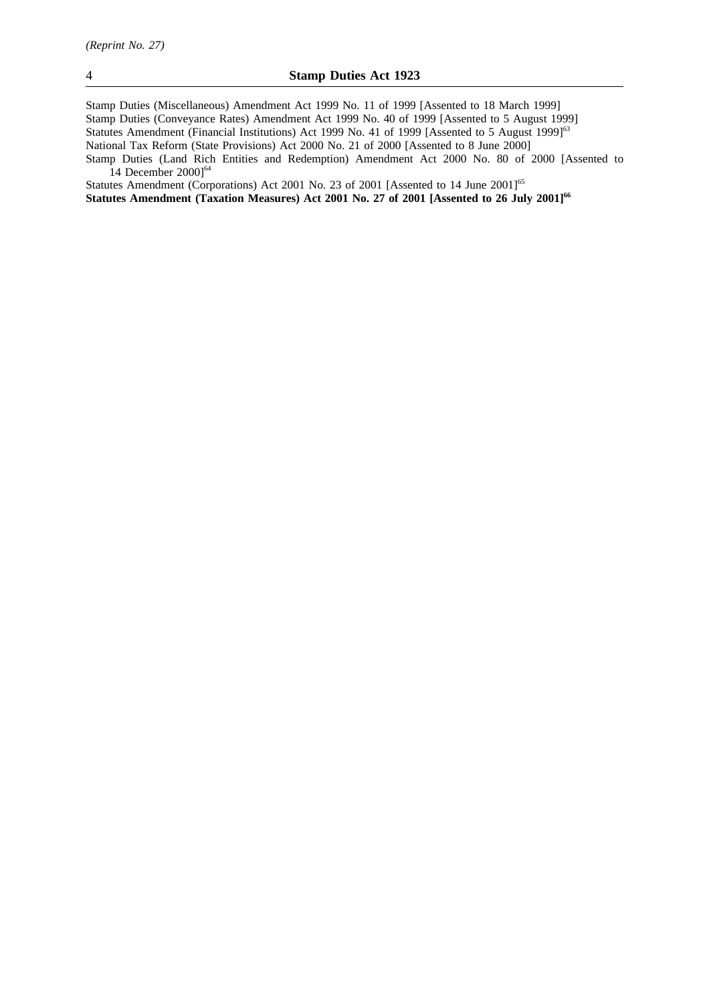Stamp Duties (Miscellaneous) Amendment Act 1999 No. 11 of 1999 [Assented to 18 March 1999] Stamp Duties (Conveyance Rates) Amendment Act 1999 No. 40 of 1999 [Assented to 5 August 1999] Statutes Amendment (Financial Institutions) Act 1999 No. 41 of 1999 [Assented to 5 August 1999]<sup>63</sup> National Tax Reform (State Provisions) Act 2000 No. 21 of 2000 [Assented to 8 June 2000] Stamp Duties (Land Rich Entities and Redemption) Amendment Act 2000 No. 80 of 2000 [Assented to 14 December 2000]<sup>64</sup>

Statutes Amendment (Corporations) Act 2001 No. 23 of 2001 [Assented to 14 June 2001]<sup>65</sup> Statutes Amendment (Taxation Measures) Act 2001 No. 27 of 2001 [Assented to 26 July 2001]<sup>66</sup>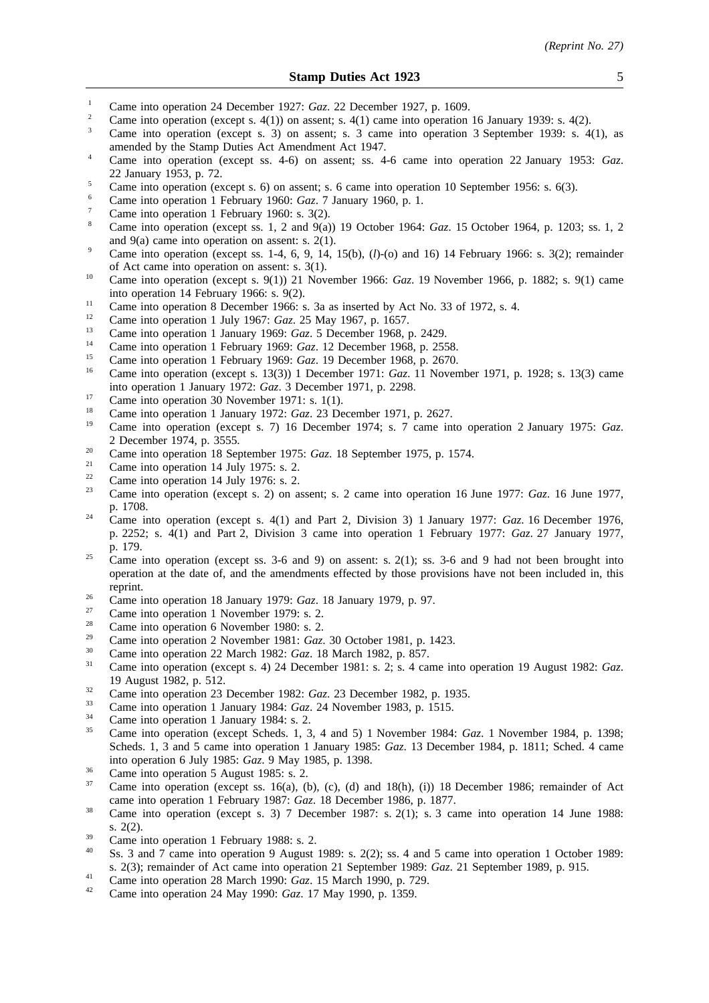- <sup>1</sup> Came into operation 24 December 1927: *Gaz.* 22 December 1927, p. 1609.
- <sup>2</sup> Came into operation (except s. 4(1)) on assent; s. 4(1) came into operation 16 January 1939: s. 4(2).
- <sup>3</sup> Came into operation (except s. 3) on assent; s. 3 came into operation 3 September 1939: s. 4(1), as amended by the Stamp Duties Act Amendment Act 1947.
- <sup>4</sup> Came into operation (except ss. 4-6) on assent; ss. 4-6 came into operation 22 January 1953: *Gaz*. 22 January 1953, p. 72.
- <sup>5</sup> Came into operation (except s. 6) on assent; s. 6 came into operation 10 September 1956: s. 6(3).
- <sup>6</sup> Came into operation 1 February 1960: *Gaz*. 7 January 1960, p. 1.
- Came into operation 1 February 1960: s. 3(2).
- <sup>8</sup> Came into operation (except ss. 1, 2 and 9(a)) 19 October 1964: *Gaz*. 15 October 1964, p. 1203; ss. 1, 2 and 9(a) came into operation on assent: s. 2(1).
- <sup>9</sup> Came into operation (except ss. 1-4, 6, 9, 14, 15(b),  $(l)$ -(o) and 16) 14 February 1966: s. 3(2); remainder of Act came into operation on assent: s. 3(1).
- <sup>10</sup> Came into operation (except s. 9(1)) 21 November 1966: *Gaz*. 19 November 1966, p. 1882; s. 9(1) came into operation 14 February 1966: s. 9(2).
- <sup>11</sup> Came into operation 8 December 1966: s. 3a as inserted by Act No. 33 of 1972, s. 4.
- <sup>12</sup> Came into operation 1 July 1967: *Gaz*. 25 May 1967, p. 1657.
- <sup>13</sup> Came into operation 1 January 1969: *Gaz*. 5 December 1968, p. 2429.
- <sup>14</sup> Came into operation 1 February 1969: *Gaz.* 12 December 1968, p. 2558.<br><sup>15</sup> Came into apartice 1 February 1969: *Gaz.* 19 December 1968, p. 2579.
- <sup>15</sup> Came into operation 1 February 1969: *Gaz*. 19 December 1968, p. 2670.
- <sup>16</sup> Came into operation (except s. 13(3)) 1 December 1971: *Gaz*. 11 November 1971, p. 1928; s. 13(3) came into operation 1 January 1972: *Gaz*. 3 December 1971, p. 2298.
- <sup>17</sup> Came into operation 30 November 1971: s. 1(1).
- <sup>18</sup> Came into operation 1 January 1972: *Gaz*. 23 December 1971, p. 2627.
- <sup>19</sup> Came into operation (except s. 7) 16 December 1974; s. 7 came into operation 2 January 1975: *Gaz*. 2 December 1974, p. 3555.
- <sup>20</sup> Came into operation 18 September 1975: *Gaz*. 18 September 1975, p. 1574.
- <sup>21</sup> Came into operation 14 July 1975: s. 2.<br>
<sup>22</sup> Came into operation 14 July 1976: s. 2.
- <sup>22</sup> Came into operation 14 July 1976: s. 2.<br><sup>23</sup> Came into operation (execute 2) on a
- <sup>23</sup> Came into operation (except s. 2) on assent; s. 2 came into operation 16 June 1977: *Gaz*. 16 June 1977, p. 1708.
- <sup>24</sup> Came into operation (except s. 4(1) and Part 2, Division 3) 1 January 1977: *Gaz*. 16 December 1976, p. 2252; s. 4(1) and Part 2, Division 3 came into operation 1 February 1977: *Gaz*. 27 January 1977, p. 179.
- <sup>25</sup> Came into operation (except ss. 3-6 and 9) on assent: s. 2(1); ss. 3-6 and 9 had not been brought into operation at the date of, and the amendments effected by those provisions have not been included in, this reprint.
- <sup>26</sup> Came into operation 18 January 1979: *Gaz*. 18 January 1979, p. 97.
- $\frac{27}{28}$  Came into operation 1 November 1979: s. 2.
- <sup>28</sup> Came into operation 6 November 1980: s. 2.
- <sup>29</sup> Came into operation 2 November 1981: *Gaz*. 30 October 1981, p. 1423.
- <sup>30</sup> Came into operation 22 March 1982: *Gaz*. 18 March 1982, p. 857.
- <sup>31</sup> Came into operation (except s. 4) 24 December 1981: s. 2; s. 4 came into operation 19 August 1982: *Gaz*. 19 August 1982, p. 512.
- <sup>32</sup> Came into operation 23 December 1982: *Gaz.* 23 December 1982, p. 1935.
- <sup>33</sup> Came into operation 1 January 1984: *Gaz*. 24 November 1983, p. 1515.
- $\frac{34}{35}$  Came into operation 1 January 1984: s. 2.
- <sup>35</sup> Came into operation (except Scheds. 1, 3, 4 and 5) 1 November 1984: *Gaz*. 1 November 1984, p. 1398; Scheds. 1, 3 and 5 came into operation 1 January 1985: *Gaz*. 13 December 1984, p. 1811; Sched. 4 came into operation 6 July 1985: *Gaz*. 9 May 1985, p. 1398.
- $\frac{36}{37}$  Came into operation 5 August 1985: s. 2.
- Came into operation (except ss. 16(a), (b), (c), (d) and  $18(h)$ , (i)) 18 December 1986; remainder of Act came into operation 1 February 1987: *Gaz*. 18 December 1986, p. 1877.
- <sup>38</sup> Came into operation (except s. 3) 7 December 1987: s. 2(1); s. 3 came into operation 14 June 1988: s. 2(2).
- $\frac{39}{40}$  Came into operation 1 February 1988: s. 2.
- Ss. 3 and 7 came into operation 9 August 1989: s. 2(2); ss. 4 and 5 came into operation 1 October 1989: s. 2(3); remainder of Act came into operation 21 September 1989: *Gaz*. 21 September 1989, p. 915.
- <sup>41</sup> Came into operation 28 March 1990: *Gaz*. 15 March 1990, p. 729.
- <sup>42</sup> Came into operation 24 May 1990: *Gaz*. 17 May 1990, p. 1359.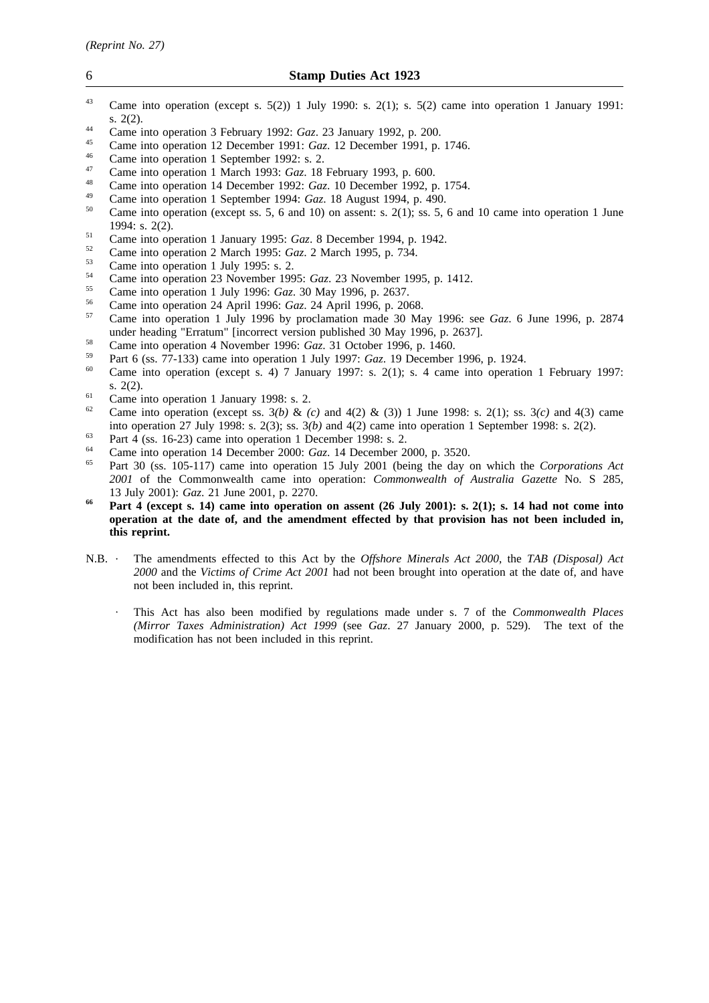- <sup>43</sup> Came into operation (except s. 5(2)) 1 July 1990: s. 2(1); s. 5(2) came into operation 1 January 1991: s. 2(2).
- <sup>44</sup> Came into operation 3 February 1992: *Gaz*. 23 January 1992, p. 200.
- <sup>45</sup> Came into operation 12 December 1991: *Gaz*. 12 December 1991, p. 1746.
- $^{46}$  Came into operation 1 September 1992: s. 2.
- <sup>47</sup> Came into operation 1 March 1993: *Gaz*. 18 February 1993, p. 600.
- <sup>48</sup> Came into operation 14 December 1992: *Gaz*. 10 December 1992, p. 1754.
- <sup>49</sup> Came into operation 1 September 1994: *Gaz*. 18 August 1994, p. 490.
- Came into operation (except ss. 5, 6 and 10) on assent: s.  $2(1)$ ; ss. 5, 6 and 10 came into operation 1 June 1994: s. 2(2).
- <sup>51</sup> Came into operation 1 January 1995: *Gaz*. 8 December 1994, p. 1942.
- <sup>52</sup> Came into operation 2 March 1995: *Gaz*. 2 March 1995, p. 734.
- $^{53}$  Came into operation 1 July 1995: s. 2.
- <sup>54</sup> Came into operation 23 November 1995: *Gaz*. 23 November 1995, p. 1412.
- <sup>55</sup> Came into operation 1 July 1996: *Gaz*. 30 May 1996, p. 2637.
- <sup>56</sup> Came into operation 24 April 1996: *Gaz*. 24 April 1996, p. 2068.
- <sup>57</sup> Came into operation 1 July 1996 by proclamation made 30 May 1996: see *Gaz*. 6 June 1996, p. 2874 under heading "Erratum" [incorrect version published 30 May 1996, p. 2637].
- <sup>58</sup> Came into operation 4 November 1996: *Gaz*. 31 October 1996, p. 1460.
- <sup>59</sup> Part 6 (ss. 77-133) came into operation 1 July 1997: *Gaz*. 19 December 1996, p. 1924.
- Came into operation (except s. 4) 7 January 1997: s. 2(1); s. 4 came into operation 1 February 1997: s. 2(2).
- <sup>61</sup> Came into operation 1 January 1998: s. 2.<br><sup>62</sup> Came into operation (queent se.  $2(h)$ , 8-
- <sup>62</sup> Came into operation (except ss. 3*(b)* & *(c)* and 4(2) & (3)) 1 June 1998: s. 2(1); ss. 3*(c)* and 4(3) came into operation 27 July 1998: s. 2(3); ss. 3*(b)* and 4(2) came into operation 1 September 1998: s. 2(2).
- $\frac{63}{64}$  Part 4 (ss. 16-23) came into operation 1 December 1998: s. 2.
- <sup>64</sup> Came into operation 14 December 2000: *Gaz*. 14 December 2000, p. 3520.
- <sup>65</sup> Part 30 (ss. 105-117) came into operation 15 July 2001 (being the day on which the *Corporations Act 2001* of the Commonwealth came into operation: *Commonwealth of Australia Gazette* No. S 285, 13 July 2001): *Gaz*. 21 June 2001, p. 2270.
- **<sup>66</sup> Part 4 (except s. 14) came into operation on assent (26 July 2001): s. 2(1); s. 14 had not come into operation at the date of, and the amendment effected by that provision has not been included in, this reprint.**
- N.B. The amendments effected to this Act by the *Offshore Minerals Act 2000*, the *TAB (Disposal) Act 2000* and the *Victims of Crime Act 2001* had not been brought into operation at the date of, and have not been included in, this reprint.
	- This Act has also been modified by regulations made under s. 7 of the *Commonwealth Places (Mirror Taxes Administration) Act 1999* (see *Gaz*. 27 January 2000, p. 529). The text of the modification has not been included in this reprint.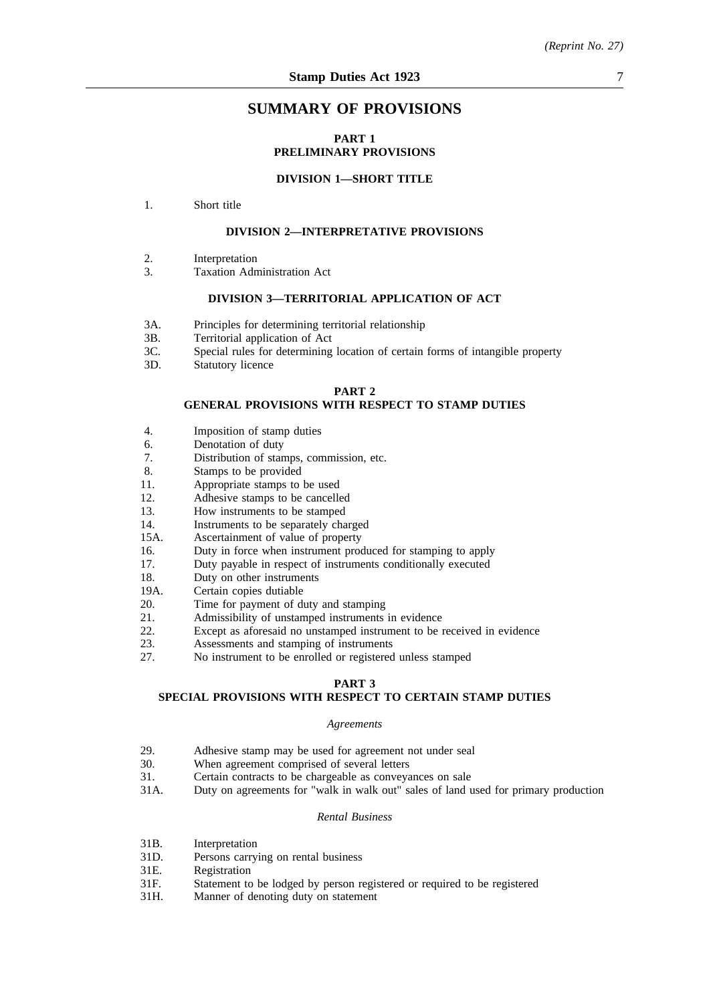# **SUMMARY OF PROVISIONS**

# **PART 1 PRELIMINARY PROVISIONS**

# **DIVISION 1—SHORT TITLE**

1. Short title

# **DIVISION 2—INTERPRETATIVE PROVISIONS**

- 2. Interpretation
- 3. Taxation Administration Act

### **DIVISION 3—TERRITORIAL APPLICATION OF ACT**

- 3A. Principles for determining territorial relationship
- 3B. Territorial application of Act
- 3C. Special rules for determining location of certain forms of intangible property
- 3D. Statutory licence

#### **PART 2**

#### **GENERAL PROVISIONS WITH RESPECT TO STAMP DUTIES**

- 4. Imposition of stamp duties
- 6. Denotation of duty
- 7. Distribution of stamps, commission, etc.
- 8. Stamps to be provided
- 11. Appropriate stamps to be used
- 12. Adhesive stamps to be cancelled
- 13. How instruments to be stamped
- 14. Instruments to be separately charged
- 15A. Ascertainment of value of property
- 16. Duty in force when instrument produced for stamping to apply
- 17. Duty payable in respect of instruments conditionally executed
- 18. Duty on other instruments
- 19A. Certain copies dutiable
- 20. Time for payment of duty and stamping
- 21. Admissibility of unstamped instruments in evidence
- 22. Except as aforesaid no unstamped instrument to be received in evidence<br>23. Assessments and stamping of instruments
- 23. Assessments and stamping of instruments<br>27. No instrument to be enrolled or registered
- No instrument to be enrolled or registered unless stamped

# **PART 3**

# **SPECIAL PROVISIONS WITH RESPECT TO CERTAIN STAMP DUTIES**

#### *Agreements*

- 29. Adhesive stamp may be used for agreement not under seal<br>30. When agreement comprised of several letters
- 30. When agreement comprised of several letters<br>31. Certain contracts to be chargeable as conveva
- 31. Certain contracts to be chargeable as conveyances on sale<br>31A. Duty on agreements for "walk in walk out" sales of land r
- Duty on agreements for "walk in walk out" sales of land used for primary production

#### *Rental Business*

- 31B. Interpretation
- 31D. Persons carrying on rental business
- 31E. Registration
- 31F. Statement to be lodged by person registered or required to be registered
- 31H. Manner of denoting duty on statement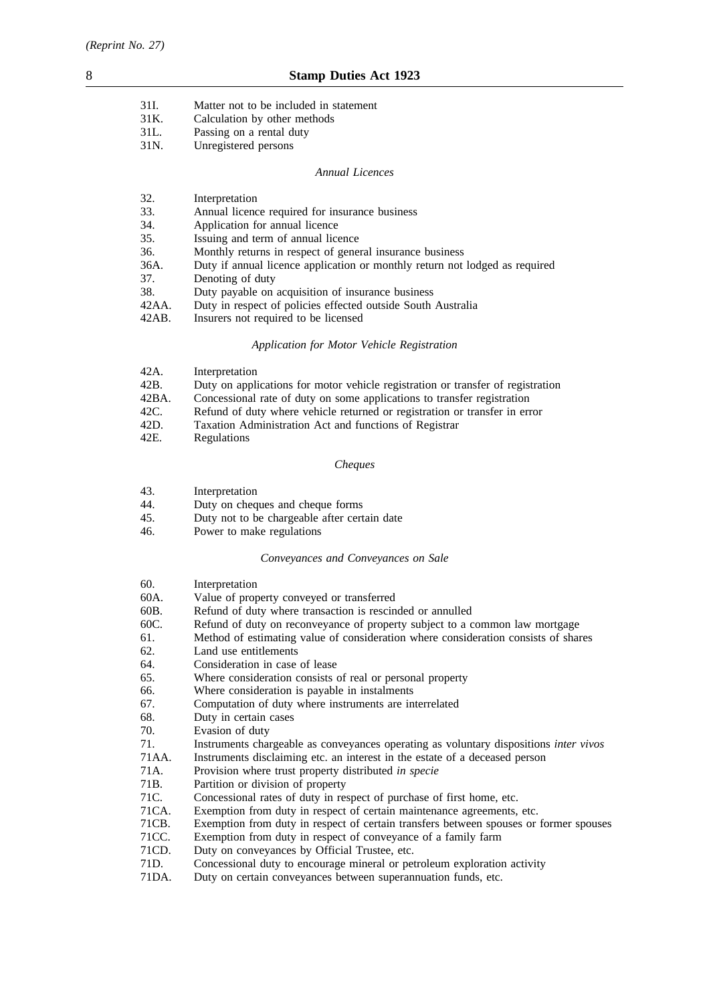| 31I. | Matter not to be included in statement |
|------|----------------------------------------|
| 31K. | Calculation by other methods           |
| 31L. | Passing on a rental duty               |
| 31N. | Unregistered persons                   |

#### *Annual Licences*

| 32.      | Interpretation                                                              |
|----------|-----------------------------------------------------------------------------|
| 33.      | Annual licence required for insurance business                              |
| 34.      | Application for annual licence                                              |
| 35.      | Issuing and term of annual licence                                          |
| 36.      | Monthly returns in respect of general insurance business                    |
| 36A.     | Duty if annual licence application or monthly return not lodged as required |
| 37.      | Denoting of duty                                                            |
| 38.      | Duty payable on acquisition of insurance business                           |
| 42AA.    | Duty in respect of policies effected outside South Australia                |
| $42AB$ . | Insurers not required to be licensed                                        |

# *Application for Motor Vehicle Registration*

| 42A.  | Interpretation                                                                  |
|-------|---------------------------------------------------------------------------------|
| 42B.  | Duty on applications for motor vehicle registration or transfer of registration |
| 42BA. | Concessional rate of duty on some applications to transfer registration         |
| 42C.  | Refund of duty where vehicle returned or registration or transfer in error      |
| 42D.  | Taxation Administration Act and functions of Registrar                          |
| 42E.  | Regulations                                                                     |
|       |                                                                                 |

# *Cheques*

| 43. | Interpretation |
|-----|----------------|
|-----|----------------|

44. Duty on cheques and cheque forms

- 45. Duty not to be chargeable after certain date
- 46. Power to make regulations

# *Conveyances and Conveyances on Sale*

| 60.    | Interpretation                                                                        |
|--------|---------------------------------------------------------------------------------------|
| 60A.   | Value of property conveyed or transferred                                             |
| 60B.   | Refund of duty where transaction is rescinded or annulled                             |
| 60C.   | Refund of duty on reconveyance of property subject to a common law mortgage           |
| 61.    | Method of estimating value of consideration where consideration consists of shares    |
| 62.    | Land use entitlements                                                                 |
| 64.    | Consideration in case of lease                                                        |
| 65.    | Where consideration consists of real or personal property                             |
| 66.    | Where consideration is payable in instalments                                         |
| 67.    | Computation of duty where instruments are interrelated                                |
| 68.    | Duty in certain cases                                                                 |
| 70.    | Evasion of duty                                                                       |
| 71.    | Instruments chargeable as conveyances operating as voluntary dispositions inter vivos |
| 71AA.  | Instruments disclaiming etc. an interest in the estate of a deceased person           |
| 71A.   | Provision where trust property distributed in specie                                  |
| 71B.   | Partition or division of property                                                     |
| 71C.   | Concessional rates of duty in respect of purchase of first home, etc.                 |
| 71CA.  | Exemption from duty in respect of certain maintenance agreements, etc.                |
| 71CB.  | Exemption from duty in respect of certain transfers between spouses or former spouses |
| 71CC.  | Exemption from duty in respect of conveyance of a family farm                         |
| 71 C D | Duty on conveyances by Official Trustee, etc.                                         |

- 71CD. Duty on conveyances by Official Trustee, etc.<br>71D. Concessional duty to encourage mineral or pet
- 71D. Concessional duty to encourage mineral or petroleum exploration activity 71DA. Duty on certain conveyances between superannuation funds, etc.
- Duty on certain conveyances between superannuation funds, etc.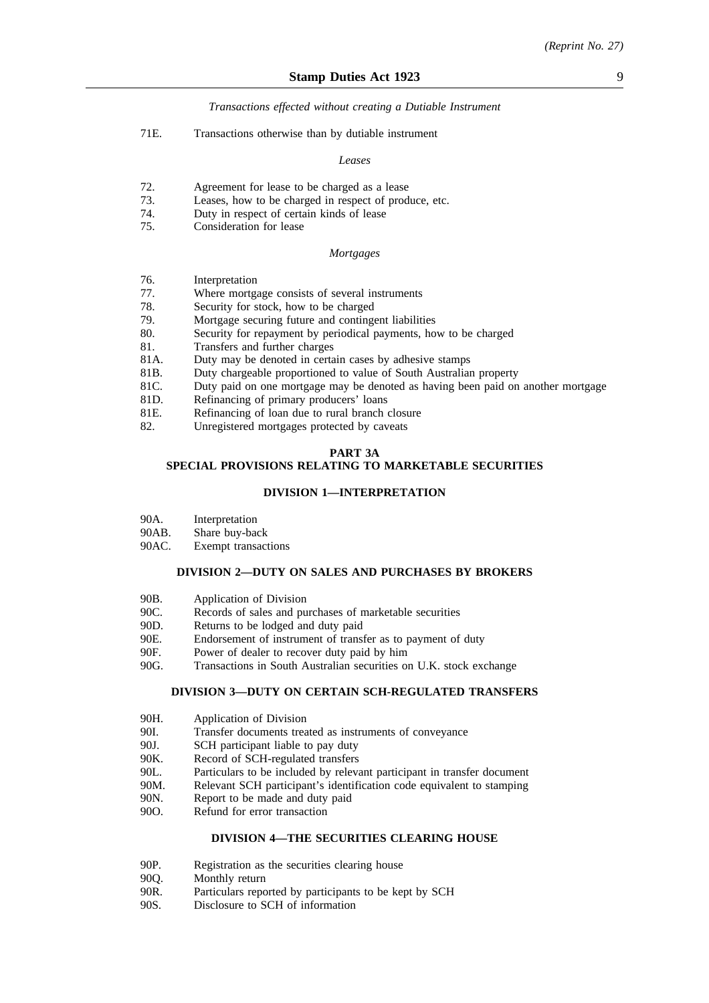#### *Transactions effected without creating a Dutiable Instrument*

71E. Transactions otherwise than by dutiable instrument

#### *Leases*

- 72. Agreement for lease to be charged as a lease
- 73. Leases, how to be charged in respect of produce, etc.
- 74. Duty in respect of certain kinds of lease
- 75. Consideration for lease

#### *Mortgages*

- 76. Interpretation
- 77. Where mortgage consists of several instruments
- 78. Security for stock, how to be charged
- 79. Mortgage securing future and contingent liabilities<br>80. Security for repayment by periodical payments, ho
- Security for repayment by periodical payments, how to be charged
- 81. Transfers and further charges 81A. Duty may be denoted in certa
- Duty may be denoted in certain cases by adhesive stamps
- 81B. Duty chargeable proportioned to value of South Australian property
- 81C. Duty paid on one mortgage may be denoted as having been paid on another mortgage
- 81D. Refinancing of primary producers' loans
- 81E. Refinancing of loan due to rural branch closure
- 82. Unregistered mortgages protected by caveats

#### **PART 3A**

# **SPECIAL PROVISIONS RELATING TO MARKETABLE SECURITIES**

#### **DIVISION 1—INTERPRETATION**

- 90A. Interpretation
- 90AB. Share buy-back
- 90AC. Exempt transactions

#### **DIVISION 2—DUTY ON SALES AND PURCHASES BY BROKERS**

- 90B. Application of Division
- 90C. Records of sales and purchases of marketable securities
- 90D. Returns to be lodged and duty paid
- 90E. Endorsement of instrument of transfer as to payment of duty
- 90F. Power of dealer to recover duty paid by him
- 90G. Transactions in South Australian securities on U.K. stock exchange

#### **DIVISION 3—DUTY ON CERTAIN SCH-REGULATED TRANSFERS**

- 90H. Application of Division
- 90I. Transfer documents treated as instruments of conveyance
- 90J. SCH participant liable to pay duty
- 90K. Record of SCH-regulated transfers
- 90L. Particulars to be included by relevant participant in transfer document
- 90M. Relevant SCH participant's identification code equivalent to stamping
- 90N. Report to be made and duty paid
- 90O. Refund for error transaction

#### **DIVISION 4—THE SECURITIES CLEARING HOUSE**

- 90P. Registration as the securities clearing house
- 90Q. Monthly return
- 90R. Particulars reported by participants to be kept by SCH<br>90S. Disclosure to SCH of information
- Disclosure to SCH of information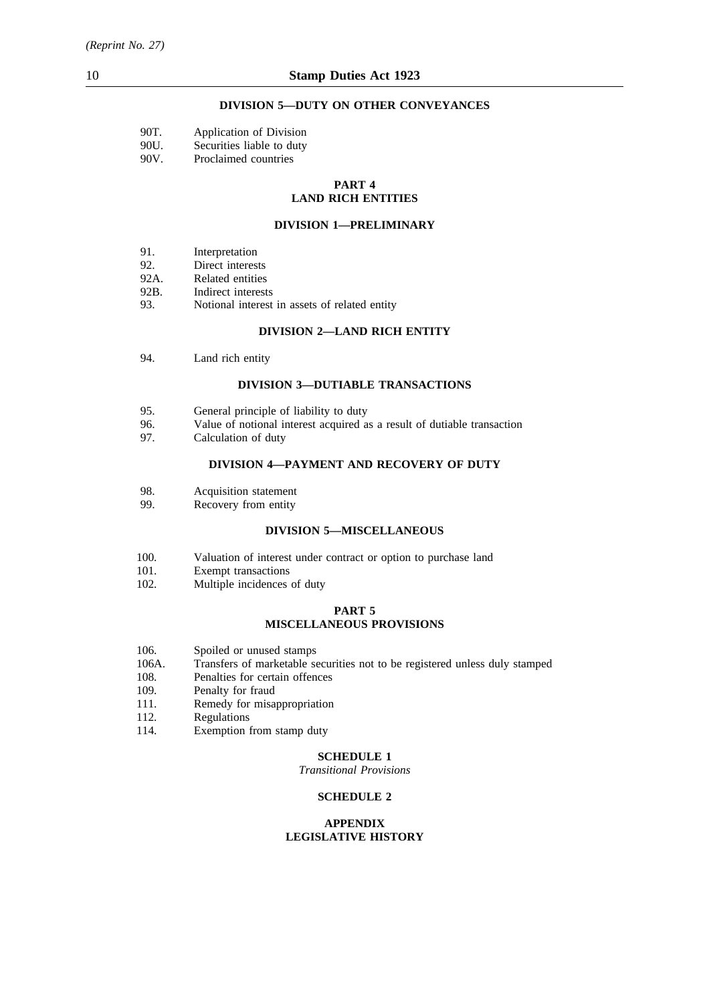# **DIVISION 5—DUTY ON OTHER CONVEYANCES**

| 90T. | Application of Division   |
|------|---------------------------|
| 90U. | Securities liable to duty |
| 90V. | Proclaimed countries      |

#### **PART 4 LAND RICH ENTITIES**

#### **DIVISION 1—PRELIMINARY**

- 91. Interpretation<br>92. Direct interes
- Direct interests
- 92A. Related entities
- 92B. Indirect interests
- 93. Notional interest in assets of related entity

# **DIVISION 2—LAND RICH ENTITY**

94. Land rich entity

#### **DIVISION 3—DUTIABLE TRANSACTIONS**

- 95. General principle of liability to duty
- 96. Value of notional interest acquired as a result of dutiable transaction
- 97. Calculation of duty

# **DIVISION 4—PAYMENT AND RECOVERY OF DUTY**

- 98. Acquisition statement
- 99. Recovery from entity

# **DIVISION 5—MISCELLANEOUS**

- 100. Valuation of interest under contract or option to purchase land
- 101. Exempt transactions
- 102. Multiple incidences of duty

# **PART 5 MISCELLANEOUS PROVISIONS**

- 106. Spoiled or unused stamps
- 106A. Transfers of marketable securities not to be registered unless duly stamped
- 108. Penalties for certain offences<br>109. Penalty for fraud
- 109. Penalty for fraud<br>111. Remedy for misa
- 111. Remedy for misappropriation<br>112. Regulations
- 112. Regulations<br>114. Exemption 1
- Exemption from stamp duty

# **SCHEDULE 1**

*Transitional Provisions*

# **SCHEDULE 2**

# **APPENDIX LEGISLATIVE HISTORY**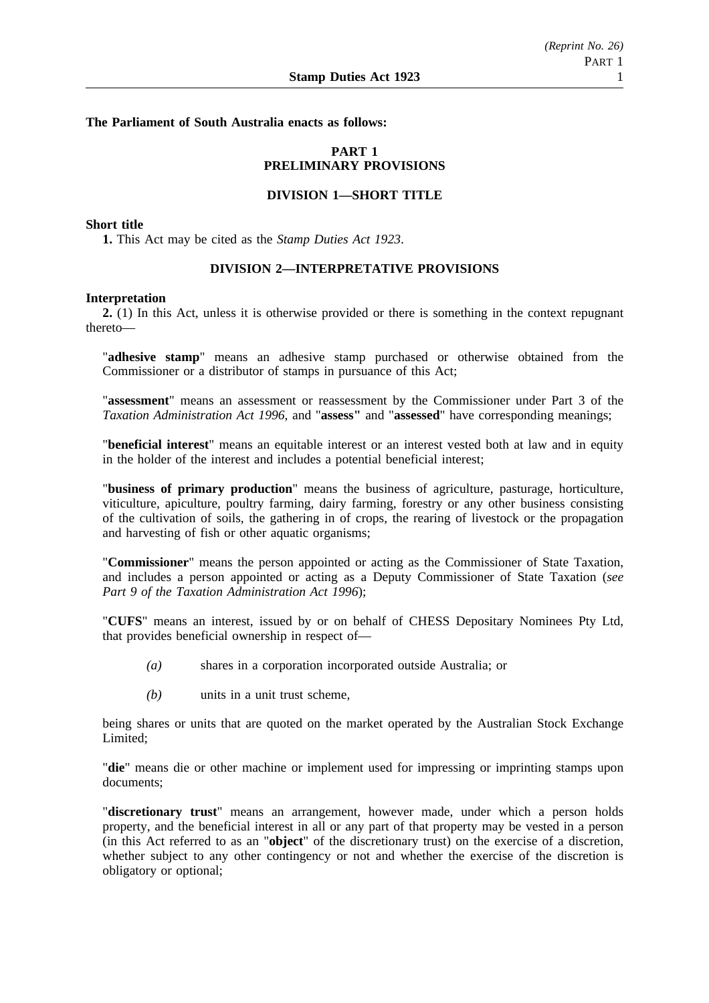# **The Parliament of South Australia enacts as follows:**

# **PART 1 PRELIMINARY PROVISIONS**

# **DIVISION 1—SHORT TITLE**

#### **Short title**

**1.** This Act may be cited as the *Stamp Duties Act 1923*.

# **DIVISION 2—INTERPRETATIVE PROVISIONS**

#### **Interpretation**

**2.** (1) In this Act, unless it is otherwise provided or there is something in the context repugnant thereto—

"**adhesive stamp**" means an adhesive stamp purchased or otherwise obtained from the Commissioner or a distributor of stamps in pursuance of this Act;

"**assessment**" means an assessment or reassessment by the Commissioner under Part 3 of the *Taxation Administration Act 1996*, and "**assess"** and "**assessed**" have corresponding meanings;

"**beneficial interest**" means an equitable interest or an interest vested both at law and in equity in the holder of the interest and includes a potential beneficial interest;

"**business of primary production**" means the business of agriculture, pasturage, horticulture, viticulture, apiculture, poultry farming, dairy farming, forestry or any other business consisting of the cultivation of soils, the gathering in of crops, the rearing of livestock or the propagation and harvesting of fish or other aquatic organisms;

"**Commissioner**" means the person appointed or acting as the Commissioner of State Taxation, and includes a person appointed or acting as a Deputy Commissioner of State Taxation (*see Part 9 of the Taxation Administration Act 1996*);

"**CUFS**" means an interest, issued by or on behalf of CHESS Depositary Nominees Pty Ltd, that provides beneficial ownership in respect of—

- *(a)* shares in a corporation incorporated outside Australia; or
- *(b)* units in a unit trust scheme,

being shares or units that are quoted on the market operated by the Australian Stock Exchange Limited;

"**die**" means die or other machine or implement used for impressing or imprinting stamps upon documents;

"**discretionary trust**" means an arrangement, however made, under which a person holds property, and the beneficial interest in all or any part of that property may be vested in a person (in this Act referred to as an "**object**" of the discretionary trust) on the exercise of a discretion, whether subject to any other contingency or not and whether the exercise of the discretion is obligatory or optional;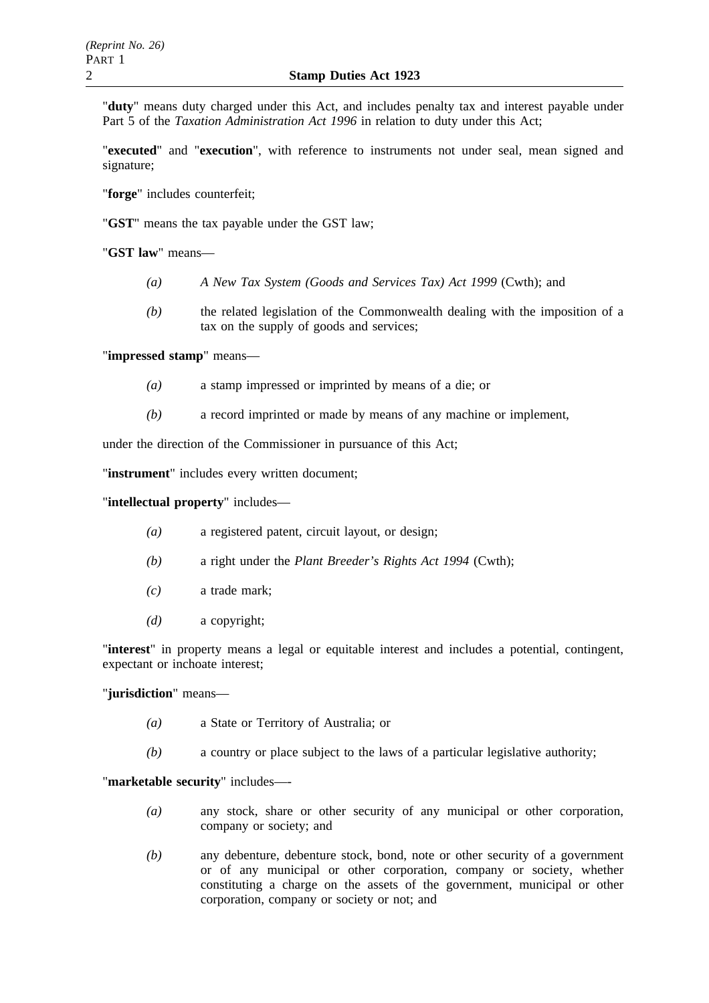"**duty**" means duty charged under this Act, and includes penalty tax and interest payable under Part 5 of the *Taxation Administration Act 1996* in relation to duty under this Act;

"**executed**" and "**execution**", with reference to instruments not under seal, mean signed and signature;

"**forge**" includes counterfeit;

"**GST**" means the tax payable under the GST law;

"**GST law**" means—

- *(a) A New Tax System (Goods and Services Tax) Act 1999* (Cwth); and
- *(b)* the related legislation of the Commonwealth dealing with the imposition of a tax on the supply of goods and services;

"**impressed stamp**" means—

- *(a)* a stamp impressed or imprinted by means of a die; or
- *(b)* a record imprinted or made by means of any machine or implement,

under the direction of the Commissioner in pursuance of this Act;

"**instrument**" includes every written document;

"**intellectual property**" includes—

- *(a)* a registered patent, circuit layout, or design;
- *(b)* a right under the *Plant Breeder's Rights Act 1994* (Cwth);
- *(c)* a trade mark;
- *(d)* a copyright;

"**interest**" in property means a legal or equitable interest and includes a potential, contingent, expectant or inchoate interest;

"**jurisdiction**" means—

- *(a)* a State or Territory of Australia; or
- *(b)* a country or place subject to the laws of a particular legislative authority;

"**marketable security**" includes—-

- *(a)* any stock, share or other security of any municipal or other corporation, company or society; and
- *(b)* any debenture, debenture stock, bond, note or other security of a government or of any municipal or other corporation, company or society, whether constituting a charge on the assets of the government, municipal or other corporation, company or society or not; and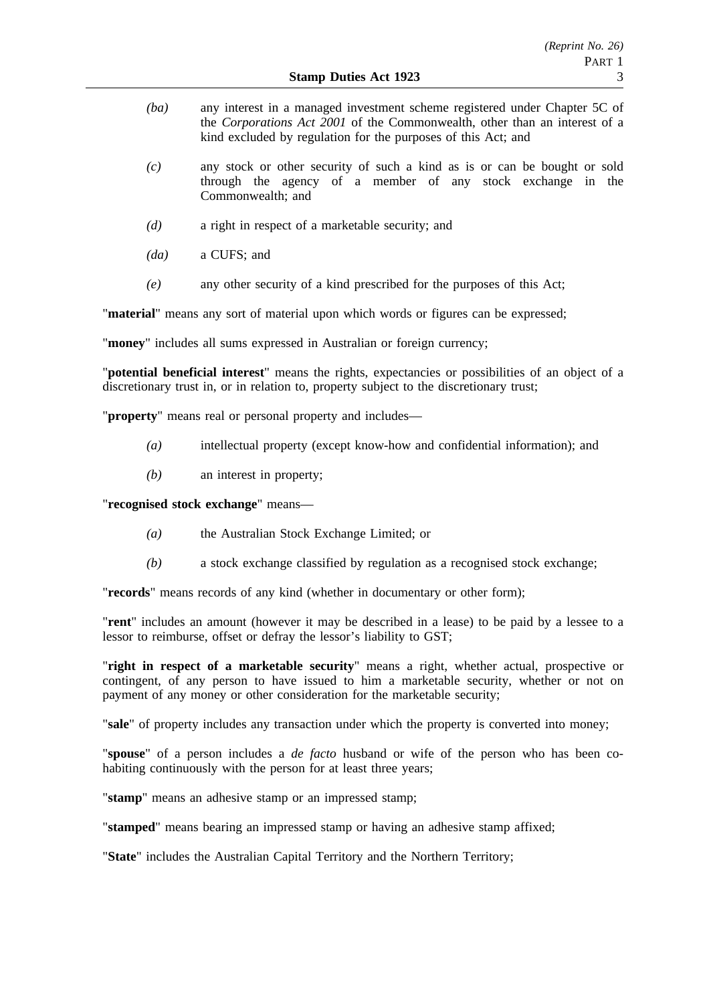- *(ba)* any interest in a managed investment scheme registered under Chapter 5C of the *Corporations Act 2001* of the Commonwealth, other than an interest of a kind excluded by regulation for the purposes of this Act; and
- *(c)* any stock or other security of such a kind as is or can be bought or sold through the agency of a member of any stock exchange in the Commonwealth; and
- *(d)* a right in respect of a marketable security; and
- *(da)* a CUFS; and
- *(e)* any other security of a kind prescribed for the purposes of this Act;

"**material**" means any sort of material upon which words or figures can be expressed;

"**money**" includes all sums expressed in Australian or foreign currency;

"**potential beneficial interest**" means the rights, expectancies or possibilities of an object of a discretionary trust in, or in relation to, property subject to the discretionary trust;

"**property**" means real or personal property and includes—

- *(a)* intellectual property (except know-how and confidential information); and
- *(b)* an interest in property;

"**recognised stock exchange**" means—

- *(a)* the Australian Stock Exchange Limited; or
- *(b)* a stock exchange classified by regulation as a recognised stock exchange;

"**records**" means records of any kind (whether in documentary or other form);

"**rent**" includes an amount (however it may be described in a lease) to be paid by a lessee to a lessor to reimburse, offset or defray the lessor's liability to GST;

"**right in respect of a marketable security**" means a right, whether actual, prospective or contingent, of any person to have issued to him a marketable security, whether or not on payment of any money or other consideration for the marketable security;

"**sale**" of property includes any transaction under which the property is converted into money;

"**spouse**" of a person includes a *de facto* husband or wife of the person who has been cohabiting continuously with the person for at least three years;

"**stamp**" means an adhesive stamp or an impressed stamp;

"**stamped**" means bearing an impressed stamp or having an adhesive stamp affixed;

"**State**" includes the Australian Capital Territory and the Northern Territory;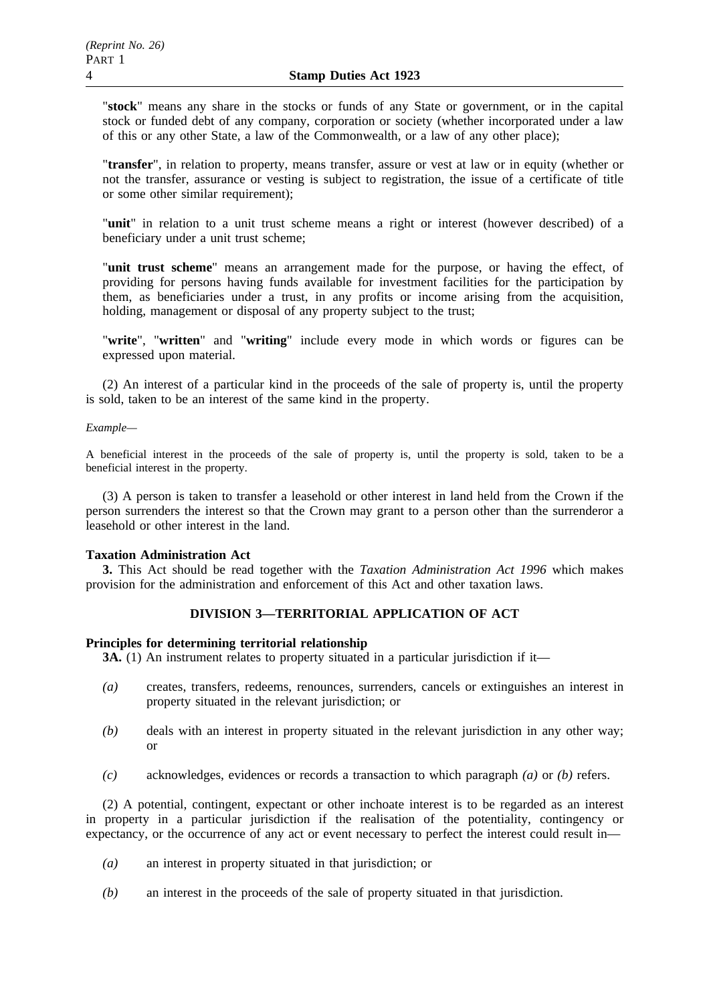"**stock**" means any share in the stocks or funds of any State or government, or in the capital stock or funded debt of any company, corporation or society (whether incorporated under a law of this or any other State, a law of the Commonwealth, or a law of any other place);

"**transfer**", in relation to property, means transfer, assure or vest at law or in equity (whether or not the transfer, assurance or vesting is subject to registration, the issue of a certificate of title or some other similar requirement);

"**unit**" in relation to a unit trust scheme means a right or interest (however described) of a beneficiary under a unit trust scheme;

"**unit trust scheme**" means an arrangement made for the purpose, or having the effect, of providing for persons having funds available for investment facilities for the participation by them, as beneficiaries under a trust, in any profits or income arising from the acquisition, holding, management or disposal of any property subject to the trust;

"**write**", "**written**" and "**writing**" include every mode in which words or figures can be expressed upon material.

(2) An interest of a particular kind in the proceeds of the sale of property is, until the property is sold, taken to be an interest of the same kind in the property.

### *Example—*

A beneficial interest in the proceeds of the sale of property is, until the property is sold, taken to be a beneficial interest in the property.

(3) A person is taken to transfer a leasehold or other interest in land held from the Crown if the person surrenders the interest so that the Crown may grant to a person other than the surrenderor a leasehold or other interest in the land.

# **Taxation Administration Act**

**3.** This Act should be read together with the *Taxation Administration Act 1996* which makes provision for the administration and enforcement of this Act and other taxation laws.

# **DIVISION 3—TERRITORIAL APPLICATION OF ACT**

# **Principles for determining territorial relationship**

**3A.** (1) An instrument relates to property situated in a particular jurisdiction if it—

- *(a)* creates, transfers, redeems, renounces, surrenders, cancels or extinguishes an interest in property situated in the relevant jurisdiction; or
- *(b)* deals with an interest in property situated in the relevant jurisdiction in any other way; or
- *(c)* acknowledges, evidences or records a transaction to which paragraph *(a)* or *(b)* refers.

(2) A potential, contingent, expectant or other inchoate interest is to be regarded as an interest in property in a particular jurisdiction if the realisation of the potentiality, contingency or expectancy, or the occurrence of any act or event necessary to perfect the interest could result in—

- *(a)* an interest in property situated in that jurisdiction; or
- *(b)* an interest in the proceeds of the sale of property situated in that jurisdiction.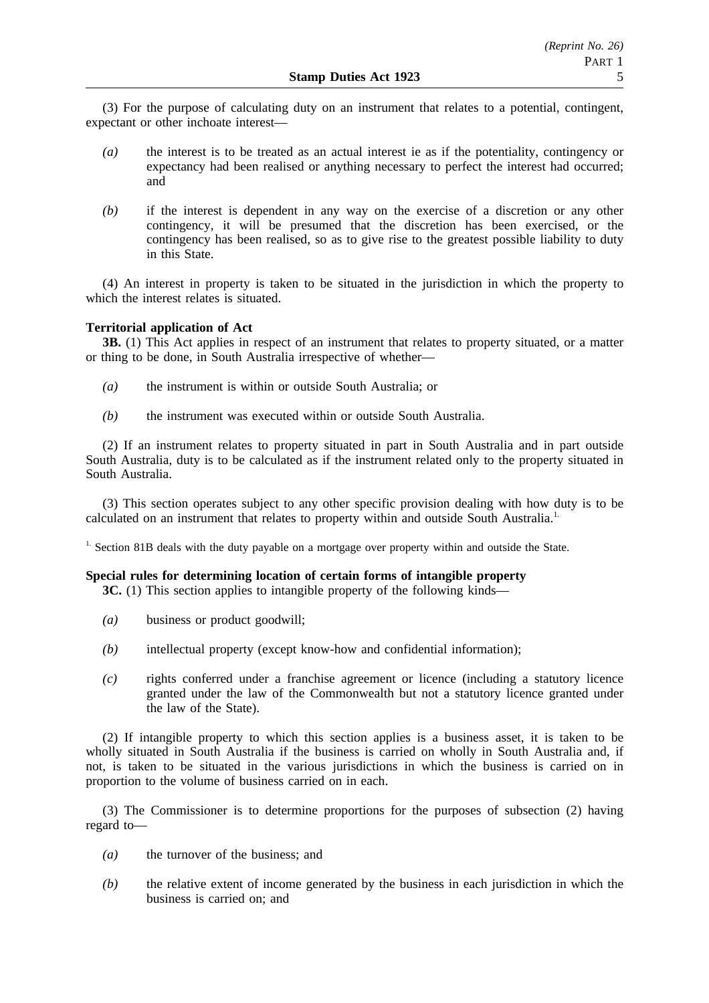(3) For the purpose of calculating duty on an instrument that relates to a potential, contingent, expectant or other inchoate interest—

- *(a)* the interest is to be treated as an actual interest ie as if the potentiality, contingency or expectancy had been realised or anything necessary to perfect the interest had occurred; and
- *(b)* if the interest is dependent in any way on the exercise of a discretion or any other contingency, it will be presumed that the discretion has been exercised, or the contingency has been realised, so as to give rise to the greatest possible liability to duty in this State.

(4) An interest in property is taken to be situated in the jurisdiction in which the property to which the interest relates is situated.

# **Territorial application of Act**

**3B.** (1) This Act applies in respect of an instrument that relates to property situated, or a matter or thing to be done, in South Australia irrespective of whether—

- *(a)* the instrument is within or outside South Australia; or
- *(b)* the instrument was executed within or outside South Australia.

(2) If an instrument relates to property situated in part in South Australia and in part outside South Australia, duty is to be calculated as if the instrument related only to the property situated in South Australia.

(3) This section operates subject to any other specific provision dealing with how duty is to be calculated on an instrument that relates to property within and outside South Australia.<sup>1.</sup>

<sup>1.</sup> Section 81B deals with the duty payable on a mortgage over property within and outside the State.

# **Special rules for determining location of certain forms of intangible property**

**3C.** (1) This section applies to intangible property of the following kinds—

- *(a)* business or product goodwill;
- *(b)* intellectual property (except know-how and confidential information);
- *(c)* rights conferred under a franchise agreement or licence (including a statutory licence granted under the law of the Commonwealth but not a statutory licence granted under the law of the State).

(2) If intangible property to which this section applies is a business asset, it is taken to be wholly situated in South Australia if the business is carried on wholly in South Australia and, if not, is taken to be situated in the various jurisdictions in which the business is carried on in proportion to the volume of business carried on in each.

(3) The Commissioner is to determine proportions for the purposes of subsection (2) having regard to—

- *(a)* the turnover of the business; and
- *(b)* the relative extent of income generated by the business in each jurisdiction in which the business is carried on; and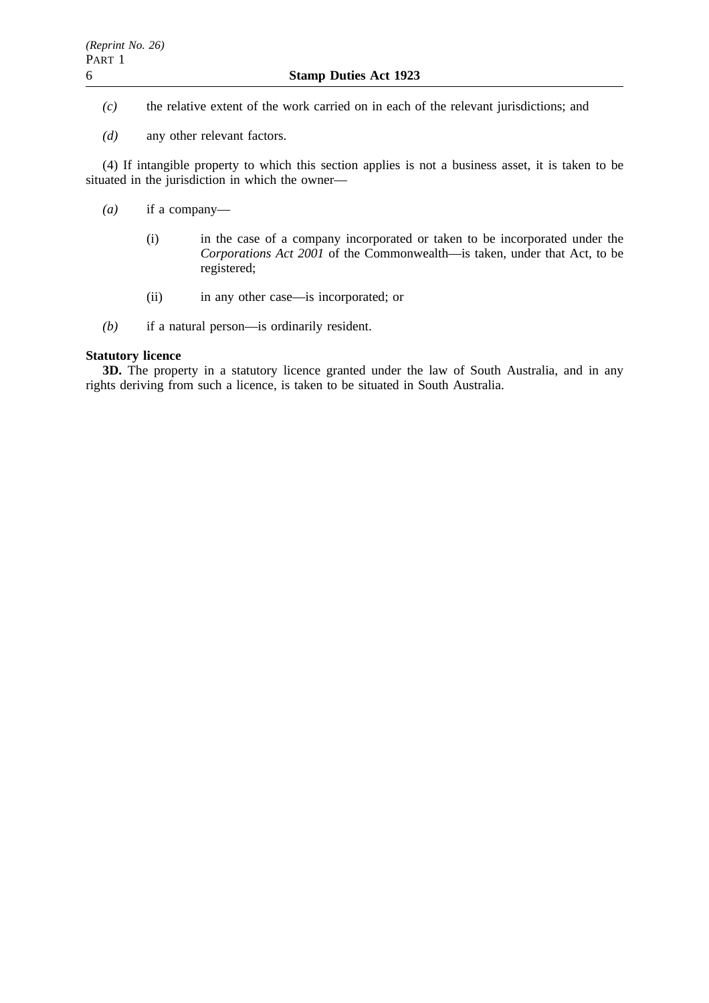- *(c)* the relative extent of the work carried on in each of the relevant jurisdictions; and
- *(d)* any other relevant factors.

(4) If intangible property to which this section applies is not a business asset, it is taken to be situated in the jurisdiction in which the owner—

- *(a)* if a company—
	- (i) in the case of a company incorporated or taken to be incorporated under the *Corporations Act 2001* of the Commonwealth—is taken, under that Act, to be registered;
	- (ii) in any other case—is incorporated; or
- *(b)* if a natural person—is ordinarily resident.

# **Statutory licence**

**3D.** The property in a statutory licence granted under the law of South Australia, and in any rights deriving from such a licence, is taken to be situated in South Australia.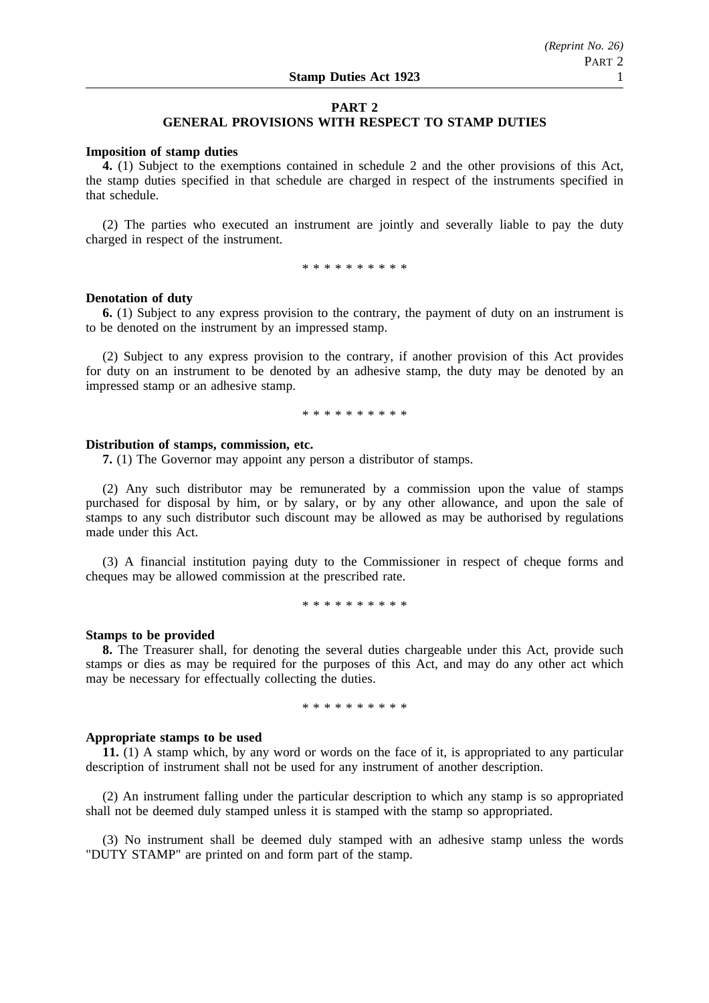# **PART 2**

# **GENERAL PROVISIONS WITH RESPECT TO STAMP DUTIES**

#### **Imposition of stamp duties**

**4.** (1) Subject to the exemptions contained in schedule 2 and the other provisions of this Act, the stamp duties specified in that schedule are charged in respect of the instruments specified in that schedule.

(2) The parties who executed an instrument are jointly and severally liable to pay the duty charged in respect of the instrument.

\* \* \* \* \* \* \* \* \*

#### **Denotation of duty**

**6.** (1) Subject to any express provision to the contrary, the payment of duty on an instrument is to be denoted on the instrument by an impressed stamp.

(2) Subject to any express provision to the contrary, if another provision of this Act provides for duty on an instrument to be denoted by an adhesive stamp, the duty may be denoted by an impressed stamp or an adhesive stamp.

\*\*\*\*\*\*\*\*\*\*

#### **Distribution of stamps, commission, etc.**

**7.** (1) The Governor may appoint any person a distributor of stamps.

(2) Any such distributor may be remunerated by a commission upon the value of stamps purchased for disposal by him, or by salary, or by any other allowance, and upon the sale of stamps to any such distributor such discount may be allowed as may be authorised by regulations made under this Act.

(3) A financial institution paying duty to the Commissioner in respect of cheque forms and cheques may be allowed commission at the prescribed rate.

\*\*\*\*\*\*\*\*\*\*

#### **Stamps to be provided**

**8.** The Treasurer shall, for denoting the several duties chargeable under this Act, provide such stamps or dies as may be required for the purposes of this Act, and may do any other act which may be necessary for effectually collecting the duties.

\*\*\*\*\*\*\*\*\*\*

#### **Appropriate stamps to be used**

**11.** (1) A stamp which, by any word or words on the face of it, is appropriated to any particular description of instrument shall not be used for any instrument of another description.

(2) An instrument falling under the particular description to which any stamp is so appropriated shall not be deemed duly stamped unless it is stamped with the stamp so appropriated.

(3) No instrument shall be deemed duly stamped with an adhesive stamp unless the words "DUTY STAMP" are printed on and form part of the stamp.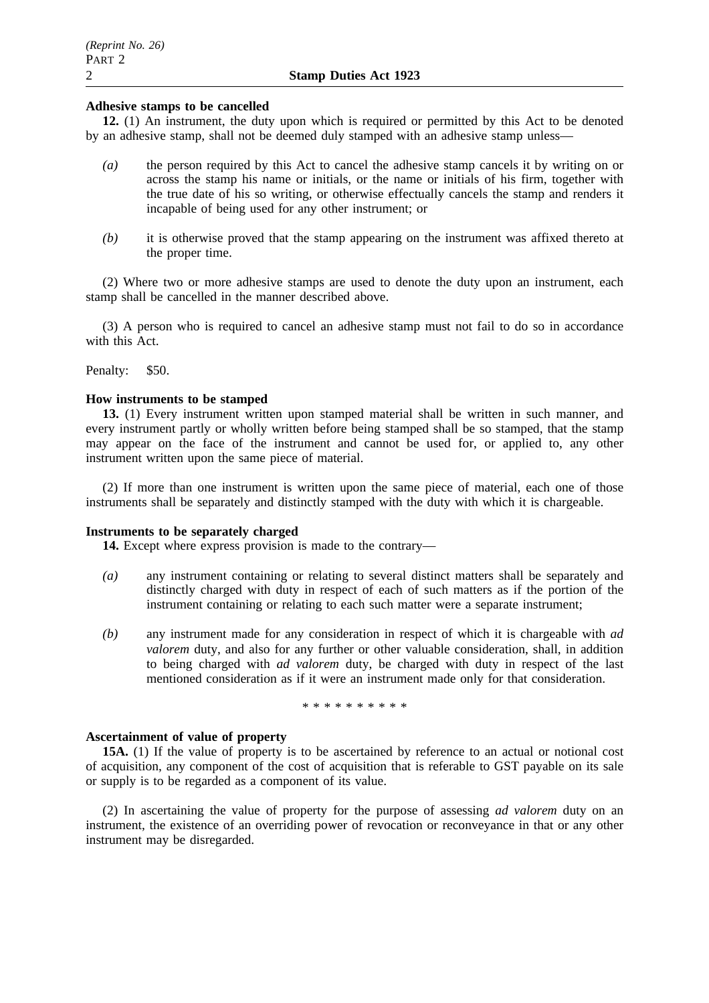# **Adhesive stamps to be cancelled**

**12.** (1) An instrument, the duty upon which is required or permitted by this Act to be denoted by an adhesive stamp, shall not be deemed duly stamped with an adhesive stamp unless—

- *(a)* the person required by this Act to cancel the adhesive stamp cancels it by writing on or across the stamp his name or initials, or the name or initials of his firm, together with the true date of his so writing, or otherwise effectually cancels the stamp and renders it incapable of being used for any other instrument; or
- *(b)* it is otherwise proved that the stamp appearing on the instrument was affixed thereto at the proper time.

(2) Where two or more adhesive stamps are used to denote the duty upon an instrument, each stamp shall be cancelled in the manner described above.

(3) A person who is required to cancel an adhesive stamp must not fail to do so in accordance with this Act.

Penalty: \$50.

# **How instruments to be stamped**

**13.** (1) Every instrument written upon stamped material shall be written in such manner, and every instrument partly or wholly written before being stamped shall be so stamped, that the stamp may appear on the face of the instrument and cannot be used for, or applied to, any other instrument written upon the same piece of material.

(2) If more than one instrument is written upon the same piece of material, each one of those instruments shall be separately and distinctly stamped with the duty with which it is chargeable.

# **Instruments to be separately charged**

**14.** Except where express provision is made to the contrary—

- *(a)* any instrument containing or relating to several distinct matters shall be separately and distinctly charged with duty in respect of each of such matters as if the portion of the instrument containing or relating to each such matter were a separate instrument;
- *(b)* any instrument made for any consideration in respect of which it is chargeable with *ad valorem* duty, and also for any further or other valuable consideration, shall, in addition to being charged with *ad valorem* duty, be charged with duty in respect of the last mentioned consideration as if it were an instrument made only for that consideration.

\*\*\*\*\*\*\*\*\*\*

# **Ascertainment of value of property**

**15A.** (1) If the value of property is to be ascertained by reference to an actual or notional cost of acquisition, any component of the cost of acquisition that is referable to GST payable on its sale or supply is to be regarded as a component of its value.

(2) In ascertaining the value of property for the purpose of assessing *ad valorem* duty on an instrument, the existence of an overriding power of revocation or reconveyance in that or any other instrument may be disregarded.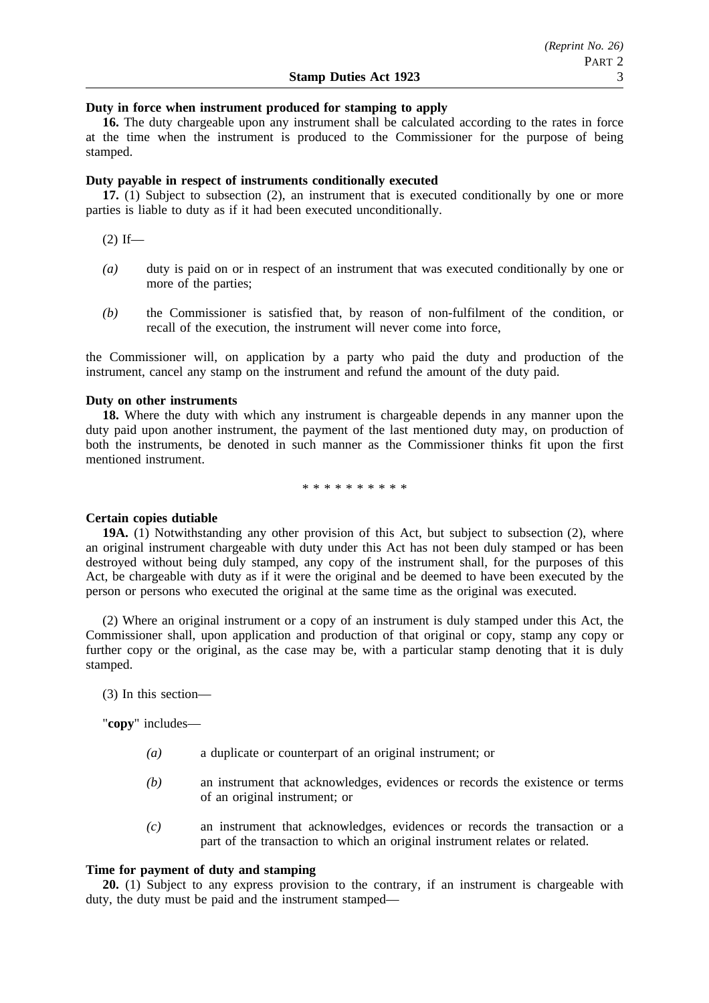# **Duty in force when instrument produced for stamping to apply**

**16.** The duty chargeable upon any instrument shall be calculated according to the rates in force at the time when the instrument is produced to the Commissioner for the purpose of being stamped.

### **Duty payable in respect of instruments conditionally executed**

**17.** (1) Subject to subsection (2), an instrument that is executed conditionally by one or more parties is liable to duty as if it had been executed unconditionally.

 $(2)$  If—

- *(a)* duty is paid on or in respect of an instrument that was executed conditionally by one or more of the parties;
- *(b)* the Commissioner is satisfied that, by reason of non-fulfilment of the condition, or recall of the execution, the instrument will never come into force,

the Commissioner will, on application by a party who paid the duty and production of the instrument, cancel any stamp on the instrument and refund the amount of the duty paid.

### **Duty on other instruments**

**18.** Where the duty with which any instrument is chargeable depends in any manner upon the duty paid upon another instrument, the payment of the last mentioned duty may, on production of both the instruments, be denoted in such manner as the Commissioner thinks fit upon the first mentioned instrument.

\*\*\*\*\*\*\*\*\*\*

#### **Certain copies dutiable**

**19A.** (1) Notwithstanding any other provision of this Act, but subject to subsection (2), where an original instrument chargeable with duty under this Act has not been duly stamped or has been destroyed without being duly stamped, any copy of the instrument shall, for the purposes of this Act, be chargeable with duty as if it were the original and be deemed to have been executed by the person or persons who executed the original at the same time as the original was executed.

(2) Where an original instrument or a copy of an instrument is duly stamped under this Act, the Commissioner shall, upon application and production of that original or copy, stamp any copy or further copy or the original, as the case may be, with a particular stamp denoting that it is duly stamped.

(3) In this section—

"**copy**" includes—

- *(a)* a duplicate or counterpart of an original instrument; or
- *(b)* an instrument that acknowledges, evidences or records the existence or terms of an original instrument; or
- *(c)* an instrument that acknowledges, evidences or records the transaction or a part of the transaction to which an original instrument relates or related.

# **Time for payment of duty and stamping**

**20.** (1) Subject to any express provision to the contrary, if an instrument is chargeable with duty, the duty must be paid and the instrument stamped—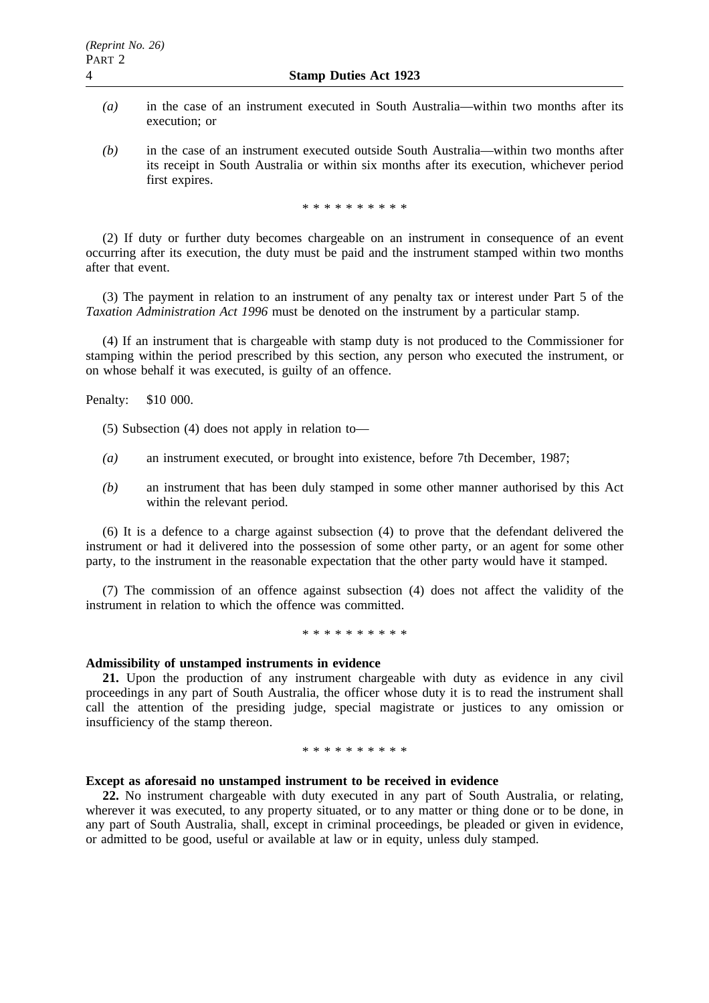- *(a)* in the case of an instrument executed in South Australia—within two months after its execution; or
- *(b)* in the case of an instrument executed outside South Australia—within two months after its receipt in South Australia or within six months after its execution, whichever period first expires.

\*\*\*\*\*\*\*\*\*\*

(2) If duty or further duty becomes chargeable on an instrument in consequence of an event occurring after its execution, the duty must be paid and the instrument stamped within two months after that event.

(3) The payment in relation to an instrument of any penalty tax or interest under Part 5 of the *Taxation Administration Act 1996* must be denoted on the instrument by a particular stamp.

(4) If an instrument that is chargeable with stamp duty is not produced to the Commissioner for stamping within the period prescribed by this section, any person who executed the instrument, or on whose behalf it was executed, is guilty of an offence.

Penalty: \$10 000.

- (5) Subsection (4) does not apply in relation to—
- *(a)* an instrument executed, or brought into existence, before 7th December, 1987;
- *(b)* an instrument that has been duly stamped in some other manner authorised by this Act within the relevant period.

(6) It is a defence to a charge against subsection (4) to prove that the defendant delivered the instrument or had it delivered into the possession of some other party, or an agent for some other party, to the instrument in the reasonable expectation that the other party would have it stamped.

(7) The commission of an offence against subsection (4) does not affect the validity of the instrument in relation to which the offence was committed.

\*\*\*\*\*\*\*\*\*\*

# **Admissibility of unstamped instruments in evidence**

**21.** Upon the production of any instrument chargeable with duty as evidence in any civil proceedings in any part of South Australia, the officer whose duty it is to read the instrument shall call the attention of the presiding judge, special magistrate or justices to any omission or insufficiency of the stamp thereon.

\*\*\*\*\*\*\*\*\*\*

### **Except as aforesaid no unstamped instrument to be received in evidence**

**22.** No instrument chargeable with duty executed in any part of South Australia, or relating, wherever it was executed, to any property situated, or to any matter or thing done or to be done, in any part of South Australia, shall, except in criminal proceedings, be pleaded or given in evidence, or admitted to be good, useful or available at law or in equity, unless duly stamped.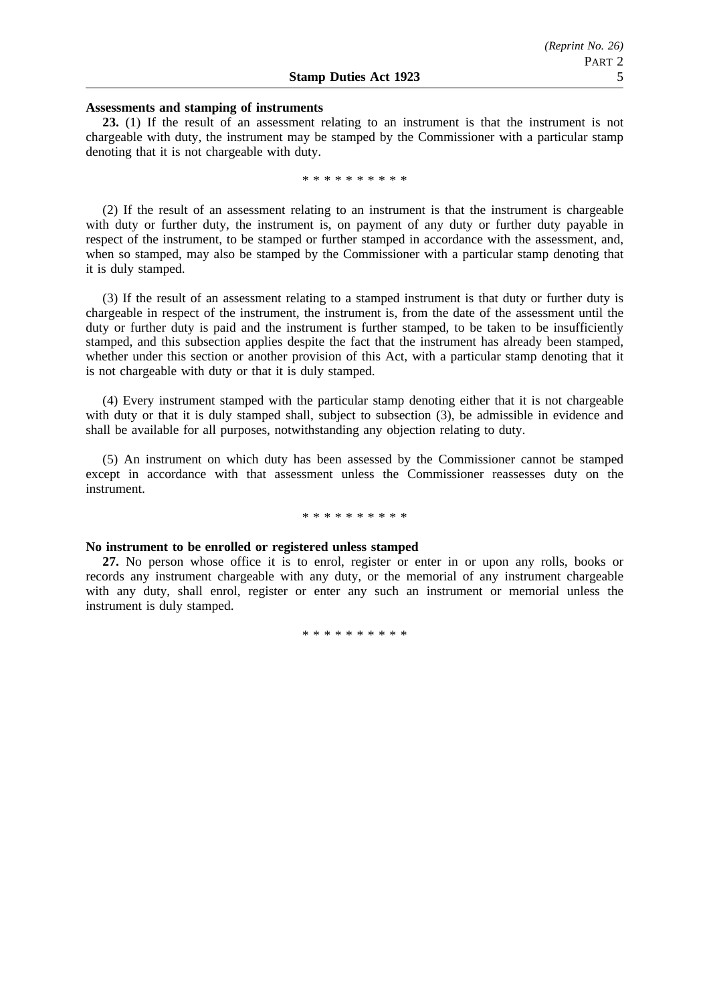#### **Assessments and stamping of instruments**

**23.** (1) If the result of an assessment relating to an instrument is that the instrument is not chargeable with duty, the instrument may be stamped by the Commissioner with a particular stamp denoting that it is not chargeable with duty.

\*\*\*\*\*\*\*\*\*\*

(2) If the result of an assessment relating to an instrument is that the instrument is chargeable with duty or further duty, the instrument is, on payment of any duty or further duty payable in respect of the instrument, to be stamped or further stamped in accordance with the assessment, and, when so stamped, may also be stamped by the Commissioner with a particular stamp denoting that it is duly stamped.

(3) If the result of an assessment relating to a stamped instrument is that duty or further duty is chargeable in respect of the instrument, the instrument is, from the date of the assessment until the duty or further duty is paid and the instrument is further stamped, to be taken to be insufficiently stamped, and this subsection applies despite the fact that the instrument has already been stamped, whether under this section or another provision of this Act, with a particular stamp denoting that it is not chargeable with duty or that it is duly stamped.

(4) Every instrument stamped with the particular stamp denoting either that it is not chargeable with duty or that it is duly stamped shall, subject to subsection (3), be admissible in evidence and shall be available for all purposes, notwithstanding any objection relating to duty.

(5) An instrument on which duty has been assessed by the Commissioner cannot be stamped except in accordance with that assessment unless the Commissioner reassesses duty on the instrument.

#### \*\*\*\*\*\*\*\*\*\*

#### **No instrument to be enrolled or registered unless stamped**

**27.** No person whose office it is to enrol, register or enter in or upon any rolls, books or records any instrument chargeable with any duty, or the memorial of any instrument chargeable with any duty, shall enrol, register or enter any such an instrument or memorial unless the instrument is duly stamped.

\*\*\*\*\*\*\*\*\*\*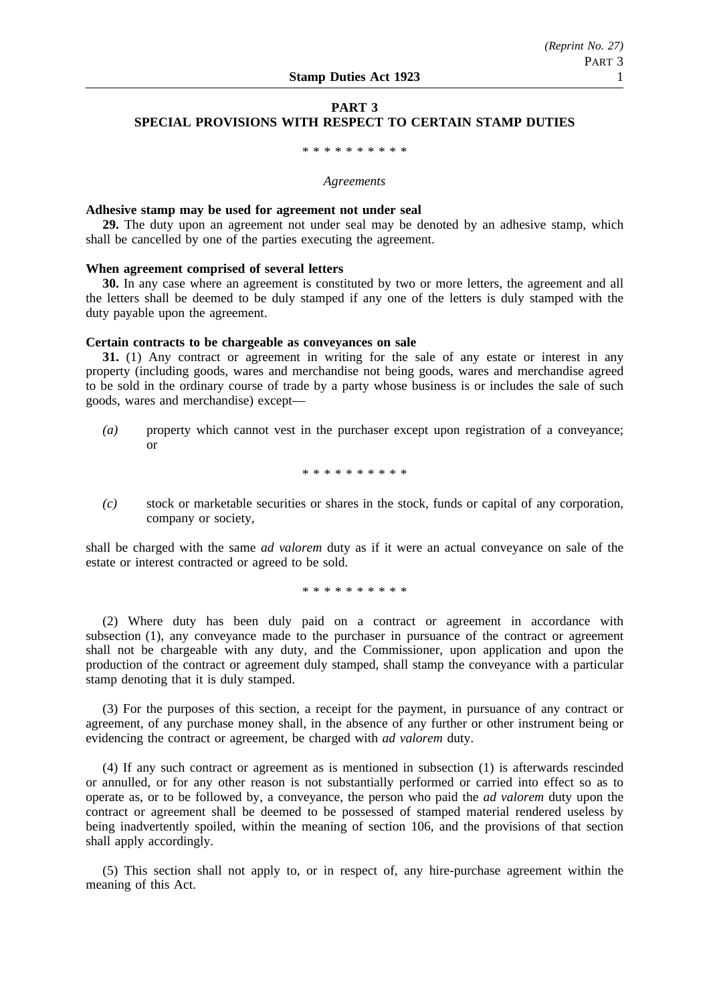# **PART 3 SPECIAL PROVISIONS WITH RESPECT TO CERTAIN STAMP DUTIES**

\*\*\*\*\*\*\*\*\*\*\*\*\*\*\*\*\*

#### *Agreements*

#### **Adhesive stamp may be used for agreement not under seal**

**29.** The duty upon an agreement not under seal may be denoted by an adhesive stamp, which shall be cancelled by one of the parties executing the agreement.

# **When agreement comprised of several letters**

**30.** In any case where an agreement is constituted by two or more letters, the agreement and all the letters shall be deemed to be duly stamped if any one of the letters is duly stamped with the duty payable upon the agreement.

#### **Certain contracts to be chargeable as conveyances on sale**

**31.** (1) Any contract or agreement in writing for the sale of any estate or interest in any property (including goods, wares and merchandise not being goods, wares and merchandise agreed to be sold in the ordinary course of trade by a party whose business is or includes the sale of such goods, wares and merchandise) except—

*(a)* property which cannot vest in the purchaser except upon registration of a conveyance; or

\*\*\*\*\*\*\*\*\*\*

*(c)* stock or marketable securities or shares in the stock, funds or capital of any corporation, company or society,

shall be charged with the same *ad valorem* duty as if it were an actual conveyance on sale of the estate or interest contracted or agreed to be sold.

\*\*\*\*\*\*\*\*\*\*

(2) Where duty has been duly paid on a contract or agreement in accordance with subsection (1), any conveyance made to the purchaser in pursuance of the contract or agreement shall not be chargeable with any duty, and the Commissioner, upon application and upon the production of the contract or agreement duly stamped, shall stamp the conveyance with a particular stamp denoting that it is duly stamped.

(3) For the purposes of this section, a receipt for the payment, in pursuance of any contract or agreement, of any purchase money shall, in the absence of any further or other instrument being or evidencing the contract or agreement, be charged with *ad valorem* duty.

(4) If any such contract or agreement as is mentioned in subsection (1) is afterwards rescinded or annulled, or for any other reason is not substantially performed or carried into effect so as to operate as, or to be followed by, a conveyance, the person who paid the *ad valorem* duty upon the contract or agreement shall be deemed to be possessed of stamped material rendered useless by being inadvertently spoiled, within the meaning of section 106, and the provisions of that section shall apply accordingly.

(5) This section shall not apply to, or in respect of, any hire-purchase agreement within the meaning of this Act.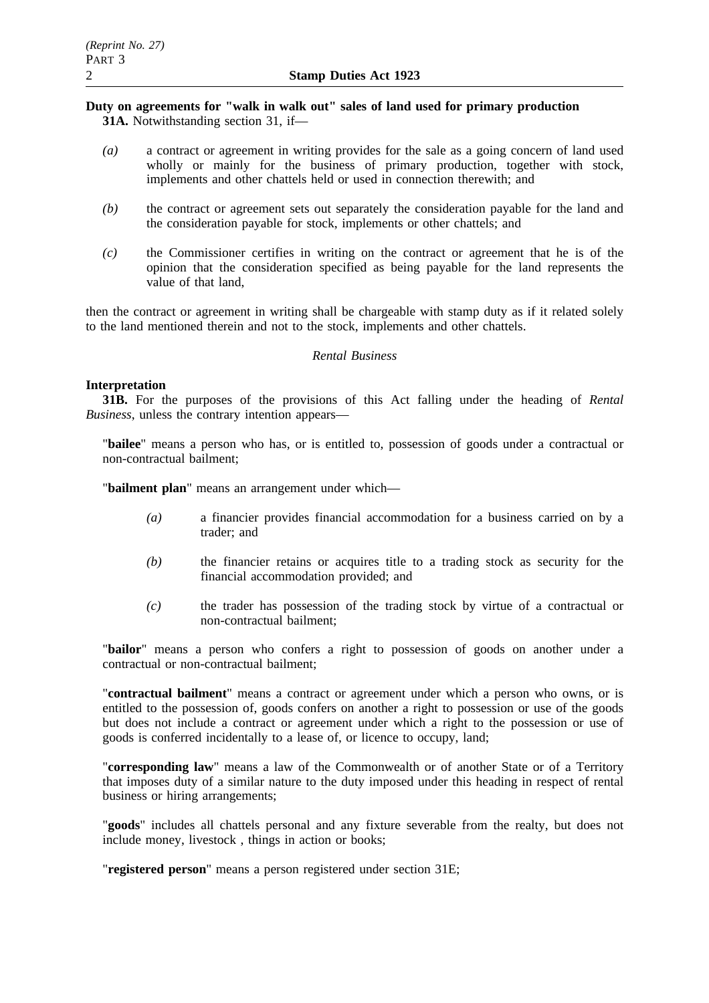# **Duty on agreements for "walk in walk out" sales of land used for primary production 31A.** Notwithstanding section 31, if—

- *(a)* a contract or agreement in writing provides for the sale as a going concern of land used wholly or mainly for the business of primary production, together with stock, implements and other chattels held or used in connection therewith; and
- *(b)* the contract or agreement sets out separately the consideration payable for the land and the consideration payable for stock, implements or other chattels; and
- *(c)* the Commissioner certifies in writing on the contract or agreement that he is of the opinion that the consideration specified as being payable for the land represents the value of that land,

then the contract or agreement in writing shall be chargeable with stamp duty as if it related solely to the land mentioned therein and not to the stock, implements and other chattels.

# *Rental Business*

# **Interpretation**

**31B.** For the purposes of the provisions of this Act falling under the heading of *Rental Business*, unless the contrary intention appears—

"**bailee**" means a person who has, or is entitled to, possession of goods under a contractual or non-contractual bailment;

"**bailment plan**" means an arrangement under which—

- *(a)* a financier provides financial accommodation for a business carried on by a trader; and
- *(b)* the financier retains or acquires title to a trading stock as security for the financial accommodation provided; and
- *(c)* the trader has possession of the trading stock by virtue of a contractual or non-contractual bailment;

"**bailor**" means a person who confers a right to possession of goods on another under a contractual or non-contractual bailment;

"**contractual bailment**" means a contract or agreement under which a person who owns, or is entitled to the possession of, goods confers on another a right to possession or use of the goods but does not include a contract or agreement under which a right to the possession or use of goods is conferred incidentally to a lease of, or licence to occupy, land;

"**corresponding law**" means a law of the Commonwealth or of another State or of a Territory that imposes duty of a similar nature to the duty imposed under this heading in respect of rental business or hiring arrangements;

"**goods**" includes all chattels personal and any fixture severable from the realty, but does not include money, livestock , things in action or books;

"**registered person**" means a person registered under section 31E;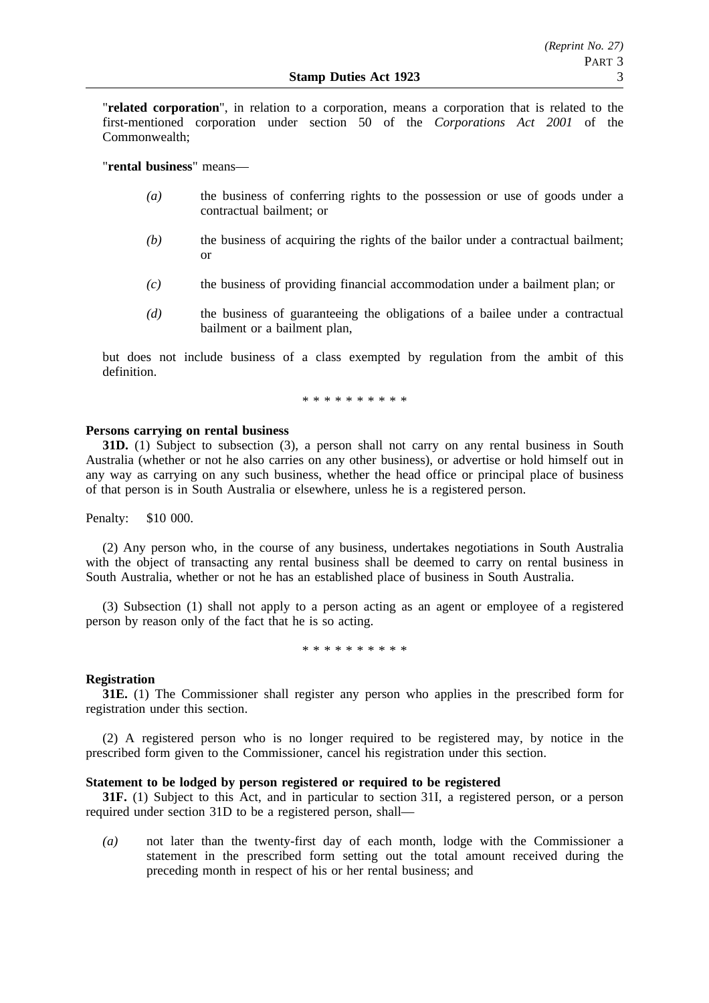"**related corporation**", in relation to a corporation, means a corporation that is related to the first-mentioned corporation under section 50 of the *Corporations Act 2001* of the Commonwealth;

"**rental business**" means—

- *(a)* the business of conferring rights to the possession or use of goods under a contractual bailment; or
- *(b)* the business of acquiring the rights of the bailor under a contractual bailment; or
- *(c)* the business of providing financial accommodation under a bailment plan; or
- *(d)* the business of guaranteeing the obligations of a bailee under a contractual bailment or a bailment plan,

but does not include business of a class exempted by regulation from the ambit of this definition.

\*\*\*\*\*\*\*\*\*\*

### **Persons carrying on rental business**

**31D.** (1) Subject to subsection (3), a person shall not carry on any rental business in South Australia (whether or not he also carries on any other business), or advertise or hold himself out in any way as carrying on any such business, whether the head office or principal place of business of that person is in South Australia or elsewhere, unless he is a registered person.

Penalty: \$10 000.

(2) Any person who, in the course of any business, undertakes negotiations in South Australia with the object of transacting any rental business shall be deemed to carry on rental business in South Australia, whether or not he has an established place of business in South Australia.

(3) Subsection (1) shall not apply to a person acting as an agent or employee of a registered person by reason only of the fact that he is so acting.

\*\*\*\*\*\*\*\*\*\*

# **Registration**

**31E.** (1) The Commissioner shall register any person who applies in the prescribed form for registration under this section.

(2) A registered person who is no longer required to be registered may, by notice in the prescribed form given to the Commissioner, cancel his registration under this section.

# **Statement to be lodged by person registered or required to be registered**

**31F.** (1) Subject to this Act, and in particular to section 31I, a registered person, or a person required under section 31D to be a registered person, shall—

*(a)* not later than the twenty-first day of each month, lodge with the Commissioner a statement in the prescribed form setting out the total amount received during the preceding month in respect of his or her rental business; and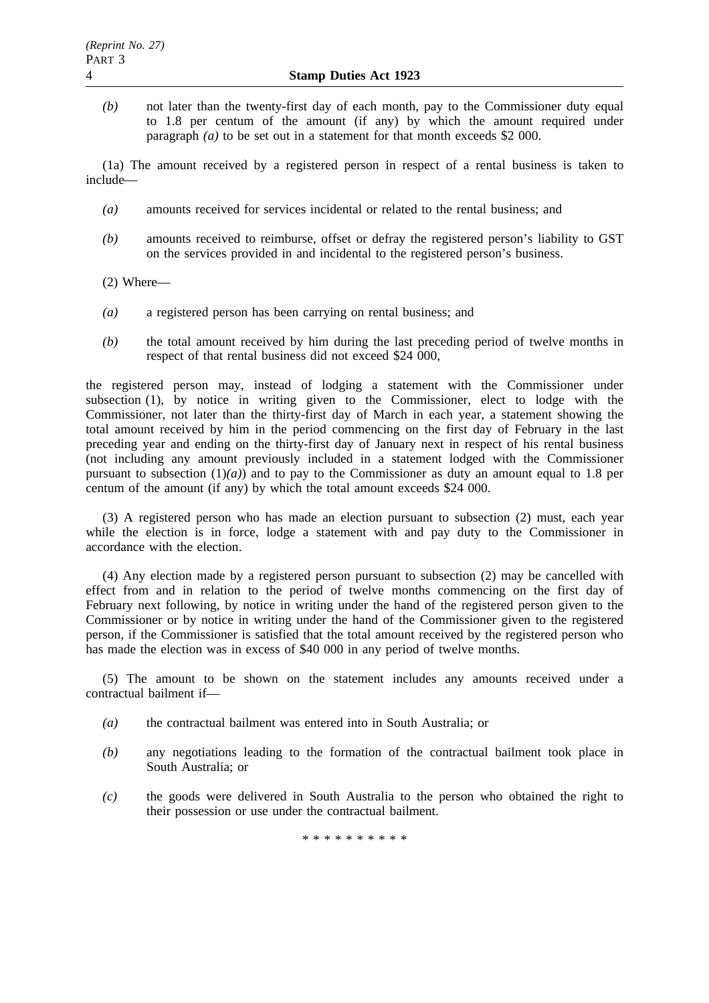*(b)* not later than the twenty-first day of each month, pay to the Commissioner duty equal to 1.8 per centum of the amount (if any) by which the amount required under paragraph *(a)* to be set out in a statement for that month exceeds \$2 000.

(1a) The amount received by a registered person in respect of a rental business is taken to include—

- *(a)* amounts received for services incidental or related to the rental business; and
- *(b)* amounts received to reimburse, offset or defray the registered person's liability to GST on the services provided in and incidental to the registered person's business.
- (2) Where—
- *(a)* a registered person has been carrying on rental business; and
- *(b)* the total amount received by him during the last preceding period of twelve months in respect of that rental business did not exceed \$24 000,

the registered person may, instead of lodging a statement with the Commissioner under subsection (1), by notice in writing given to the Commissioner, elect to lodge with the Commissioner, not later than the thirty-first day of March in each year, a statement showing the total amount received by him in the period commencing on the first day of February in the last preceding year and ending on the thirty-first day of January next in respect of his rental business (not including any amount previously included in a statement lodged with the Commissioner pursuant to subsection  $(1)(a)$  and to pay to the Commissioner as duty an amount equal to 1.8 per centum of the amount (if any) by which the total amount exceeds \$24 000.

(3) A registered person who has made an election pursuant to subsection (2) must, each year while the election is in force, lodge a statement with and pay duty to the Commissioner in accordance with the election.

(4) Any election made by a registered person pursuant to subsection (2) may be cancelled with effect from and in relation to the period of twelve months commencing on the first day of February next following, by notice in writing under the hand of the registered person given to the Commissioner or by notice in writing under the hand of the Commissioner given to the registered person, if the Commissioner is satisfied that the total amount received by the registered person who has made the election was in excess of \$40 000 in any period of twelve months.

(5) The amount to be shown on the statement includes any amounts received under a contractual bailment if—

- *(a)* the contractual bailment was entered into in South Australia; or
- *(b)* any negotiations leading to the formation of the contractual bailment took place in South Australia; or
- *(c)* the goods were delivered in South Australia to the person who obtained the right to their possession or use under the contractual bailment.

\*\*\*\*\*\*\*\*\*\*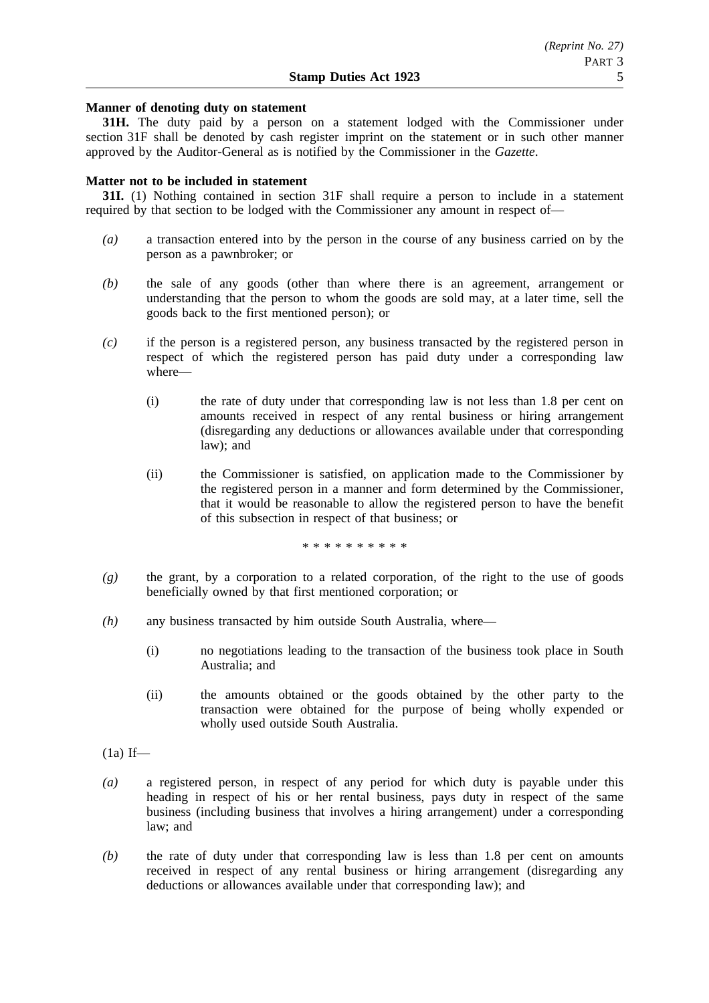# **Manner of denoting duty on statement**

**31H.** The duty paid by a person on a statement lodged with the Commissioner under section 31F shall be denoted by cash register imprint on the statement or in such other manner approved by the Auditor-General as is notified by the Commissioner in the *Gazette*.

# **Matter not to be included in statement**

**31I.** (1) Nothing contained in section 31F shall require a person to include in a statement required by that section to be lodged with the Commissioner any amount in respect of—

- *(a)* a transaction entered into by the person in the course of any business carried on by the person as a pawnbroker; or
- *(b)* the sale of any goods (other than where there is an agreement, arrangement or understanding that the person to whom the goods are sold may, at a later time, sell the goods back to the first mentioned person); or
- *(c)* if the person is a registered person, any business transacted by the registered person in respect of which the registered person has paid duty under a corresponding law where—
	- (i) the rate of duty under that corresponding law is not less than 1.8 per cent on amounts received in respect of any rental business or hiring arrangement (disregarding any deductions or allowances available under that corresponding law); and
	- (ii) the Commissioner is satisfied, on application made to the Commissioner by the registered person in a manner and form determined by the Commissioner, that it would be reasonable to allow the registered person to have the benefit of this subsection in respect of that business; or

\*\*\*\*\*\*\*\*\*\*

- *(g)* the grant, by a corporation to a related corporation, of the right to the use of goods beneficially owned by that first mentioned corporation; or
- *(h)* any business transacted by him outside South Australia, where—
	- (i) no negotiations leading to the transaction of the business took place in South Australia; and
	- (ii) the amounts obtained or the goods obtained by the other party to the transaction were obtained for the purpose of being wholly expended or wholly used outside South Australia.
- $(1a)$  If—
- *(a)* a registered person, in respect of any period for which duty is payable under this heading in respect of his or her rental business, pays duty in respect of the same business (including business that involves a hiring arrangement) under a corresponding law; and
- *(b)* the rate of duty under that corresponding law is less than 1.8 per cent on amounts received in respect of any rental business or hiring arrangement (disregarding any deductions or allowances available under that corresponding law); and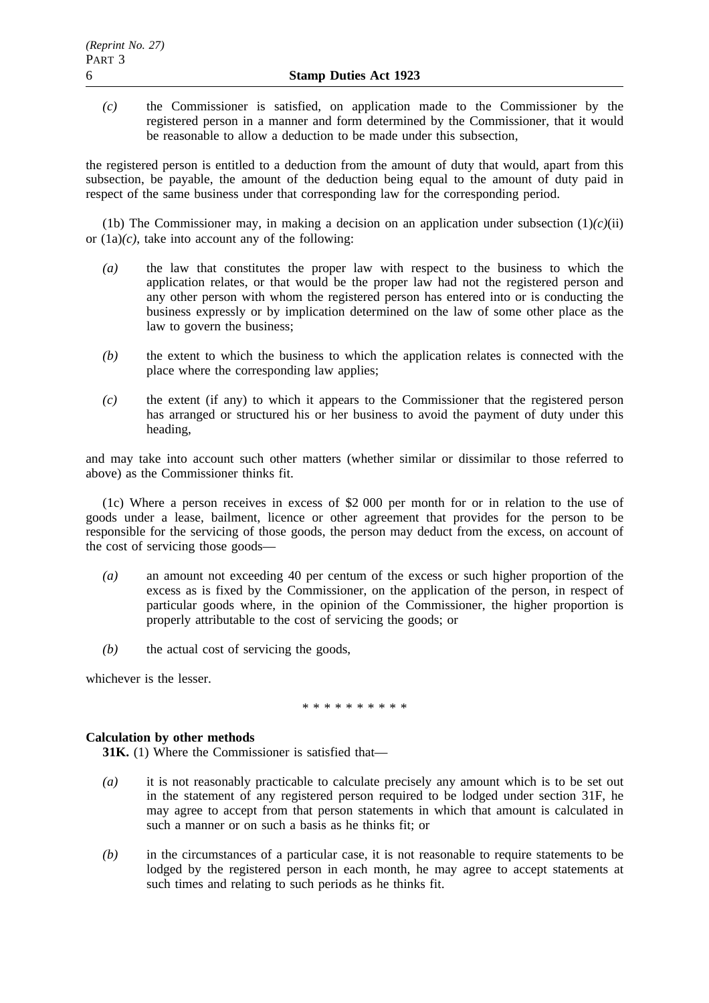*(c)* the Commissioner is satisfied, on application made to the Commissioner by the registered person in a manner and form determined by the Commissioner, that it would be reasonable to allow a deduction to be made under this subsection,

the registered person is entitled to a deduction from the amount of duty that would, apart from this subsection, be payable, the amount of the deduction being equal to the amount of duty paid in respect of the same business under that corresponding law for the corresponding period.

(1b) The Commissioner may, in making a decision on an application under subsection  $(1)(c)(ii)$ or  $(1a)/c$ , take into account any of the following:

- *(a)* the law that constitutes the proper law with respect to the business to which the application relates, or that would be the proper law had not the registered person and any other person with whom the registered person has entered into or is conducting the business expressly or by implication determined on the law of some other place as the law to govern the business;
- *(b)* the extent to which the business to which the application relates is connected with the place where the corresponding law applies;
- *(c)* the extent (if any) to which it appears to the Commissioner that the registered person has arranged or structured his or her business to avoid the payment of duty under this heading,

and may take into account such other matters (whether similar or dissimilar to those referred to above) as the Commissioner thinks fit.

(1c) Where a person receives in excess of \$2 000 per month for or in relation to the use of goods under a lease, bailment, licence or other agreement that provides for the person to be responsible for the servicing of those goods, the person may deduct from the excess, on account of the cost of servicing those goods—

- *(a)* an amount not exceeding 40 per centum of the excess or such higher proportion of the excess as is fixed by the Commissioner, on the application of the person, in respect of particular goods where, in the opinion of the Commissioner, the higher proportion is properly attributable to the cost of servicing the goods; or
- *(b)* the actual cost of servicing the goods,

whichever is the lesser.

\*\*\*\*\*\*\*\*\*\*

# **Calculation by other methods**

**31K.** (1) Where the Commissioner is satisfied that—

- *(a)* it is not reasonably practicable to calculate precisely any amount which is to be set out in the statement of any registered person required to be lodged under section 31F, he may agree to accept from that person statements in which that amount is calculated in such a manner or on such a basis as he thinks fit; or
- *(b)* in the circumstances of a particular case, it is not reasonable to require statements to be lodged by the registered person in each month, he may agree to accept statements at such times and relating to such periods as he thinks fit.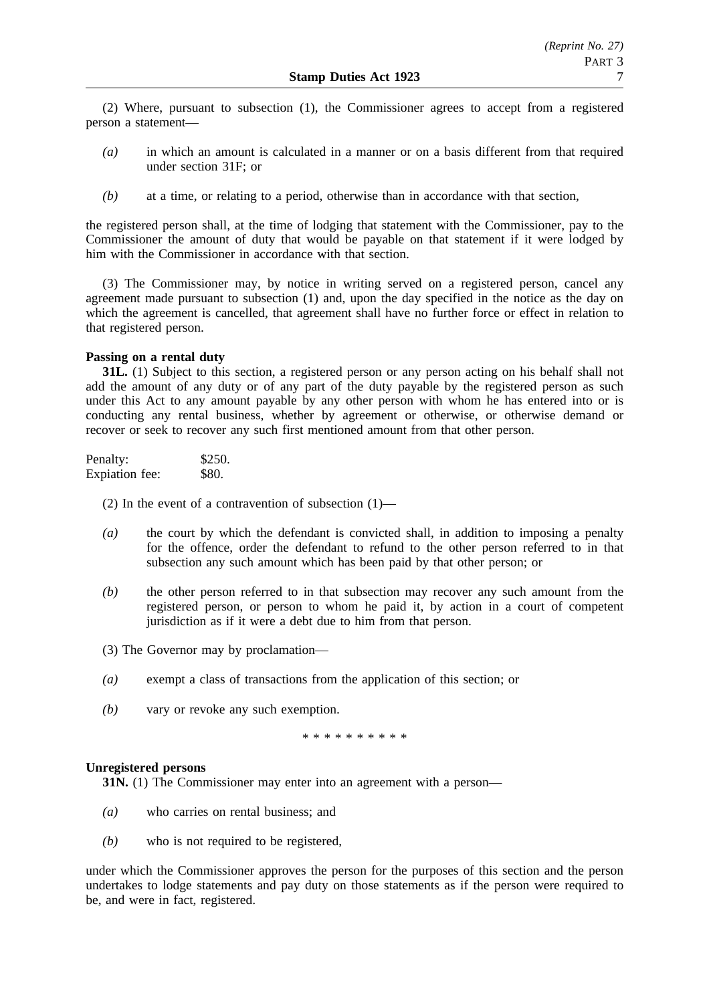(2) Where, pursuant to subsection (1), the Commissioner agrees to accept from a registered person a statement—

- *(a)* in which an amount is calculated in a manner or on a basis different from that required under section 31F; or
- *(b)* at a time, or relating to a period, otherwise than in accordance with that section,

the registered person shall, at the time of lodging that statement with the Commissioner, pay to the Commissioner the amount of duty that would be payable on that statement if it were lodged by him with the Commissioner in accordance with that section.

(3) The Commissioner may, by notice in writing served on a registered person, cancel any agreement made pursuant to subsection (1) and, upon the day specified in the notice as the day on which the agreement is cancelled, that agreement shall have no further force or effect in relation to that registered person.

# **Passing on a rental duty**

**31L.** (1) Subject to this section, a registered person or any person acting on his behalf shall not add the amount of any duty or of any part of the duty payable by the registered person as such under this Act to any amount payable by any other person with whom he has entered into or is conducting any rental business, whether by agreement or otherwise, or otherwise demand or recover or seek to recover any such first mentioned amount from that other person.

| Penalty:       | \$250. |
|----------------|--------|
| Expiation fee: | \$80.  |

(2) In the event of a contravention of subsection  $(1)$ —

- *(a)* the court by which the defendant is convicted shall, in addition to imposing a penalty for the offence, order the defendant to refund to the other person referred to in that subsection any such amount which has been paid by that other person; or
- *(b)* the other person referred to in that subsection may recover any such amount from the registered person, or person to whom he paid it, by action in a court of competent jurisdiction as if it were a debt due to him from that person.
- (3) The Governor may by proclamation—
- *(a)* exempt a class of transactions from the application of this section; or
- *(b)* vary or revoke any such exemption.

\*\*\*\*\*\*\*\*\*\*

# **Unregistered persons**

**31N.** (1) The Commissioner may enter into an agreement with a person—

- *(a)* who carries on rental business; and
- *(b)* who is not required to be registered,

under which the Commissioner approves the person for the purposes of this section and the person undertakes to lodge statements and pay duty on those statements as if the person were required to be, and were in fact, registered.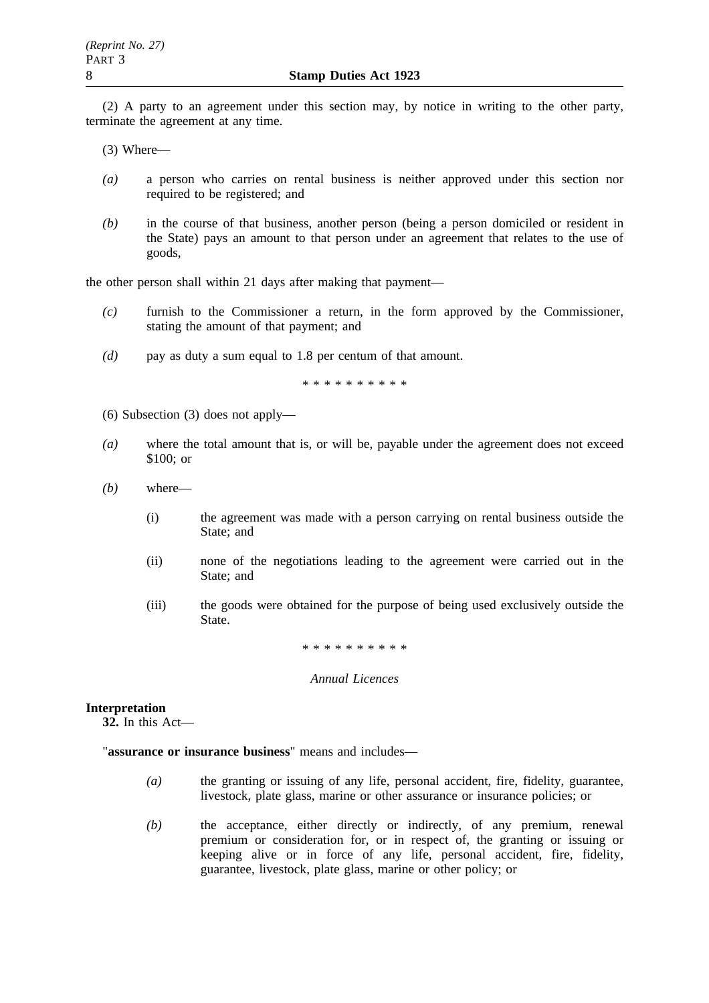(2) A party to an agreement under this section may, by notice in writing to the other party, terminate the agreement at any time.

(3) Where—

- *(a)* a person who carries on rental business is neither approved under this section nor required to be registered; and
- *(b)* in the course of that business, another person (being a person domiciled or resident in the State) pays an amount to that person under an agreement that relates to the use of goods,

the other person shall within 21 days after making that payment—

- *(c)* furnish to the Commissioner a return, in the form approved by the Commissioner, stating the amount of that payment; and
- *(d)* pay as duty a sum equal to 1.8 per centum of that amount.

\*\*\*\*\*\*\*\*\*\*

- (6) Subsection (3) does not apply—
- *(a)* where the total amount that is, or will be, payable under the agreement does not exceed \$100; or
- *(b)* where—
	- (i) the agreement was made with a person carrying on rental business outside the State; and
	- (ii) none of the negotiations leading to the agreement were carried out in the State; and
	- (iii) the goods were obtained for the purpose of being used exclusively outside the State.

\*\*\*\*\*\*\*\*\*\*

#### *Annual Licences*

# **Interpretation**

**32.** In this Act—

"**assurance or insurance business**" means and includes—

- *(a)* the granting or issuing of any life, personal accident, fire, fidelity, guarantee, livestock, plate glass, marine or other assurance or insurance policies; or
- *(b)* the acceptance, either directly or indirectly, of any premium, renewal premium or consideration for, or in respect of, the granting or issuing or keeping alive or in force of any life, personal accident, fire, fidelity, guarantee, livestock, plate glass, marine or other policy; or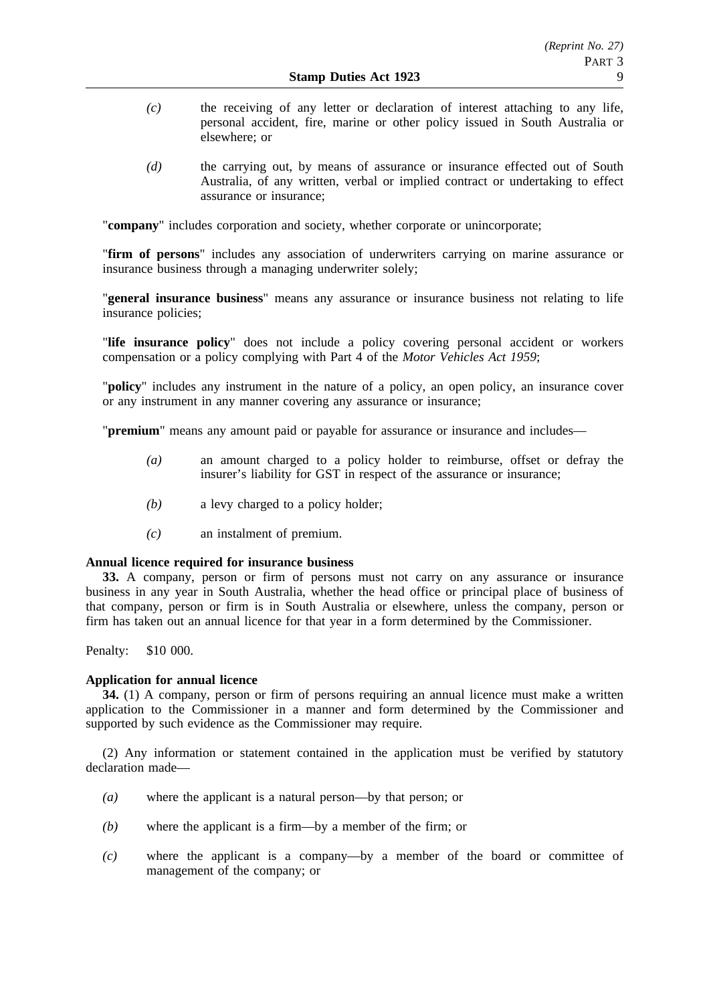- *(c)* the receiving of any letter or declaration of interest attaching to any life, personal accident, fire, marine or other policy issued in South Australia or elsewhere; or
- *(d)* the carrying out, by means of assurance or insurance effected out of South Australia, of any written, verbal or implied contract or undertaking to effect assurance or insurance;

"company" includes corporation and society, whether corporate or unincorporate;

"**firm of persons**" includes any association of underwriters carrying on marine assurance or insurance business through a managing underwriter solely;

"**general insurance business**" means any assurance or insurance business not relating to life insurance policies;

"**life insurance policy**" does not include a policy covering personal accident or workers compensation or a policy complying with Part 4 of the *Motor Vehicles Act 1959*;

"**policy**" includes any instrument in the nature of a policy, an open policy, an insurance cover or any instrument in any manner covering any assurance or insurance;

"**premium**" means any amount paid or payable for assurance or insurance and includes—

- *(a)* an amount charged to a policy holder to reimburse, offset or defray the insurer's liability for GST in respect of the assurance or insurance;
- *(b)* a levy charged to a policy holder;
- *(c)* an instalment of premium.

# **Annual licence required for insurance business**

**33.** A company, person or firm of persons must not carry on any assurance or insurance business in any year in South Australia, whether the head office or principal place of business of that company, person or firm is in South Australia or elsewhere, unless the company, person or firm has taken out an annual licence for that year in a form determined by the Commissioner.

Penalty: \$10 000.

# **Application for annual licence**

**34.** (1) A company, person or firm of persons requiring an annual licence must make a written application to the Commissioner in a manner and form determined by the Commissioner and supported by such evidence as the Commissioner may require.

(2) Any information or statement contained in the application must be verified by statutory declaration made—

- *(a)* where the applicant is a natural person—by that person; or
- *(b)* where the applicant is a firm—by a member of the firm; or
- *(c)* where the applicant is a company—by a member of the board or committee of management of the company; or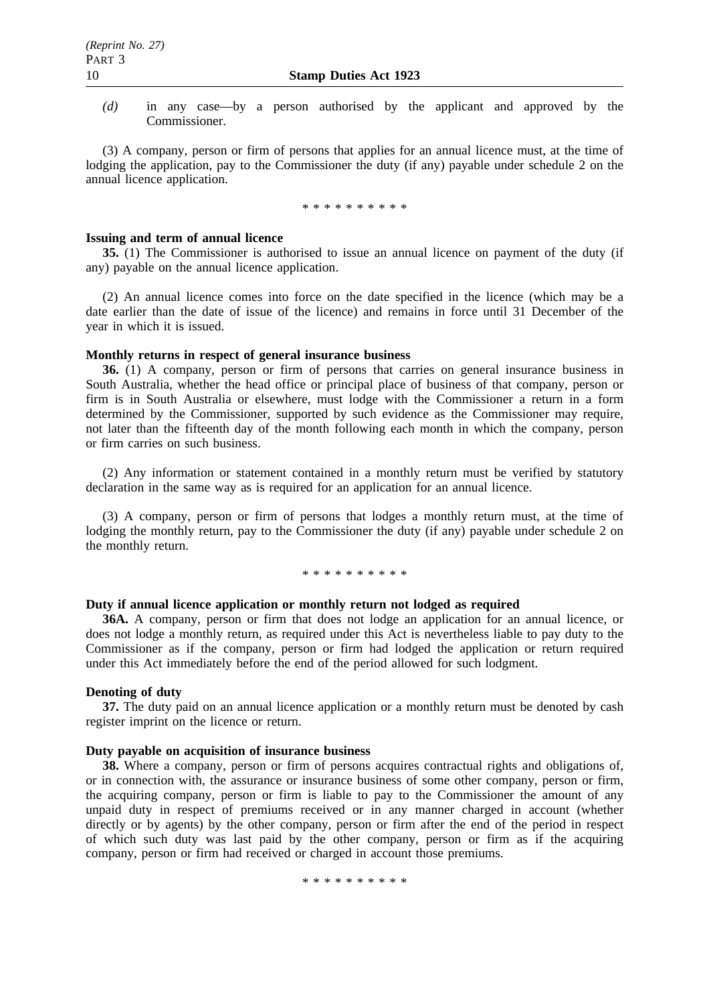*(d)* in any case—by a person authorised by the applicant and approved by the Commissioner.

(3) A company, person or firm of persons that applies for an annual licence must, at the time of lodging the application, pay to the Commissioner the duty (if any) payable under schedule 2 on the annual licence application.

\*\*\*\*\*\*\*\*\*\*

#### **Issuing and term of annual licence**

**35.** (1) The Commissioner is authorised to issue an annual licence on payment of the duty (if any) payable on the annual licence application.

(2) An annual licence comes into force on the date specified in the licence (which may be a date earlier than the date of issue of the licence) and remains in force until 31 December of the year in which it is issued.

#### **Monthly returns in respect of general insurance business**

**36.** (1) A company, person or firm of persons that carries on general insurance business in South Australia, whether the head office or principal place of business of that company, person or firm is in South Australia or elsewhere, must lodge with the Commissioner a return in a form determined by the Commissioner, supported by such evidence as the Commissioner may require, not later than the fifteenth day of the month following each month in which the company, person or firm carries on such business.

(2) Any information or statement contained in a monthly return must be verified by statutory declaration in the same way as is required for an application for an annual licence.

(3) A company, person or firm of persons that lodges a monthly return must, at the time of lodging the monthly return, pay to the Commissioner the duty (if any) payable under schedule 2 on the monthly return.

#### \*\*\*\*\*\*\*\*\*\*

# **Duty if annual licence application or monthly return not lodged as required**

**36A.** A company, person or firm that does not lodge an application for an annual licence, or does not lodge a monthly return, as required under this Act is nevertheless liable to pay duty to the Commissioner as if the company, person or firm had lodged the application or return required under this Act immediately before the end of the period allowed for such lodgment.

#### **Denoting of duty**

**37.** The duty paid on an annual licence application or a monthly return must be denoted by cash register imprint on the licence or return.

# **Duty payable on acquisition of insurance business**

**38.** Where a company, person or firm of persons acquires contractual rights and obligations of, or in connection with, the assurance or insurance business of some other company, person or firm, the acquiring company, person or firm is liable to pay to the Commissioner the amount of any unpaid duty in respect of premiums received or in any manner charged in account (whether directly or by agents) by the other company, person or firm after the end of the period in respect of which such duty was last paid by the other company, person or firm as if the acquiring company, person or firm had received or charged in account those premiums.

\*\*\*\*\*\*\*\*\*\*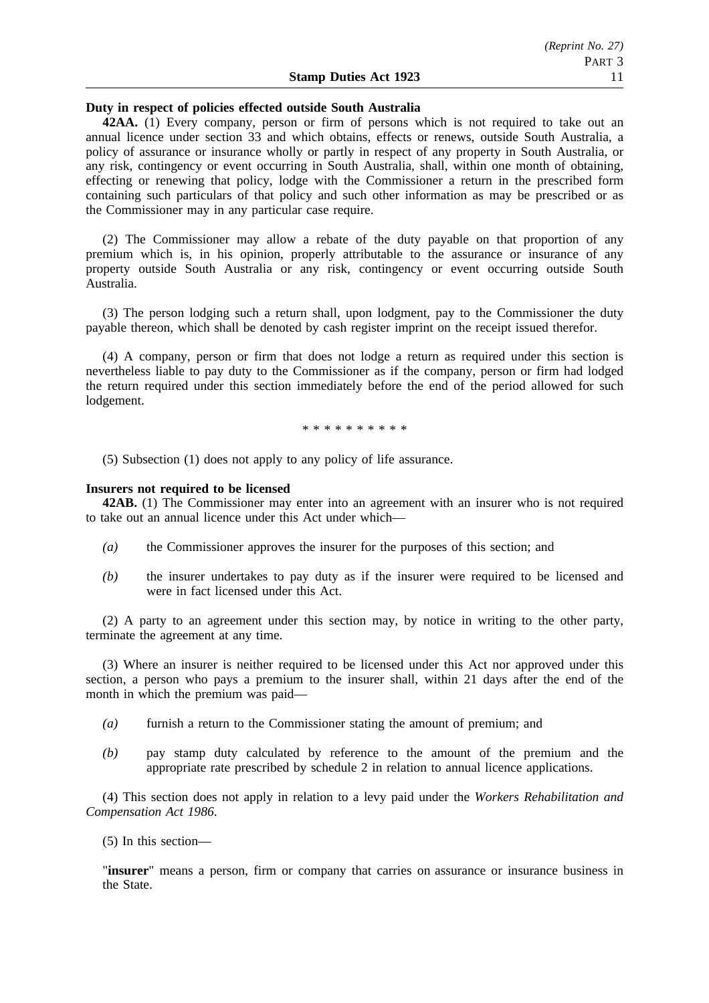### **Duty in respect of policies effected outside South Australia**

**42AA.** (1) Every company, person or firm of persons which is not required to take out an annual licence under section 33 and which obtains, effects or renews, outside South Australia, a policy of assurance or insurance wholly or partly in respect of any property in South Australia, or any risk, contingency or event occurring in South Australia, shall, within one month of obtaining, effecting or renewing that policy, lodge with the Commissioner a return in the prescribed form containing such particulars of that policy and such other information as may be prescribed or as the Commissioner may in any particular case require.

(2) The Commissioner may allow a rebate of the duty payable on that proportion of any premium which is, in his opinion, properly attributable to the assurance or insurance of any property outside South Australia or any risk, contingency or event occurring outside South Australia.

(3) The person lodging such a return shall, upon lodgment, pay to the Commissioner the duty payable thereon, which shall be denoted by cash register imprint on the receipt issued therefor.

(4) A company, person or firm that does not lodge a return as required under this section is nevertheless liable to pay duty to the Commissioner as if the company, person or firm had lodged the return required under this section immediately before the end of the period allowed for such lodgement.

\*\*\*\*\*\*\*\*\*\*

(5) Subsection (1) does not apply to any policy of life assurance.

# **Insurers not required to be licensed**

**42AB.** (1) The Commissioner may enter into an agreement with an insurer who is not required to take out an annual licence under this Act under which—

- *(a)* the Commissioner approves the insurer for the purposes of this section; and
- *(b)* the insurer undertakes to pay duty as if the insurer were required to be licensed and were in fact licensed under this Act.

(2) A party to an agreement under this section may, by notice in writing to the other party, terminate the agreement at any time.

(3) Where an insurer is neither required to be licensed under this Act nor approved under this section, a person who pays a premium to the insurer shall, within 21 days after the end of the month in which the premium was paid—

- *(a)* furnish a return to the Commissioner stating the amount of premium; and
- *(b)* pay stamp duty calculated by reference to the amount of the premium and the appropriate rate prescribed by schedule 2 in relation to annual licence applications.

(4) This section does not apply in relation to a levy paid under the *Workers Rehabilitation and Compensation Act 1986*.

(5) In this section—

"**insurer**" means a person, firm or company that carries on assurance or insurance business in the State.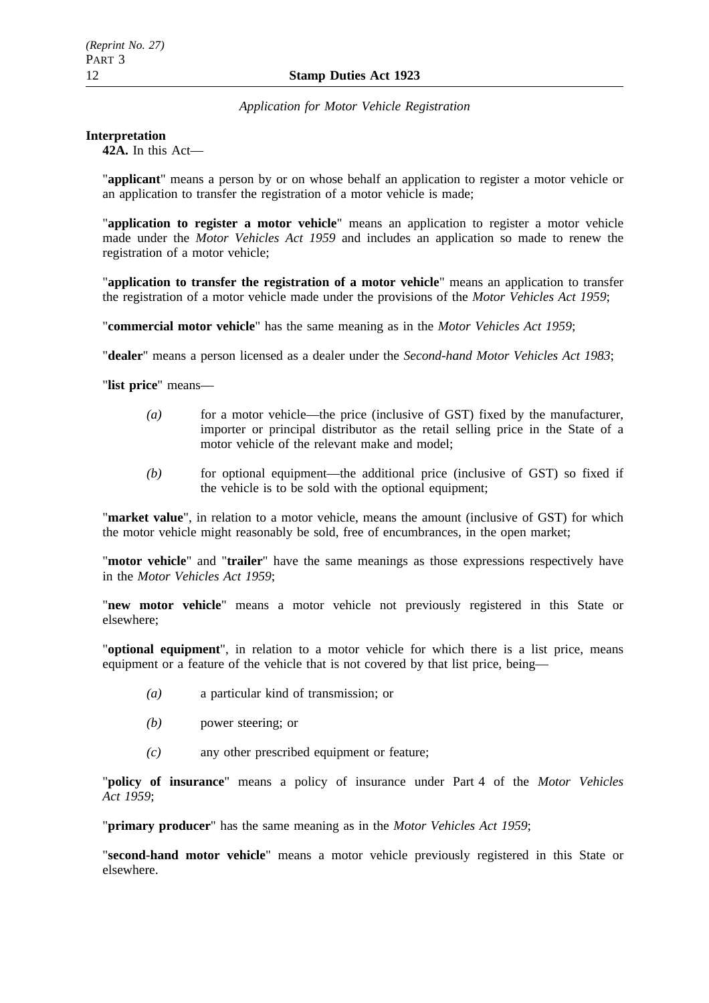# *Application for Motor Vehicle Registration*

# **Interpretation**

**42A.** In this Act—

"**applicant**" means a person by or on whose behalf an application to register a motor vehicle or an application to transfer the registration of a motor vehicle is made;

"**application to register a motor vehicle**" means an application to register a motor vehicle made under the *Motor Vehicles Act 1959* and includes an application so made to renew the registration of a motor vehicle;

"**application to transfer the registration of a motor vehicle**" means an application to transfer the registration of a motor vehicle made under the provisions of the *Motor Vehicles Act 1959*;

"**commercial motor vehicle**" has the same meaning as in the *Motor Vehicles Act 1959*;

"**dealer**" means a person licensed as a dealer under the *Second-hand Motor Vehicles Act 1983*;

"**list price**" means—

- *(a)* for a motor vehicle—the price (inclusive of GST) fixed by the manufacturer, importer or principal distributor as the retail selling price in the State of a motor vehicle of the relevant make and model;
- *(b)* for optional equipment—the additional price (inclusive of GST) so fixed if the vehicle is to be sold with the optional equipment;

"**market value**", in relation to a motor vehicle, means the amount (inclusive of GST) for which the motor vehicle might reasonably be sold, free of encumbrances, in the open market;

"**motor vehicle**" and "**trailer**" have the same meanings as those expressions respectively have in the *Motor Vehicles Act 1959*;

"**new motor vehicle**" means a motor vehicle not previously registered in this State or elsewhere;

"**optional equipment**", in relation to a motor vehicle for which there is a list price, means equipment or a feature of the vehicle that is not covered by that list price, being—

- *(a)* a particular kind of transmission; or
- *(b)* power steering; or
- *(c)* any other prescribed equipment or feature;

"**policy of insurance**" means a policy of insurance under Part 4 of the *Motor Vehicles Act 1959*;

"**primary producer**" has the same meaning as in the *Motor Vehicles Act 1959*;

"**second-hand motor vehicle**" means a motor vehicle previously registered in this State or elsewhere.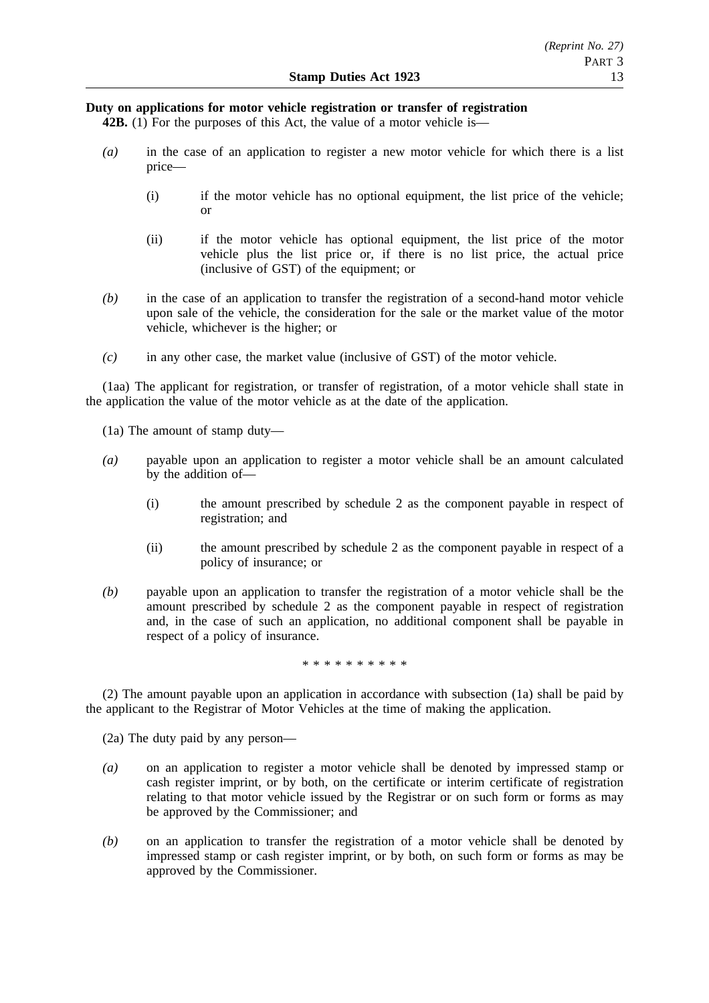# **Duty on applications for motor vehicle registration or transfer of registration**

**42B.** (1) For the purposes of this Act, the value of a motor vehicle is—

- *(a)* in the case of an application to register a new motor vehicle for which there is a list price—
	- (i) if the motor vehicle has no optional equipment, the list price of the vehicle; or
	- (ii) if the motor vehicle has optional equipment, the list price of the motor vehicle plus the list price or, if there is no list price, the actual price (inclusive of GST) of the equipment; or
- *(b)* in the case of an application to transfer the registration of a second-hand motor vehicle upon sale of the vehicle, the consideration for the sale or the market value of the motor vehicle, whichever is the higher; or
- *(c)* in any other case, the market value (inclusive of GST) of the motor vehicle.

(1aa) The applicant for registration, or transfer of registration, of a motor vehicle shall state in the application the value of the motor vehicle as at the date of the application.

(1a) The amount of stamp duty—

- *(a)* payable upon an application to register a motor vehicle shall be an amount calculated by the addition of—
	- (i) the amount prescribed by schedule 2 as the component payable in respect of registration; and
	- (ii) the amount prescribed by schedule 2 as the component payable in respect of a policy of insurance; or
- *(b)* payable upon an application to transfer the registration of a motor vehicle shall be the amount prescribed by schedule 2 as the component payable in respect of registration and, in the case of such an application, no additional component shall be payable in respect of a policy of insurance.

\*\*\*\*\*\*\*\*\*\*

(2) The amount payable upon an application in accordance with subsection (1a) shall be paid by the applicant to the Registrar of Motor Vehicles at the time of making the application.

(2a) The duty paid by any person—

- *(a)* on an application to register a motor vehicle shall be denoted by impressed stamp or cash register imprint, or by both, on the certificate or interim certificate of registration relating to that motor vehicle issued by the Registrar or on such form or forms as may be approved by the Commissioner; and
- *(b)* on an application to transfer the registration of a motor vehicle shall be denoted by impressed stamp or cash register imprint, or by both, on such form or forms as may be approved by the Commissioner.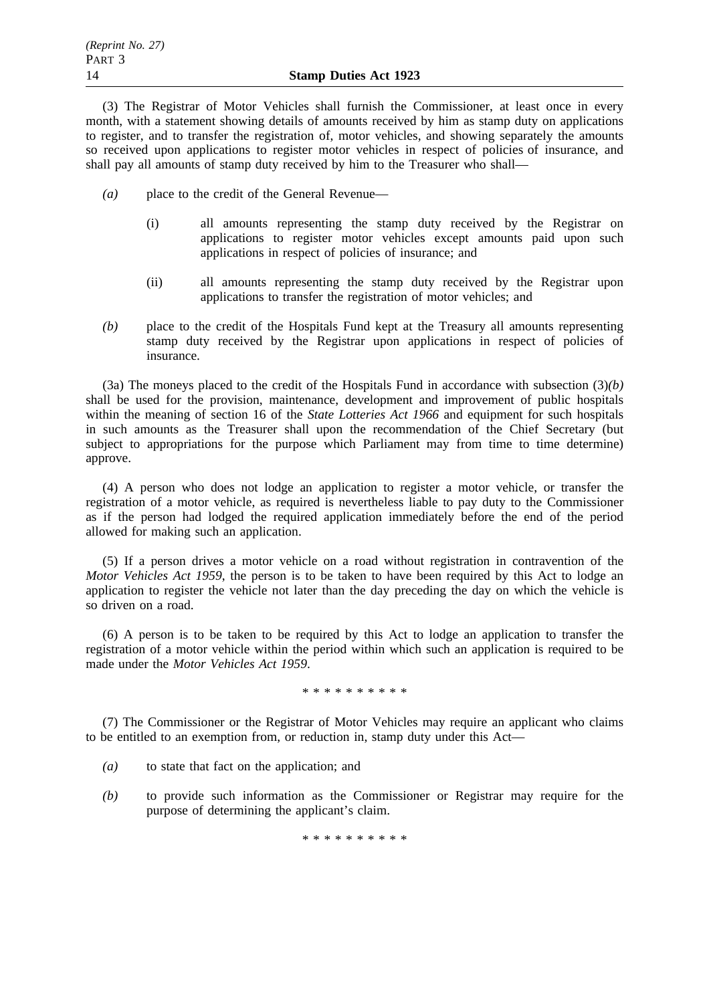(3) The Registrar of Motor Vehicles shall furnish the Commissioner, at least once in every month, with a statement showing details of amounts received by him as stamp duty on applications to register, and to transfer the registration of, motor vehicles, and showing separately the amounts so received upon applications to register motor vehicles in respect of policies of insurance, and shall pay all amounts of stamp duty received by him to the Treasurer who shall—

- *(a)* place to the credit of the General Revenue—
	- (i) all amounts representing the stamp duty received by the Registrar on applications to register motor vehicles except amounts paid upon such applications in respect of policies of insurance; and
	- (ii) all amounts representing the stamp duty received by the Registrar upon applications to transfer the registration of motor vehicles; and
- *(b)* place to the credit of the Hospitals Fund kept at the Treasury all amounts representing stamp duty received by the Registrar upon applications in respect of policies of insurance.

(3a) The moneys placed to the credit of the Hospitals Fund in accordance with subsection (3)*(b)* shall be used for the provision, maintenance, development and improvement of public hospitals within the meaning of section 16 of the *State Lotteries Act 1966* and equipment for such hospitals in such amounts as the Treasurer shall upon the recommendation of the Chief Secretary (but subject to appropriations for the purpose which Parliament may from time to time determine) approve.

(4) A person who does not lodge an application to register a motor vehicle, or transfer the registration of a motor vehicle, as required is nevertheless liable to pay duty to the Commissioner as if the person had lodged the required application immediately before the end of the period allowed for making such an application.

(5) If a person drives a motor vehicle on a road without registration in contravention of the *Motor Vehicles Act 1959*, the person is to be taken to have been required by this Act to lodge an application to register the vehicle not later than the day preceding the day on which the vehicle is so driven on a road.

(6) A person is to be taken to be required by this Act to lodge an application to transfer the registration of a motor vehicle within the period within which such an application is required to be made under the *Motor Vehicles Act 1959*.

#### \*\*\*\*\*\*\*\*\*\*

(7) The Commissioner or the Registrar of Motor Vehicles may require an applicant who claims to be entitled to an exemption from, or reduction in, stamp duty under this Act—

- *(a)* to state that fact on the application; and
- *(b)* to provide such information as the Commissioner or Registrar may require for the purpose of determining the applicant's claim.

\*\*\*\*\*\*\*\*\*\*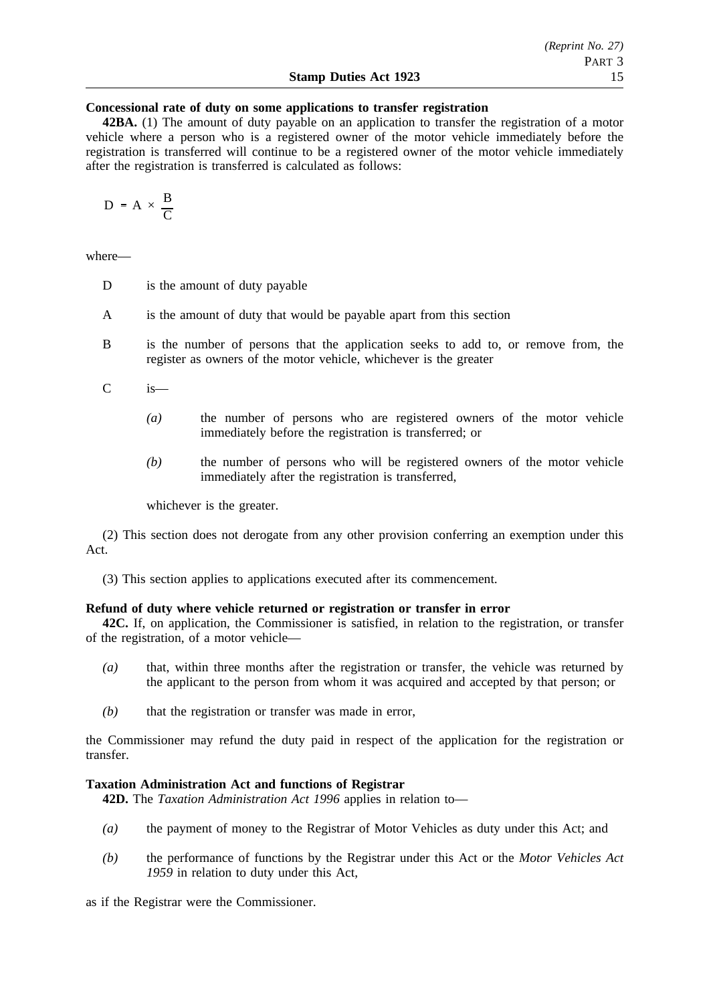### **Concessional rate of duty on some applications to transfer registration**

**42BA.** (1) The amount of duty payable on an application to transfer the registration of a motor vehicle where a person who is a registered owner of the motor vehicle immediately before the registration is transferred will continue to be a registered owner of the motor vehicle immediately after the registration is transferred is calculated as follows:

$$
D = A \times \frac{B}{C}
$$

where—

- D is the amount of duty payable
- A is the amount of duty that would be payable apart from this section
- B is the number of persons that the application seeks to add to, or remove from, the register as owners of the motor vehicle, whichever is the greater
- C is—
	- *(a)* the number of persons who are registered owners of the motor vehicle immediately before the registration is transferred; or
	- *(b)* the number of persons who will be registered owners of the motor vehicle immediately after the registration is transferred,

whichever is the greater.

(2) This section does not derogate from any other provision conferring an exemption under this Act.

(3) This section applies to applications executed after its commencement.

#### **Refund of duty where vehicle returned or registration or transfer in error**

**42C.** If, on application, the Commissioner is satisfied, in relation to the registration, or transfer of the registration, of a motor vehicle—

- *(a)* that, within three months after the registration or transfer, the vehicle was returned by the applicant to the person from whom it was acquired and accepted by that person; or
- *(b)* that the registration or transfer was made in error,

the Commissioner may refund the duty paid in respect of the application for the registration or transfer.

### **Taxation Administration Act and functions of Registrar**

**42D.** The *Taxation Administration Act 1996* applies in relation to—

- *(a)* the payment of money to the Registrar of Motor Vehicles as duty under this Act; and
- *(b)* the performance of functions by the Registrar under this Act or the *Motor Vehicles Act 1959* in relation to duty under this Act,

as if the Registrar were the Commissioner.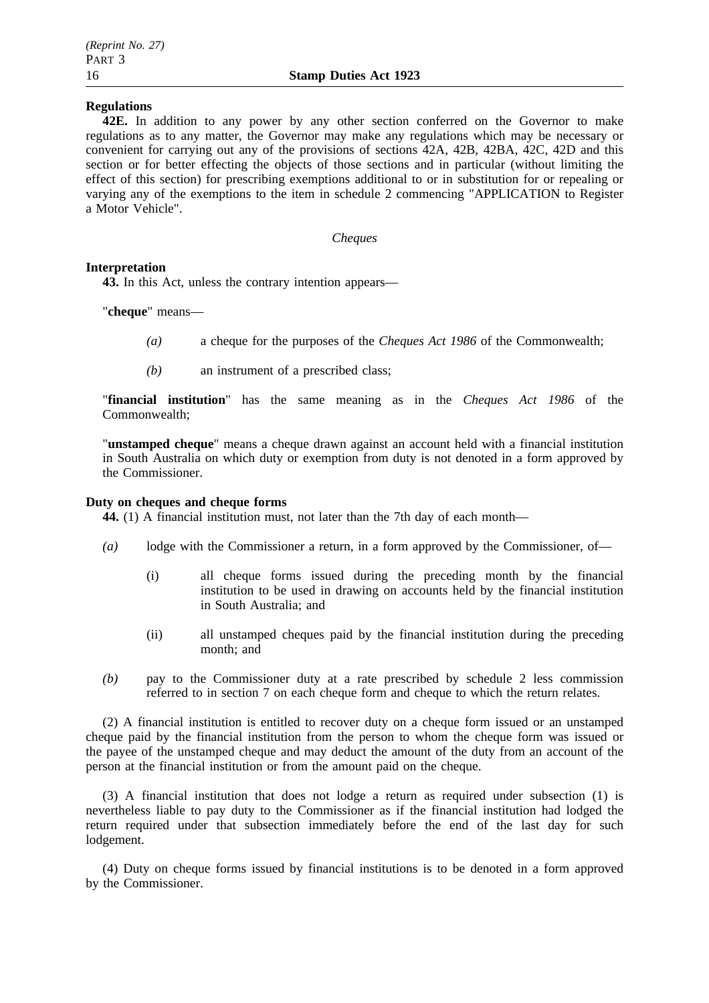### **Regulations**

**42E.** In addition to any power by any other section conferred on the Governor to make regulations as to any matter, the Governor may make any regulations which may be necessary or convenient for carrying out any of the provisions of sections 42A, 42B, 42BA, 42C, 42D and this section or for better effecting the objects of those sections and in particular (without limiting the effect of this section) for prescribing exemptions additional to or in substitution for or repealing or varying any of the exemptions to the item in schedule 2 commencing "APPLICATION to Register a Motor Vehicle".

*Cheques*

### **Interpretation**

**43.** In this Act, unless the contrary intention appears—

"**cheque**" means—

- *(a)* a cheque for the purposes of the *Cheques Act 1986* of the Commonwealth;
- *(b)* an instrument of a prescribed class;

"**financial institution**" has the same meaning as in the *Cheques Act 1986* of the Commonwealth;

"**unstamped cheque**" means a cheque drawn against an account held with a financial institution in South Australia on which duty or exemption from duty is not denoted in a form approved by the Commissioner.

# **Duty on cheques and cheque forms**

**44.** (1) A financial institution must, not later than the 7th day of each month—

- *(a)* lodge with the Commissioner a return, in a form approved by the Commissioner, of—
	- (i) all cheque forms issued during the preceding month by the financial institution to be used in drawing on accounts held by the financial institution in South Australia; and
	- (ii) all unstamped cheques paid by the financial institution during the preceding month; and
- *(b)* pay to the Commissioner duty at a rate prescribed by schedule 2 less commission referred to in section 7 on each cheque form and cheque to which the return relates.

(2) A financial institution is entitled to recover duty on a cheque form issued or an unstamped cheque paid by the financial institution from the person to whom the cheque form was issued or the payee of the unstamped cheque and may deduct the amount of the duty from an account of the person at the financial institution or from the amount paid on the cheque.

(3) A financial institution that does not lodge a return as required under subsection (1) is nevertheless liable to pay duty to the Commissioner as if the financial institution had lodged the return required under that subsection immediately before the end of the last day for such lodgement.

(4) Duty on cheque forms issued by financial institutions is to be denoted in a form approved by the Commissioner.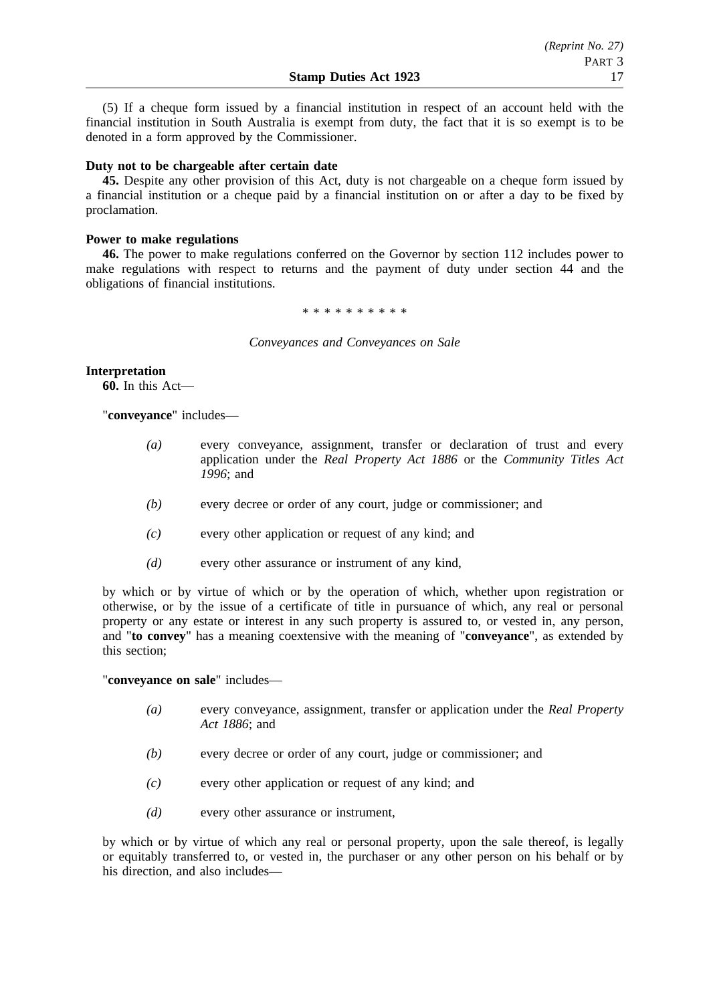(5) If a cheque form issued by a financial institution in respect of an account held with the financial institution in South Australia is exempt from duty, the fact that it is so exempt is to be denoted in a form approved by the Commissioner.

### **Duty not to be chargeable after certain date**

**45.** Despite any other provision of this Act, duty is not chargeable on a cheque form issued by a financial institution or a cheque paid by a financial institution on or after a day to be fixed by proclamation.

# **Power to make regulations**

**46.** The power to make regulations conferred on the Governor by section 112 includes power to make regulations with respect to returns and the payment of duty under section 44 and the obligations of financial institutions.

\*\*\*\*\*\*\*\*\*\*

*Conveyances and Conveyances on Sale*

## **Interpretation**

**60.** In this Act—

"**conveyance**" includes—

- *(a)* every conveyance, assignment, transfer or declaration of trust and every application under the *Real Property Act 1886* or the *Community Titles Act 1996*; and
- *(b)* every decree or order of any court, judge or commissioner; and
- *(c)* every other application or request of any kind; and
- *(d)* every other assurance or instrument of any kind,

by which or by virtue of which or by the operation of which, whether upon registration or otherwise, or by the issue of a certificate of title in pursuance of which, any real or personal property or any estate or interest in any such property is assured to, or vested in, any person, and "**to convey**" has a meaning coextensive with the meaning of "**conveyance**", as extended by this section;

"**conveyance on sale**" includes—

- *(a)* every conveyance, assignment, transfer or application under the *Real Property Act 1886*; and
- *(b)* every decree or order of any court, judge or commissioner; and
- *(c)* every other application or request of any kind; and
- *(d)* every other assurance or instrument,

by which or by virtue of which any real or personal property, upon the sale thereof, is legally or equitably transferred to, or vested in, the purchaser or any other person on his behalf or by his direction, and also includes—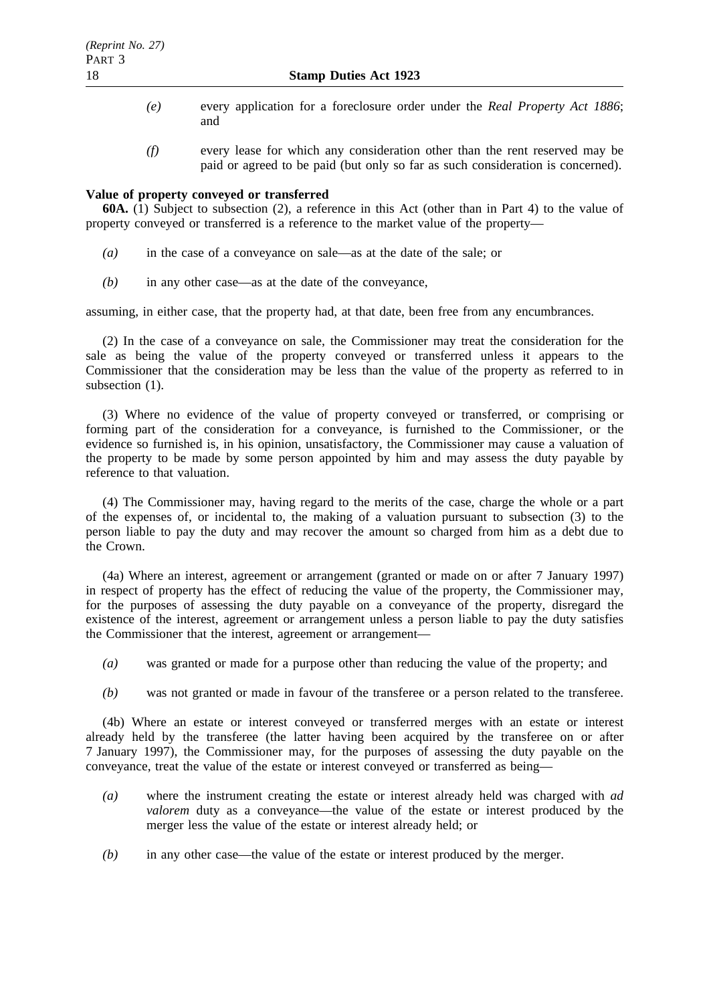- *(e)* every application for a foreclosure order under the *Real Property Act 1886*; and
- *(f)* every lease for which any consideration other than the rent reserved may be paid or agreed to be paid (but only so far as such consideration is concerned).

## **Value of property conveyed or transferred**

**60A.** (1) Subject to subsection (2), a reference in this Act (other than in Part 4) to the value of property conveyed or transferred is a reference to the market value of the property—

- *(a)* in the case of a conveyance on sale—as at the date of the sale; or
- *(b)* in any other case—as at the date of the conveyance,

assuming, in either case, that the property had, at that date, been free from any encumbrances.

(2) In the case of a conveyance on sale, the Commissioner may treat the consideration for the sale as being the value of the property conveyed or transferred unless it appears to the Commissioner that the consideration may be less than the value of the property as referred to in subsection  $(1)$ .

(3) Where no evidence of the value of property conveyed or transferred, or comprising or forming part of the consideration for a conveyance, is furnished to the Commissioner, or the evidence so furnished is, in his opinion, unsatisfactory, the Commissioner may cause a valuation of the property to be made by some person appointed by him and may assess the duty payable by reference to that valuation.

(4) The Commissioner may, having regard to the merits of the case, charge the whole or a part of the expenses of, or incidental to, the making of a valuation pursuant to subsection (3) to the person liable to pay the duty and may recover the amount so charged from him as a debt due to the Crown.

(4a) Where an interest, agreement or arrangement (granted or made on or after 7 January 1997) in respect of property has the effect of reducing the value of the property, the Commissioner may, for the purposes of assessing the duty payable on a conveyance of the property, disregard the existence of the interest, agreement or arrangement unless a person liable to pay the duty satisfies the Commissioner that the interest, agreement or arrangement—

- *(a)* was granted or made for a purpose other than reducing the value of the property; and
- *(b)* was not granted or made in favour of the transferee or a person related to the transferee.

(4b) Where an estate or interest conveyed or transferred merges with an estate or interest already held by the transferee (the latter having been acquired by the transferee on or after 7 January 1997), the Commissioner may, for the purposes of assessing the duty payable on the conveyance, treat the value of the estate or interest conveyed or transferred as being—

- *(a)* where the instrument creating the estate or interest already held was charged with *ad valorem* duty as a conveyance—the value of the estate or interest produced by the merger less the value of the estate or interest already held; or
- *(b)* in any other case—the value of the estate or interest produced by the merger.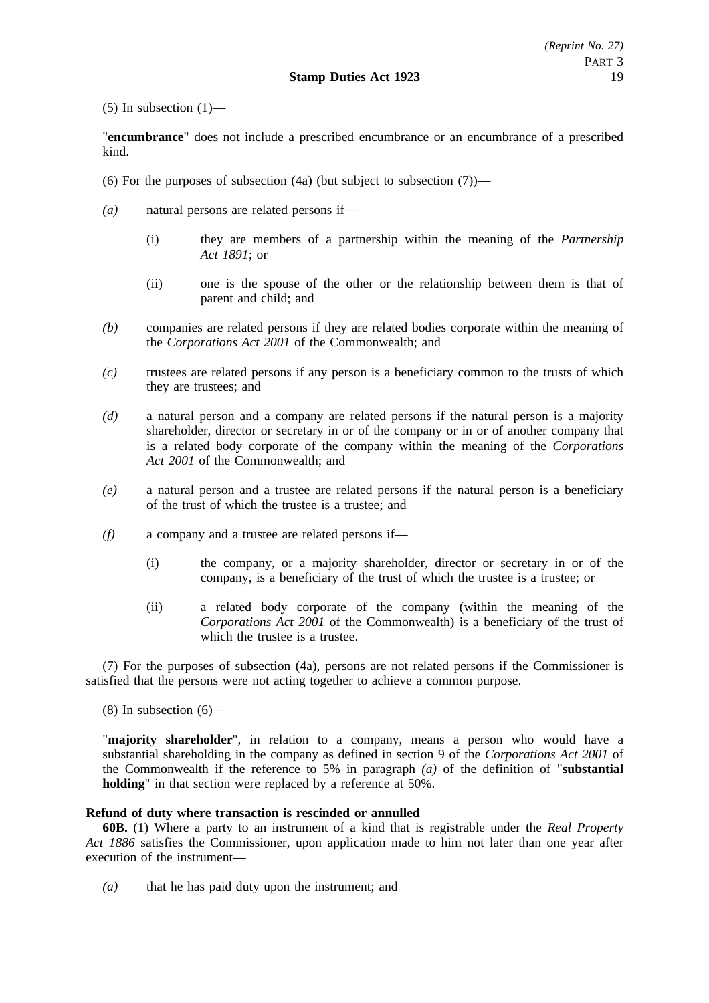$(5)$  In subsection  $(1)$ —

"**encumbrance**" does not include a prescribed encumbrance or an encumbrance of a prescribed kind.

- (6) For the purposes of subsection  $(4a)$  (but subject to subsection  $(7)$ )—
- *(a)* natural persons are related persons if—
	- (i) they are members of a partnership within the meaning of the *Partnership Act 1891*; or
	- (ii) one is the spouse of the other or the relationship between them is that of parent and child; and
- *(b)* companies are related persons if they are related bodies corporate within the meaning of the *Corporations Act 2001* of the Commonwealth; and
- *(c)* trustees are related persons if any person is a beneficiary common to the trusts of which they are trustees; and
- *(d)* a natural person and a company are related persons if the natural person is a majority shareholder, director or secretary in or of the company or in or of another company that is a related body corporate of the company within the meaning of the *Corporations Act 2001* of the Commonwealth; and
- *(e)* a natural person and a trustee are related persons if the natural person is a beneficiary of the trust of which the trustee is a trustee; and
- *(f)* a company and a trustee are related persons if—
	- (i) the company, or a majority shareholder, director or secretary in or of the company, is a beneficiary of the trust of which the trustee is a trustee; or
	- (ii) a related body corporate of the company (within the meaning of the *Corporations Act 2001* of the Commonwealth) is a beneficiary of the trust of which the trustee is a trustee.

(7) For the purposes of subsection (4a), persons are not related persons if the Commissioner is satisfied that the persons were not acting together to achieve a common purpose.

 $(8)$  In subsection  $(6)$ —

"**majority shareholder**", in relation to a company, means a person who would have a substantial shareholding in the company as defined in section 9 of the *Corporations Act 2001* of the Commonwealth if the reference to 5% in paragraph *(a)* of the definition of "**substantial holding**" in that section were replaced by a reference at 50%.

### **Refund of duty where transaction is rescinded or annulled**

**60B.** (1) Where a party to an instrument of a kind that is registrable under the *Real Property Act 1886* satisfies the Commissioner, upon application made to him not later than one year after execution of the instrument—

*(a)* that he has paid duty upon the instrument; and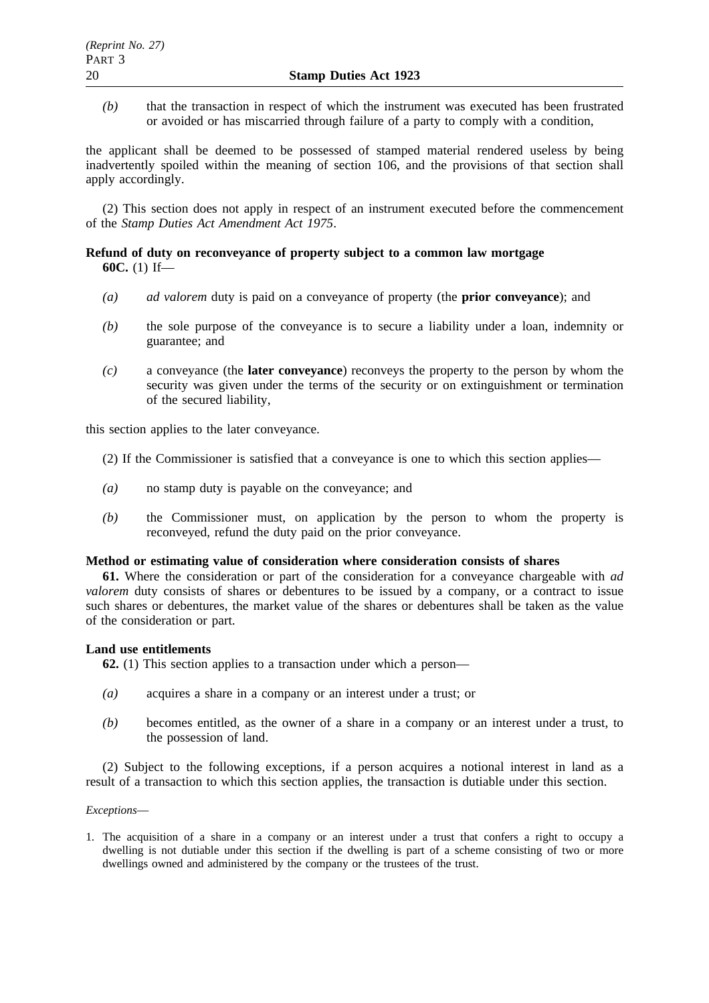*(b)* that the transaction in respect of which the instrument was executed has been frustrated or avoided or has miscarried through failure of a party to comply with a condition,

the applicant shall be deemed to be possessed of stamped material rendered useless by being inadvertently spoiled within the meaning of section 106, and the provisions of that section shall apply accordingly.

(2) This section does not apply in respect of an instrument executed before the commencement of the *Stamp Duties Act Amendment Act 1975*.

## **Refund of duty on reconveyance of property subject to a common law mortgage 60C.** (1) If—

- *(a) ad valorem* duty is paid on a conveyance of property (the **prior conveyance**); and
- *(b)* the sole purpose of the conveyance is to secure a liability under a loan, indemnity or guarantee; and
- *(c)* a conveyance (the **later conveyance**) reconveys the property to the person by whom the security was given under the terms of the security or on extinguishment or termination of the secured liability,

this section applies to the later conveyance.

- (2) If the Commissioner is satisfied that a conveyance is one to which this section applies—
- *(a)* no stamp duty is payable on the conveyance; and
- *(b)* the Commissioner must, on application by the person to whom the property is reconveyed, refund the duty paid on the prior conveyance.

### **Method or estimating value of consideration where consideration consists of shares**

**61.** Where the consideration or part of the consideration for a conveyance chargeable with *ad valorem* duty consists of shares or debentures to be issued by a company, or a contract to issue such shares or debentures, the market value of the shares or debentures shall be taken as the value of the consideration or part.

### **Land use entitlements**

**62.** (1) This section applies to a transaction under which a person—

- *(a)* acquires a share in a company or an interest under a trust; or
- *(b)* becomes entitled, as the owner of a share in a company or an interest under a trust, to the possession of land.

(2) Subject to the following exceptions, if a person acquires a notional interest in land as a result of a transaction to which this section applies, the transaction is dutiable under this section.

### *Exceptions*—

1. The acquisition of a share in a company or an interest under a trust that confers a right to occupy a dwelling is not dutiable under this section if the dwelling is part of a scheme consisting of two or more dwellings owned and administered by the company or the trustees of the trust.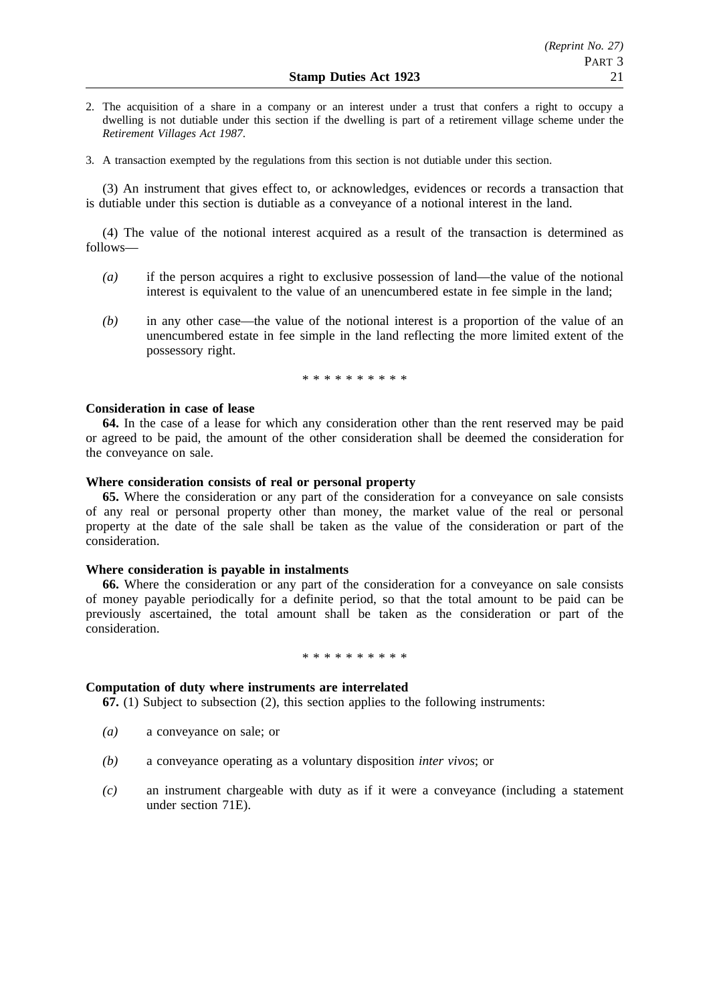- 2. The acquisition of a share in a company or an interest under a trust that confers a right to occupy a dwelling is not dutiable under this section if the dwelling is part of a retirement village scheme under the *Retirement Villages Act 1987*.
- 3. A transaction exempted by the regulations from this section is not dutiable under this section.

(3) An instrument that gives effect to, or acknowledges, evidences or records a transaction that is dutiable under this section is dutiable as a conveyance of a notional interest in the land.

(4) The value of the notional interest acquired as a result of the transaction is determined as follows—

- *(a)* if the person acquires a right to exclusive possession of land—the value of the notional interest is equivalent to the value of an unencumbered estate in fee simple in the land;
- *(b)* in any other case—the value of the notional interest is a proportion of the value of an unencumbered estate in fee simple in the land reflecting the more limited extent of the possessory right.

\*\*\*\*\*\*\*\*\*\*

### **Consideration in case of lease**

**64.** In the case of a lease for which any consideration other than the rent reserved may be paid or agreed to be paid, the amount of the other consideration shall be deemed the consideration for the conveyance on sale.

### **Where consideration consists of real or personal property**

**65.** Where the consideration or any part of the consideration for a conveyance on sale consists of any real or personal property other than money, the market value of the real or personal property at the date of the sale shall be taken as the value of the consideration or part of the consideration.

### **Where consideration is payable in instalments**

**66.** Where the consideration or any part of the consideration for a conveyance on sale consists of money payable periodically for a definite period, so that the total amount to be paid can be previously ascertained, the total amount shall be taken as the consideration or part of the consideration.

#### \*\*\*\*\*\*\*\*\*\*

### **Computation of duty where instruments are interrelated**

**67.** (1) Subject to subsection (2), this section applies to the following instruments:

- *(a)* a conveyance on sale; or
- *(b)* a conveyance operating as a voluntary disposition *inter vivos*; or
- *(c)* an instrument chargeable with duty as if it were a conveyance (including a statement under section 71E).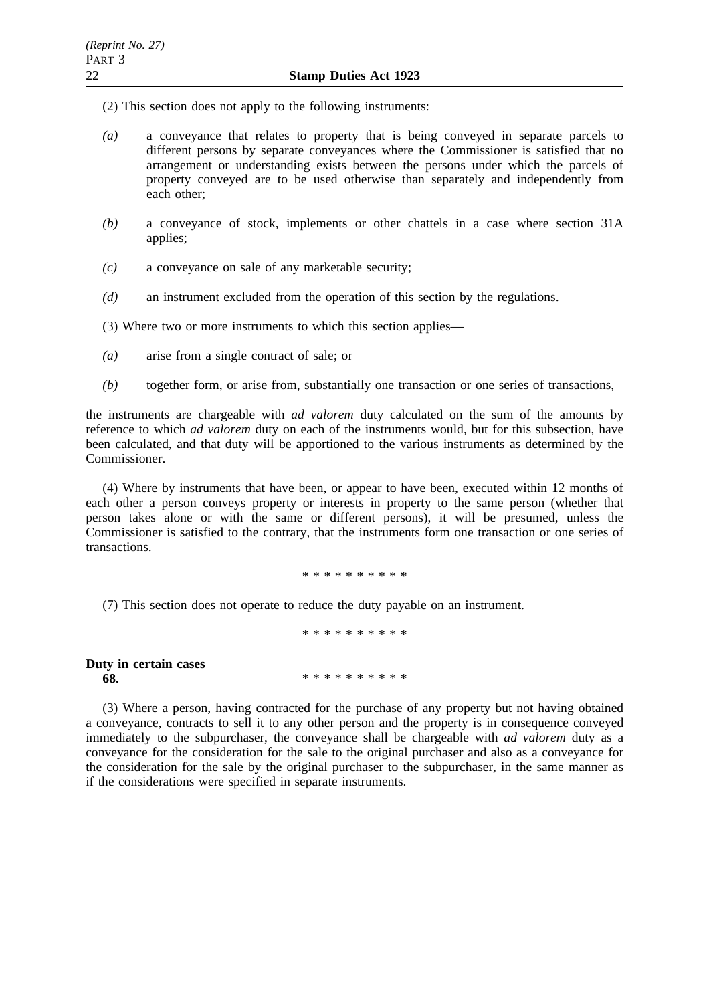(2) This section does not apply to the following instruments:

- *(a)* a conveyance that relates to property that is being conveyed in separate parcels to different persons by separate conveyances where the Commissioner is satisfied that no arrangement or understanding exists between the persons under which the parcels of property conveyed are to be used otherwise than separately and independently from each other;
- *(b)* a conveyance of stock, implements or other chattels in a case where section 31A applies;
- *(c)* a conveyance on sale of any marketable security;
- *(d)* an instrument excluded from the operation of this section by the regulations.

(3) Where two or more instruments to which this section applies—

- *(a)* arise from a single contract of sale; or
- *(b)* together form, or arise from, substantially one transaction or one series of transactions,

the instruments are chargeable with *ad valorem* duty calculated on the sum of the amounts by reference to which *ad valorem* duty on each of the instruments would, but for this subsection, have been calculated, and that duty will be apportioned to the various instruments as determined by the Commissioner.

(4) Where by instruments that have been, or appear to have been, executed within 12 months of each other a person conveys property or interests in property to the same person (whether that person takes alone or with the same or different persons), it will be presumed, unless the Commissioner is satisfied to the contrary, that the instruments form one transaction or one series of transactions.

\*\*\*\*\*\*\*\*\*\*

\*\*\*\*\*\*\*\*\*\*

(7) This section does not operate to reduce the duty payable on an instrument.

**Duty in certain cases 68.** \*\*\*\*\*\*\*\*\*\*\*\*

(3) Where a person, having contracted for the purchase of any property but not having obtained a conveyance, contracts to sell it to any other person and the property is in consequence conveyed immediately to the subpurchaser, the conveyance shall be chargeable with *ad valorem* duty as a conveyance for the consideration for the sale to the original purchaser and also as a conveyance for the consideration for the sale by the original purchaser to the subpurchaser, in the same manner as if the considerations were specified in separate instruments.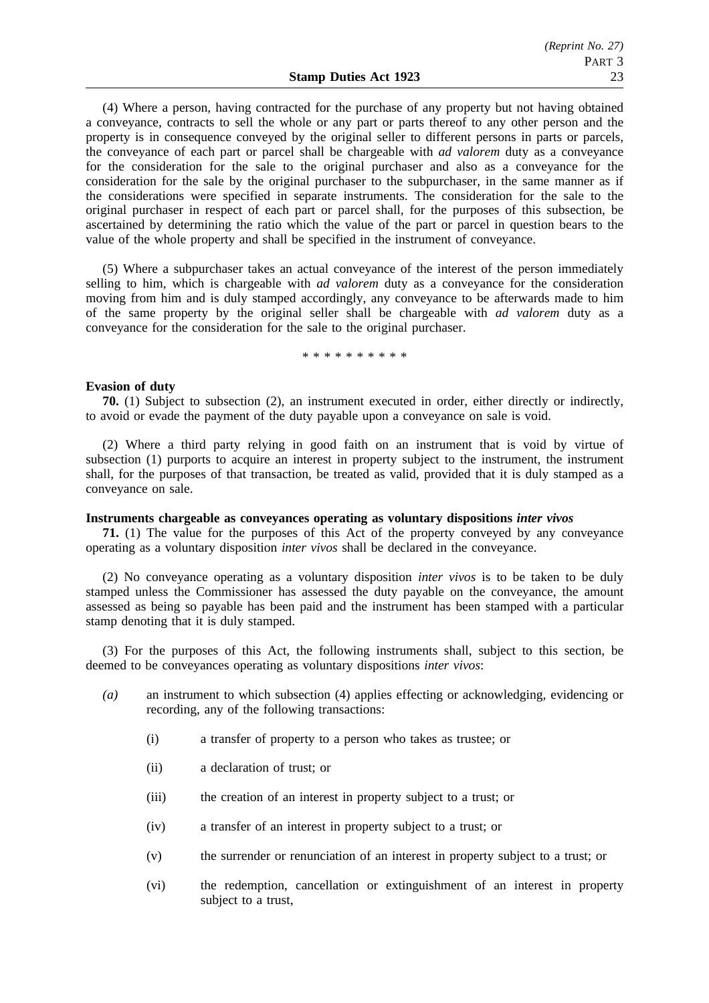(4) Where a person, having contracted for the purchase of any property but not having obtained a conveyance, contracts to sell the whole or any part or parts thereof to any other person and the property is in consequence conveyed by the original seller to different persons in parts or parcels, the conveyance of each part or parcel shall be chargeable with *ad valorem* duty as a conveyance for the consideration for the sale to the original purchaser and also as a conveyance for the consideration for the sale by the original purchaser to the subpurchaser, in the same manner as if the considerations were specified in separate instruments. The consideration for the sale to the original purchaser in respect of each part or parcel shall, for the purposes of this subsection, be ascertained by determining the ratio which the value of the part or parcel in question bears to the value of the whole property and shall be specified in the instrument of conveyance.

(5) Where a subpurchaser takes an actual conveyance of the interest of the person immediately selling to him, which is chargeable with *ad valorem* duty as a conveyance for the consideration moving from him and is duly stamped accordingly, any conveyance to be afterwards made to him of the same property by the original seller shall be chargeable with *ad valorem* duty as a conveyance for the consideration for the sale to the original purchaser.

#### \*\*\*\*\*\*\*\*\*\*

#### **Evasion of duty**

**70.** (1) Subject to subsection (2), an instrument executed in order, either directly or indirectly, to avoid or evade the payment of the duty payable upon a conveyance on sale is void.

(2) Where a third party relying in good faith on an instrument that is void by virtue of subsection (1) purports to acquire an interest in property subject to the instrument, the instrument shall, for the purposes of that transaction, be treated as valid, provided that it is duly stamped as a conveyance on sale.

#### **Instruments chargeable as conveyances operating as voluntary dispositions** *inter vivos*

**71.** (1) The value for the purposes of this Act of the property conveyed by any conveyance operating as a voluntary disposition *inter vivos* shall be declared in the conveyance.

(2) No conveyance operating as a voluntary disposition *inter vivos* is to be taken to be duly stamped unless the Commissioner has assessed the duty payable on the conveyance, the amount assessed as being so payable has been paid and the instrument has been stamped with a particular stamp denoting that it is duly stamped.

(3) For the purposes of this Act, the following instruments shall, subject to this section, be deemed to be conveyances operating as voluntary dispositions *inter vivos*:

- *(a)* an instrument to which subsection (4) applies effecting or acknowledging, evidencing or recording, any of the following transactions:
	- (i) a transfer of property to a person who takes as trustee; or
	- (ii) a declaration of trust; or
	- (iii) the creation of an interest in property subject to a trust; or
	- (iv) a transfer of an interest in property subject to a trust; or
	- (v) the surrender or renunciation of an interest in property subject to a trust; or
	- (vi) the redemption, cancellation or extinguishment of an interest in property subject to a trust,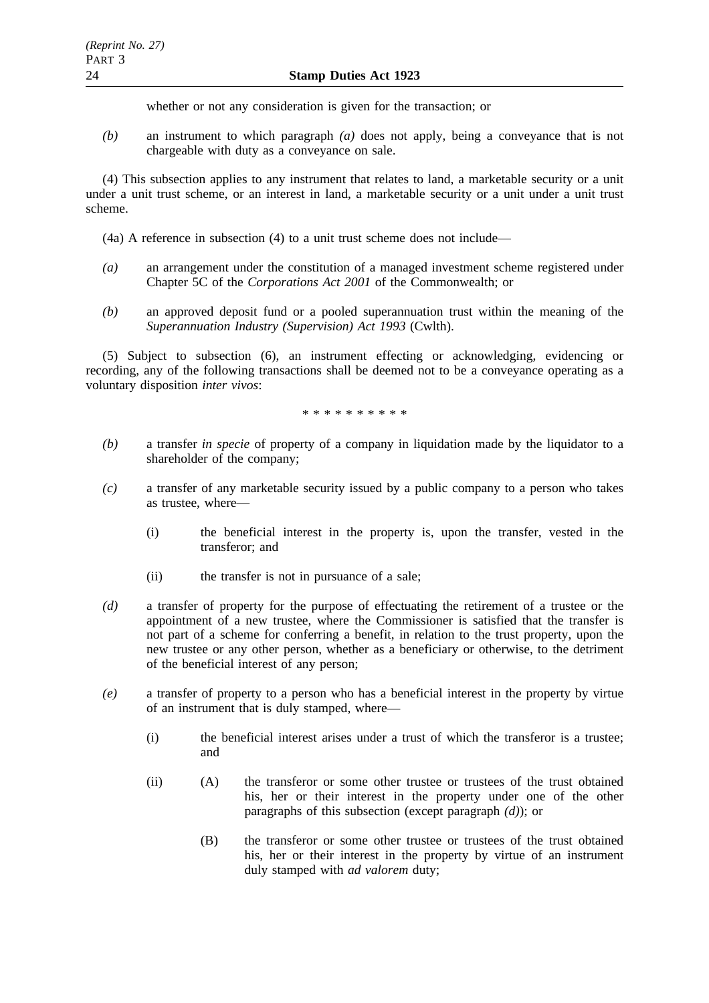whether or not any consideration is given for the transaction; or

*(b)* an instrument to which paragraph *(a)* does not apply, being a conveyance that is not chargeable with duty as a conveyance on sale.

(4) This subsection applies to any instrument that relates to land, a marketable security or a unit under a unit trust scheme, or an interest in land, a marketable security or a unit under a unit trust scheme.

(4a) A reference in subsection (4) to a unit trust scheme does not include—

- *(a)* an arrangement under the constitution of a managed investment scheme registered under Chapter 5C of the *Corporations Act 2001* of the Commonwealth; or
- *(b)* an approved deposit fund or a pooled superannuation trust within the meaning of the *Superannuation Industry (Supervision) Act 1993* (Cwlth).

(5) Subject to subsection (6), an instrument effecting or acknowledging, evidencing or recording, any of the following transactions shall be deemed not to be a conveyance operating as a voluntary disposition *inter vivos*:

\*\*\*\*\*\*\*\*\*\*

- *(b)* a transfer *in specie* of property of a company in liquidation made by the liquidator to a shareholder of the company;
- *(c)* a transfer of any marketable security issued by a public company to a person who takes as trustee, where—
	- (i) the beneficial interest in the property is, upon the transfer, vested in the transferor; and
	- (ii) the transfer is not in pursuance of a sale;
- *(d)* a transfer of property for the purpose of effectuating the retirement of a trustee or the appointment of a new trustee, where the Commissioner is satisfied that the transfer is not part of a scheme for conferring a benefit, in relation to the trust property, upon the new trustee or any other person, whether as a beneficiary or otherwise, to the detriment of the beneficial interest of any person;
- *(e)* a transfer of property to a person who has a beneficial interest in the property by virtue of an instrument that is duly stamped, where—
	- (i) the beneficial interest arises under a trust of which the transferor is a trustee; and
	- (ii) (A) the transferor or some other trustee or trustees of the trust obtained his, her or their interest in the property under one of the other paragraphs of this subsection (except paragraph *(d)*); or
		- (B) the transferor or some other trustee or trustees of the trust obtained his, her or their interest in the property by virtue of an instrument duly stamped with *ad valorem* duty;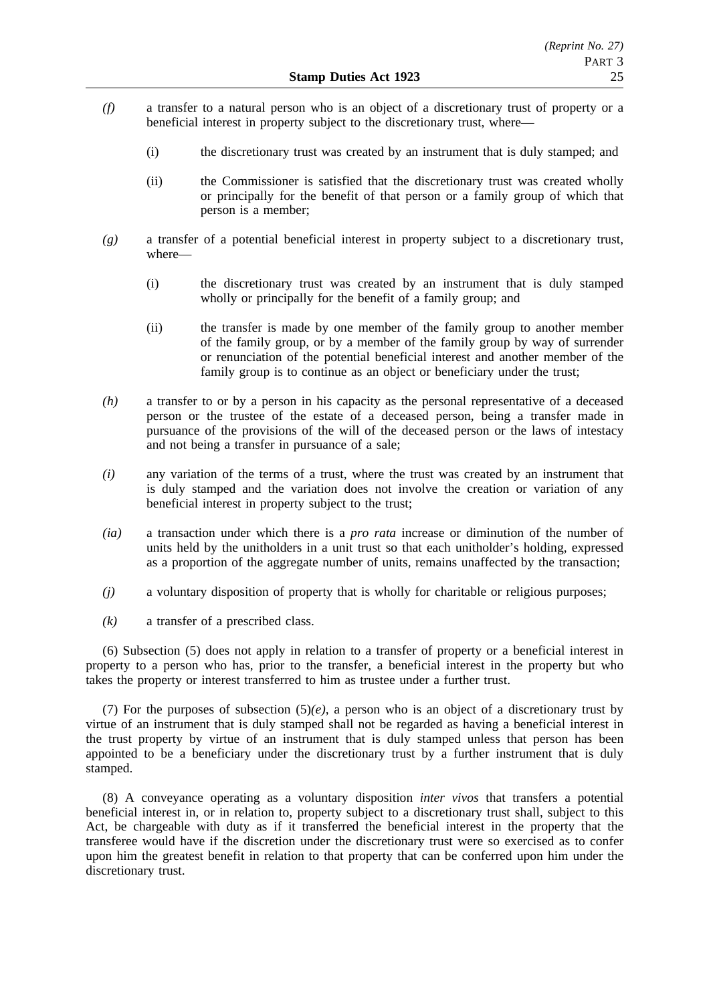- *(f)* a transfer to a natural person who is an object of a discretionary trust of property or a beneficial interest in property subject to the discretionary trust, where—
	- (i) the discretionary trust was created by an instrument that is duly stamped; and
	- (ii) the Commissioner is satisfied that the discretionary trust was created wholly or principally for the benefit of that person or a family group of which that person is a member;
- *(g)* a transfer of a potential beneficial interest in property subject to a discretionary trust, where—
	- (i) the discretionary trust was created by an instrument that is duly stamped wholly or principally for the benefit of a family group; and
	- (ii) the transfer is made by one member of the family group to another member of the family group, or by a member of the family group by way of surrender or renunciation of the potential beneficial interest and another member of the family group is to continue as an object or beneficiary under the trust;
- *(h)* a transfer to or by a person in his capacity as the personal representative of a deceased person or the trustee of the estate of a deceased person, being a transfer made in pursuance of the provisions of the will of the deceased person or the laws of intestacy and not being a transfer in pursuance of a sale;
- *(i)* any variation of the terms of a trust, where the trust was created by an instrument that is duly stamped and the variation does not involve the creation or variation of any beneficial interest in property subject to the trust;
- *(ia)* a transaction under which there is a *pro rata* increase or diminution of the number of units held by the unitholders in a unit trust so that each unitholder's holding, expressed as a proportion of the aggregate number of units, remains unaffected by the transaction;
- *(j)* a voluntary disposition of property that is wholly for charitable or religious purposes;
- *(k)* a transfer of a prescribed class.

(6) Subsection (5) does not apply in relation to a transfer of property or a beneficial interest in property to a person who has, prior to the transfer, a beneficial interest in the property but who takes the property or interest transferred to him as trustee under a further trust.

(7) For the purposes of subsection (5)*(e)*, a person who is an object of a discretionary trust by virtue of an instrument that is duly stamped shall not be regarded as having a beneficial interest in the trust property by virtue of an instrument that is duly stamped unless that person has been appointed to be a beneficiary under the discretionary trust by a further instrument that is duly stamped.

(8) A conveyance operating as a voluntary disposition *inter vivos* that transfers a potential beneficial interest in, or in relation to, property subject to a discretionary trust shall, subject to this Act, be chargeable with duty as if it transferred the beneficial interest in the property that the transferee would have if the discretion under the discretionary trust were so exercised as to confer upon him the greatest benefit in relation to that property that can be conferred upon him under the discretionary trust.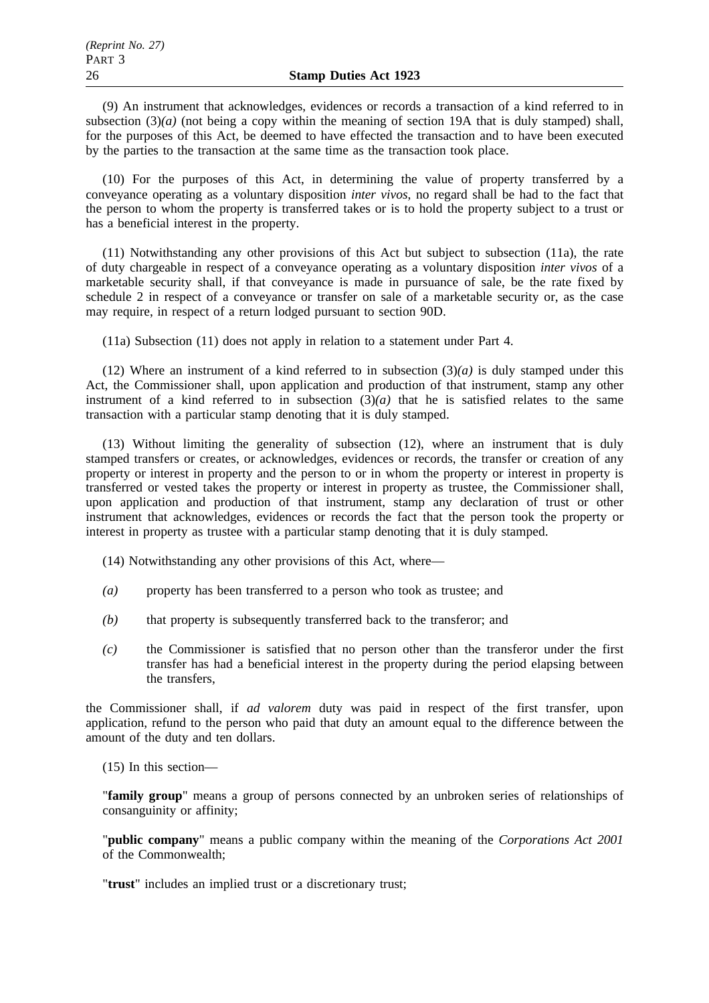(9) An instrument that acknowledges, evidences or records a transaction of a kind referred to in subsection (3)(*a*) (not being a copy within the meaning of section 19A that is duly stamped) shall, for the purposes of this Act, be deemed to have effected the transaction and to have been executed by the parties to the transaction at the same time as the transaction took place.

(10) For the purposes of this Act, in determining the value of property transferred by a conveyance operating as a voluntary disposition *inter vivos*, no regard shall be had to the fact that the person to whom the property is transferred takes or is to hold the property subject to a trust or has a beneficial interest in the property.

(11) Notwithstanding any other provisions of this Act but subject to subsection (11a), the rate of duty chargeable in respect of a conveyance operating as a voluntary disposition *inter vivos* of a marketable security shall, if that conveyance is made in pursuance of sale, be the rate fixed by schedule 2 in respect of a conveyance or transfer on sale of a marketable security or, as the case may require, in respect of a return lodged pursuant to section 90D.

(11a) Subsection (11) does not apply in relation to a statement under Part 4.

(12) Where an instrument of a kind referred to in subsection  $(3)(a)$  is duly stamped under this Act, the Commissioner shall, upon application and production of that instrument, stamp any other instrument of a kind referred to in subsection  $(\overline{3})(a)$  that he is satisfied relates to the same transaction with a particular stamp denoting that it is duly stamped.

(13) Without limiting the generality of subsection (12), where an instrument that is duly stamped transfers or creates, or acknowledges, evidences or records, the transfer or creation of any property or interest in property and the person to or in whom the property or interest in property is transferred or vested takes the property or interest in property as trustee, the Commissioner shall, upon application and production of that instrument, stamp any declaration of trust or other instrument that acknowledges, evidences or records the fact that the person took the property or interest in property as trustee with a particular stamp denoting that it is duly stamped.

(14) Notwithstanding any other provisions of this Act, where—

- *(a)* property has been transferred to a person who took as trustee; and
- *(b)* that property is subsequently transferred back to the transferor; and
- *(c)* the Commissioner is satisfied that no person other than the transferor under the first transfer has had a beneficial interest in the property during the period elapsing between the transfers,

the Commissioner shall, if *ad valorem* duty was paid in respect of the first transfer, upon application, refund to the person who paid that duty an amount equal to the difference between the amount of the duty and ten dollars.

(15) In this section—

"**family group**" means a group of persons connected by an unbroken series of relationships of consanguinity or affinity;

"**public company**" means a public company within the meaning of the *Corporations Act 2001* of the Commonwealth;

"**trust**" includes an implied trust or a discretionary trust;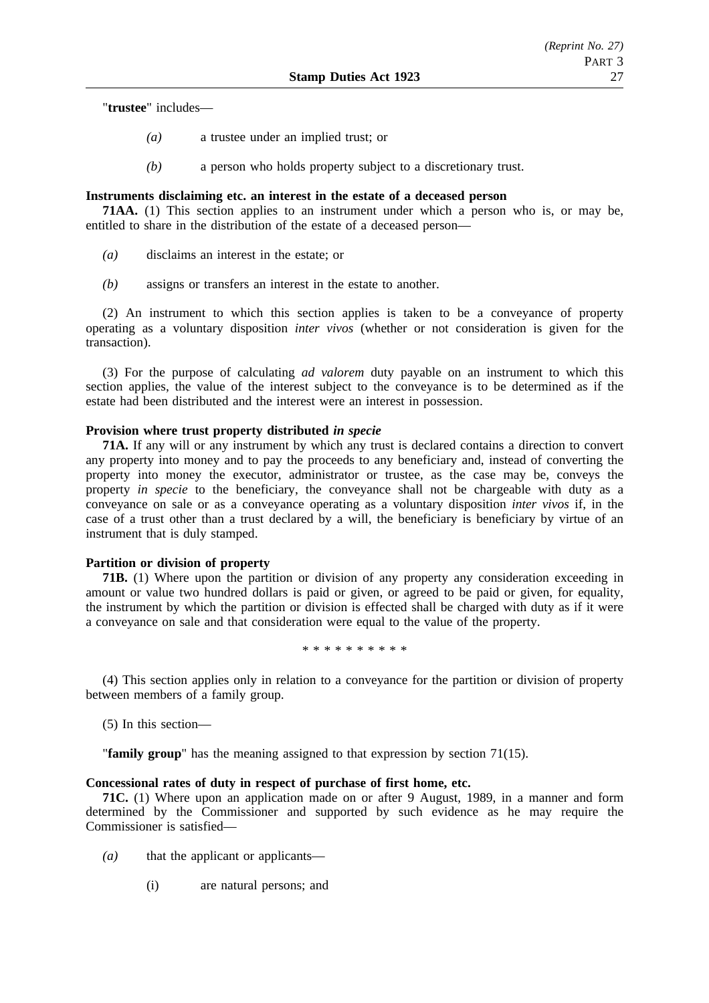"**trustee**" includes—

- *(a)* a trustee under an implied trust; or
- *(b)* a person who holds property subject to a discretionary trust.

## **Instruments disclaiming etc. an interest in the estate of a deceased person**

**71AA.** (1) This section applies to an instrument under which a person who is, or may be, entitled to share in the distribution of the estate of a deceased person—

- *(a)* disclaims an interest in the estate; or
- *(b)* assigns or transfers an interest in the estate to another.

(2) An instrument to which this section applies is taken to be a conveyance of property operating as a voluntary disposition *inter vivos* (whether or not consideration is given for the transaction).

(3) For the purpose of calculating *ad valorem* duty payable on an instrument to which this section applies, the value of the interest subject to the conveyance is to be determined as if the estate had been distributed and the interest were an interest in possession.

## **Provision where trust property distributed** *in specie*

**71A.** If any will or any instrument by which any trust is declared contains a direction to convert any property into money and to pay the proceeds to any beneficiary and, instead of converting the property into money the executor, administrator or trustee, as the case may be, conveys the property *in specie* to the beneficiary, the conveyance shall not be chargeable with duty as a conveyance on sale or as a conveyance operating as a voluntary disposition *inter vivos* if, in the case of a trust other than a trust declared by a will, the beneficiary is beneficiary by virtue of an instrument that is duly stamped.

### **Partition or division of property**

**71B.** (1) Where upon the partition or division of any property any consideration exceeding in amount or value two hundred dollars is paid or given, or agreed to be paid or given, for equality, the instrument by which the partition or division is effected shall be charged with duty as if it were a conveyance on sale and that consideration were equal to the value of the property.

\*\*\*\*\*\*\*\*\*\*

(4) This section applies only in relation to a conveyance for the partition or division of property between members of a family group.

(5) In this section—

"**family group**" has the meaning assigned to that expression by section 71(15).

### **Concessional rates of duty in respect of purchase of first home, etc.**

**71C.** (1) Where upon an application made on or after 9 August, 1989, in a manner and form determined by the Commissioner and supported by such evidence as he may require the Commissioner is satisfied—

- *(a)* that the applicant or applicants—
	- (i) are natural persons; and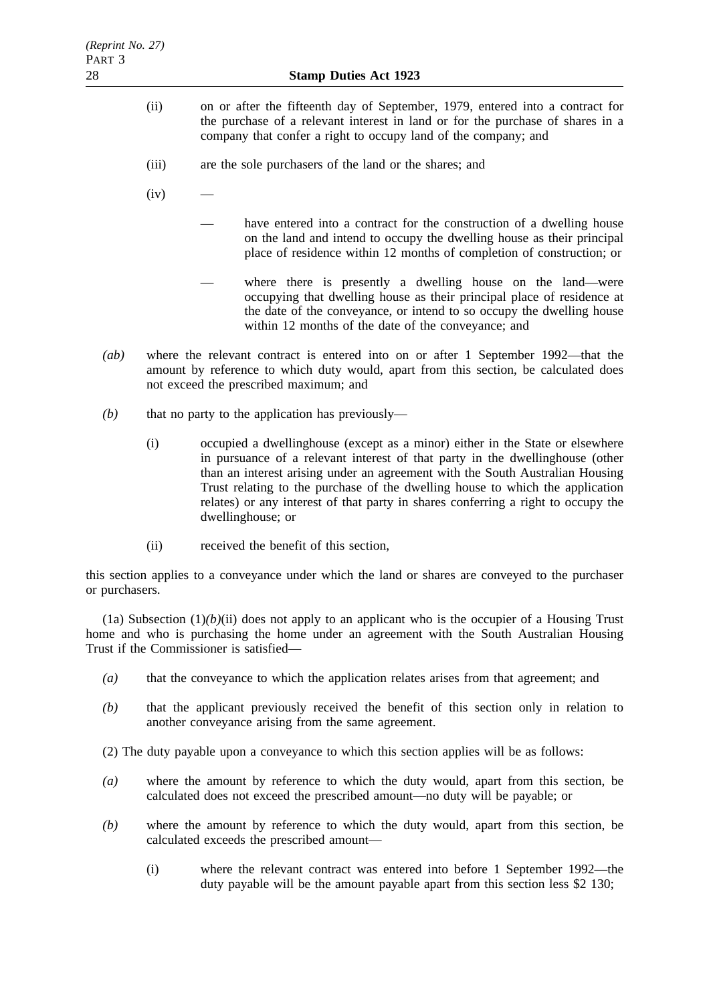- (ii) on or after the fifteenth day of September, 1979, entered into a contract for the purchase of a relevant interest in land or for the purchase of shares in a company that confer a right to occupy land of the company; and
- (iii) are the sole purchasers of the land or the shares; and
- $(iv)$ 
	- have entered into a contract for the construction of a dwelling house on the land and intend to occupy the dwelling house as their principal place of residence within 12 months of completion of construction; or
	- where there is presently a dwelling house on the land—were occupying that dwelling house as their principal place of residence at the date of the conveyance, or intend to so occupy the dwelling house within 12 months of the date of the conveyance; and
- *(ab)* where the relevant contract is entered into on or after 1 September 1992—that the amount by reference to which duty would, apart from this section, be calculated does not exceed the prescribed maximum; and
- *(b)* that no party to the application has previously—
	- (i) occupied a dwellinghouse (except as a minor) either in the State or elsewhere in pursuance of a relevant interest of that party in the dwellinghouse (other than an interest arising under an agreement with the South Australian Housing Trust relating to the purchase of the dwelling house to which the application relates) or any interest of that party in shares conferring a right to occupy the dwellinghouse; or
	- (ii) received the benefit of this section,

this section applies to a conveyance under which the land or shares are conveyed to the purchaser or purchasers.

(1a) Subsection  $(1)(b)(ii)$  does not apply to an applicant who is the occupier of a Housing Trust home and who is purchasing the home under an agreement with the South Australian Housing Trust if the Commissioner is satisfied—

- *(a)* that the conveyance to which the application relates arises from that agreement; and
- *(b)* that the applicant previously received the benefit of this section only in relation to another conveyance arising from the same agreement.

(2) The duty payable upon a conveyance to which this section applies will be as follows:

- *(a)* where the amount by reference to which the duty would, apart from this section, be calculated does not exceed the prescribed amount—no duty will be payable; or
- *(b)* where the amount by reference to which the duty would, apart from this section, be calculated exceeds the prescribed amount—
	- (i) where the relevant contract was entered into before 1 September 1992—the duty payable will be the amount payable apart from this section less \$2 130;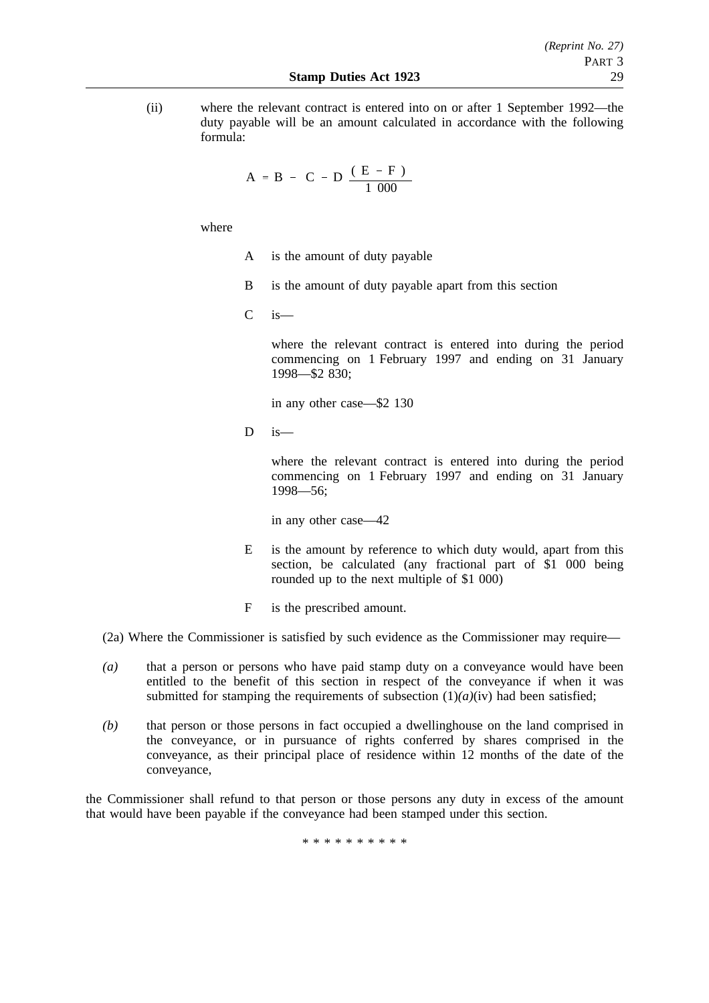(ii) where the relevant contract is entered into on or after 1 September 1992—the duty payable will be an amount calculated in accordance with the following formula:

$$
A = B - \left(C - D \frac{(E - F)}{1000}\right)
$$

where

- A is the amount of duty payable
- B is the amount of duty payable apart from this section
- $C$  is —

where the relevant contract is entered into during the period commencing on 1 February 1997 and ending on 31 January 1998—\$2 830;

in any other case—\$2 130

 $D$  is—

where the relevant contract is entered into during the period commencing on 1 February 1997 and ending on 31 January 1998—56;

in any other case—42

- E is the amount by reference to which duty would, apart from this section, be calculated (any fractional part of \$1 000 being rounded up to the next multiple of \$1 000)
- F is the prescribed amount.

(2a) Where the Commissioner is satisfied by such evidence as the Commissioner may require—

- *(a)* that a person or persons who have paid stamp duty on a conveyance would have been entitled to the benefit of this section in respect of the conveyance if when it was submitted for stamping the requirements of subsection  $(1)(a)(iv)$  had been satisfied;
- *(b)* that person or those persons in fact occupied a dwellinghouse on the land comprised in the conveyance, or in pursuance of rights conferred by shares comprised in the conveyance, as their principal place of residence within 12 months of the date of the conveyance,

the Commissioner shall refund to that person or those persons any duty in excess of the amount that would have been payable if the conveyance had been stamped under this section.

\*\*\*\*\*\*\*\*\*\*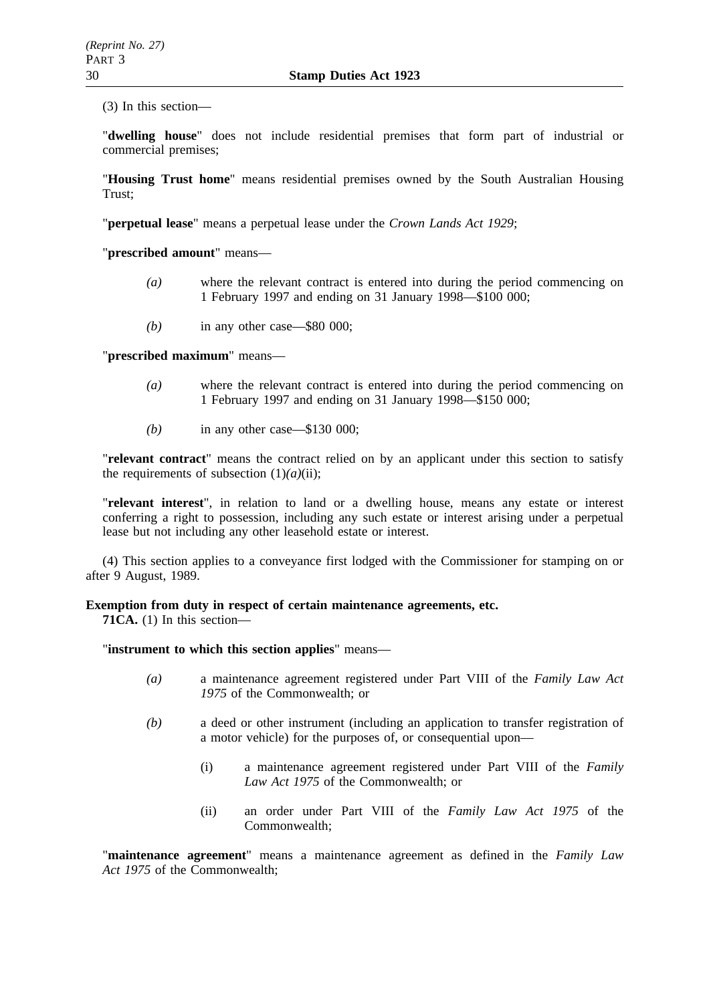(3) In this section—

"**dwelling house**" does not include residential premises that form part of industrial or commercial premises;

"**Housing Trust home**" means residential premises owned by the South Australian Housing Trust;

"**perpetual lease**" means a perpetual lease under the *Crown Lands Act 1929*;

"**prescribed amount**" means—

- *(a)* where the relevant contract is entered into during the period commencing on 1 February 1997 and ending on 31 January 1998—\$100 000;
- *(b)* in any other case—\$80 000;

"**prescribed maximum**" means—

- *(a)* where the relevant contract is entered into during the period commencing on 1 February 1997 and ending on 31 January 1998—\$150 000;
- *(b)* in any other case—\$130 000;

"**relevant contract**" means the contract relied on by an applicant under this section to satisfy the requirements of subsection  $(1)(a)(ii)$ ;

"**relevant interest**", in relation to land or a dwelling house, means any estate or interest conferring a right to possession, including any such estate or interest arising under a perpetual lease but not including any other leasehold estate or interest.

(4) This section applies to a conveyance first lodged with the Commissioner for stamping on or after 9 August, 1989.

**Exemption from duty in respect of certain maintenance agreements, etc.**

**71CA.** (1) In this section—

"**instrument to which this section applies**" means—

- *(a)* a maintenance agreement registered under Part VIII of the *Family Law Act 1975* of the Commonwealth; or
- *(b)* a deed or other instrument (including an application to transfer registration of a motor vehicle) for the purposes of, or consequential upon—
	- (i) a maintenance agreement registered under Part VIII of the *Family Law Act 1975* of the Commonwealth; or
	- (ii) an order under Part VIII of the *Family Law Act 1975* of the Commonwealth;

"**maintenance agreement**" means a maintenance agreement as defined in the *Family Law Act 1975* of the Commonwealth;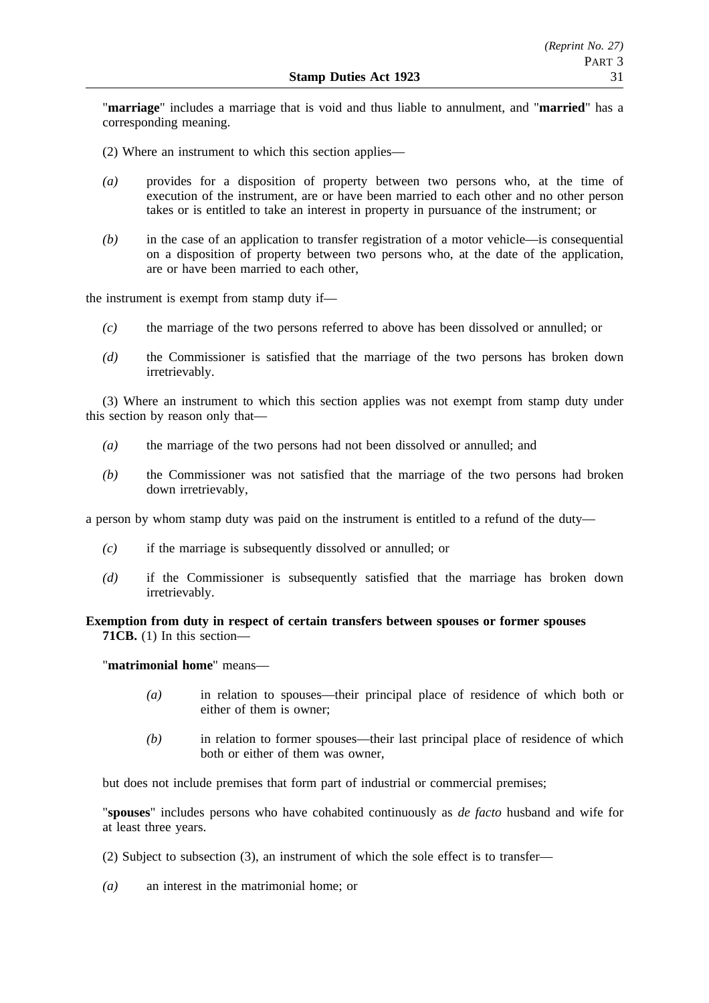"**marriage**" includes a marriage that is void and thus liable to annulment, and "**married**" has a corresponding meaning.

- (2) Where an instrument to which this section applies—
- *(a)* provides for a disposition of property between two persons who, at the time of execution of the instrument, are or have been married to each other and no other person takes or is entitled to take an interest in property in pursuance of the instrument; or
- *(b)* in the case of an application to transfer registration of a motor vehicle—is consequential on a disposition of property between two persons who, at the date of the application, are or have been married to each other,

the instrument is exempt from stamp duty if—

- *(c)* the marriage of the two persons referred to above has been dissolved or annulled; or
- *(d)* the Commissioner is satisfied that the marriage of the two persons has broken down irretrievably.

(3) Where an instrument to which this section applies was not exempt from stamp duty under this section by reason only that—

- *(a)* the marriage of the two persons had not been dissolved or annulled; and
- *(b)* the Commissioner was not satisfied that the marriage of the two persons had broken down irretrievably,

a person by whom stamp duty was paid on the instrument is entitled to a refund of the duty—

- *(c)* if the marriage is subsequently dissolved or annulled; or
- *(d)* if the Commissioner is subsequently satisfied that the marriage has broken down irretrievably.

# **Exemption from duty in respect of certain transfers between spouses or former spouses 71CB.** (1) In this section—

"**matrimonial home**" means—

- *(a)* in relation to spouses—their principal place of residence of which both or either of them is owner;
- *(b)* in relation to former spouses—their last principal place of residence of which both or either of them was owner,

but does not include premises that form part of industrial or commercial premises;

"**spouses**" includes persons who have cohabited continuously as *de facto* husband and wife for at least three years.

(2) Subject to subsection (3), an instrument of which the sole effect is to transfer—

*(a)* an interest in the matrimonial home; or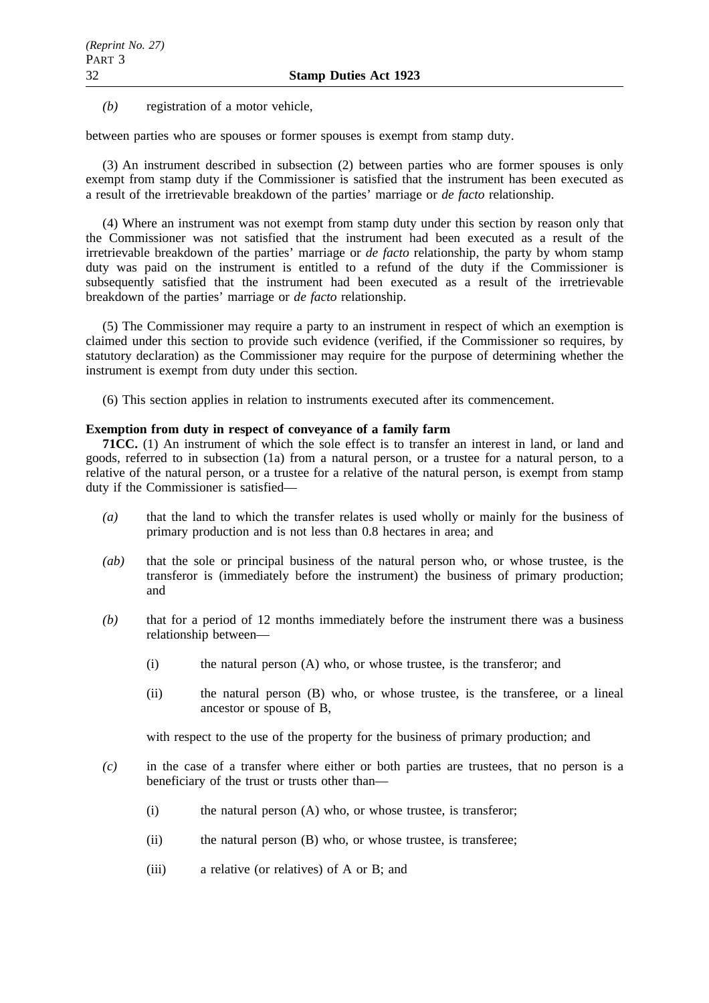*(b)* registration of a motor vehicle,

between parties who are spouses or former spouses is exempt from stamp duty.

(3) An instrument described in subsection (2) between parties who are former spouses is only exempt from stamp duty if the Commissioner is satisfied that the instrument has been executed as a result of the irretrievable breakdown of the parties' marriage or *de facto* relationship.

(4) Where an instrument was not exempt from stamp duty under this section by reason only that the Commissioner was not satisfied that the instrument had been executed as a result of the irretrievable breakdown of the parties' marriage or *de facto* relationship, the party by whom stamp duty was paid on the instrument is entitled to a refund of the duty if the Commissioner is subsequently satisfied that the instrument had been executed as a result of the irretrievable breakdown of the parties' marriage or *de facto* relationship.

(5) The Commissioner may require a party to an instrument in respect of which an exemption is claimed under this section to provide such evidence (verified, if the Commissioner so requires, by statutory declaration) as the Commissioner may require for the purpose of determining whether the instrument is exempt from duty under this section.

(6) This section applies in relation to instruments executed after its commencement.

# **Exemption from duty in respect of conveyance of a family farm**

**71CC.** (1) An instrument of which the sole effect is to transfer an interest in land, or land and goods, referred to in subsection (1a) from a natural person, or a trustee for a natural person, to a relative of the natural person, or a trustee for a relative of the natural person, is exempt from stamp duty if the Commissioner is satisfied—

- *(a)* that the land to which the transfer relates is used wholly or mainly for the business of primary production and is not less than 0.8 hectares in area; and
- *(ab)* that the sole or principal business of the natural person who, or whose trustee, is the transferor is (immediately before the instrument) the business of primary production; and
- *(b)* that for a period of 12 months immediately before the instrument there was a business relationship between—
	- (i) the natural person (A) who, or whose trustee, is the transferor; and
	- (ii) the natural person (B) who, or whose trustee, is the transferee, or a lineal ancestor or spouse of B,

with respect to the use of the property for the business of primary production; and

- *(c)* in the case of a transfer where either or both parties are trustees, that no person is a beneficiary of the trust or trusts other than—
	- (i) the natural person (A) who, or whose trustee, is transferor;
	- (ii) the natural person (B) who, or whose trustee, is transferee;
	- (iii) a relative (or relatives) of A or B; and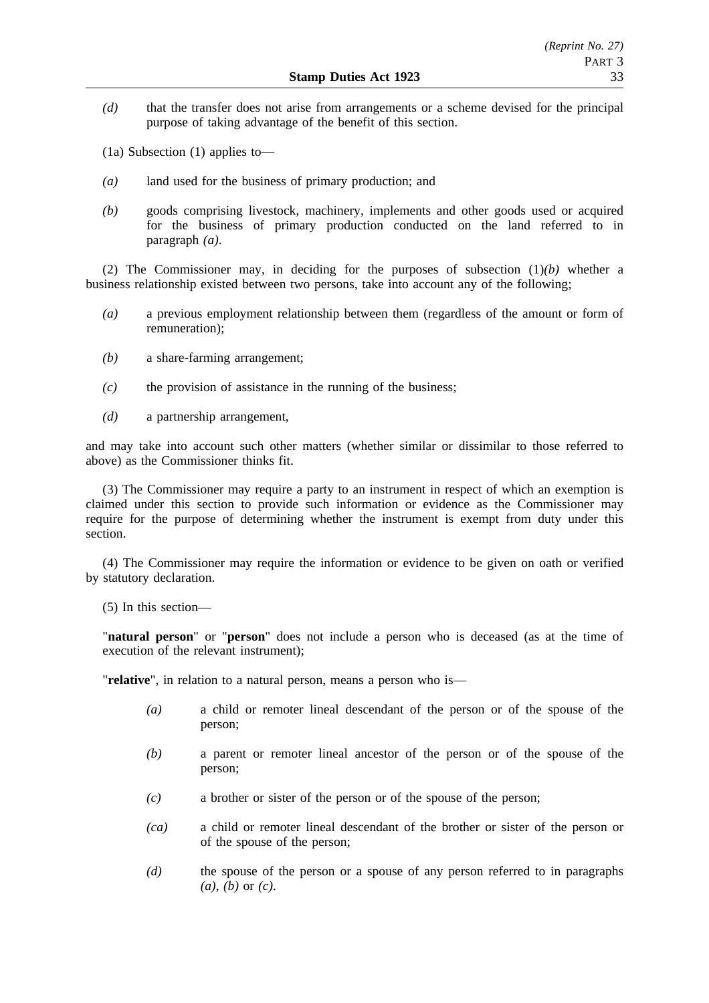*(d)* that the transfer does not arise from arrangements or a scheme devised for the principal purpose of taking advantage of the benefit of this section.

(1a) Subsection (1) applies to—

- *(a)* land used for the business of primary production; and
- *(b)* goods comprising livestock, machinery, implements and other goods used or acquired for the business of primary production conducted on the land referred to in paragraph *(a)*.

(2) The Commissioner may, in deciding for the purposes of subsection (1)*(b)* whether a business relationship existed between two persons, take into account any of the following;

- *(a)* a previous employment relationship between them (regardless of the amount or form of remuneration);
- *(b)* a share-farming arrangement;
- *(c)* the provision of assistance in the running of the business;
- *(d)* a partnership arrangement,

and may take into account such other matters (whether similar or dissimilar to those referred to above) as the Commissioner thinks fit.

(3) The Commissioner may require a party to an instrument in respect of which an exemption is claimed under this section to provide such information or evidence as the Commissioner may require for the purpose of determining whether the instrument is exempt from duty under this section.

(4) The Commissioner may require the information or evidence to be given on oath or verified by statutory declaration.

(5) In this section—

"**natural person**" or "**person**" does not include a person who is deceased (as at the time of execution of the relevant instrument);

"**relative**", in relation to a natural person, means a person who is—

- *(a)* a child or remoter lineal descendant of the person or of the spouse of the person;
- *(b)* a parent or remoter lineal ancestor of the person or of the spouse of the person;
- *(c)* a brother or sister of the person or of the spouse of the person;
- *(ca)* a child or remoter lineal descendant of the brother or sister of the person or of the spouse of the person;
- *(d)* the spouse of the person or a spouse of any person referred to in paragraphs *(a)*, *(b)* or *(c)*.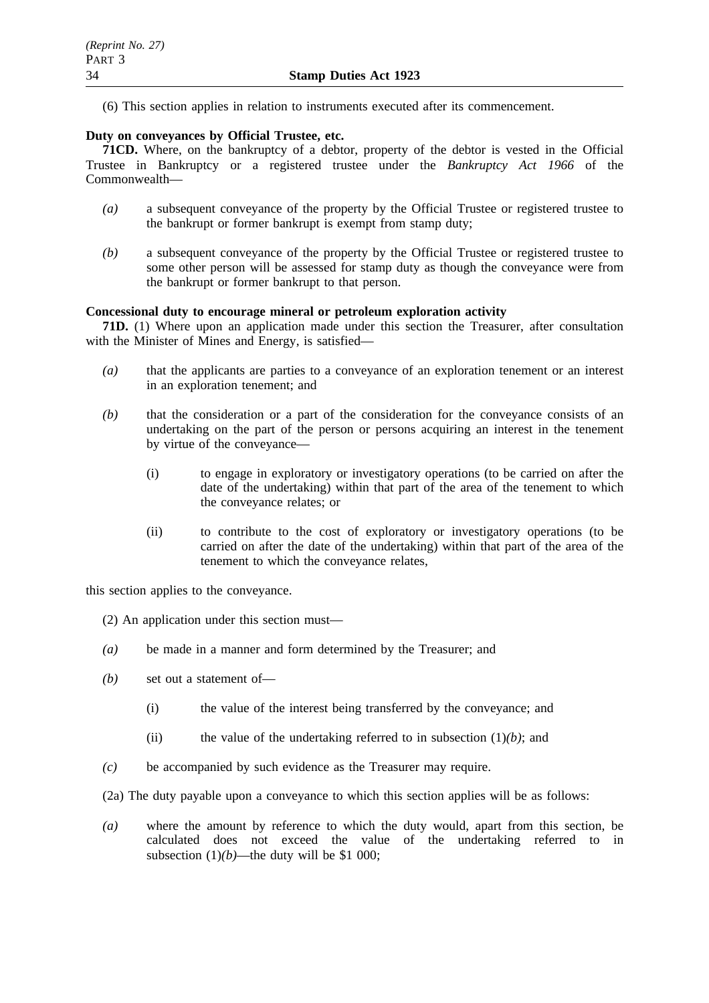(6) This section applies in relation to instruments executed after its commencement.

# **Duty on conveyances by Official Trustee, etc.**

**71CD.** Where, on the bankruptcy of a debtor, property of the debtor is vested in the Official Trustee in Bankruptcy or a registered trustee under the *Bankruptcy Act 1966* of the Commonwealth—

- *(a)* a subsequent conveyance of the property by the Official Trustee or registered trustee to the bankrupt or former bankrupt is exempt from stamp duty;
- *(b)* a subsequent conveyance of the property by the Official Trustee or registered trustee to some other person will be assessed for stamp duty as though the conveyance were from the bankrupt or former bankrupt to that person.

### **Concessional duty to encourage mineral or petroleum exploration activity**

**71D.** (1) Where upon an application made under this section the Treasurer, after consultation with the Minister of Mines and Energy, is satisfied—

- *(a)* that the applicants are parties to a conveyance of an exploration tenement or an interest in an exploration tenement; and
- *(b)* that the consideration or a part of the consideration for the conveyance consists of an undertaking on the part of the person or persons acquiring an interest in the tenement by virtue of the conveyance—
	- (i) to engage in exploratory or investigatory operations (to be carried on after the date of the undertaking) within that part of the area of the tenement to which the conveyance relates; or
	- (ii) to contribute to the cost of exploratory or investigatory operations (to be carried on after the date of the undertaking) within that part of the area of the tenement to which the conveyance relates,

this section applies to the conveyance.

(2) An application under this section must—

- *(a)* be made in a manner and form determined by the Treasurer; and
- *(b)* set out a statement of—
	- (i) the value of the interest being transferred by the conveyance; and
	- (ii) the value of the undertaking referred to in subsection  $(1)(b)$ ; and
- *(c)* be accompanied by such evidence as the Treasurer may require.

(2a) The duty payable upon a conveyance to which this section applies will be as follows:

*(a)* where the amount by reference to which the duty would, apart from this section, be calculated does not exceed the value of the undertaking referred to in subsection  $(1)(b)$ —the duty will be \$1 000;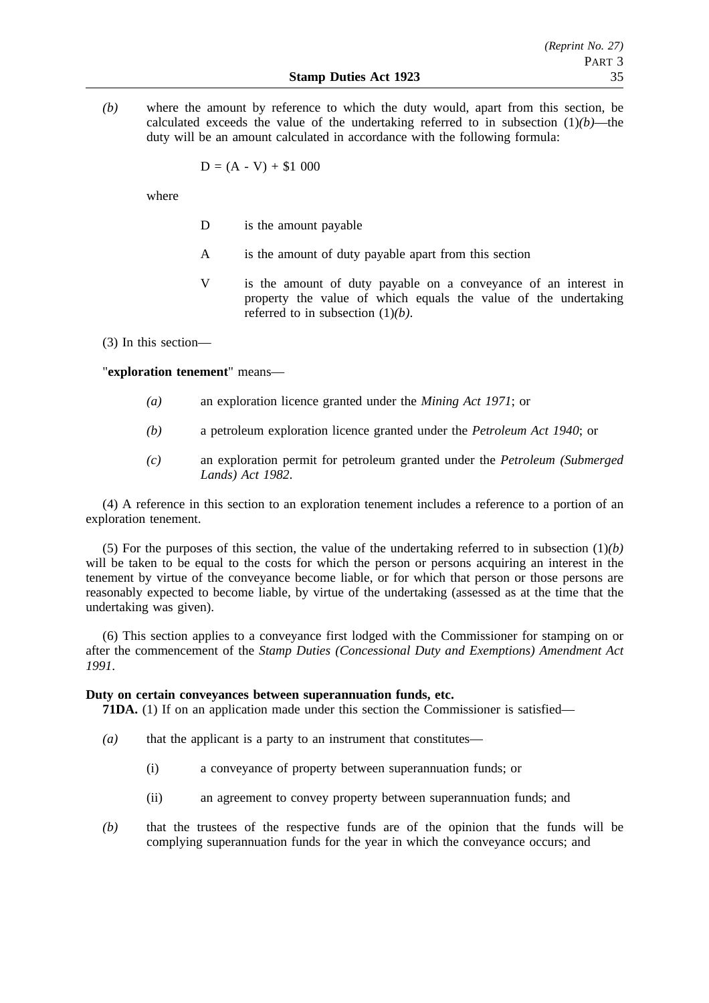*(b)* where the amount by reference to which the duty would, apart from this section, be calculated exceeds the value of the undertaking referred to in subsection  $(1)(b)$ —the duty will be an amount calculated in accordance with the following formula:

$$
D = (A - V) + $1\ 000
$$

where

- D is the amount payable
- A is the amount of duty payable apart from this section
- V is the amount of duty payable on a conveyance of an interest in property the value of which equals the value of the undertaking referred to in subsection (1)*(b)*.

(3) In this section—

"**exploration tenement**" means—

- *(a)* an exploration licence granted under the *Mining Act 1971*; or
- *(b)* a petroleum exploration licence granted under the *Petroleum Act 1940*; or
- *(c)* an exploration permit for petroleum granted under the *Petroleum (Submerged Lands) Act 1982*.

(4) A reference in this section to an exploration tenement includes a reference to a portion of an exploration tenement.

(5) For the purposes of this section, the value of the undertaking referred to in subsection (1)*(b)* will be taken to be equal to the costs for which the person or persons acquiring an interest in the tenement by virtue of the conveyance become liable, or for which that person or those persons are reasonably expected to become liable, by virtue of the undertaking (assessed as at the time that the undertaking was given).

(6) This section applies to a conveyance first lodged with the Commissioner for stamping on or after the commencement of the *Stamp Duties (Concessional Duty and Exemptions) Amendment Act 1991*.

### **Duty on certain conveyances between superannuation funds, etc.**

**71DA.** (1) If on an application made under this section the Commissioner is satisfied—

- *(a)* that the applicant is a party to an instrument that constitutes—
	- (i) a conveyance of property between superannuation funds; or
	- (ii) an agreement to convey property between superannuation funds; and
- *(b)* that the trustees of the respective funds are of the opinion that the funds will be complying superannuation funds for the year in which the conveyance occurs; and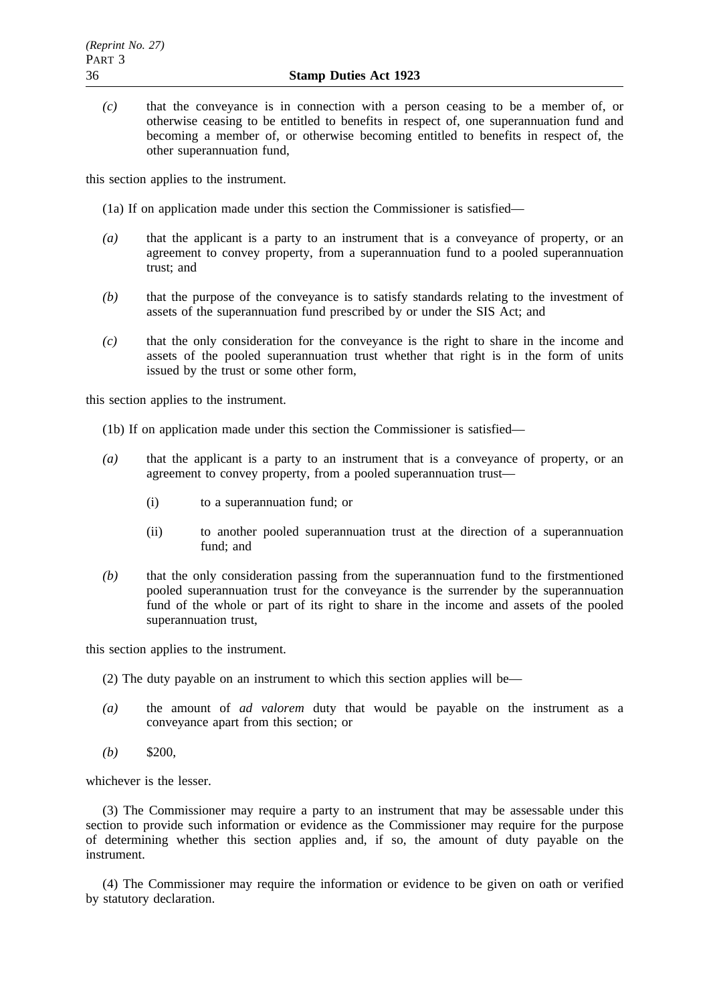*(c)* that the conveyance is in connection with a person ceasing to be a member of, or otherwise ceasing to be entitled to benefits in respect of, one superannuation fund and becoming a member of, or otherwise becoming entitled to benefits in respect of, the other superannuation fund,

this section applies to the instrument.

(1a) If on application made under this section the Commissioner is satisfied—

- *(a)* that the applicant is a party to an instrument that is a conveyance of property, or an agreement to convey property, from a superannuation fund to a pooled superannuation trust; and
- *(b)* that the purpose of the conveyance is to satisfy standards relating to the investment of assets of the superannuation fund prescribed by or under the SIS Act; and
- *(c)* that the only consideration for the conveyance is the right to share in the income and assets of the pooled superannuation trust whether that right is in the form of units issued by the trust or some other form,

this section applies to the instrument.

- (1b) If on application made under this section the Commissioner is satisfied—
- *(a)* that the applicant is a party to an instrument that is a conveyance of property, or an agreement to convey property, from a pooled superannuation trust—
	- (i) to a superannuation fund; or
	- (ii) to another pooled superannuation trust at the direction of a superannuation fund; and
- *(b)* that the only consideration passing from the superannuation fund to the firstmentioned pooled superannuation trust for the conveyance is the surrender by the superannuation fund of the whole or part of its right to share in the income and assets of the pooled superannuation trust,

this section applies to the instrument.

- (2) The duty payable on an instrument to which this section applies will be—
- *(a)* the amount of *ad valorem* duty that would be payable on the instrument as a conveyance apart from this section; or
- $(b)$  \$200.

whichever is the lesser.

(3) The Commissioner may require a party to an instrument that may be assessable under this section to provide such information or evidence as the Commissioner may require for the purpose of determining whether this section applies and, if so, the amount of duty payable on the instrument.

(4) The Commissioner may require the information or evidence to be given on oath or verified by statutory declaration.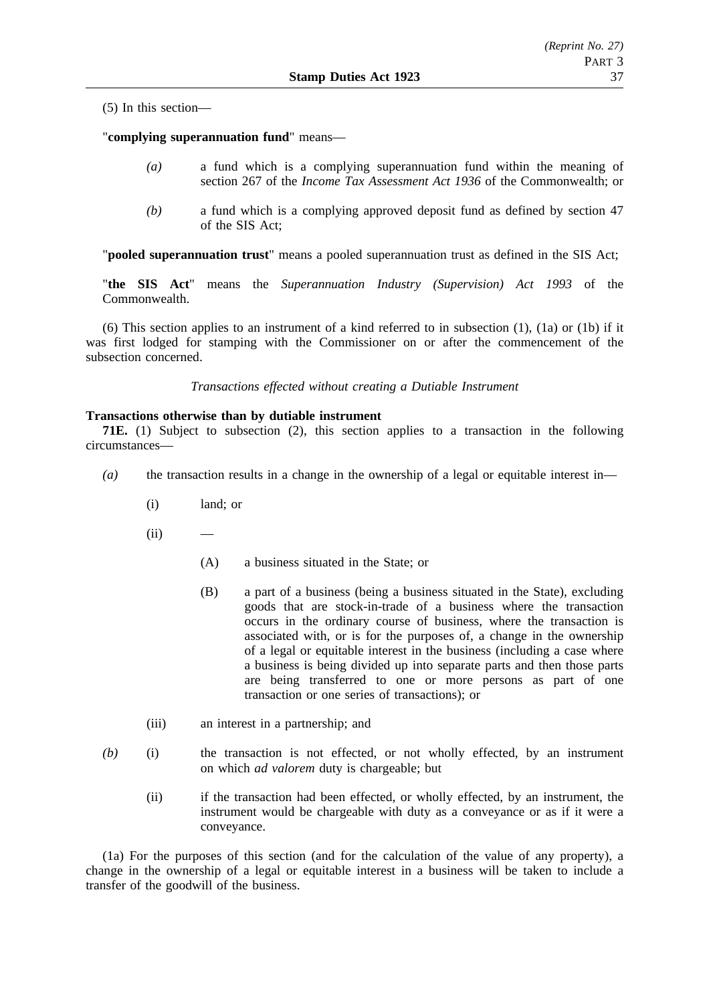(5) In this section—

"**complying superannuation fund**" means—

- *(a)* a fund which is a complying superannuation fund within the meaning of section 267 of the *Income Tax Assessment Act 1936* of the Commonwealth; or
- *(b)* a fund which is a complying approved deposit fund as defined by section 47 of the SIS Act;

"**pooled superannuation trust**" means a pooled superannuation trust as defined in the SIS Act;

"**the SIS Act**" means the *Superannuation Industry (Supervision) Act 1993* of the Commonwealth.

(6) This section applies to an instrument of a kind referred to in subsection (1), (1a) or (1b) if it was first lodged for stamping with the Commissioner on or after the commencement of the subsection concerned.

*Transactions effected without creating a Dutiable Instrument*

### **Transactions otherwise than by dutiable instrument**

**71E.** (1) Subject to subsection (2), this section applies to a transaction in the following circumstances—

- *(a)* the transaction results in a change in the ownership of a legal or equitable interest in—
	- (i) land; or
	- $(ii)$ 
		- (A) a business situated in the State; or
		- (B) a part of a business (being a business situated in the State), excluding goods that are stock-in-trade of a business where the transaction occurs in the ordinary course of business, where the transaction is associated with, or is for the purposes of, a change in the ownership of a legal or equitable interest in the business (including a case where a business is being divided up into separate parts and then those parts are being transferred to one or more persons as part of one transaction or one series of transactions); or
	- (iii) an interest in a partnership; and
- *(b)* (i) the transaction is not effected, or not wholly effected, by an instrument on which *ad valorem* duty is chargeable; but
	- (ii) if the transaction had been effected, or wholly effected, by an instrument, the instrument would be chargeable with duty as a conveyance or as if it were a conveyance.

(1a) For the purposes of this section (and for the calculation of the value of any property), a change in the ownership of a legal or equitable interest in a business will be taken to include a transfer of the goodwill of the business.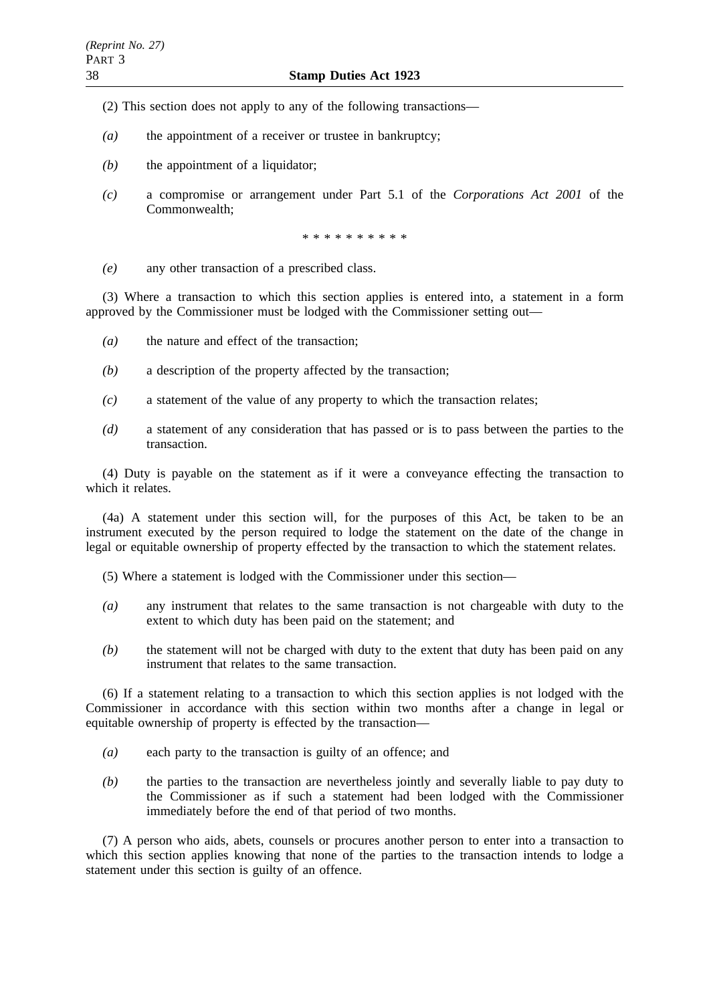- (2) This section does not apply to any of the following transactions—
- *(a)* the appointment of a receiver or trustee in bankruptcy;
- *(b)* the appointment of a liquidator;
- *(c)* a compromise or arrangement under Part 5.1 of the *Corporations Act 2001* of the Commonwealth;

\*\*\*\*\*\*\*\*\*\*

*(e)* any other transaction of a prescribed class.

(3) Where a transaction to which this section applies is entered into, a statement in a form approved by the Commissioner must be lodged with the Commissioner setting out—

- *(a)* the nature and effect of the transaction;
- *(b)* a description of the property affected by the transaction;
- *(c)* a statement of the value of any property to which the transaction relates;
- *(d)* a statement of any consideration that has passed or is to pass between the parties to the transaction.

(4) Duty is payable on the statement as if it were a conveyance effecting the transaction to which it relates.

(4a) A statement under this section will, for the purposes of this Act, be taken to be an instrument executed by the person required to lodge the statement on the date of the change in legal or equitable ownership of property effected by the transaction to which the statement relates.

- (5) Where a statement is lodged with the Commissioner under this section—
- *(a)* any instrument that relates to the same transaction is not chargeable with duty to the extent to which duty has been paid on the statement; and
- *(b)* the statement will not be charged with duty to the extent that duty has been paid on any instrument that relates to the same transaction.

(6) If a statement relating to a transaction to which this section applies is not lodged with the Commissioner in accordance with this section within two months after a change in legal or equitable ownership of property is effected by the transaction—

- *(a)* each party to the transaction is guilty of an offence; and
- *(b)* the parties to the transaction are nevertheless jointly and severally liable to pay duty to the Commissioner as if such a statement had been lodged with the Commissioner immediately before the end of that period of two months.

(7) A person who aids, abets, counsels or procures another person to enter into a transaction to which this section applies knowing that none of the parties to the transaction intends to lodge a statement under this section is guilty of an offence.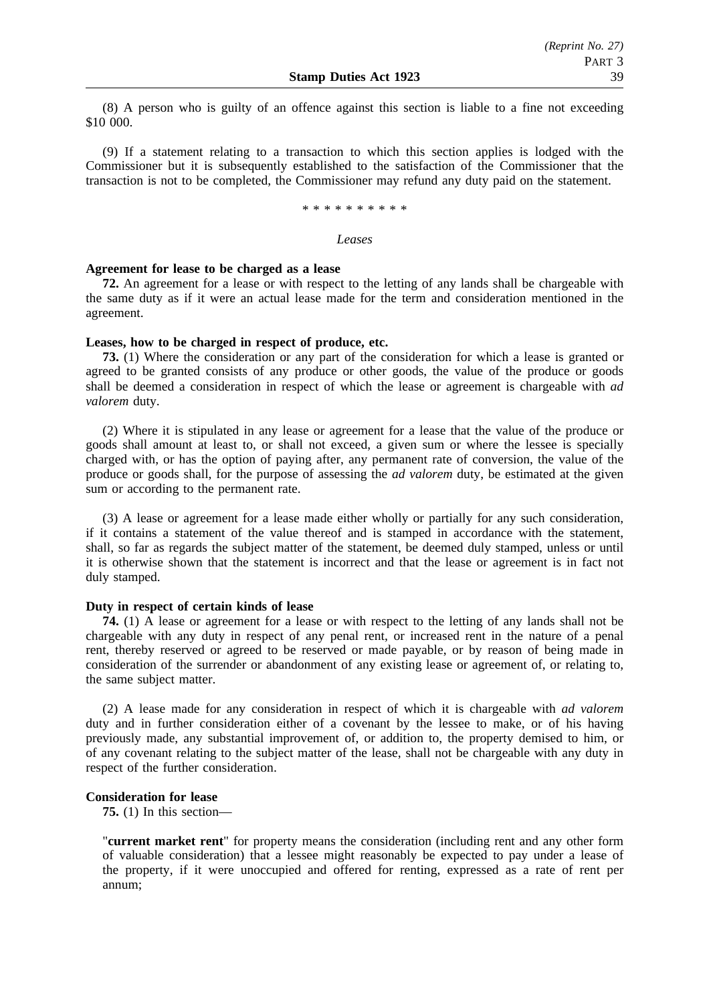(8) A person who is guilty of an offence against this section is liable to a fine not exceeding \$10 000.

(9) If a statement relating to a transaction to which this section applies is lodged with the Commissioner but it is subsequently established to the satisfaction of the Commissioner that the transaction is not to be completed, the Commissioner may refund any duty paid on the statement.

\*\*\*\*\*\*\*\*\*\*

#### *Leases*

#### **Agreement for lease to be charged as a lease**

**72.** An agreement for a lease or with respect to the letting of any lands shall be chargeable with the same duty as if it were an actual lease made for the term and consideration mentioned in the agreement.

#### **Leases, how to be charged in respect of produce, etc.**

**73.** (1) Where the consideration or any part of the consideration for which a lease is granted or agreed to be granted consists of any produce or other goods, the value of the produce or goods shall be deemed a consideration in respect of which the lease or agreement is chargeable with *ad valorem* duty.

(2) Where it is stipulated in any lease or agreement for a lease that the value of the produce or goods shall amount at least to, or shall not exceed, a given sum or where the lessee is specially charged with, or has the option of paying after, any permanent rate of conversion, the value of the produce or goods shall, for the purpose of assessing the *ad valorem* duty, be estimated at the given sum or according to the permanent rate.

(3) A lease or agreement for a lease made either wholly or partially for any such consideration, if it contains a statement of the value thereof and is stamped in accordance with the statement, shall, so far as regards the subject matter of the statement, be deemed duly stamped, unless or until it is otherwise shown that the statement is incorrect and that the lease or agreement is in fact not duly stamped.

### **Duty in respect of certain kinds of lease**

**74.** (1) A lease or agreement for a lease or with respect to the letting of any lands shall not be chargeable with any duty in respect of any penal rent, or increased rent in the nature of a penal rent, thereby reserved or agreed to be reserved or made payable, or by reason of being made in consideration of the surrender or abandonment of any existing lease or agreement of, or relating to, the same subject matter.

(2) A lease made for any consideration in respect of which it is chargeable with *ad valorem* duty and in further consideration either of a covenant by the lessee to make, or of his having previously made, any substantial improvement of, or addition to, the property demised to him, or of any covenant relating to the subject matter of the lease, shall not be chargeable with any duty in respect of the further consideration.

#### **Consideration for lease**

**75.** (1) In this section—

"**current market rent**" for property means the consideration (including rent and any other form of valuable consideration) that a lessee might reasonably be expected to pay under a lease of the property, if it were unoccupied and offered for renting, expressed as a rate of rent per annum;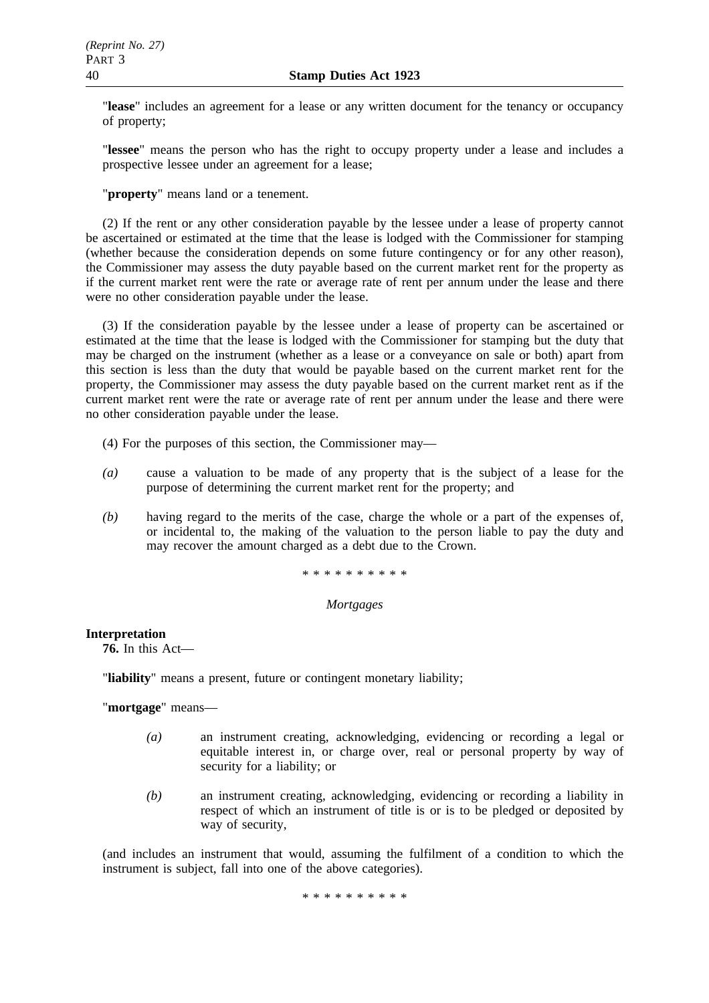"**lease**" includes an agreement for a lease or any written document for the tenancy or occupancy of property;

"**lessee**" means the person who has the right to occupy property under a lease and includes a prospective lessee under an agreement for a lease;

"**property**" means land or a tenement.

(2) If the rent or any other consideration payable by the lessee under a lease of property cannot be ascertained or estimated at the time that the lease is lodged with the Commissioner for stamping (whether because the consideration depends on some future contingency or for any other reason), the Commissioner may assess the duty payable based on the current market rent for the property as if the current market rent were the rate or average rate of rent per annum under the lease and there were no other consideration payable under the lease.

(3) If the consideration payable by the lessee under a lease of property can be ascertained or estimated at the time that the lease is lodged with the Commissioner for stamping but the duty that may be charged on the instrument (whether as a lease or a conveyance on sale or both) apart from this section is less than the duty that would be payable based on the current market rent for the property, the Commissioner may assess the duty payable based on the current market rent as if the current market rent were the rate or average rate of rent per annum under the lease and there were no other consideration payable under the lease.

- (4) For the purposes of this section, the Commissioner may—
- *(a)* cause a valuation to be made of any property that is the subject of a lease for the purpose of determining the current market rent for the property; and
- *(b)* having regard to the merits of the case, charge the whole or a part of the expenses of, or incidental to, the making of the valuation to the person liable to pay the duty and may recover the amount charged as a debt due to the Crown.

\*\*\*\*\*\*\*\*\*\*

# *Mortgages*

# **Interpretation**

**76.** In this Act—

"**liability**" means a present, future or contingent monetary liability;

"**mortgage**" means—

- *(a)* an instrument creating, acknowledging, evidencing or recording a legal or equitable interest in, or charge over, real or personal property by way of security for a liability; or
- *(b)* an instrument creating, acknowledging, evidencing or recording a liability in respect of which an instrument of title is or is to be pledged or deposited by way of security,

(and includes an instrument that would, assuming the fulfilment of a condition to which the instrument is subject, fall into one of the above categories).

\*\*\*\*\*\*\*\*\*\*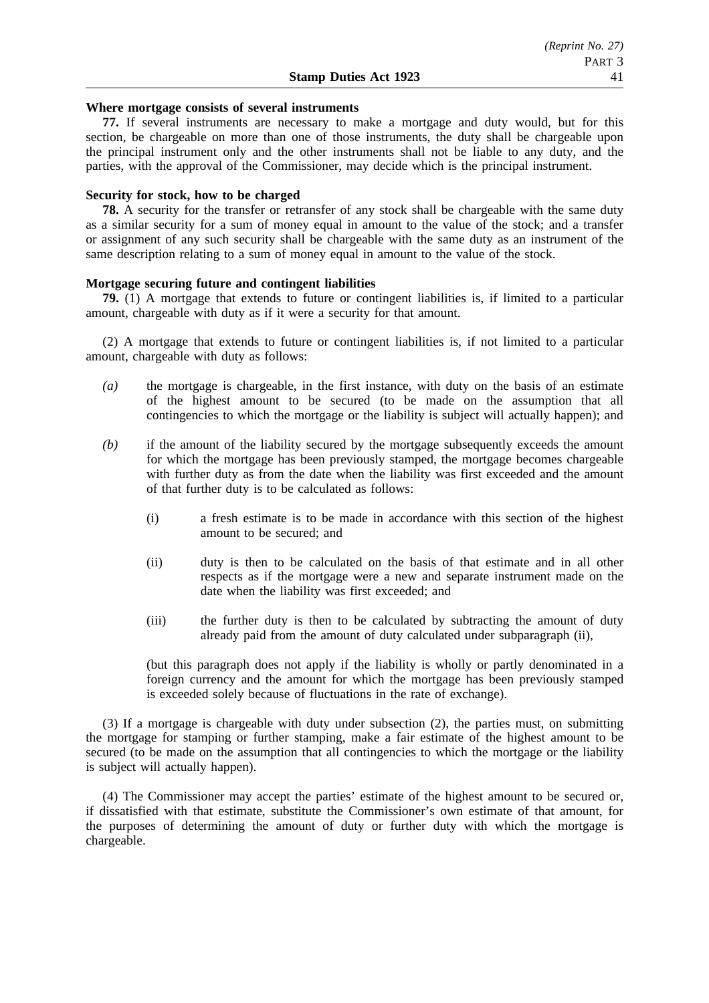#### **Where mortgage consists of several instruments**

**77.** If several instruments are necessary to make a mortgage and duty would, but for this section, be chargeable on more than one of those instruments, the duty shall be chargeable upon the principal instrument only and the other instruments shall not be liable to any duty, and the parties, with the approval of the Commissioner, may decide which is the principal instrument.

#### **Security for stock, how to be charged**

**78.** A security for the transfer or retransfer of any stock shall be chargeable with the same duty as a similar security for a sum of money equal in amount to the value of the stock; and a transfer or assignment of any such security shall be chargeable with the same duty as an instrument of the same description relating to a sum of money equal in amount to the value of the stock.

#### **Mortgage securing future and contingent liabilities**

**79.** (1) A mortgage that extends to future or contingent liabilities is, if limited to a particular amount, chargeable with duty as if it were a security for that amount.

(2) A mortgage that extends to future or contingent liabilities is, if not limited to a particular amount, chargeable with duty as follows:

- *(a)* the mortgage is chargeable, in the first instance, with duty on the basis of an estimate of the highest amount to be secured (to be made on the assumption that all contingencies to which the mortgage or the liability is subject will actually happen); and
- *(b)* if the amount of the liability secured by the mortgage subsequently exceeds the amount for which the mortgage has been previously stamped, the mortgage becomes chargeable with further duty as from the date when the liability was first exceeded and the amount of that further duty is to be calculated as follows:
	- (i) a fresh estimate is to be made in accordance with this section of the highest amount to be secured; and
	- (ii) duty is then to be calculated on the basis of that estimate and in all other respects as if the mortgage were a new and separate instrument made on the date when the liability was first exceeded; and
	- (iii) the further duty is then to be calculated by subtracting the amount of duty already paid from the amount of duty calculated under subparagraph (ii),

(but this paragraph does not apply if the liability is wholly or partly denominated in a foreign currency and the amount for which the mortgage has been previously stamped is exceeded solely because of fluctuations in the rate of exchange).

(3) If a mortgage is chargeable with duty under subsection (2), the parties must, on submitting the mortgage for stamping or further stamping, make a fair estimate of the highest amount to be secured (to be made on the assumption that all contingencies to which the mortgage or the liability is subject will actually happen).

(4) The Commissioner may accept the parties' estimate of the highest amount to be secured or, if dissatisfied with that estimate, substitute the Commissioner's own estimate of that amount, for the purposes of determining the amount of duty or further duty with which the mortgage is chargeable.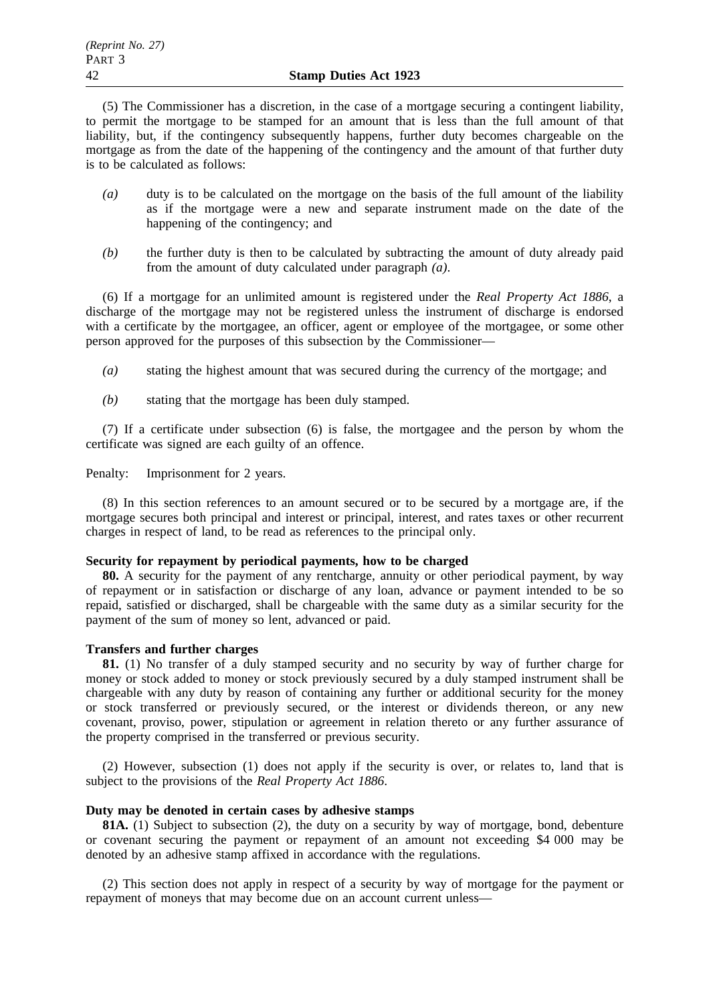(5) The Commissioner has a discretion, in the case of a mortgage securing a contingent liability, to permit the mortgage to be stamped for an amount that is less than the full amount of that liability, but, if the contingency subsequently happens, further duty becomes chargeable on the mortgage as from the date of the happening of the contingency and the amount of that further duty is to be calculated as follows:

- *(a)* duty is to be calculated on the mortgage on the basis of the full amount of the liability as if the mortgage were a new and separate instrument made on the date of the happening of the contingency; and
- *(b)* the further duty is then to be calculated by subtracting the amount of duty already paid from the amount of duty calculated under paragraph *(a)*.

(6) If a mortgage for an unlimited amount is registered under the *Real Property Act 1886*, a discharge of the mortgage may not be registered unless the instrument of discharge is endorsed with a certificate by the mortgagee, an officer, agent or employee of the mortgagee, or some other person approved for the purposes of this subsection by the Commissioner—

- *(a)* stating the highest amount that was secured during the currency of the mortgage; and
- *(b)* stating that the mortgage has been duly stamped.

(7) If a certificate under subsection (6) is false, the mortgagee and the person by whom the certificate was signed are each guilty of an offence.

Penalty: Imprisonment for 2 years.

(8) In this section references to an amount secured or to be secured by a mortgage are, if the mortgage secures both principal and interest or principal, interest, and rates taxes or other recurrent charges in respect of land, to be read as references to the principal only.

#### **Security for repayment by periodical payments, how to be charged**

**80.** A security for the payment of any rentcharge, annuity or other periodical payment, by way of repayment or in satisfaction or discharge of any loan, advance or payment intended to be so repaid, satisfied or discharged, shall be chargeable with the same duty as a similar security for the payment of the sum of money so lent, advanced or paid.

## **Transfers and further charges**

**81.** (1) No transfer of a duly stamped security and no security by way of further charge for money or stock added to money or stock previously secured by a duly stamped instrument shall be chargeable with any duty by reason of containing any further or additional security for the money or stock transferred or previously secured, or the interest or dividends thereon, or any new covenant, proviso, power, stipulation or agreement in relation thereto or any further assurance of the property comprised in the transferred or previous security.

(2) However, subsection (1) does not apply if the security is over, or relates to, land that is subject to the provisions of the *Real Property Act 1886*.

#### **Duty may be denoted in certain cases by adhesive stamps**

**81A.** (1) Subject to subsection (2), the duty on a security by way of mortgage, bond, debenture or covenant securing the payment or repayment of an amount not exceeding \$4 000 may be denoted by an adhesive stamp affixed in accordance with the regulations.

(2) This section does not apply in respect of a security by way of mortgage for the payment or repayment of moneys that may become due on an account current unless—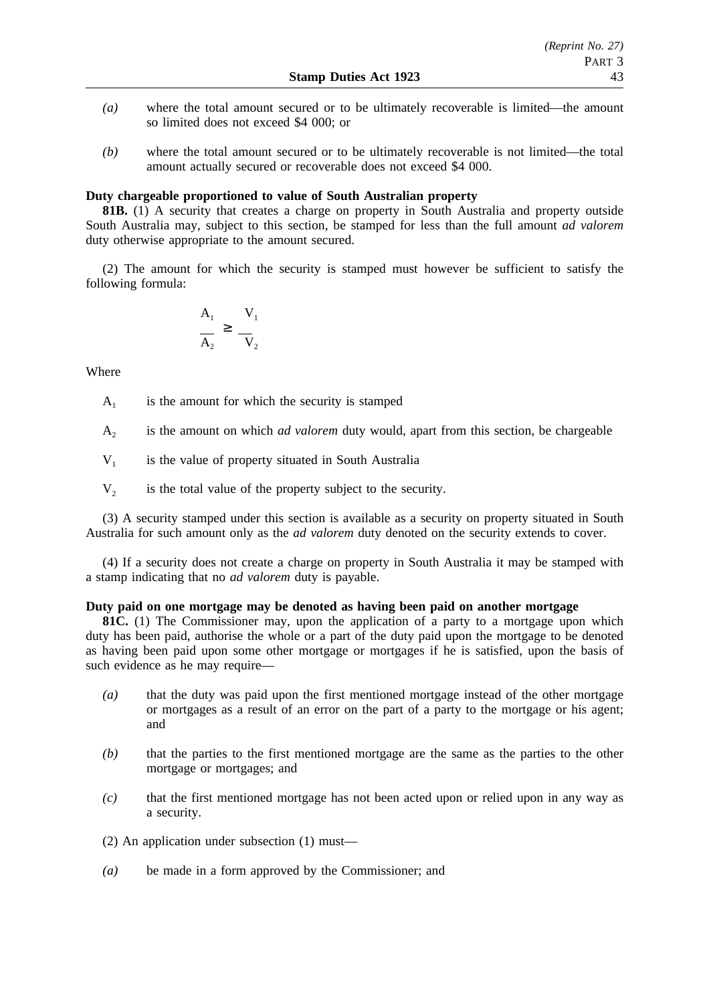- *(a)* where the total amount secured or to be ultimately recoverable is limited—the amount so limited does not exceed \$4 000; or
- *(b)* where the total amount secured or to be ultimately recoverable is not limited—the total amount actually secured or recoverable does not exceed \$4 000.

## **Duty chargeable proportioned to value of South Australian property**

**81B.** (1) A security that creates a charge on property in South Australia and property outside South Australia may, subject to this section, be stamped for less than the full amount *ad valorem* duty otherwise appropriate to the amount secured.

(2) The amount for which the security is stamped must however be sufficient to satisfy the following formula:

$$
\frac{A_1}{A_2} \ge \frac{V_1}{V_2}
$$

Where

 $A<sub>1</sub>$  is the amount for which the security is stamped

A2 is the amount on which *ad valorem* duty would, apart from this section, be chargeable

 $V_1$  is the value of property situated in South Australia

 $V<sub>2</sub>$  is the total value of the property subject to the security.

(3) A security stamped under this section is available as a security on property situated in South Australia for such amount only as the *ad valorem* duty denoted on the security extends to cover.

(4) If a security does not create a charge on property in South Australia it may be stamped with a stamp indicating that no *ad valorem* duty is payable.

# **Duty paid on one mortgage may be denoted as having been paid on another mortgage**

**81C.** (1) The Commissioner may, upon the application of a party to a mortgage upon which duty has been paid, authorise the whole or a part of the duty paid upon the mortgage to be denoted as having been paid upon some other mortgage or mortgages if he is satisfied, upon the basis of such evidence as he may require—

- *(a)* that the duty was paid upon the first mentioned mortgage instead of the other mortgage or mortgages as a result of an error on the part of a party to the mortgage or his agent; and
- *(b)* that the parties to the first mentioned mortgage are the same as the parties to the other mortgage or mortgages; and
- *(c)* that the first mentioned mortgage has not been acted upon or relied upon in any way as a security.

(2) An application under subsection (1) must—

*(a)* be made in a form approved by the Commissioner; and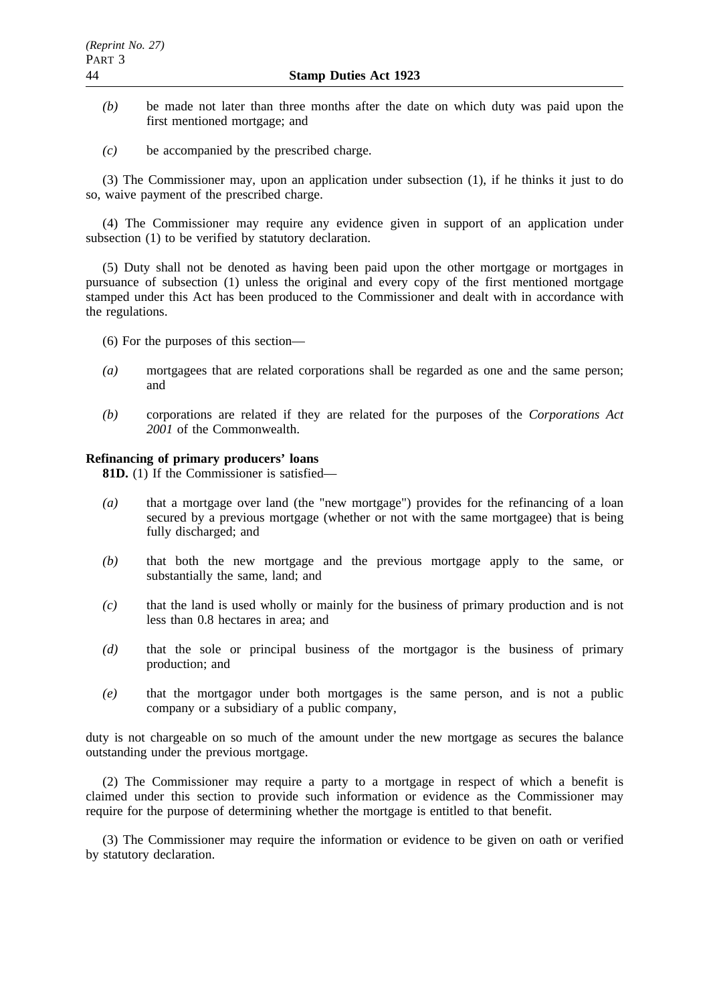- *(b)* be made not later than three months after the date on which duty was paid upon the first mentioned mortgage; and
- *(c)* be accompanied by the prescribed charge.

(3) The Commissioner may, upon an application under subsection (1), if he thinks it just to do so, waive payment of the prescribed charge.

(4) The Commissioner may require any evidence given in support of an application under subsection (1) to be verified by statutory declaration.

(5) Duty shall not be denoted as having been paid upon the other mortgage or mortgages in pursuance of subsection (1) unless the original and every copy of the first mentioned mortgage stamped under this Act has been produced to the Commissioner and dealt with in accordance with the regulations.

- (6) For the purposes of this section—
- *(a)* mortgagees that are related corporations shall be regarded as one and the same person; and
- *(b)* corporations are related if they are related for the purposes of the *Corporations Act 2001* of the Commonwealth.

#### **Refinancing of primary producers' loans**

**81D.** (1) If the Commissioner is satisfied—

- *(a)* that a mortgage over land (the "new mortgage") provides for the refinancing of a loan secured by a previous mortgage (whether or not with the same mortgagee) that is being fully discharged; and
- *(b)* that both the new mortgage and the previous mortgage apply to the same, or substantially the same, land; and
- *(c)* that the land is used wholly or mainly for the business of primary production and is not less than 0.8 hectares in area; and
- *(d)* that the sole or principal business of the mortgagor is the business of primary production; and
- *(e)* that the mortgagor under both mortgages is the same person, and is not a public company or a subsidiary of a public company,

duty is not chargeable on so much of the amount under the new mortgage as secures the balance outstanding under the previous mortgage.

(2) The Commissioner may require a party to a mortgage in respect of which a benefit is claimed under this section to provide such information or evidence as the Commissioner may require for the purpose of determining whether the mortgage is entitled to that benefit.

(3) The Commissioner may require the information or evidence to be given on oath or verified by statutory declaration.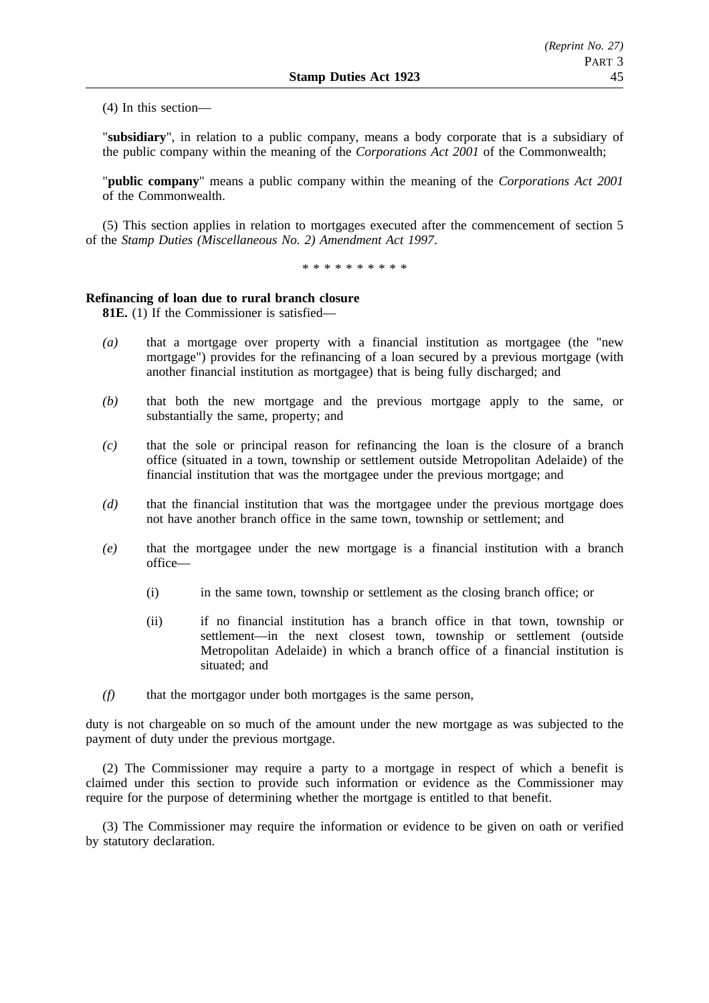(4) In this section—

"**subsidiary**", in relation to a public company, means a body corporate that is a subsidiary of the public company within the meaning of the *Corporations Act 2001* of the Commonwealth;

"**public company**" means a public company within the meaning of the *Corporations Act 2001* of the Commonwealth.

(5) This section applies in relation to mortgages executed after the commencement of section 5 of the *Stamp Duties (Miscellaneous No. 2) Amendment Act 1997*.

\*\*\*\*\*\*\*\*\*\*

## **Refinancing of loan due to rural branch closure**

**81E.** (1) If the Commissioner is satisfied—

- *(a)* that a mortgage over property with a financial institution as mortgagee (the "new mortgage") provides for the refinancing of a loan secured by a previous mortgage (with another financial institution as mortgagee) that is being fully discharged; and
- *(b)* that both the new mortgage and the previous mortgage apply to the same, or substantially the same, property; and
- *(c)* that the sole or principal reason for refinancing the loan is the closure of a branch office (situated in a town, township or settlement outside Metropolitan Adelaide) of the financial institution that was the mortgagee under the previous mortgage; and
- *(d)* that the financial institution that was the mortgagee under the previous mortgage does not have another branch office in the same town, township or settlement; and
- *(e)* that the mortgagee under the new mortgage is a financial institution with a branch office—
	- (i) in the same town, township or settlement as the closing branch office; or
	- (ii) if no financial institution has a branch office in that town, township or settlement—in the next closest town, township or settlement (outside Metropolitan Adelaide) in which a branch office of a financial institution is situated; and
- *(f)* that the mortgagor under both mortgages is the same person,

duty is not chargeable on so much of the amount under the new mortgage as was subjected to the payment of duty under the previous mortgage.

(2) The Commissioner may require a party to a mortgage in respect of which a benefit is claimed under this section to provide such information or evidence as the Commissioner may require for the purpose of determining whether the mortgage is entitled to that benefit.

(3) The Commissioner may require the information or evidence to be given on oath or verified by statutory declaration.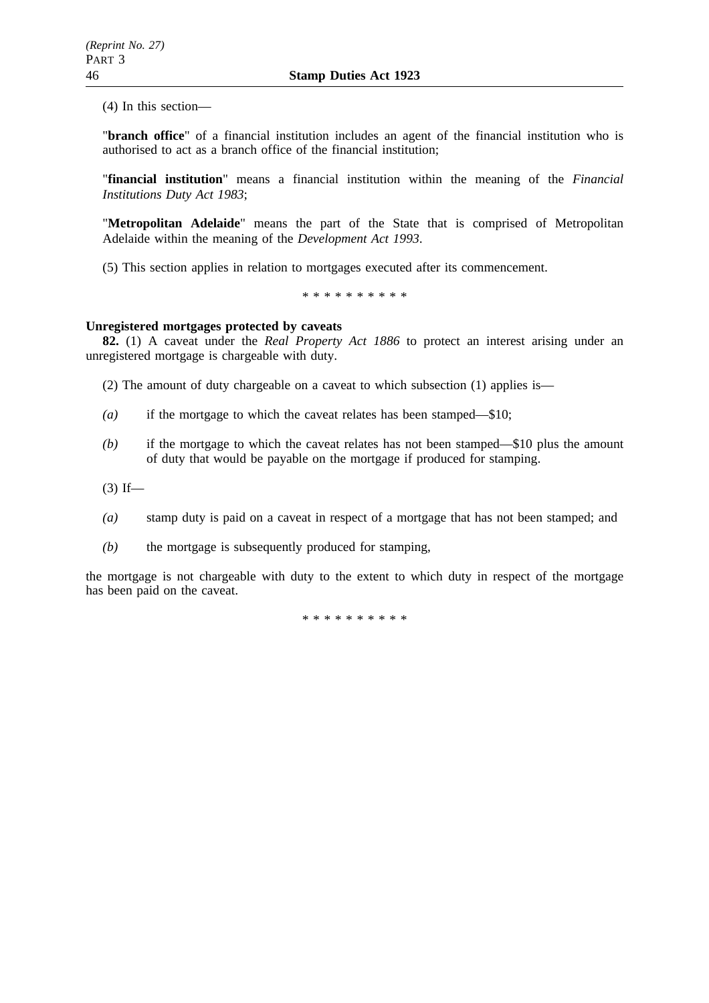(4) In this section—

"**branch office**" of a financial institution includes an agent of the financial institution who is authorised to act as a branch office of the financial institution;

"**financial institution**" means a financial institution within the meaning of the *Financial Institutions Duty Act 1983*;

"**Metropolitan Adelaide**" means the part of the State that is comprised of Metropolitan Adelaide within the meaning of the *Development Act 1993*.

(5) This section applies in relation to mortgages executed after its commencement.

\*\*\*\*\*\*\*\*\*\*

#### **Unregistered mortgages protected by caveats**

**82.** (1) A caveat under the *Real Property Act 1886* to protect an interest arising under an unregistered mortgage is chargeable with duty.

(2) The amount of duty chargeable on a caveat to which subsection (1) applies is—

- *(a)* if the mortgage to which the caveat relates has been stamped—\$10;
- *(b)* if the mortgage to which the caveat relates has not been stamped—\$10 plus the amount of duty that would be payable on the mortgage if produced for stamping.

 $(3)$  If—

- *(a)* stamp duty is paid on a caveat in respect of a mortgage that has not been stamped; and
- *(b)* the mortgage is subsequently produced for stamping,

the mortgage is not chargeable with duty to the extent to which duty in respect of the mortgage has been paid on the caveat.

\*\*\*\*\*\*\*\*\*\*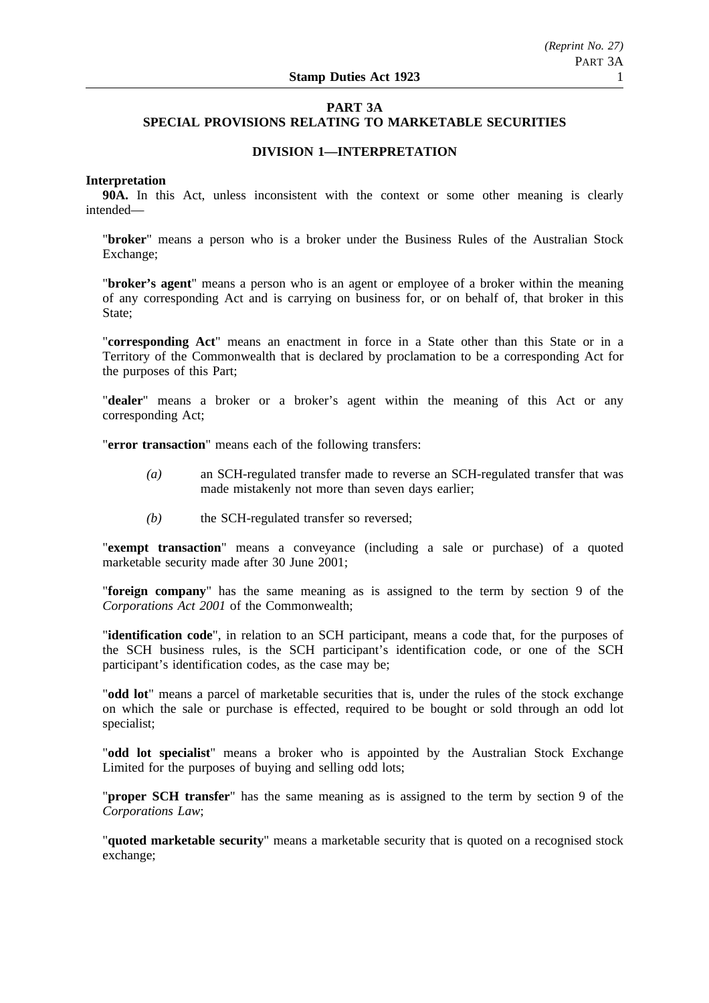# **PART 3A SPECIAL PROVISIONS RELATING TO MARKETABLE SECURITIES**

# **DIVISION 1—INTERPRETATION**

### **Interpretation**

**90A.** In this Act, unless inconsistent with the context or some other meaning is clearly intended—

"**broker**" means a person who is a broker under the Business Rules of the Australian Stock Exchange;

"**broker's agent**" means a person who is an agent or employee of a broker within the meaning of any corresponding Act and is carrying on business for, or on behalf of, that broker in this State:

"**corresponding Act**" means an enactment in force in a State other than this State or in a Territory of the Commonwealth that is declared by proclamation to be a corresponding Act for the purposes of this Part;

"**dealer**" means a broker or a broker's agent within the meaning of this Act or any corresponding Act;

"**error transaction**" means each of the following transfers:

- *(a)* an SCH-regulated transfer made to reverse an SCH-regulated transfer that was made mistakenly not more than seven days earlier;
- *(b)* the SCH-regulated transfer so reversed;

"**exempt transaction**" means a conveyance (including a sale or purchase) of a quoted marketable security made after 30 June 2001;

"**foreign company**" has the same meaning as is assigned to the term by section 9 of the *Corporations Act 2001* of the Commonwealth;

"**identification code**", in relation to an SCH participant, means a code that, for the purposes of the SCH business rules, is the SCH participant's identification code, or one of the SCH participant's identification codes, as the case may be;

"**odd lot**" means a parcel of marketable securities that is, under the rules of the stock exchange on which the sale or purchase is effected, required to be bought or sold through an odd lot specialist;

"**odd lot specialist**" means a broker who is appointed by the Australian Stock Exchange Limited for the purposes of buying and selling odd lots;

"**proper SCH transfer**" has the same meaning as is assigned to the term by section 9 of the *Corporations Law*;

"**quoted marketable security**" means a marketable security that is quoted on a recognised stock exchange;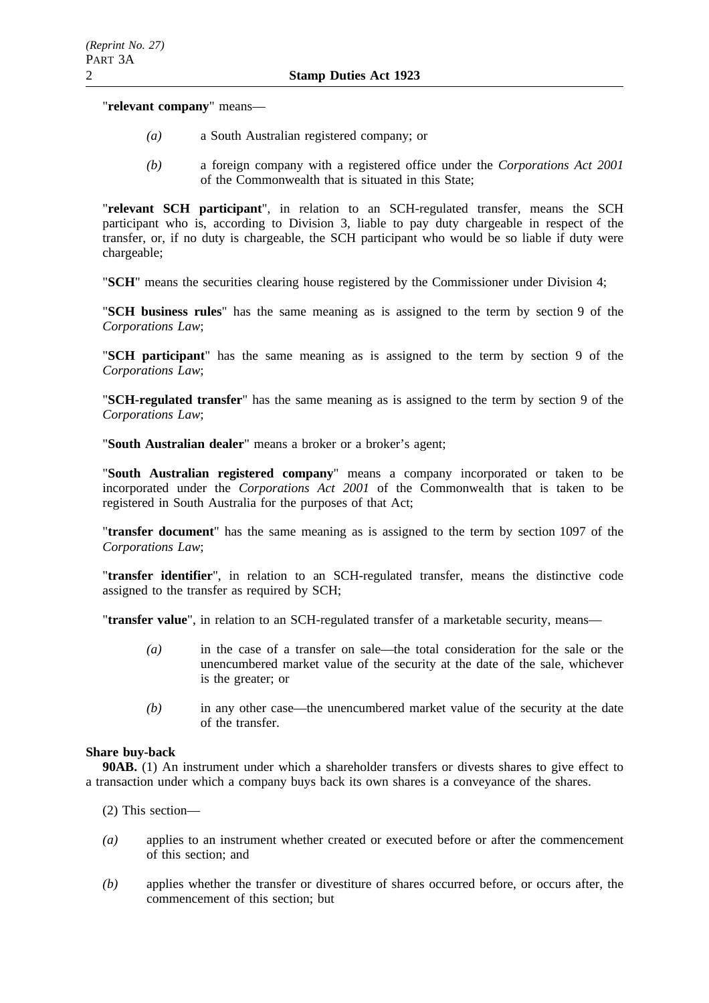"**relevant company**" means—

- *(a)* a South Australian registered company; or
- *(b)* a foreign company with a registered office under the *Corporations Act 2001* of the Commonwealth that is situated in this State;

"**relevant SCH participant**", in relation to an SCH-regulated transfer, means the SCH participant who is, according to Division 3, liable to pay duty chargeable in respect of the transfer, or, if no duty is chargeable, the SCH participant who would be so liable if duty were chargeable;

"**SCH**" means the securities clearing house registered by the Commissioner under Division 4;

"**SCH business rules**" has the same meaning as is assigned to the term by section 9 of the *Corporations Law*;

"**SCH participant**" has the same meaning as is assigned to the term by section 9 of the *Corporations Law*;

"**SCH-regulated transfer**" has the same meaning as is assigned to the term by section 9 of the *Corporations Law*;

"**South Australian dealer**" means a broker or a broker's agent;

"**South Australian registered company**" means a company incorporated or taken to be incorporated under the *Corporations Act 2001* of the Commonwealth that is taken to be registered in South Australia for the purposes of that Act;

"**transfer document**" has the same meaning as is assigned to the term by section 1097 of the *Corporations Law*;

"**transfer identifier**", in relation to an SCH-regulated transfer, means the distinctive code assigned to the transfer as required by SCH;

"**transfer value**", in relation to an SCH-regulated transfer of a marketable security, means—

- *(a)* in the case of a transfer on sale—the total consideration for the sale or the unencumbered market value of the security at the date of the sale, whichever is the greater; or
- *(b)* in any other case—the unencumbered market value of the security at the date of the transfer.

# **Share buy-back**

**90AB.** (1) An instrument under which a shareholder transfers or divests shares to give effect to a transaction under which a company buys back its own shares is a conveyance of the shares.

- (2) This section—
- *(a)* applies to an instrument whether created or executed before or after the commencement of this section; and
- *(b)* applies whether the transfer or divestiture of shares occurred before, or occurs after, the commencement of this section; but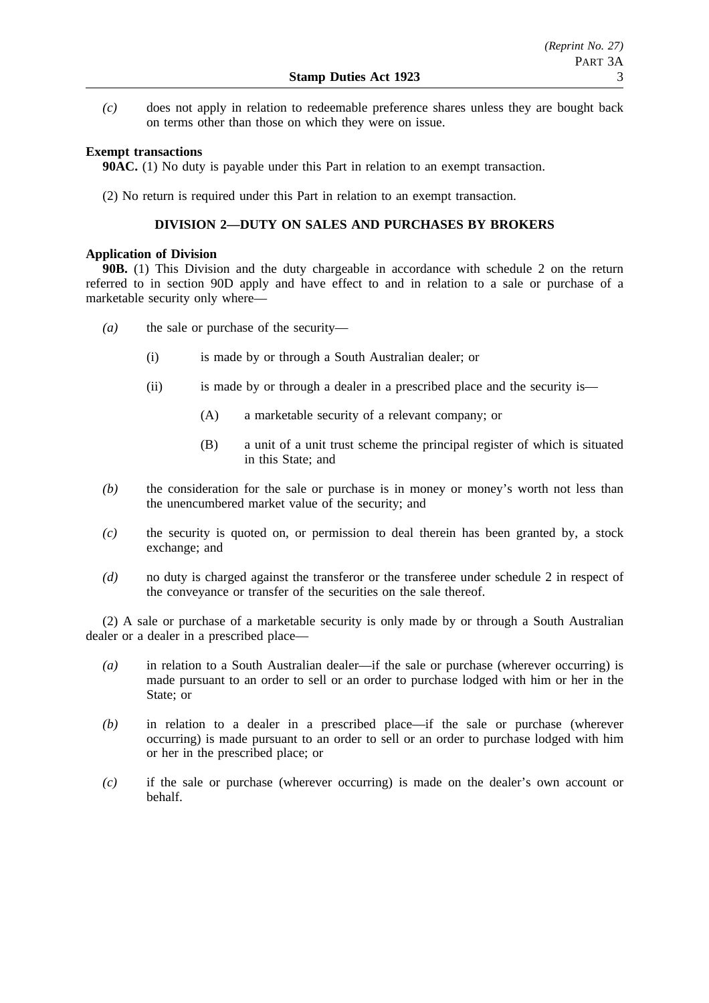*(c)* does not apply in relation to redeemable preference shares unless they are bought back on terms other than those on which they were on issue.

# **Exempt transactions**

**90AC.** (1) No duty is payable under this Part in relation to an exempt transaction.

(2) No return is required under this Part in relation to an exempt transaction.

# **DIVISION 2—DUTY ON SALES AND PURCHASES BY BROKERS**

## **Application of Division**

**90B.** (1) This Division and the duty chargeable in accordance with schedule 2 on the return referred to in section 90D apply and have effect to and in relation to a sale or purchase of a marketable security only where—

- *(a)* the sale or purchase of the security—
	- (i) is made by or through a South Australian dealer; or
	- (ii) is made by or through a dealer in a prescribed place and the security is—
		- (A) a marketable security of a relevant company; or
		- (B) a unit of a unit trust scheme the principal register of which is situated in this State; and
- *(b)* the consideration for the sale or purchase is in money or money's worth not less than the unencumbered market value of the security; and
- *(c)* the security is quoted on, or permission to deal therein has been granted by, a stock exchange; and
- *(d)* no duty is charged against the transferor or the transferee under schedule 2 in respect of the conveyance or transfer of the securities on the sale thereof.

(2) A sale or purchase of a marketable security is only made by or through a South Australian dealer or a dealer in a prescribed place—

- *(a)* in relation to a South Australian dealer—if the sale or purchase (wherever occurring) is made pursuant to an order to sell or an order to purchase lodged with him or her in the State; or
- *(b)* in relation to a dealer in a prescribed place—if the sale or purchase (wherever occurring) is made pursuant to an order to sell or an order to purchase lodged with him or her in the prescribed place; or
- *(c)* if the sale or purchase (wherever occurring) is made on the dealer's own account or behalf.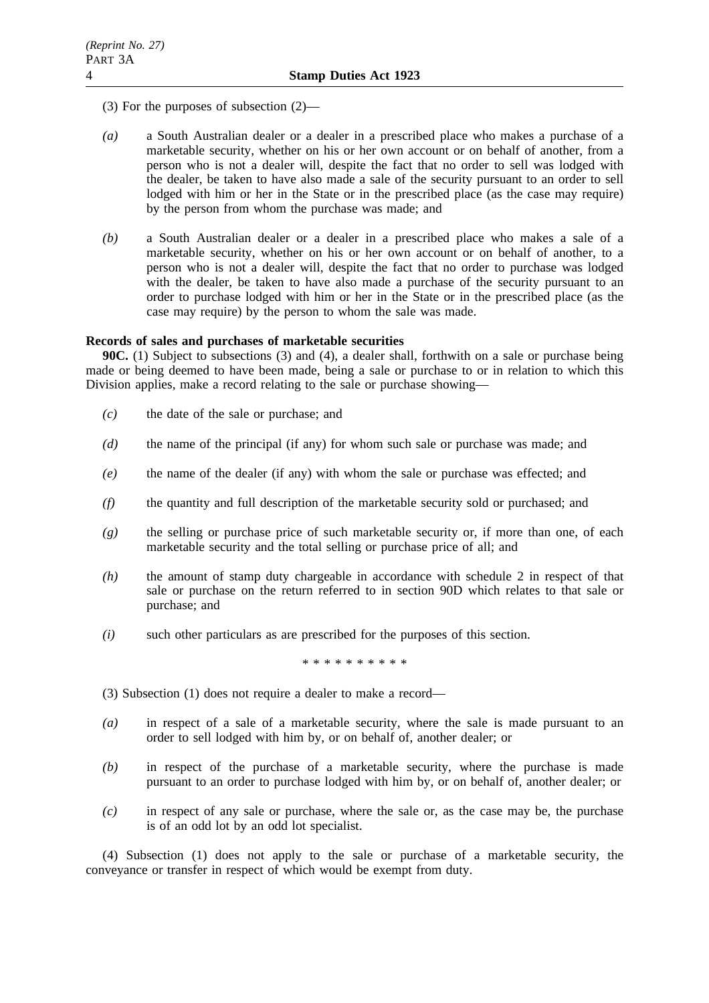- (3) For the purposes of subsection (2)—
- *(a)* a South Australian dealer or a dealer in a prescribed place who makes a purchase of a marketable security, whether on his or her own account or on behalf of another, from a person who is not a dealer will, despite the fact that no order to sell was lodged with the dealer, be taken to have also made a sale of the security pursuant to an order to sell lodged with him or her in the State or in the prescribed place (as the case may require) by the person from whom the purchase was made; and
- *(b)* a South Australian dealer or a dealer in a prescribed place who makes a sale of a marketable security, whether on his or her own account or on behalf of another, to a person who is not a dealer will, despite the fact that no order to purchase was lodged with the dealer, be taken to have also made a purchase of the security pursuant to an order to purchase lodged with him or her in the State or in the prescribed place (as the case may require) by the person to whom the sale was made.

## **Records of sales and purchases of marketable securities**

**90C.** (1) Subject to subsections (3) and (4), a dealer shall, forthwith on a sale or purchase being made or being deemed to have been made, being a sale or purchase to or in relation to which this Division applies, make a record relating to the sale or purchase showing—

- *(c)* the date of the sale or purchase; and
- *(d)* the name of the principal (if any) for whom such sale or purchase was made; and
- *(e)* the name of the dealer (if any) with whom the sale or purchase was effected; and
- *(f)* the quantity and full description of the marketable security sold or purchased; and
- *(g)* the selling or purchase price of such marketable security or, if more than one, of each marketable security and the total selling or purchase price of all; and
- *(h)* the amount of stamp duty chargeable in accordance with schedule 2 in respect of that sale or purchase on the return referred to in section 90D which relates to that sale or purchase; and
- *(i)* such other particulars as are prescribed for the purposes of this section.

\*\*\*\*\*\*\*\*\*\*

- (3) Subsection (1) does not require a dealer to make a record—
- *(a)* in respect of a sale of a marketable security, where the sale is made pursuant to an order to sell lodged with him by, or on behalf of, another dealer; or
- *(b)* in respect of the purchase of a marketable security, where the purchase is made pursuant to an order to purchase lodged with him by, or on behalf of, another dealer; or
- *(c)* in respect of any sale or purchase, where the sale or, as the case may be, the purchase is of an odd lot by an odd lot specialist.

(4) Subsection (1) does not apply to the sale or purchase of a marketable security, the conveyance or transfer in respect of which would be exempt from duty.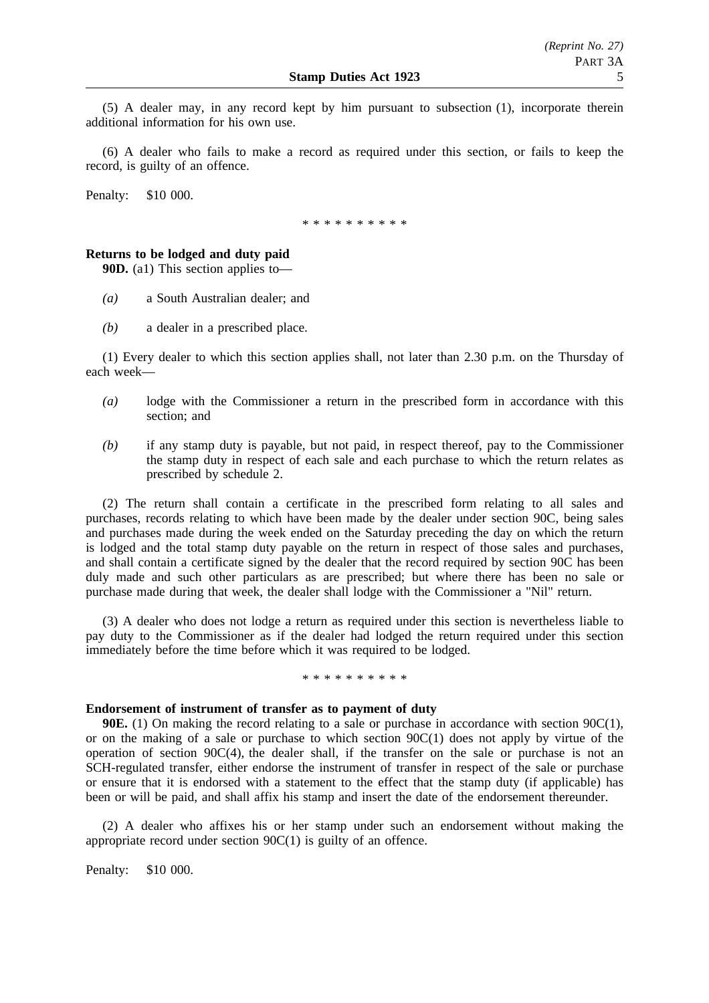(5) A dealer may, in any record kept by him pursuant to subsection (1), incorporate therein additional information for his own use.

(6) A dealer who fails to make a record as required under this section, or fails to keep the record, is guilty of an offence.

Penalty: \$10 000.

\* \* \* \* \* \* \* \* \*

## **Returns to be lodged and duty paid**

**90D.** (a1) This section applies to—

- *(a)* a South Australian dealer; and
- *(b)* a dealer in a prescribed place.

(1) Every dealer to which this section applies shall, not later than 2.30 p.m. on the Thursday of each week—

- *(a)* lodge with the Commissioner a return in the prescribed form in accordance with this section; and
- *(b)* if any stamp duty is payable, but not paid, in respect thereof, pay to the Commissioner the stamp duty in respect of each sale and each purchase to which the return relates as prescribed by schedule 2.

(2) The return shall contain a certificate in the prescribed form relating to all sales and purchases, records relating to which have been made by the dealer under section 90C, being sales and purchases made during the week ended on the Saturday preceding the day on which the return is lodged and the total stamp duty payable on the return in respect of those sales and purchases, and shall contain a certificate signed by the dealer that the record required by section 90C has been duly made and such other particulars as are prescribed; but where there has been no sale or purchase made during that week, the dealer shall lodge with the Commissioner a "Nil" return.

(3) A dealer who does not lodge a return as required under this section is nevertheless liable to pay duty to the Commissioner as if the dealer had lodged the return required under this section immediately before the time before which it was required to be lodged.

\* \* \* \* \* \* \* \* \*

## **Endorsement of instrument of transfer as to payment of duty**

**90E.** (1) On making the record relating to a sale or purchase in accordance with section 90C(1), or on the making of a sale or purchase to which section  $90C(1)$  does not apply by virtue of the operation of section 90C(4), the dealer shall, if the transfer on the sale or purchase is not an SCH-regulated transfer, either endorse the instrument of transfer in respect of the sale or purchase or ensure that it is endorsed with a statement to the effect that the stamp duty (if applicable) has been or will be paid, and shall affix his stamp and insert the date of the endorsement thereunder.

(2) A dealer who affixes his or her stamp under such an endorsement without making the appropriate record under section 90C(1) is guilty of an offence.

Penalty: \$10 000.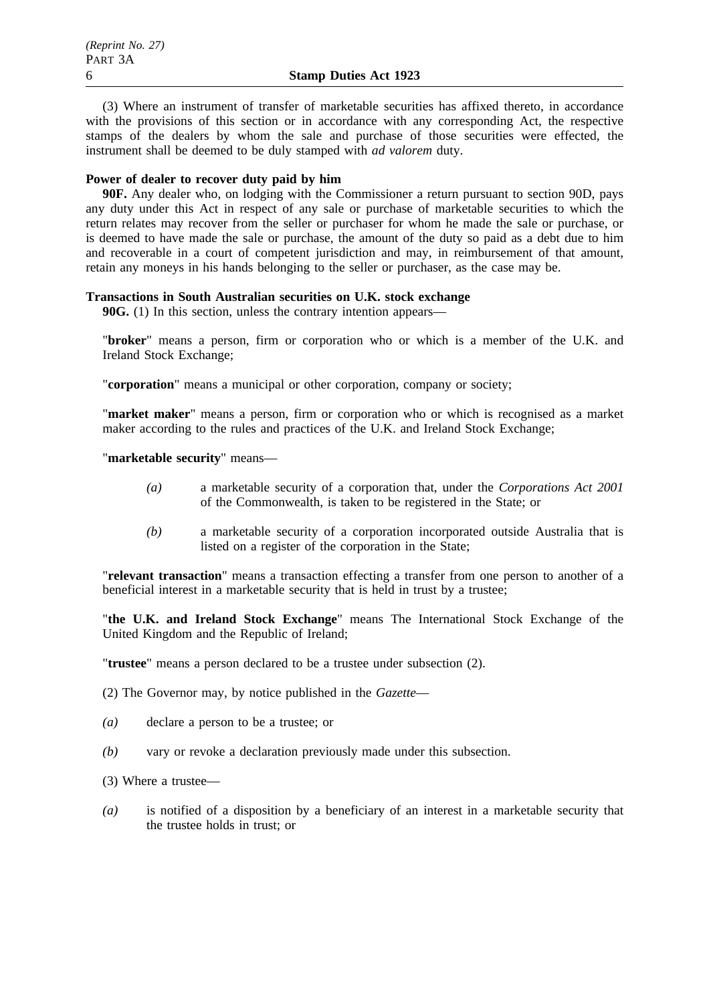(3) Where an instrument of transfer of marketable securities has affixed thereto, in accordance with the provisions of this section or in accordance with any corresponding Act, the respective stamps of the dealers by whom the sale and purchase of those securities were effected, the instrument shall be deemed to be duly stamped with *ad valorem* duty.

## **Power of dealer to recover duty paid by him**

**90F.** Any dealer who, on lodging with the Commissioner a return pursuant to section 90D, pays any duty under this Act in respect of any sale or purchase of marketable securities to which the return relates may recover from the seller or purchaser for whom he made the sale or purchase, or is deemed to have made the sale or purchase, the amount of the duty so paid as a debt due to him and recoverable in a court of competent jurisdiction and may, in reimbursement of that amount, retain any moneys in his hands belonging to the seller or purchaser, as the case may be.

# **Transactions in South Australian securities on U.K. stock exchange**

**90G.** (1) In this section, unless the contrary intention appears—

"**broker**" means a person, firm or corporation who or which is a member of the U.K. and Ireland Stock Exchange;

"**corporation**" means a municipal or other corporation, company or society;

"**market maker**" means a person, firm or corporation who or which is recognised as a market maker according to the rules and practices of the U.K. and Ireland Stock Exchange;

"**marketable security**" means—

- *(a)* a marketable security of a corporation that, under the *Corporations Act 2001* of the Commonwealth, is taken to be registered in the State; or
- *(b)* a marketable security of a corporation incorporated outside Australia that is listed on a register of the corporation in the State;

"**relevant transaction**" means a transaction effecting a transfer from one person to another of a beneficial interest in a marketable security that is held in trust by a trustee;

"**the U.K. and Ireland Stock Exchange**" means The International Stock Exchange of the United Kingdom and the Republic of Ireland;

"**trustee**" means a person declared to be a trustee under subsection (2).

(2) The Governor may, by notice published in the *Gazette*—

- *(a)* declare a person to be a trustee; or
- *(b)* vary or revoke a declaration previously made under this subsection.

(3) Where a trustee—

*(a)* is notified of a disposition by a beneficiary of an interest in a marketable security that the trustee holds in trust; or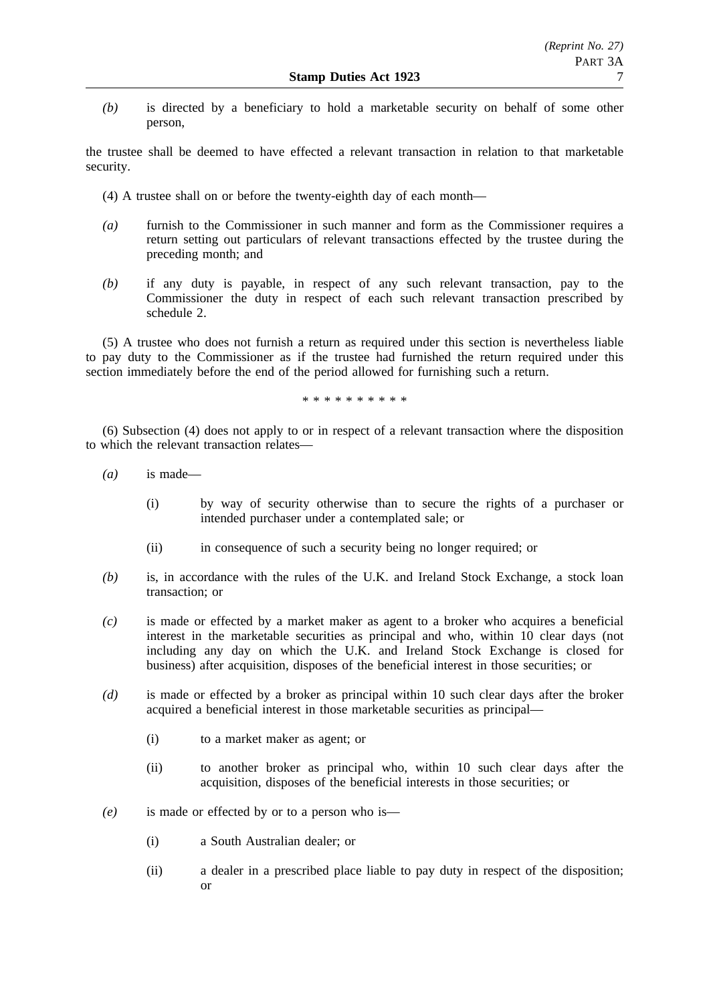*(b)* is directed by a beneficiary to hold a marketable security on behalf of some other person,

the trustee shall be deemed to have effected a relevant transaction in relation to that marketable security.

- (4) A trustee shall on or before the twenty-eighth day of each month—
- *(a)* furnish to the Commissioner in such manner and form as the Commissioner requires a return setting out particulars of relevant transactions effected by the trustee during the preceding month; and
- *(b)* if any duty is payable, in respect of any such relevant transaction, pay to the Commissioner the duty in respect of each such relevant transaction prescribed by schedule 2.

(5) A trustee who does not furnish a return as required under this section is nevertheless liable to pay duty to the Commissioner as if the trustee had furnished the return required under this section immediately before the end of the period allowed for furnishing such a return.

\*\*\*\*\*\*\*\*\*\*

(6) Subsection (4) does not apply to or in respect of a relevant transaction where the disposition to which the relevant transaction relates—

- *(a)* is made—
	- (i) by way of security otherwise than to secure the rights of a purchaser or intended purchaser under a contemplated sale; or
	- (ii) in consequence of such a security being no longer required; or
- *(b)* is, in accordance with the rules of the U.K. and Ireland Stock Exchange, a stock loan transaction; or
- *(c)* is made or effected by a market maker as agent to a broker who acquires a beneficial interest in the marketable securities as principal and who, within 10 clear days (not including any day on which the U.K. and Ireland Stock Exchange is closed for business) after acquisition, disposes of the beneficial interest in those securities; or
- *(d)* is made or effected by a broker as principal within 10 such clear days after the broker acquired a beneficial interest in those marketable securities as principal—
	- (i) to a market maker as agent; or
	- (ii) to another broker as principal who, within 10 such clear days after the acquisition, disposes of the beneficial interests in those securities; or
- *(e)* is made or effected by or to a person who is—
	- (i) a South Australian dealer; or
	- (ii) a dealer in a prescribed place liable to pay duty in respect of the disposition; or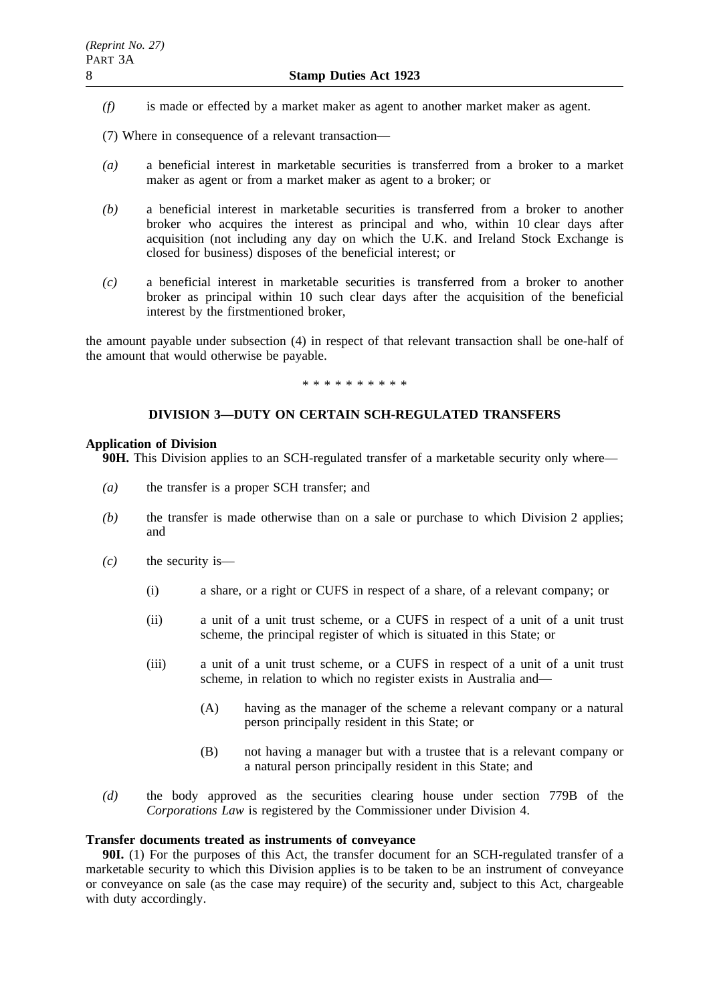- *(f)* is made or effected by a market maker as agent to another market maker as agent.
- (7) Where in consequence of a relevant transaction—
- *(a)* a beneficial interest in marketable securities is transferred from a broker to a market maker as agent or from a market maker as agent to a broker; or
- *(b)* a beneficial interest in marketable securities is transferred from a broker to another broker who acquires the interest as principal and who, within 10 clear days after acquisition (not including any day on which the U.K. and Ireland Stock Exchange is closed for business) disposes of the beneficial interest; or
- *(c)* a beneficial interest in marketable securities is transferred from a broker to another broker as principal within 10 such clear days after the acquisition of the beneficial interest by the firstmentioned broker,

the amount payable under subsection (4) in respect of that relevant transaction shall be one-half of the amount that would otherwise be payable.

\*\*\*\*\*\*\*\*\*\*

# **DIVISION 3—DUTY ON CERTAIN SCH-REGULATED TRANSFERS**

### **Application of Division**

**90H.** This Division applies to an SCH-regulated transfer of a marketable security only where—

- *(a)* the transfer is a proper SCH transfer; and
- *(b)* the transfer is made otherwise than on a sale or purchase to which Division 2 applies; and
- *(c)* the security is—
	- (i) a share, or a right or CUFS in respect of a share, of a relevant company; or
	- (ii) a unit of a unit trust scheme, or a CUFS in respect of a unit of a unit trust scheme, the principal register of which is situated in this State; or
	- (iii) a unit of a unit trust scheme, or a CUFS in respect of a unit of a unit trust scheme, in relation to which no register exists in Australia and—
		- (A) having as the manager of the scheme a relevant company or a natural person principally resident in this State; or
		- (B) not having a manager but with a trustee that is a relevant company or a natural person principally resident in this State; and
- *(d)* the body approved as the securities clearing house under section 779B of the *Corporations Law* is registered by the Commissioner under Division 4.

## **Transfer documents treated as instruments of conveyance**

**90I.** (1) For the purposes of this Act, the transfer document for an SCH-regulated transfer of a marketable security to which this Division applies is to be taken to be an instrument of conveyance or conveyance on sale (as the case may require) of the security and, subject to this Act, chargeable with duty accordingly.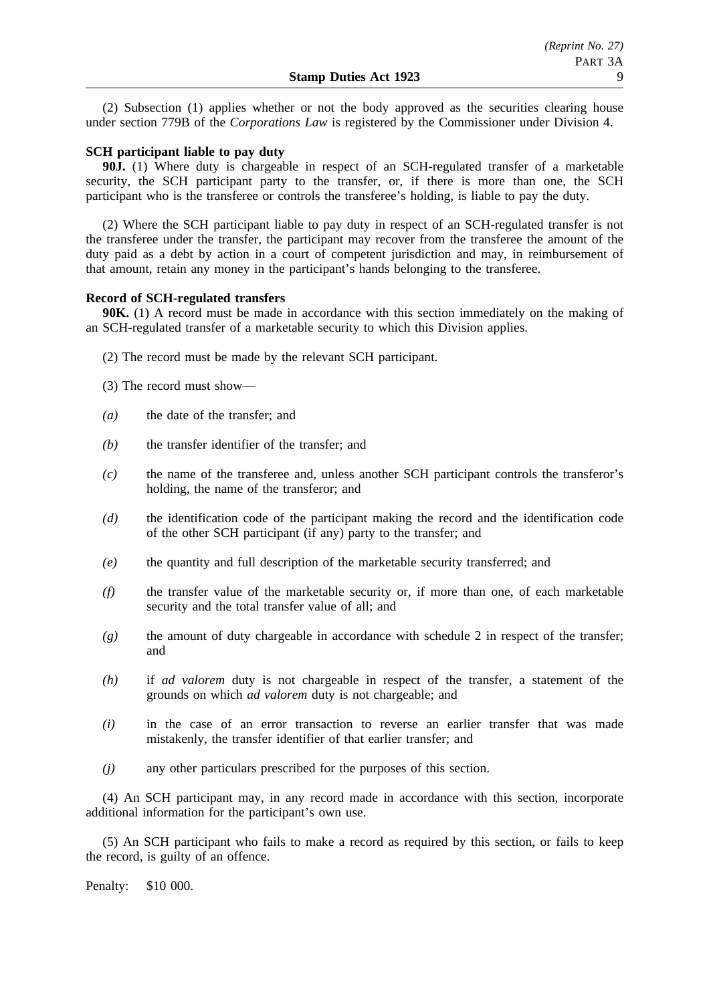(2) Subsection (1) applies whether or not the body approved as the securities clearing house under section 779B of the *Corporations Law* is registered by the Commissioner under Division 4.

## **SCH participant liable to pay duty**

**90J.** (1) Where duty is chargeable in respect of an SCH-regulated transfer of a marketable security, the SCH participant party to the transfer, or, if there is more than one, the SCH participant who is the transferee or controls the transferee's holding, is liable to pay the duty.

(2) Where the SCH participant liable to pay duty in respect of an SCH-regulated transfer is not the transferee under the transfer, the participant may recover from the transferee the amount of the duty paid as a debt by action in a court of competent jurisdiction and may, in reimbursement of that amount, retain any money in the participant's hands belonging to the transferee.

### **Record of SCH-regulated transfers**

**90K.** (1) A record must be made in accordance with this section immediately on the making of an SCH-regulated transfer of a marketable security to which this Division applies.

- (2) The record must be made by the relevant SCH participant.
- (3) The record must show—
- *(a)* the date of the transfer; and
- *(b)* the transfer identifier of the transfer; and
- *(c)* the name of the transferee and, unless another SCH participant controls the transferor's holding, the name of the transferor; and
- *(d)* the identification code of the participant making the record and the identification code of the other SCH participant (if any) party to the transfer; and
- *(e)* the quantity and full description of the marketable security transferred; and
- *(f)* the transfer value of the marketable security or, if more than one, of each marketable security and the total transfer value of all; and
- *(g)* the amount of duty chargeable in accordance with schedule 2 in respect of the transfer; and
- *(h)* if *ad valorem* duty is not chargeable in respect of the transfer, a statement of the grounds on which *ad valorem* duty is not chargeable; and
- *(i)* in the case of an error transaction to reverse an earlier transfer that was made mistakenly, the transfer identifier of that earlier transfer; and
- *(j)* any other particulars prescribed for the purposes of this section.

(4) An SCH participant may, in any record made in accordance with this section, incorporate additional information for the participant's own use.

(5) An SCH participant who fails to make a record as required by this section, or fails to keep the record, is guilty of an offence.

Penalty: \$10 000.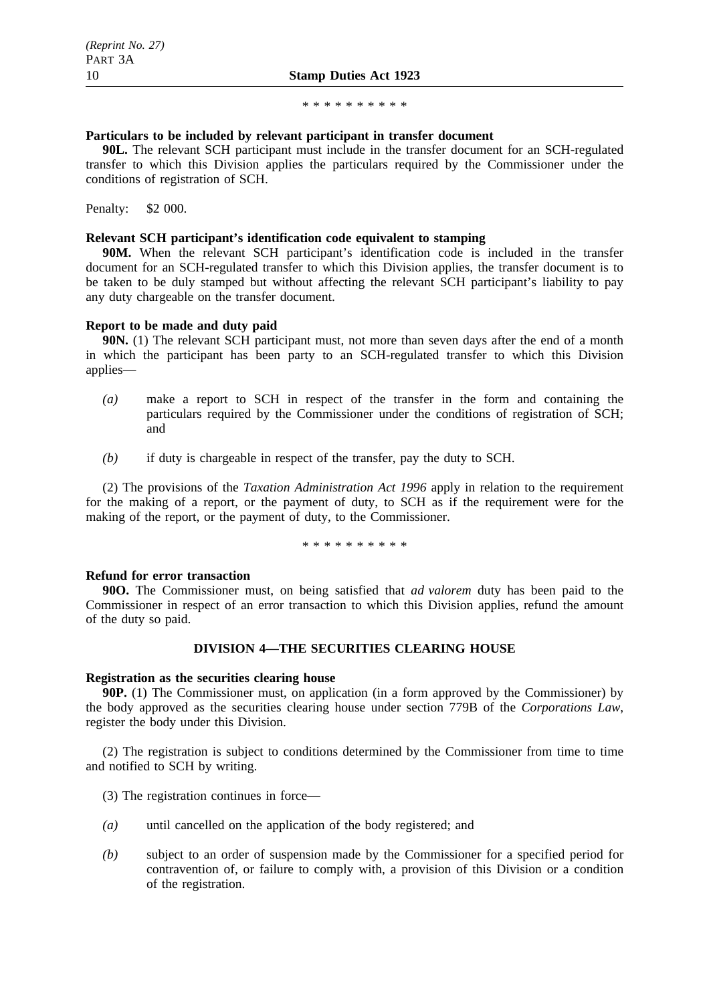#### \*\*\*\*\*\*\*\*\*\*

### **Particulars to be included by relevant participant in transfer document**

**90L.** The relevant SCH participant must include in the transfer document for an SCH-regulated transfer to which this Division applies the particulars required by the Commissioner under the conditions of registration of SCH.

Penalty: \$2 000.

### **Relevant SCH participant's identification code equivalent to stamping**

**90M.** When the relevant SCH participant's identification code is included in the transfer document for an SCH-regulated transfer to which this Division applies, the transfer document is to be taken to be duly stamped but without affecting the relevant SCH participant's liability to pay any duty chargeable on the transfer document.

### **Report to be made and duty paid**

**90N.** (1) The relevant SCH participant must, not more than seven days after the end of a month in which the participant has been party to an SCH-regulated transfer to which this Division applies—

- *(a)* make a report to SCH in respect of the transfer in the form and containing the particulars required by the Commissioner under the conditions of registration of SCH; and
- *(b)* if duty is chargeable in respect of the transfer, pay the duty to SCH.

(2) The provisions of the *Taxation Administration Act 1996* apply in relation to the requirement for the making of a report, or the payment of duty, to SCH as if the requirement were for the making of the report, or the payment of duty, to the Commissioner.

\*\*\*\*\*\*\*\*\*\*

### **Refund for error transaction**

**90O.** The Commissioner must, on being satisfied that *ad valorem* duty has been paid to the Commissioner in respect of an error transaction to which this Division applies, refund the amount of the duty so paid.

## **DIVISION 4—THE SECURITIES CLEARING HOUSE**

#### **Registration as the securities clearing house**

**90P.** (1) The Commissioner must, on application (in a form approved by the Commissioner) by the body approved as the securities clearing house under section 779B of the *Corporations Law*, register the body under this Division.

(2) The registration is subject to conditions determined by the Commissioner from time to time and notified to SCH by writing.

(3) The registration continues in force—

- *(a)* until cancelled on the application of the body registered; and
- *(b)* subject to an order of suspension made by the Commissioner for a specified period for contravention of, or failure to comply with, a provision of this Division or a condition of the registration.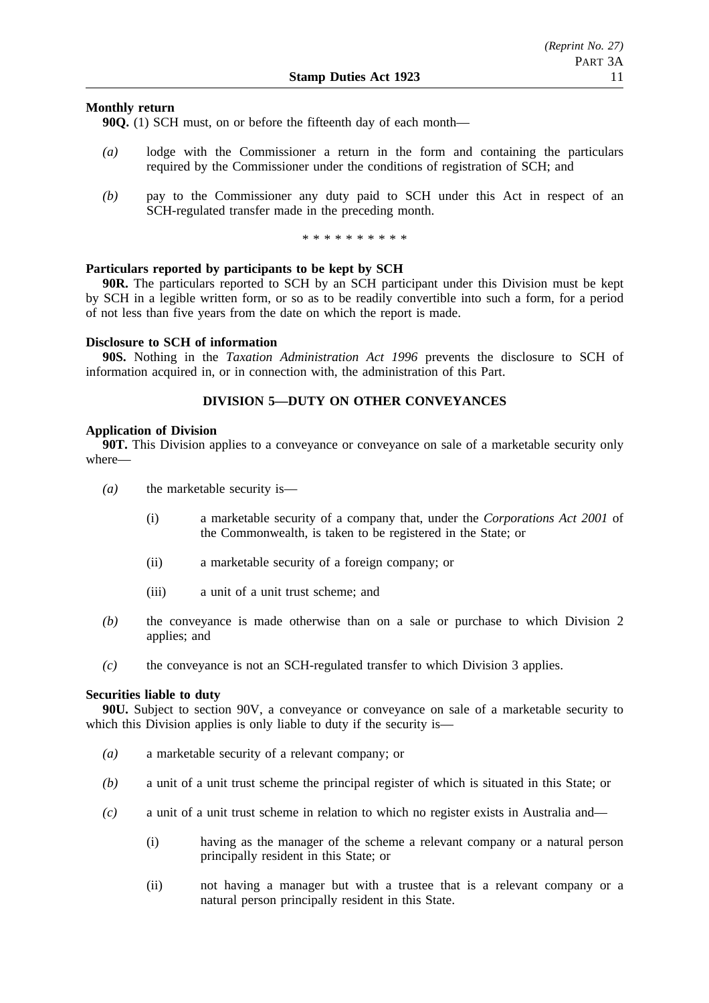## **Monthly return**

**90Q.** (1) SCH must, on or before the fifteenth day of each month—

- *(a)* lodge with the Commissioner a return in the form and containing the particulars required by the Commissioner under the conditions of registration of SCH; and
- *(b)* pay to the Commissioner any duty paid to SCH under this Act in respect of an SCH-regulated transfer made in the preceding month.

\*\*\*\*\*\*\*\*\*\*

## **Particulars reported by participants to be kept by SCH**

**90R.** The particulars reported to SCH by an SCH participant under this Division must be kept by SCH in a legible written form, or so as to be readily convertible into such a form, for a period of not less than five years from the date on which the report is made.

## **Disclosure to SCH of information**

**90S.** Nothing in the *Taxation Administration Act 1996* prevents the disclosure to SCH of information acquired in, or in connection with, the administration of this Part.

# **DIVISION 5—DUTY ON OTHER CONVEYANCES**

### **Application of Division**

**90T.** This Division applies to a conveyance or conveyance on sale of a marketable security only where—

- *(a)* the marketable security is—
	- (i) a marketable security of a company that, under the *Corporations Act 2001* of the Commonwealth, is taken to be registered in the State; or
	- (ii) a marketable security of a foreign company; or
	- (iii) a unit of a unit trust scheme; and
- *(b)* the conveyance is made otherwise than on a sale or purchase to which Division 2 applies; and
- *(c)* the conveyance is not an SCH-regulated transfer to which Division 3 applies.

#### **Securities liable to duty**

**90U.** Subject to section 90V, a conveyance or conveyance on sale of a marketable security to which this Division applies is only liable to duty if the security is—

- *(a)* a marketable security of a relevant company; or
- *(b)* a unit of a unit trust scheme the principal register of which is situated in this State; or
- *(c)* a unit of a unit trust scheme in relation to which no register exists in Australia and—
	- (i) having as the manager of the scheme a relevant company or a natural person principally resident in this State; or
	- (ii) not having a manager but with a trustee that is a relevant company or a natural person principally resident in this State.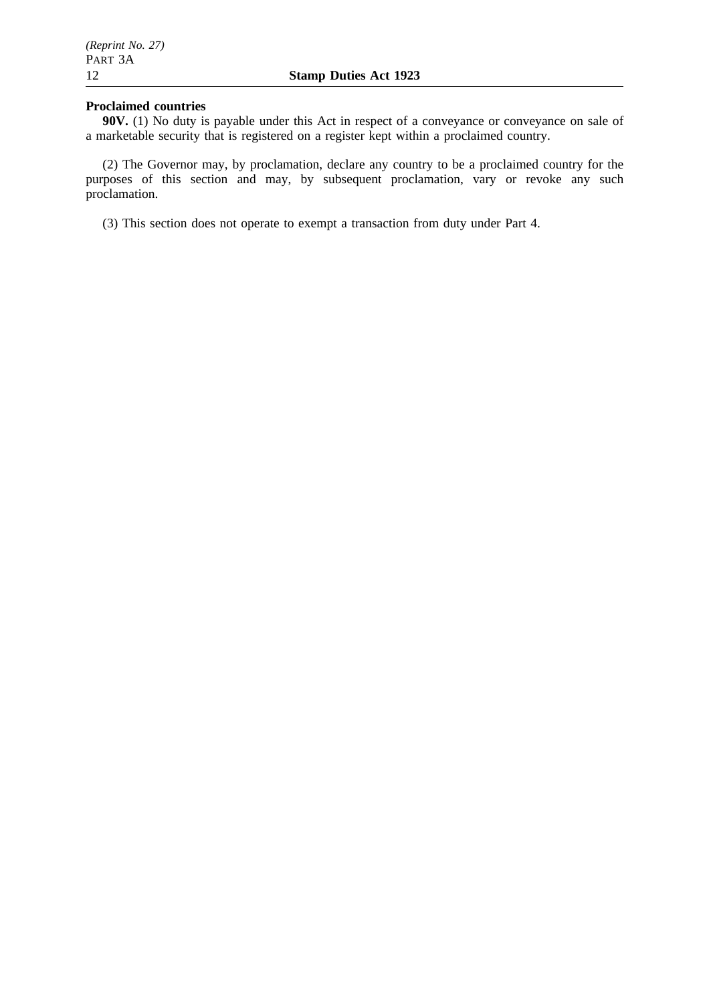## **Proclaimed countries**

**90V.** (1) No duty is payable under this Act in respect of a conveyance or conveyance on sale of a marketable security that is registered on a register kept within a proclaimed country.

(2) The Governor may, by proclamation, declare any country to be a proclaimed country for the purposes of this section and may, by subsequent proclamation, vary or revoke any such proclamation.

(3) This section does not operate to exempt a transaction from duty under Part 4.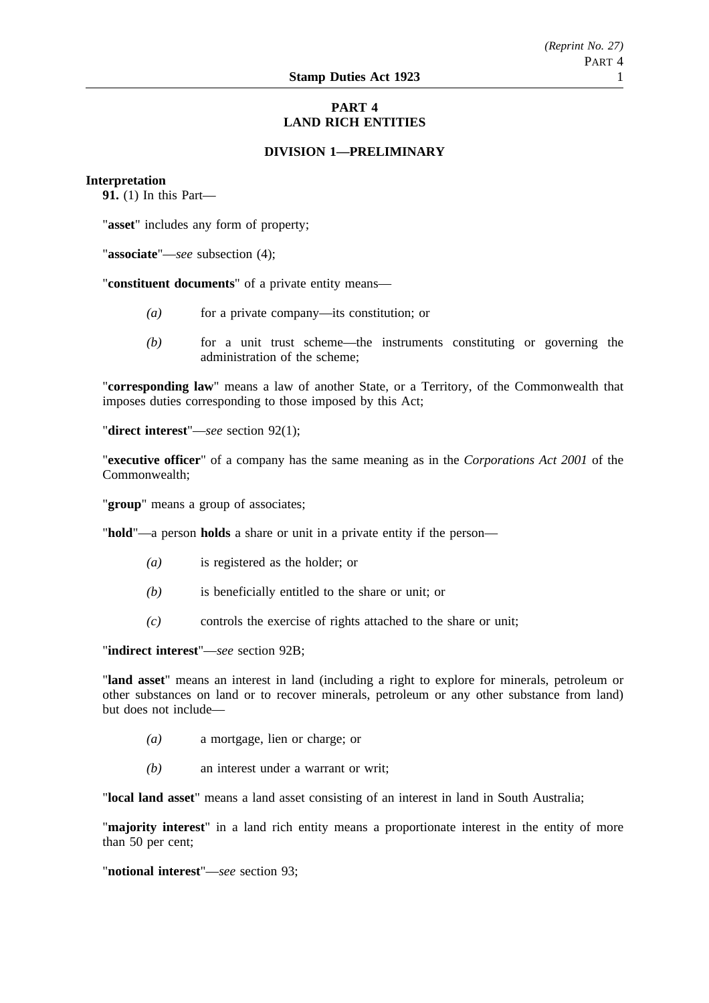# **PART 4 LAND RICH ENTITIES**

# **DIVISION 1—PRELIMINARY**

### **Interpretation**

**91.** (1) In this Part—

"**asset**" includes any form of property;

"**associate**"—*see* subsection (4);

"**constituent documents**" of a private entity means—

- *(a)* for a private company—its constitution; or
- *(b)* for a unit trust scheme—the instruments constituting or governing the administration of the scheme;

"**corresponding law**" means a law of another State, or a Territory, of the Commonwealth that imposes duties corresponding to those imposed by this Act;

"**direct interest**"—*see* section 92(1);

"**executive officer**" of a company has the same meaning as in the *Corporations Act 2001* of the Commonwealth;

"**group**" means a group of associates;

"**hold**"—a person **holds** a share or unit in a private entity if the person—

- *(a)* is registered as the holder; or
- *(b)* is beneficially entitled to the share or unit; or
- *(c)* controls the exercise of rights attached to the share or unit;

"**indirect interest**"—*see* section 92B;

"**land asset**" means an interest in land (including a right to explore for minerals, petroleum or other substances on land or to recover minerals, petroleum or any other substance from land) but does not include—

- *(a)* a mortgage, lien or charge; or
- *(b)* an interest under a warrant or writ;

"**local land asset**" means a land asset consisting of an interest in land in South Australia;

"**majority interest**" in a land rich entity means a proportionate interest in the entity of more than 50 per cent:

"**notional interest**"—*see* section 93;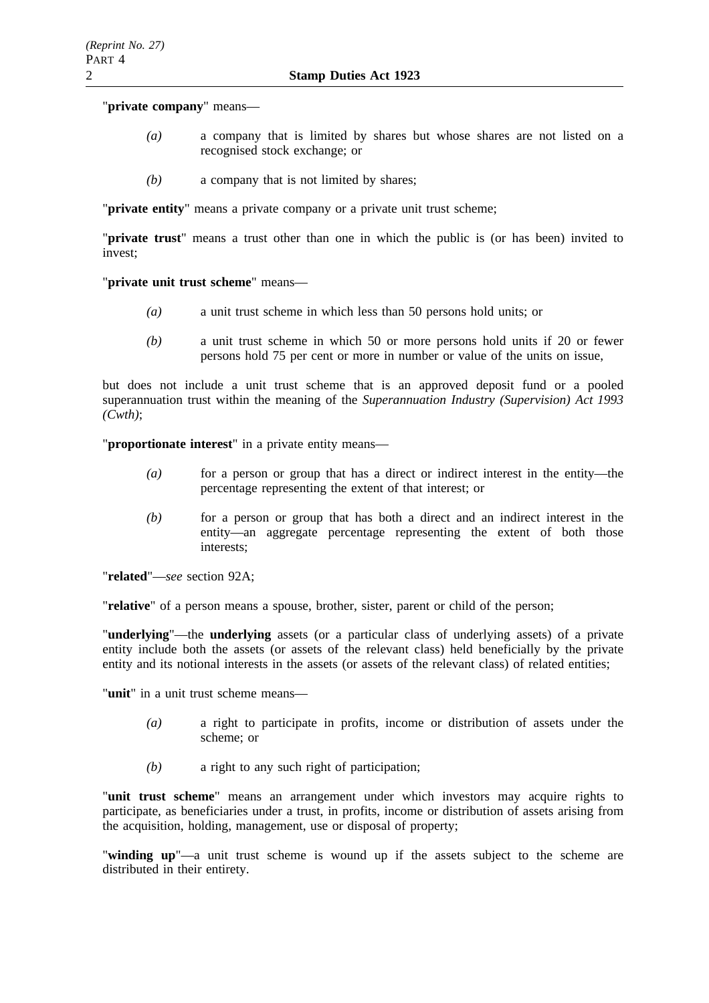## "**private company**" means—

- *(a)* a company that is limited by shares but whose shares are not listed on a recognised stock exchange; or
- *(b)* a company that is not limited by shares;

"**private entity**" means a private company or a private unit trust scheme;

"**private trust**" means a trust other than one in which the public is (or has been) invited to invest;

"**private unit trust scheme**" means—

- *(a)* a unit trust scheme in which less than 50 persons hold units; or
- *(b)* a unit trust scheme in which 50 or more persons hold units if 20 or fewer persons hold 75 per cent or more in number or value of the units on issue,

but does not include a unit trust scheme that is an approved deposit fund or a pooled superannuation trust within the meaning of the *Superannuation Industry (Supervision) Act 1993 (Cwth)*;

"**proportionate interest**" in a private entity means—

- *(a)* for a person or group that has a direct or indirect interest in the entity—the percentage representing the extent of that interest; or
- *(b)* for a person or group that has both a direct and an indirect interest in the entity—an aggregate percentage representing the extent of both those interests;

"**related**"—*see* section 92A;

"**relative**" of a person means a spouse, brother, sister, parent or child of the person;

"**underlying**"—the **underlying** assets (or a particular class of underlying assets) of a private entity include both the assets (or assets of the relevant class) held beneficially by the private entity and its notional interests in the assets (or assets of the relevant class) of related entities;

"**unit**" in a unit trust scheme means—

- *(a)* a right to participate in profits, income or distribution of assets under the scheme; or
- *(b)* a right to any such right of participation;

"**unit trust scheme**" means an arrangement under which investors may acquire rights to participate, as beneficiaries under a trust, in profits, income or distribution of assets arising from the acquisition, holding, management, use or disposal of property;

"**winding up**"—a unit trust scheme is wound up if the assets subject to the scheme are distributed in their entirety.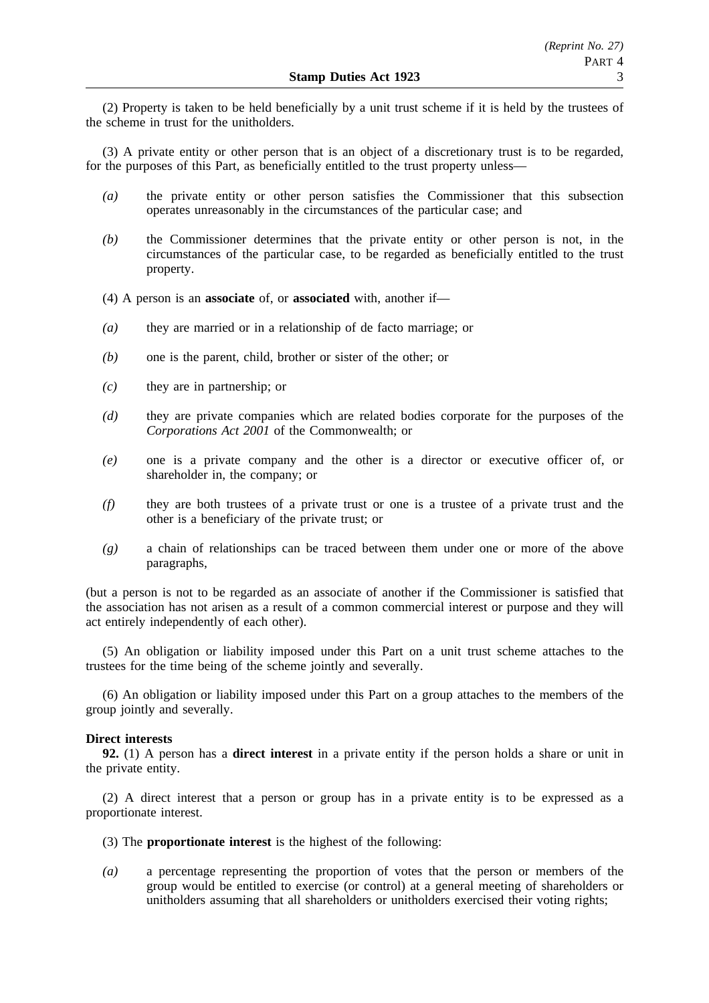(2) Property is taken to be held beneficially by a unit trust scheme if it is held by the trustees of the scheme in trust for the unitholders.

(3) A private entity or other person that is an object of a discretionary trust is to be regarded, for the purposes of this Part, as beneficially entitled to the trust property unless—

- *(a)* the private entity or other person satisfies the Commissioner that this subsection operates unreasonably in the circumstances of the particular case; and
- *(b)* the Commissioner determines that the private entity or other person is not, in the circumstances of the particular case, to be regarded as beneficially entitled to the trust property.
- (4) A person is an **associate** of, or **associated** with, another if—
- *(a)* they are married or in a relationship of de facto marriage; or
- *(b)* one is the parent, child, brother or sister of the other; or
- *(c)* they are in partnership; or
- *(d)* they are private companies which are related bodies corporate for the purposes of the *Corporations Act 2001* of the Commonwealth; or
- *(e)* one is a private company and the other is a director or executive officer of, or shareholder in, the company; or
- *(f)* they are both trustees of a private trust or one is a trustee of a private trust and the other is a beneficiary of the private trust; or
- *(g)* a chain of relationships can be traced between them under one or more of the above paragraphs,

(but a person is not to be regarded as an associate of another if the Commissioner is satisfied that the association has not arisen as a result of a common commercial interest or purpose and they will act entirely independently of each other).

(5) An obligation or liability imposed under this Part on a unit trust scheme attaches to the trustees for the time being of the scheme jointly and severally.

(6) An obligation or liability imposed under this Part on a group attaches to the members of the group jointly and severally.

## **Direct interests**

**92.** (1) A person has a **direct interest** in a private entity if the person holds a share or unit in the private entity.

(2) A direct interest that a person or group has in a private entity is to be expressed as a proportionate interest.

- (3) The **proportionate interest** is the highest of the following:
- *(a)* a percentage representing the proportion of votes that the person or members of the group would be entitled to exercise (or control) at a general meeting of shareholders or unitholders assuming that all shareholders or unitholders exercised their voting rights;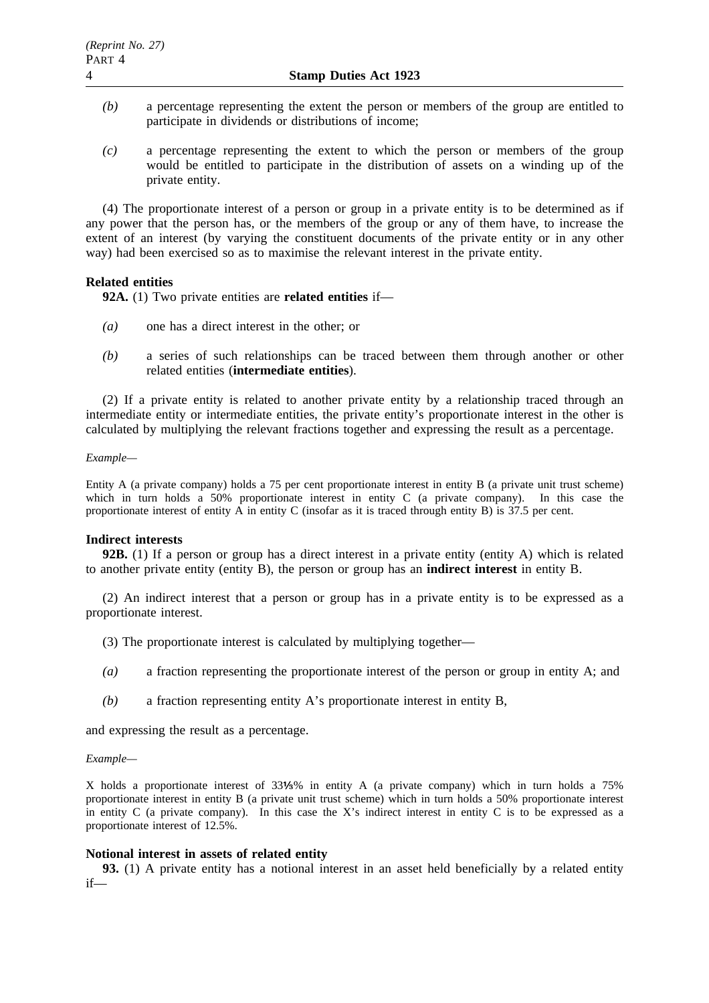- *(b)* a percentage representing the extent the person or members of the group are entitled to participate in dividends or distributions of income;
- *(c)* a percentage representing the extent to which the person or members of the group would be entitled to participate in the distribution of assets on a winding up of the private entity.

(4) The proportionate interest of a person or group in a private entity is to be determined as if any power that the person has, or the members of the group or any of them have, to increase the extent of an interest (by varying the constituent documents of the private entity or in any other way) had been exercised so as to maximise the relevant interest in the private entity.

## **Related entities**

**92A.** (1) Two private entities are **related entities** if—

- *(a)* one has a direct interest in the other; or
- *(b)* a series of such relationships can be traced between them through another or other related entities (**intermediate entities**).

(2) If a private entity is related to another private entity by a relationship traced through an intermediate entity or intermediate entities, the private entity's proportionate interest in the other is calculated by multiplying the relevant fractions together and expressing the result as a percentage.

#### *Example—*

Entity A (a private company) holds a 75 per cent proportionate interest in entity B (a private unit trust scheme) which in turn holds a 50% proportionate interest in entity C (a private company). In this case the proportionate interest of entity A in entity C (insofar as it is traced through entity B) is 37.5 per cent.

### **Indirect interests**

**92B.** (1) If a person or group has a direct interest in a private entity (entity A) which is related to another private entity (entity B), the person or group has an **indirect interest** in entity B.

(2) An indirect interest that a person or group has in a private entity is to be expressed as a proportionate interest.

- (3) The proportionate interest is calculated by multiplying together—
- *(a)* a fraction representing the proportionate interest of the person or group in entity A; and
- *(b)* a fraction representing entity A's proportionate interest in entity B,

and expressing the result as a percentage.

#### *Example—*

X holds a proportionate interest of 33 % in entity A (a private company) which in turn holds a 75% proportionate interest in entity B (a private unit trust scheme) which in turn holds a 50% proportionate interest in entity  $C$  (a private company). In this case the X's indirect interest in entity  $C$  is to be expressed as a proportionate interest of 12.5%.

### **Notional interest in assets of related entity**

**93.** (1) A private entity has a notional interest in an asset held beneficially by a related entity if—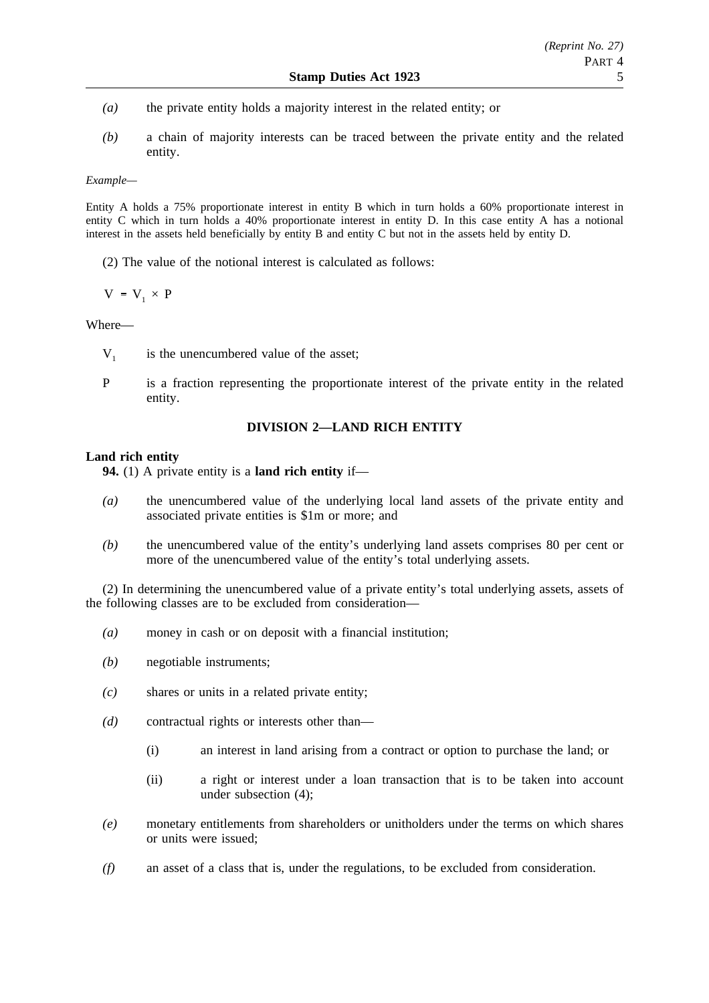- *(a)* the private entity holds a majority interest in the related entity; or
- *(b)* a chain of majority interests can be traced between the private entity and the related entity.

*Example—*

Entity A holds a 75% proportionate interest in entity B which in turn holds a 60% proportionate interest in entity C which in turn holds a 40% proportionate interest in entity D. In this case entity A has a notional interest in the assets held beneficially by entity B and entity C but not in the assets held by entity D.

(2) The value of the notional interest is calculated as follows:

 $V = V_1 \times P$ 

## Where—

- $V_1$  is the unencumbered value of the asset;
- P is a fraction representing the proportionate interest of the private entity in the related entity.

## **DIVISION 2—LAND RICH ENTITY**

## **Land rich entity**

**94.** (1) A private entity is a **land rich entity** if—

- *(a)* the unencumbered value of the underlying local land assets of the private entity and associated private entities is \$1m or more; and
- *(b)* the unencumbered value of the entity's underlying land assets comprises 80 per cent or more of the unencumbered value of the entity's total underlying assets.

(2) In determining the unencumbered value of a private entity's total underlying assets, assets of the following classes are to be excluded from consideration—

- *(a)* money in cash or on deposit with a financial institution;
- *(b)* negotiable instruments;
- *(c)* shares or units in a related private entity;
- *(d)* contractual rights or interests other than—
	- (i) an interest in land arising from a contract or option to purchase the land; or
	- (ii) a right or interest under a loan transaction that is to be taken into account under subsection (4);
- *(e)* monetary entitlements from shareholders or unitholders under the terms on which shares or units were issued;
- *(f)* an asset of a class that is, under the regulations, to be excluded from consideration.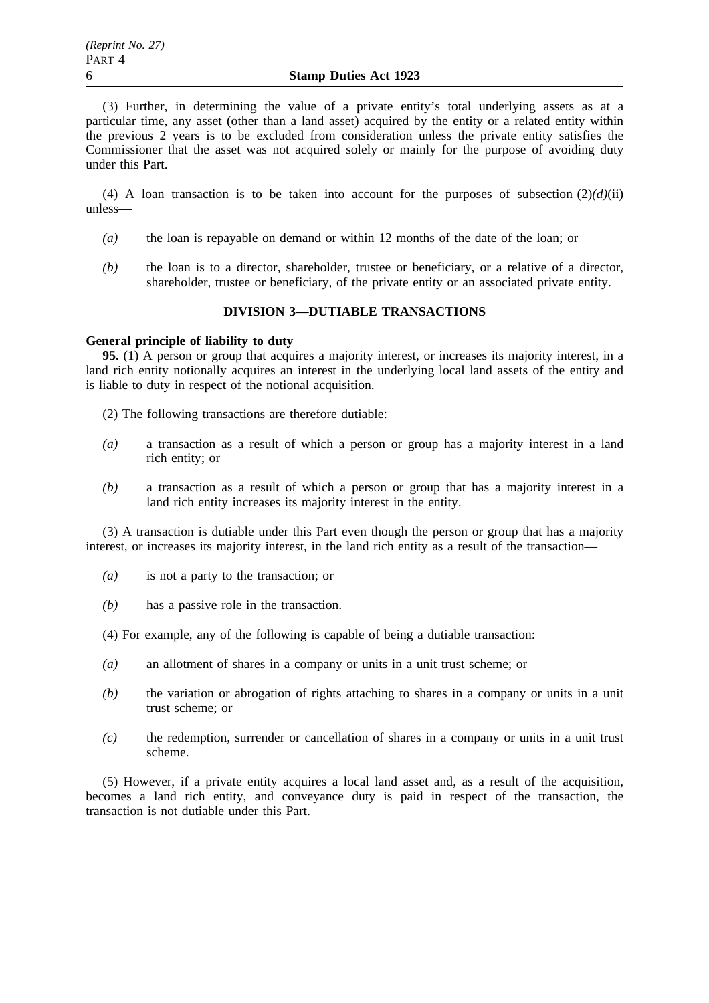(3) Further, in determining the value of a private entity's total underlying assets as at a particular time, any asset (other than a land asset) acquired by the entity or a related entity within the previous 2 years is to be excluded from consideration unless the private entity satisfies the Commissioner that the asset was not acquired solely or mainly for the purpose of avoiding duty under this Part.

(4) A loan transaction is to be taken into account for the purposes of subsection  $(2)(d)(ii)$ unless—

- *(a)* the loan is repayable on demand or within 12 months of the date of the loan; or
- *(b)* the loan is to a director, shareholder, trustee or beneficiary, or a relative of a director, shareholder, trustee or beneficiary, of the private entity or an associated private entity.

## **DIVISION 3—DUTIABLE TRANSACTIONS**

### **General principle of liability to duty**

**95.** (1) A person or group that acquires a majority interest, or increases its majority interest, in a land rich entity notionally acquires an interest in the underlying local land assets of the entity and is liable to duty in respect of the notional acquisition.

- (2) The following transactions are therefore dutiable:
- *(a)* a transaction as a result of which a person or group has a majority interest in a land rich entity; or
- *(b)* a transaction as a result of which a person or group that has a majority interest in a land rich entity increases its majority interest in the entity.

(3) A transaction is dutiable under this Part even though the person or group that has a majority interest, or increases its majority interest, in the land rich entity as a result of the transaction—

- *(a)* is not a party to the transaction; or
- *(b)* has a passive role in the transaction.
- (4) For example, any of the following is capable of being a dutiable transaction:
- *(a)* an allotment of shares in a company or units in a unit trust scheme; or
- *(b)* the variation or abrogation of rights attaching to shares in a company or units in a unit trust scheme; or
- *(c)* the redemption, surrender or cancellation of shares in a company or units in a unit trust scheme.

(5) However, if a private entity acquires a local land asset and, as a result of the acquisition, becomes a land rich entity, and conveyance duty is paid in respect of the transaction, the transaction is not dutiable under this Part.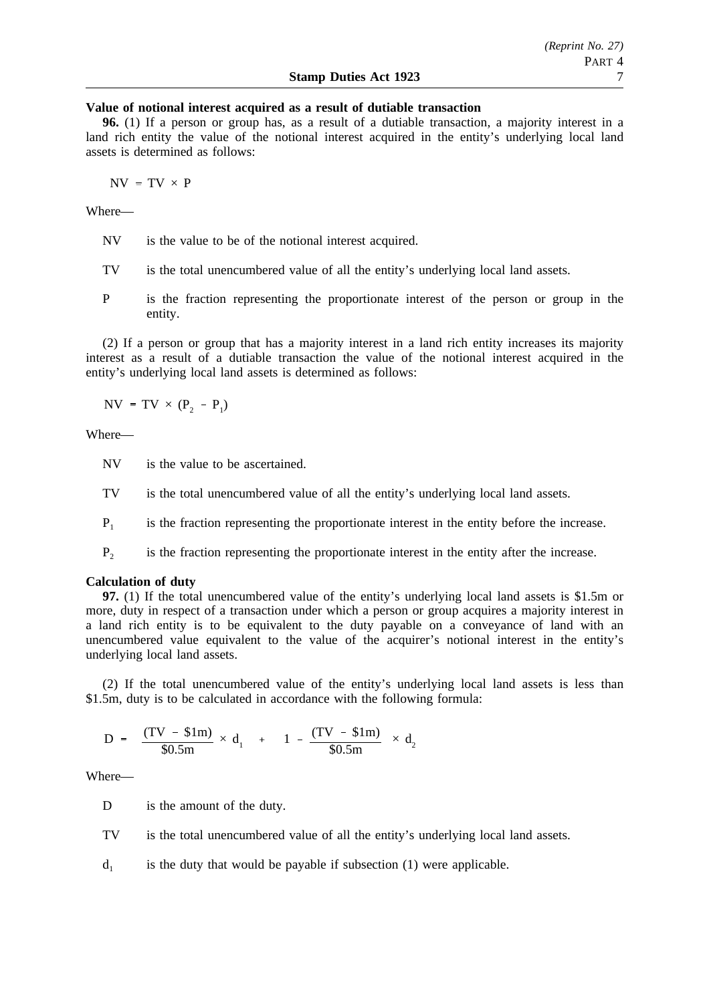### **Value of notional interest acquired as a result of dutiable transaction**

**96.** (1) If a person or group has, as a result of a dutiable transaction, a majority interest in a land rich entity the value of the notional interest acquired in the entity's underlying local land assets is determined as follows:

 $NV = TV \times P$ 

Where—

- NV is the value to be of the notional interest acquired.
- TV is the total unencumbered value of all the entity's underlying local land assets.
- P is the fraction representing the proportionate interest of the person or group in the entity.

(2) If a person or group that has a majority interest in a land rich entity increases its majority interest as a result of a dutiable transaction the value of the notional interest acquired in the entity's underlying local land assets is determined as follows:

 $NV = TV \times (P_2 - P_1)$ 

Where—

NV is the value to be ascertained.

TV is the total unencumbered value of all the entity's underlying local land assets.

 $P_1$  is the fraction representing the proportionate interest in the entity before the increase.

P2 is the fraction representing the proportionate interest in the entity after the increase.

### **Calculation of duty**

**97.** (1) If the total unencumbered value of the entity's underlying local land assets is \$1.5m or more, duty in respect of a transaction under which a person or group acquires a majority interest in a land rich entity is to be equivalent to the duty payable on a conveyance of land with an unencumbered value equivalent to the value of the acquirer's notional interest in the entity's underlying local land assets.

(2) If the total unencumbered value of the entity's underlying local land assets is less than \$1.5m, duty is to be calculated in accordance with the following formula:

$$
D = \left[ \frac{(TV - $1m)}{$0.5m} \times d_1 \right] + \left[ \left( 1 - \frac{(TV - $1m)}{$0.5m} \right) \times d_2 \right]
$$

Where—

D is the amount of the duty.

- TV is the total unencumbered value of all the entity's underlying local land assets.
- $d_1$  is the duty that would be payable if subsection (1) were applicable.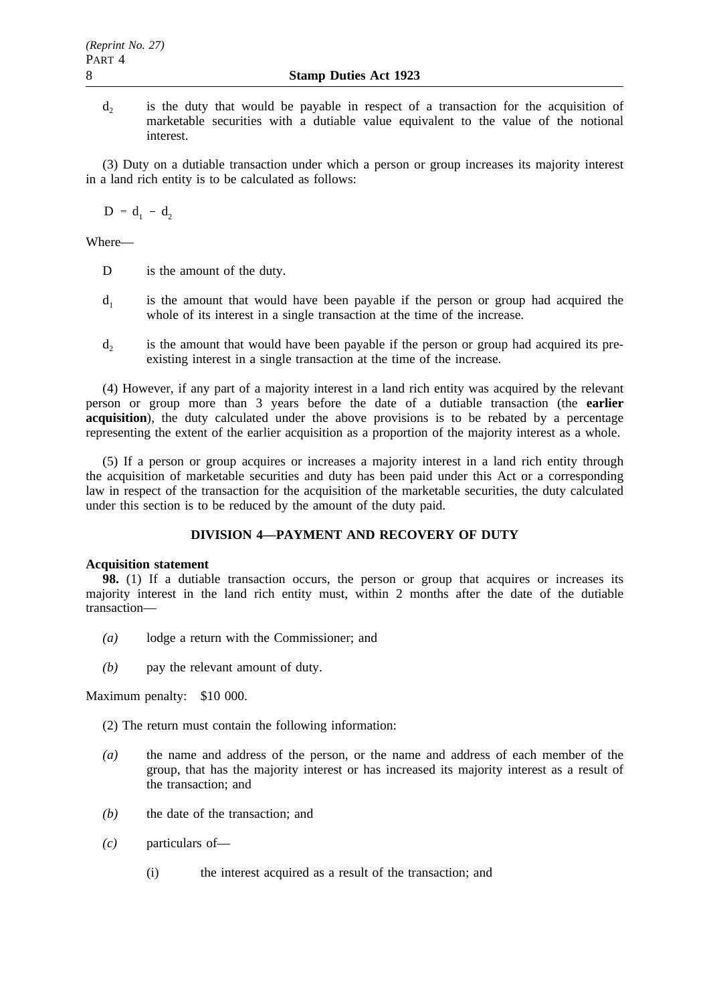d<sub>2</sub> is the duty that would be payable in respect of a transaction for the acquisition of marketable securities with a dutiable value equivalent to the value of the notional interest.

(3) Duty on a dutiable transaction under which a person or group increases its majority interest in a land rich entity is to be calculated as follows:

 $D = d_1 - d_2$ 

Where—

- D is the amount of the duty.
- $d_1$  is the amount that would have been payable if the person or group had acquired the whole of its interest in a single transaction at the time of the increase.
- $d_2$  is the amount that would have been payable if the person or group had acquired its preexisting interest in a single transaction at the time of the increase.

(4) However, if any part of a majority interest in a land rich entity was acquired by the relevant person or group more than 3 years before the date of a dutiable transaction (the **earlier acquisition**), the duty calculated under the above provisions is to be rebated by a percentage representing the extent of the earlier acquisition as a proportion of the majority interest as a whole.

(5) If a person or group acquires or increases a majority interest in a land rich entity through the acquisition of marketable securities and duty has been paid under this Act or a corresponding law in respect of the transaction for the acquisition of the marketable securities, the duty calculated under this section is to be reduced by the amount of the duty paid.

# **DIVISION 4—PAYMENT AND RECOVERY OF DUTY**

## **Acquisition statement**

**98.** (1) If a dutiable transaction occurs, the person or group that acquires or increases its majority interest in the land rich entity must, within 2 months after the date of the dutiable transaction—

- *(a)* lodge a return with the Commissioner; and
- *(b)* pay the relevant amount of duty.

Maximum penalty: \$10 000.

- (2) The return must contain the following information:
- *(a)* the name and address of the person, or the name and address of each member of the group, that has the majority interest or has increased its majority interest as a result of the transaction; and
- *(b)* the date of the transaction; and
- *(c)* particulars of—
	- (i) the interest acquired as a result of the transaction; and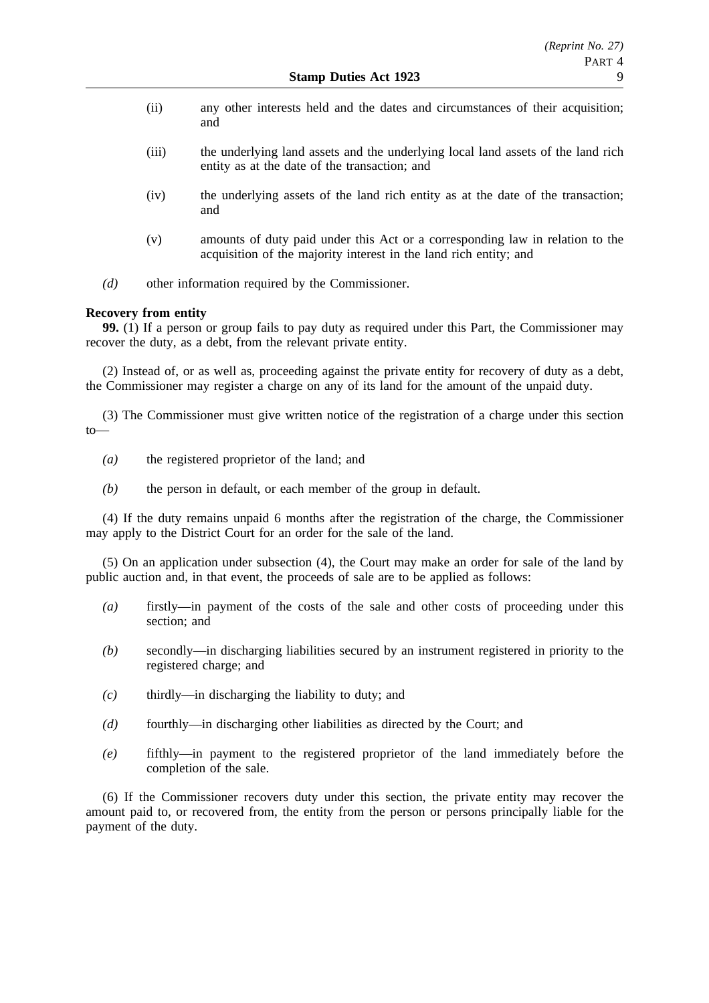- (ii) any other interests held and the dates and circumstances of their acquisition; and
- (iii) the underlying land assets and the underlying local land assets of the land rich entity as at the date of the transaction; and
- (iv) the underlying assets of the land rich entity as at the date of the transaction; and
- (v) amounts of duty paid under this Act or a corresponding law in relation to the acquisition of the majority interest in the land rich entity; and
- *(d)* other information required by the Commissioner.

## **Recovery from entity**

**99.** (1) If a person or group fails to pay duty as required under this Part, the Commissioner may recover the duty, as a debt, from the relevant private entity.

(2) Instead of, or as well as, proceeding against the private entity for recovery of duty as a debt, the Commissioner may register a charge on any of its land for the amount of the unpaid duty.

(3) The Commissioner must give written notice of the registration of a charge under this section to—

- *(a)* the registered proprietor of the land; and
- *(b)* the person in default, or each member of the group in default.

(4) If the duty remains unpaid 6 months after the registration of the charge, the Commissioner may apply to the District Court for an order for the sale of the land.

(5) On an application under subsection (4), the Court may make an order for sale of the land by public auction and, in that event, the proceeds of sale are to be applied as follows:

- *(a)* firstly—in payment of the costs of the sale and other costs of proceeding under this section: and
- *(b)* secondly—in discharging liabilities secured by an instrument registered in priority to the registered charge; and
- *(c)* thirdly—in discharging the liability to duty; and
- *(d)* fourthly—in discharging other liabilities as directed by the Court; and
- *(e)* fifthly—in payment to the registered proprietor of the land immediately before the completion of the sale.

(6) If the Commissioner recovers duty under this section, the private entity may recover the amount paid to, or recovered from, the entity from the person or persons principally liable for the payment of the duty.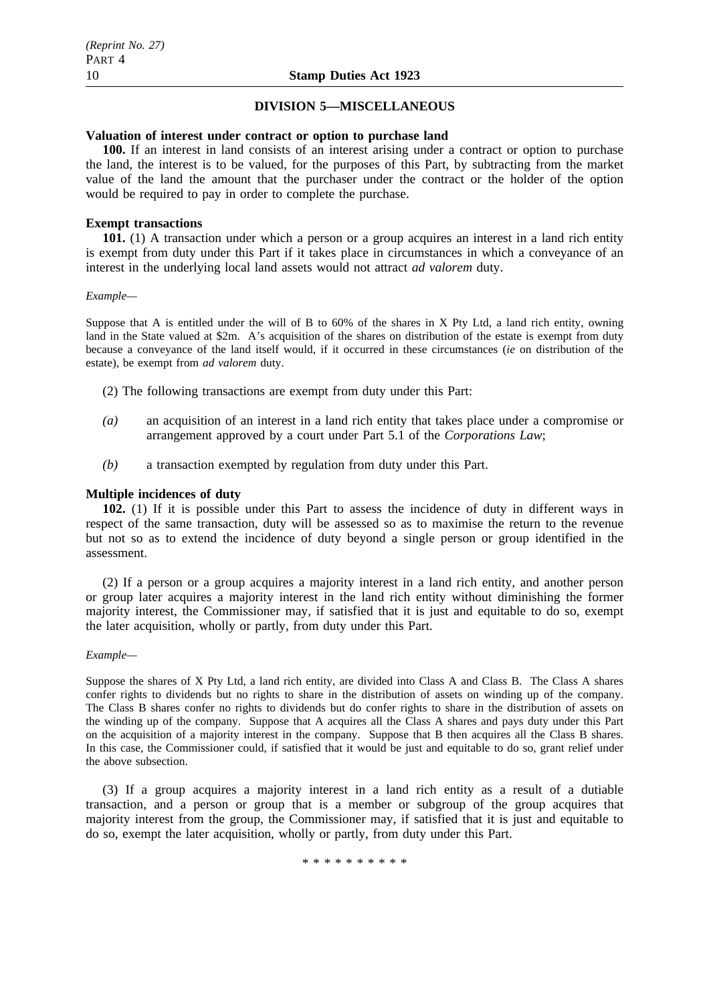### **DIVISION 5—MISCELLANEOUS**

### **Valuation of interest under contract or option to purchase land**

**100.** If an interest in land consists of an interest arising under a contract or option to purchase the land, the interest is to be valued, for the purposes of this Part, by subtracting from the market value of the land the amount that the purchaser under the contract or the holder of the option would be required to pay in order to complete the purchase.

### **Exempt transactions**

**101.** (1) A transaction under which a person or a group acquires an interest in a land rich entity is exempt from duty under this Part if it takes place in circumstances in which a conveyance of an interest in the underlying local land assets would not attract *ad valorem* duty.

#### *Example—*

Suppose that A is entitled under the will of B to 60% of the shares in X Pty Ltd, a land rich entity, owning land in the State valued at \$2m. A's acquisition of the shares on distribution of the estate is exempt from duty because a conveyance of the land itself would, if it occurred in these circumstances (*ie* on distribution of the estate), be exempt from *ad valorem* duty.

- (2) The following transactions are exempt from duty under this Part:
- *(a)* an acquisition of an interest in a land rich entity that takes place under a compromise or arrangement approved by a court under Part 5.1 of the *Corporations Law*;
- *(b)* a transaction exempted by regulation from duty under this Part.

### **Multiple incidences of duty**

**102.** (1) If it is possible under this Part to assess the incidence of duty in different ways in respect of the same transaction, duty will be assessed so as to maximise the return to the revenue but not so as to extend the incidence of duty beyond a single person or group identified in the assessment.

(2) If a person or a group acquires a majority interest in a land rich entity, and another person or group later acquires a majority interest in the land rich entity without diminishing the former majority interest, the Commissioner may, if satisfied that it is just and equitable to do so, exempt the later acquisition, wholly or partly, from duty under this Part.

### *Example—*

Suppose the shares of X Pty Ltd, a land rich entity, are divided into Class A and Class B. The Class A shares confer rights to dividends but no rights to share in the distribution of assets on winding up of the company. The Class B shares confer no rights to dividends but do confer rights to share in the distribution of assets on the winding up of the company. Suppose that A acquires all the Class A shares and pays duty under this Part on the acquisition of a majority interest in the company. Suppose that B then acquires all the Class B shares. In this case, the Commissioner could, if satisfied that it would be just and equitable to do so, grant relief under the above subsection.

(3) If a group acquires a majority interest in a land rich entity as a result of a dutiable transaction, and a person or group that is a member or subgroup of the group acquires that majority interest from the group, the Commissioner may, if satisfied that it is just and equitable to do so, exempt the later acquisition, wholly or partly, from duty under this Part.

\*\*\*\*\*\*\*\*\*\*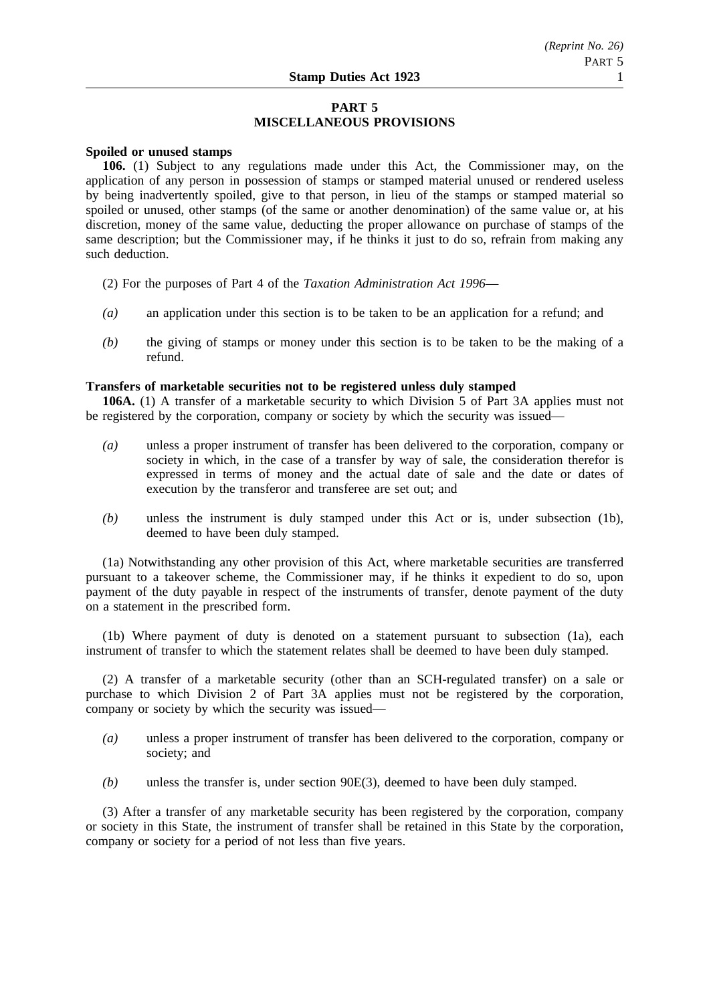# **PART 5 MISCELLANEOUS PROVISIONS**

### **Spoiled or unused stamps**

**106.** (1) Subject to any regulations made under this Act, the Commissioner may, on the application of any person in possession of stamps or stamped material unused or rendered useless by being inadvertently spoiled, give to that person, in lieu of the stamps or stamped material so spoiled or unused, other stamps (of the same or another denomination) of the same value or, at his discretion, money of the same value, deducting the proper allowance on purchase of stamps of the same description; but the Commissioner may, if he thinks it just to do so, refrain from making any such deduction.

- (2) For the purposes of Part 4 of the *Taxation Administration Act 1996*—
- *(a)* an application under this section is to be taken to be an application for a refund; and
- *(b)* the giving of stamps or money under this section is to be taken to be the making of a refund.

## **Transfers of marketable securities not to be registered unless duly stamped**

**106A.** (1) A transfer of a marketable security to which Division 5 of Part 3A applies must not be registered by the corporation, company or society by which the security was issued—

- *(a)* unless a proper instrument of transfer has been delivered to the corporation, company or society in which, in the case of a transfer by way of sale, the consideration therefor is expressed in terms of money and the actual date of sale and the date or dates of execution by the transferor and transferee are set out; and
- *(b)* unless the instrument is duly stamped under this Act or is, under subsection (1b), deemed to have been duly stamped.

(1a) Notwithstanding any other provision of this Act, where marketable securities are transferred pursuant to a takeover scheme, the Commissioner may, if he thinks it expedient to do so, upon payment of the duty payable in respect of the instruments of transfer, denote payment of the duty on a statement in the prescribed form.

(1b) Where payment of duty is denoted on a statement pursuant to subsection (1a), each instrument of transfer to which the statement relates shall be deemed to have been duly stamped.

(2) A transfer of a marketable security (other than an SCH-regulated transfer) on a sale or purchase to which Division 2 of Part 3A applies must not be registered by the corporation, company or society by which the security was issued—

- *(a)* unless a proper instrument of transfer has been delivered to the corporation, company or society; and
- *(b)* unless the transfer is, under section 90E(3), deemed to have been duly stamped.

(3) After a transfer of any marketable security has been registered by the corporation, company or society in this State, the instrument of transfer shall be retained in this State by the corporation, company or society for a period of not less than five years.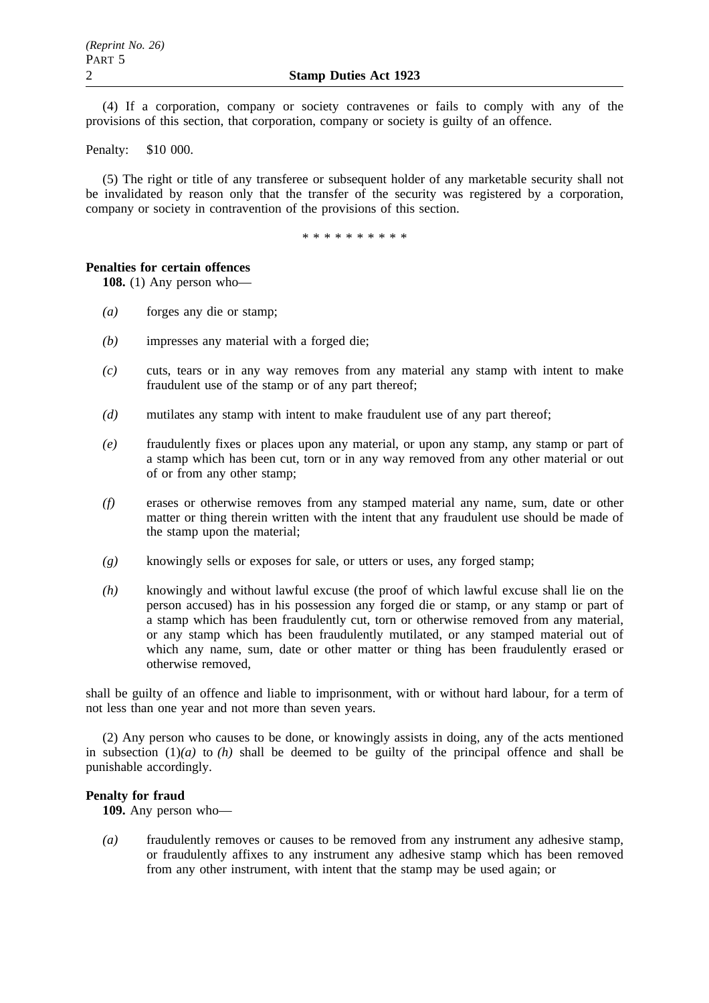(4) If a corporation, company or society contravenes or fails to comply with any of the provisions of this section, that corporation, company or society is guilty of an offence.

Penalty: \$10 000.

(5) The right or title of any transferee or subsequent holder of any marketable security shall not be invalidated by reason only that the transfer of the security was registered by a corporation, company or society in contravention of the provisions of this section.

\*\*\*\*\*\*\*\*\*\*

## **Penalties for certain offences**

**108.** (1) Any person who—

- *(a)* forges any die or stamp;
- *(b)* impresses any material with a forged die;
- *(c)* cuts, tears or in any way removes from any material any stamp with intent to make fraudulent use of the stamp or of any part thereof;
- *(d)* mutilates any stamp with intent to make fraudulent use of any part thereof;
- *(e)* fraudulently fixes or places upon any material, or upon any stamp, any stamp or part of a stamp which has been cut, torn or in any way removed from any other material or out of or from any other stamp;
- *(f)* erases or otherwise removes from any stamped material any name, sum, date or other matter or thing therein written with the intent that any fraudulent use should be made of the stamp upon the material;
- *(g)* knowingly sells or exposes for sale, or utters or uses, any forged stamp;
- *(h)* knowingly and without lawful excuse (the proof of which lawful excuse shall lie on the person accused) has in his possession any forged die or stamp, or any stamp or part of a stamp which has been fraudulently cut, torn or otherwise removed from any material, or any stamp which has been fraudulently mutilated, or any stamped material out of which any name, sum, date or other matter or thing has been fraudulently erased or otherwise removed,

shall be guilty of an offence and liable to imprisonment, with or without hard labour, for a term of not less than one year and not more than seven years.

(2) Any person who causes to be done, or knowingly assists in doing, any of the acts mentioned in subsection  $(1)(a)$  to  $(h)$  shall be deemed to be guilty of the principal offence and shall be punishable accordingly.

## **Penalty for fraud**

**109.** Any person who—

*(a)* fraudulently removes or causes to be removed from any instrument any adhesive stamp, or fraudulently affixes to any instrument any adhesive stamp which has been removed from any other instrument, with intent that the stamp may be used again; or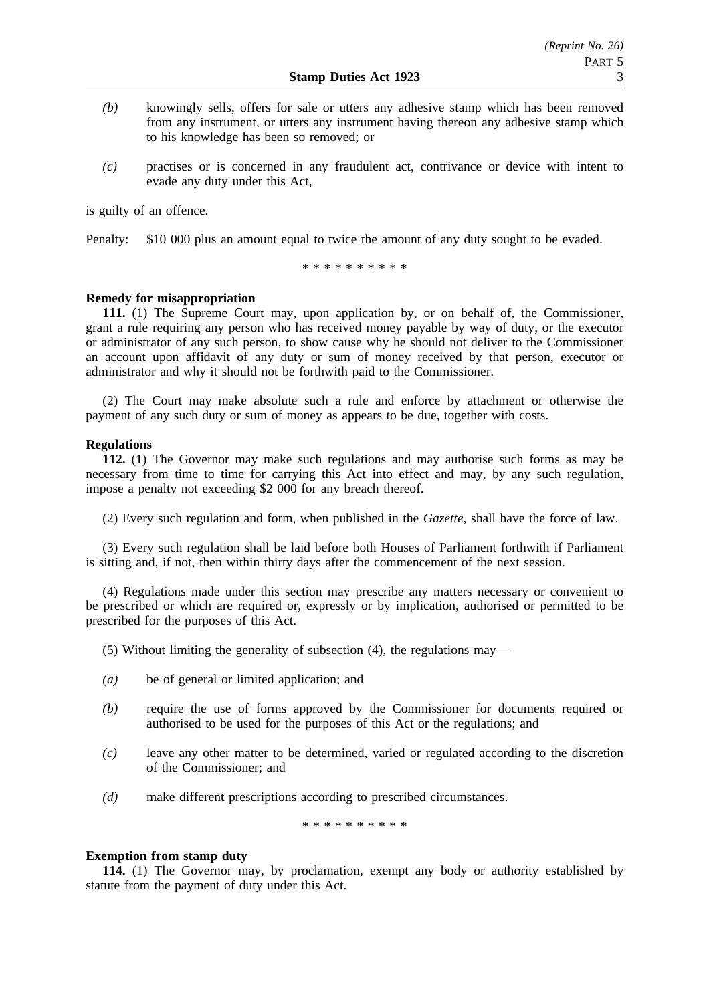- *(b)* knowingly sells, offers for sale or utters any adhesive stamp which has been removed from any instrument, or utters any instrument having thereon any adhesive stamp which to his knowledge has been so removed; or
- *(c)* practises or is concerned in any fraudulent act, contrivance or device with intent to evade any duty under this Act,

is guilty of an offence.

Penalty: \$10 000 plus an amount equal to twice the amount of any duty sought to be evaded.

\*\*\*\*\*\*\*\*\*\*

## **Remedy for misappropriation**

**111.** (1) The Supreme Court may, upon application by, or on behalf of, the Commissioner, grant a rule requiring any person who has received money payable by way of duty, or the executor or administrator of any such person, to show cause why he should not deliver to the Commissioner an account upon affidavit of any duty or sum of money received by that person, executor or administrator and why it should not be forthwith paid to the Commissioner.

(2) The Court may make absolute such a rule and enforce by attachment or otherwise the payment of any such duty or sum of money as appears to be due, together with costs.

## **Regulations**

**112.** (1) The Governor may make such regulations and may authorise such forms as may be necessary from time to time for carrying this Act into effect and may, by any such regulation, impose a penalty not exceeding \$2 000 for any breach thereof.

(2) Every such regulation and form, when published in the *Gazette*, shall have the force of law.

(3) Every such regulation shall be laid before both Houses of Parliament forthwith if Parliament is sitting and, if not, then within thirty days after the commencement of the next session.

(4) Regulations made under this section may prescribe any matters necessary or convenient to be prescribed or which are required or, expressly or by implication, authorised or permitted to be prescribed for the purposes of this Act.

- (5) Without limiting the generality of subsection (4), the regulations may—
- *(a)* be of general or limited application; and
- *(b)* require the use of forms approved by the Commissioner for documents required or authorised to be used for the purposes of this Act or the regulations; and
- *(c)* leave any other matter to be determined, varied or regulated according to the discretion of the Commissioner; and
- *(d)* make different prescriptions according to prescribed circumstances.

\*\*\*\*\*\*\*\*\*\*

## **Exemption from stamp duty**

**114.** (1) The Governor may, by proclamation, exempt any body or authority established by statute from the payment of duty under this Act.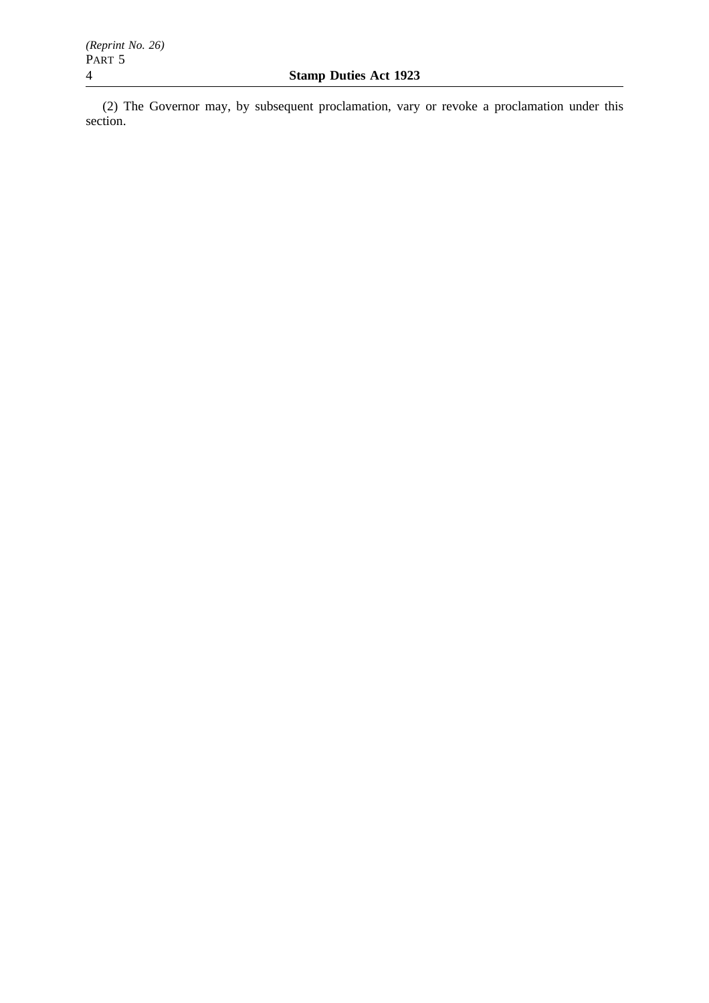(2) The Governor may, by subsequent proclamation, vary or revoke a proclamation under this section.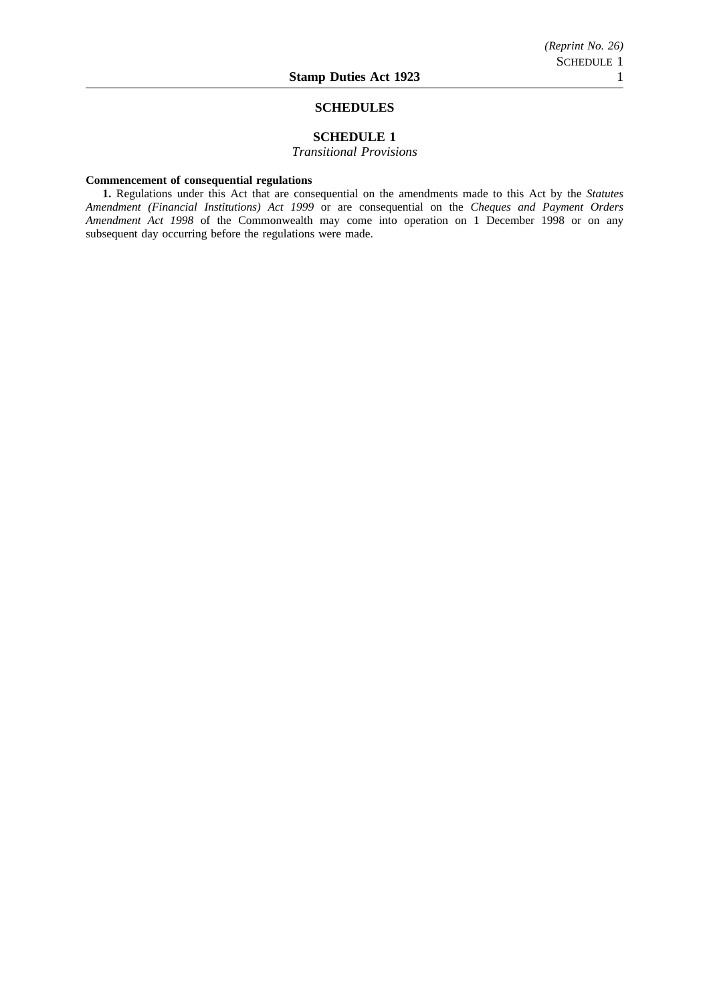#### **SCHEDULES**

## **SCHEDULE 1**

*Transitional Provisions*

### **Commencement of consequential regulations**

**1.** Regulations under this Act that are consequential on the amendments made to this Act by the *Statutes Amendment (Financial Institutions) Act 1999* or are consequential on the *Cheques and Payment Orders Amendment Act 1998* of the Commonwealth may come into operation on 1 December 1998 or on any subsequent day occurring before the regulations were made.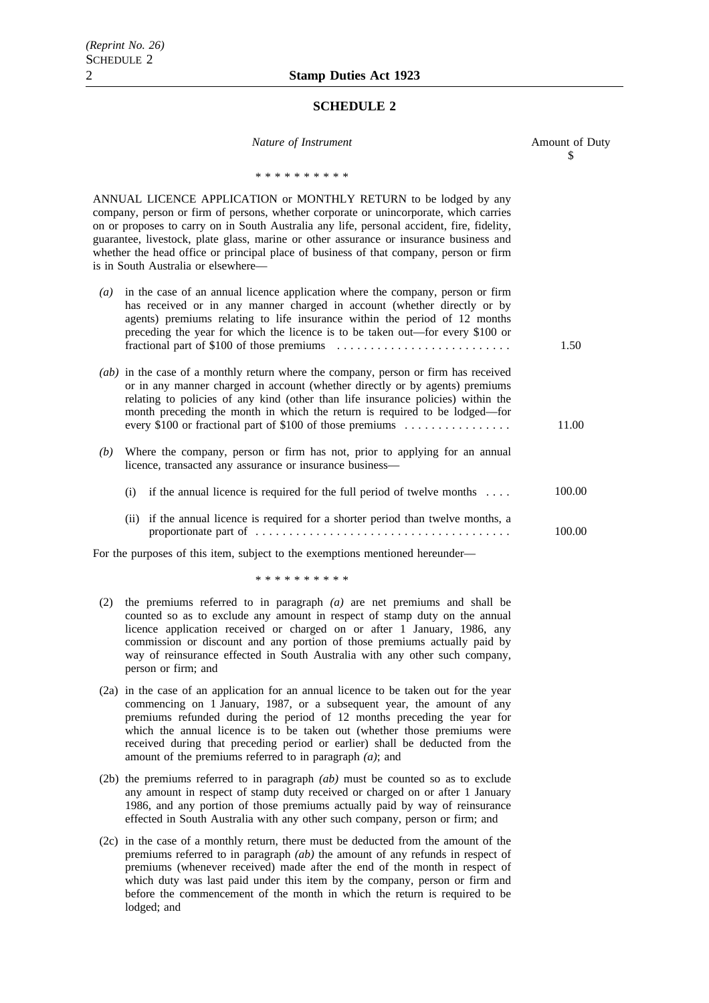### **SCHEDULE 2**

| Nature of Instrument                                                                                                                                                                                                                                                                                                                                                                                                                                                               | Amount of Duty<br>\$ |
|------------------------------------------------------------------------------------------------------------------------------------------------------------------------------------------------------------------------------------------------------------------------------------------------------------------------------------------------------------------------------------------------------------------------------------------------------------------------------------|----------------------|
| * * * * * * * * * *                                                                                                                                                                                                                                                                                                                                                                                                                                                                |                      |
| ANNUAL LICENCE APPLICATION or MONTHLY RETURN to be lodged by any<br>company, person or firm of persons, whether corporate or unincorporate, which carries<br>on or proposes to carry on in South Australia any life, personal accident, fire, fidelity,<br>guarantee, livestock, plate glass, marine or other assurance or insurance business and<br>whether the head office or principal place of business of that company, person or firm<br>is in South Australia or elsewhere— |                      |
| in the case of an annual licence application where the company, person or firm<br>$\left( a\right)$<br>has received or in any manner charged in account (whether directly or by<br>agents) premiums relating to life insurance within the period of 12 months<br>preceding the year for which the licence is to be taken out—for every \$100 or                                                                                                                                    | 1.50                 |
| (ab) in the case of a monthly return where the company, person or firm has received<br>or in any manner charged in account (whether directly or by agents) premiums<br>relating to policies of any kind (other than life insurance policies) within the<br>month preceding the month in which the return is required to be lodged—for<br>every \$100 or fractional part of \$100 of those premiums                                                                                 | 11.00                |
| Where the company, person or firm has not, prior to applying for an annual<br>(b)<br>licence, transacted any assurance or insurance business-                                                                                                                                                                                                                                                                                                                                      |                      |
| (i) if the annual licence is required for the full period of twelve months $\dots$                                                                                                                                                                                                                                                                                                                                                                                                 | 100.00               |
| if the annual licence is required for a shorter period than twelve months, a<br>(ii)                                                                                                                                                                                                                                                                                                                                                                                               | 100.00               |
| For the purposes of this item, subject to the exemptions mentioned hereunder-                                                                                                                                                                                                                                                                                                                                                                                                      |                      |

\*\*\*\*\*\*\*\*\*\*

- (2) the premiums referred to in paragraph *(a)* are net premiums and shall be counted so as to exclude any amount in respect of stamp duty on the annual licence application received or charged on or after 1 January, 1986, any commission or discount and any portion of those premiums actually paid by way of reinsurance effected in South Australia with any other such company, person or firm; and
- (2a) in the case of an application for an annual licence to be taken out for the year commencing on 1 January, 1987, or a subsequent year, the amount of any premiums refunded during the period of 12 months preceding the year for which the annual licence is to be taken out (whether those premiums were received during that preceding period or earlier) shall be deducted from the amount of the premiums referred to in paragraph *(a)*; and
- (2b) the premiums referred to in paragraph *(ab)* must be counted so as to exclude any amount in respect of stamp duty received or charged on or after 1 January 1986, and any portion of those premiums actually paid by way of reinsurance effected in South Australia with any other such company, person or firm; and
- (2c) in the case of a monthly return, there must be deducted from the amount of the premiums referred to in paragraph *(ab)* the amount of any refunds in respect of premiums (whenever received) made after the end of the month in respect of which duty was last paid under this item by the company, person or firm and before the commencement of the month in which the return is required to be lodged; and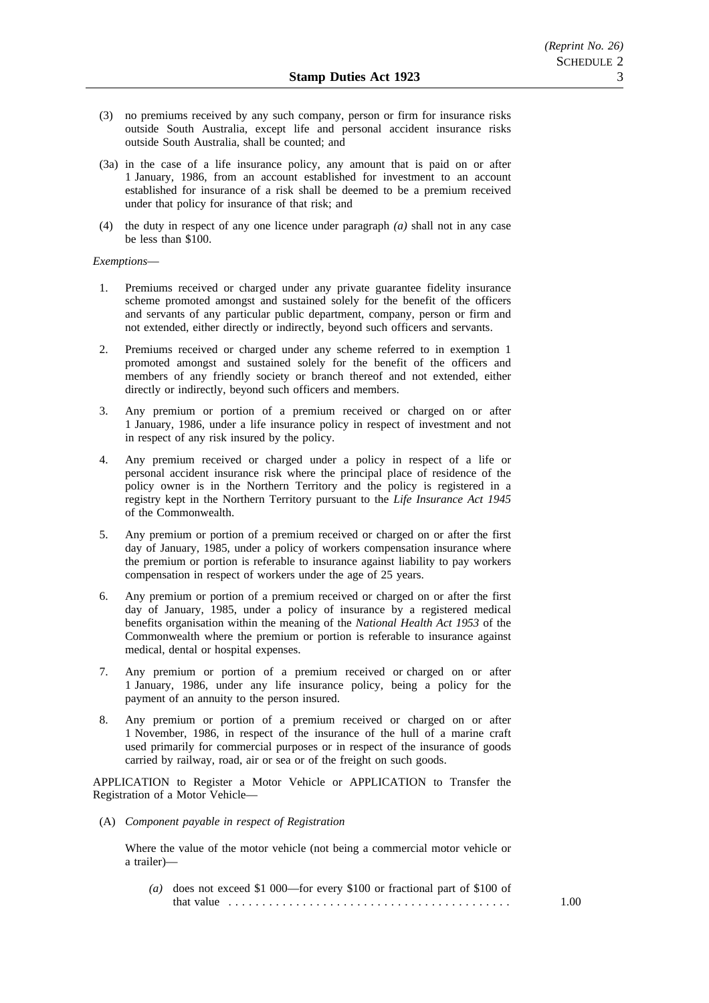- (3) no premiums received by any such company, person or firm for insurance risks outside South Australia, except life and personal accident insurance risks outside South Australia, shall be counted; and
- (3a) in the case of a life insurance policy, any amount that is paid on or after 1 January, 1986, from an account established for investment to an account established for insurance of a risk shall be deemed to be a premium received under that policy for insurance of that risk; and
- (4) the duty in respect of any one licence under paragraph *(a)* shall not in any case be less than \$100.

#### *Exemptions*—

- 1. Premiums received or charged under any private guarantee fidelity insurance scheme promoted amongst and sustained solely for the benefit of the officers and servants of any particular public department, company, person or firm and not extended, either directly or indirectly, beyond such officers and servants.
- 2. Premiums received or charged under any scheme referred to in exemption 1 promoted amongst and sustained solely for the benefit of the officers and members of any friendly society or branch thereof and not extended, either directly or indirectly, beyond such officers and members.
- 3. Any premium or portion of a premium received or charged on or after 1 January, 1986, under a life insurance policy in respect of investment and not in respect of any risk insured by the policy.
- 4. Any premium received or charged under a policy in respect of a life or personal accident insurance risk where the principal place of residence of the policy owner is in the Northern Territory and the policy is registered in a registry kept in the Northern Territory pursuant to the *Life Insurance Act 1945* of the Commonwealth.
- 5. Any premium or portion of a premium received or charged on or after the first day of January, 1985, under a policy of workers compensation insurance where the premium or portion is referable to insurance against liability to pay workers compensation in respect of workers under the age of 25 years.
- 6. Any premium or portion of a premium received or charged on or after the first day of January, 1985, under a policy of insurance by a registered medical benefits organisation within the meaning of the *National Health Act 1953* of the Commonwealth where the premium or portion is referable to insurance against medical, dental or hospital expenses.
- 7. Any premium or portion of a premium received or charged on or after 1 January, 1986, under any life insurance policy, being a policy for the payment of an annuity to the person insured.
- 8. Any premium or portion of a premium received or charged on or after 1 November, 1986, in respect of the insurance of the hull of a marine craft used primarily for commercial purposes or in respect of the insurance of goods carried by railway, road, air or sea or of the freight on such goods.

APPLICATION to Register a Motor Vehicle or APPLICATION to Transfer the Registration of a Motor Vehicle—

(A) *Component payable in respect of Registration*

Where the value of the motor vehicle (not being a commercial motor vehicle or a trailer)—

*(a)* does not exceed \$1 000—for every \$100 or fractional part of \$100 of that value .......................................... 1.00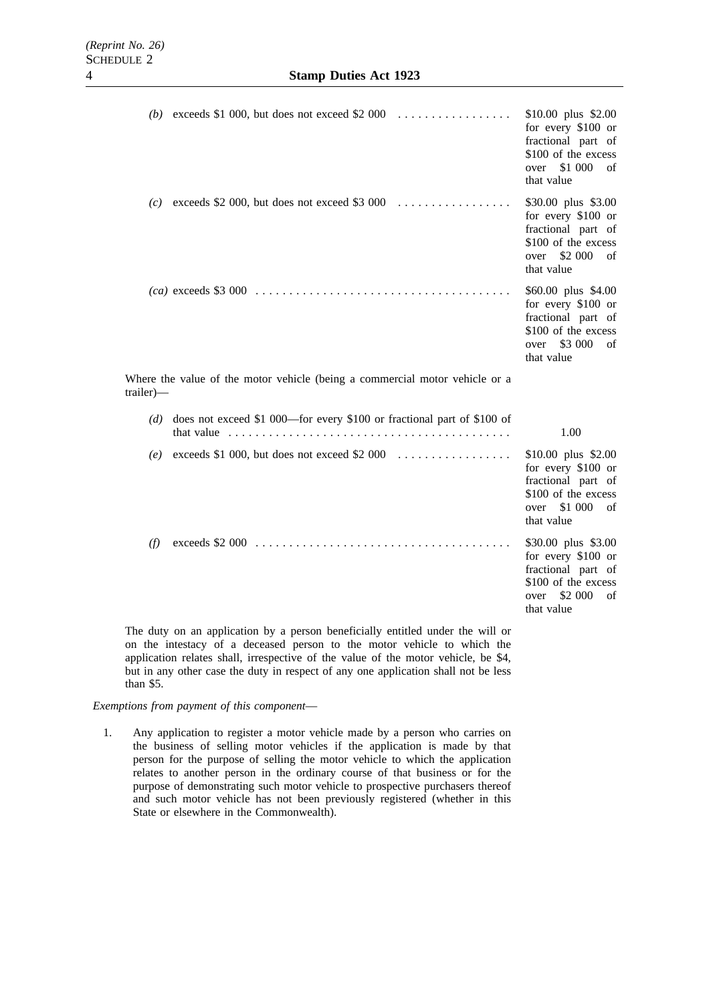|                                                                                          | (b) exceeds \$1 000, but does not exceed \$2 000 $\ldots$                                                                                                                        | $$10.00$ plus $$2.00$<br>for every \$100 or<br>fractional part of<br>\$100 of the excess<br>over \$1 000<br>of<br>that value |  |
|------------------------------------------------------------------------------------------|----------------------------------------------------------------------------------------------------------------------------------------------------------------------------------|------------------------------------------------------------------------------------------------------------------------------|--|
|                                                                                          | (c) exceeds \$2 000, but does not exceed \$3 000 $\ldots$                                                                                                                        | \$30.00 plus \$3.00<br>for every \$100 or<br>fractional part of<br>\$100 of the excess<br>over \$2 000<br>of<br>that value   |  |
|                                                                                          |                                                                                                                                                                                  | \$60.00 plus \$4.00<br>for every \$100 or<br>fractional part of<br>\$100 of the excess<br>over \$3 000<br>of<br>that value   |  |
| Where the value of the motor vehicle (being a commercial motor vehicle or a<br>trailer)— |                                                                                                                                                                                  |                                                                                                                              |  |
|                                                                                          |                                                                                                                                                                                  |                                                                                                                              |  |
|                                                                                          | $(d)$ does not exceed \$1 000—for every \$100 or fractional part of \$100 of<br>that value $\ldots \ldots \ldots \ldots \ldots \ldots \ldots \ldots \ldots \ldots \ldots \ldots$ | 1.00                                                                                                                         |  |
|                                                                                          | (e) exceeds \$1 000, but does not exceed \$2 000 $\dots \dots \dots \dots \dots$                                                                                                 | $$10.00$ plus $$2.00$<br>for every \$100 or<br>fractional part of<br>\$100 of the excess<br>over \$1 000<br>of<br>that value |  |

The duty on an application by a person beneficially entitled under the will or on the intestacy of a deceased person to the motor vehicle to which the application relates shall, irrespective of the value of the motor vehicle, be \$4, but in any other case the duty in respect of any one application shall not be less than \$5.

# *Exemptions from payment of this component*—

1. Any application to register a motor vehicle made by a person who carries on the business of selling motor vehicles if the application is made by that person for the purpose of selling the motor vehicle to which the application relates to another person in the ordinary course of that business or for the purpose of demonstrating such motor vehicle to prospective purchasers thereof and such motor vehicle has not been previously registered (whether in this State or elsewhere in the Commonwealth).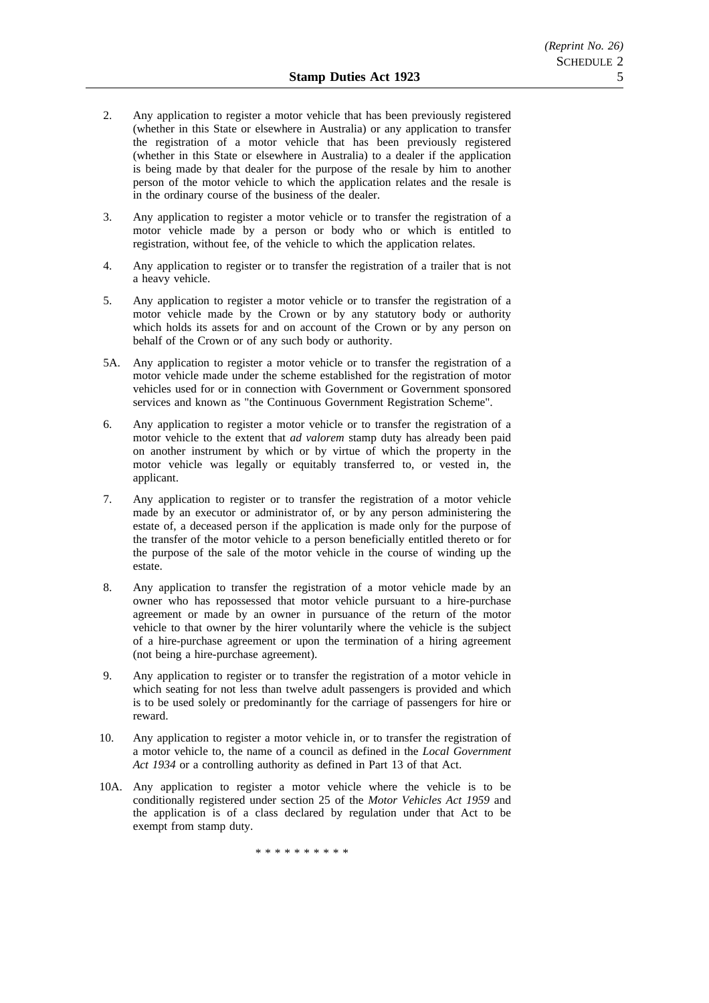- 2. Any application to register a motor vehicle that has been previously registered (whether in this State or elsewhere in Australia) or any application to transfer the registration of a motor vehicle that has been previously registered (whether in this State or elsewhere in Australia) to a dealer if the application is being made by that dealer for the purpose of the resale by him to another person of the motor vehicle to which the application relates and the resale is in the ordinary course of the business of the dealer.
- 3. Any application to register a motor vehicle or to transfer the registration of a motor vehicle made by a person or body who or which is entitled to registration, without fee, of the vehicle to which the application relates.
- 4. Any application to register or to transfer the registration of a trailer that is not a heavy vehicle.
- 5. Any application to register a motor vehicle or to transfer the registration of a motor vehicle made by the Crown or by any statutory body or authority which holds its assets for and on account of the Crown or by any person on behalf of the Crown or of any such body or authority.
- 5A. Any application to register a motor vehicle or to transfer the registration of a motor vehicle made under the scheme established for the registration of motor vehicles used for or in connection with Government or Government sponsored services and known as "the Continuous Government Registration Scheme".
- 6. Any application to register a motor vehicle or to transfer the registration of a motor vehicle to the extent that *ad valorem* stamp duty has already been paid on another instrument by which or by virtue of which the property in the motor vehicle was legally or equitably transferred to, or vested in, the applicant.
- 7. Any application to register or to transfer the registration of a motor vehicle made by an executor or administrator of, or by any person administering the estate of, a deceased person if the application is made only for the purpose of the transfer of the motor vehicle to a person beneficially entitled thereto or for the purpose of the sale of the motor vehicle in the course of winding up the estate.
- 8. Any application to transfer the registration of a motor vehicle made by an owner who has repossessed that motor vehicle pursuant to a hire-purchase agreement or made by an owner in pursuance of the return of the motor vehicle to that owner by the hirer voluntarily where the vehicle is the subject of a hire-purchase agreement or upon the termination of a hiring agreement (not being a hire-purchase agreement).
- 9. Any application to register or to transfer the registration of a motor vehicle in which seating for not less than twelve adult passengers is provided and which is to be used solely or predominantly for the carriage of passengers for hire or reward.
- 10. Any application to register a motor vehicle in, or to transfer the registration of a motor vehicle to, the name of a council as defined in the *Local Government Act 1934* or a controlling authority as defined in Part 13 of that Act.
- 10A. Any application to register a motor vehicle where the vehicle is to be conditionally registered under section 25 of the *Motor Vehicles Act 1959* and the application is of a class declared by regulation under that Act to be exempt from stamp duty.

\*\*\*\*\*\*\*\*\*\*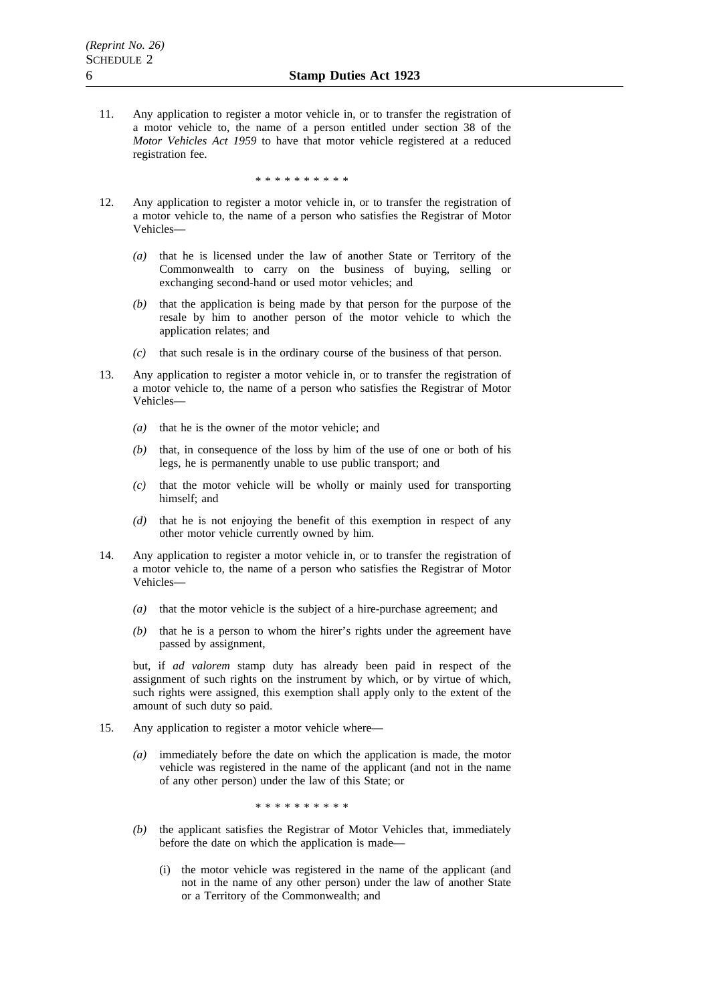11. Any application to register a motor vehicle in, or to transfer the registration of a motor vehicle to, the name of a person entitled under section 38 of the *Motor Vehicles Act 1959* to have that motor vehicle registered at a reduced registration fee.

\*\*\*\*\*\*\*\*\*\*

- 12. Any application to register a motor vehicle in, or to transfer the registration of a motor vehicle to, the name of a person who satisfies the Registrar of Motor Vehicles—
	- *(a)* that he is licensed under the law of another State or Territory of the Commonwealth to carry on the business of buying, selling or exchanging second-hand or used motor vehicles; and
	- *(b)* that the application is being made by that person for the purpose of the resale by him to another person of the motor vehicle to which the application relates; and
	- *(c)* that such resale is in the ordinary course of the business of that person.
- 13. Any application to register a motor vehicle in, or to transfer the registration of a motor vehicle to, the name of a person who satisfies the Registrar of Motor Vehicles—
	- *(a)* that he is the owner of the motor vehicle; and
	- *(b)* that, in consequence of the loss by him of the use of one or both of his legs, he is permanently unable to use public transport; and
	- *(c)* that the motor vehicle will be wholly or mainly used for transporting himself; and
	- *(d)* that he is not enjoying the benefit of this exemption in respect of any other motor vehicle currently owned by him.
- 14. Any application to register a motor vehicle in, or to transfer the registration of a motor vehicle to, the name of a person who satisfies the Registrar of Motor Vehicles—
	- *(a)* that the motor vehicle is the subject of a hire-purchase agreement; and
	- *(b)* that he is a person to whom the hirer's rights under the agreement have passed by assignment,

but, if *ad valorem* stamp duty has already been paid in respect of the assignment of such rights on the instrument by which, or by virtue of which, such rights were assigned, this exemption shall apply only to the extent of the amount of such duty so paid.

- 15. Any application to register a motor vehicle where—
	- *(a)* immediately before the date on which the application is made, the motor vehicle was registered in the name of the applicant (and not in the name of any other person) under the law of this State; or

\*\*\*\*\*\*\*\*\*\*

- *(b)* the applicant satisfies the Registrar of Motor Vehicles that, immediately before the date on which the application is made—
	- (i) the motor vehicle was registered in the name of the applicant (and not in the name of any other person) under the law of another State or a Territory of the Commonwealth; and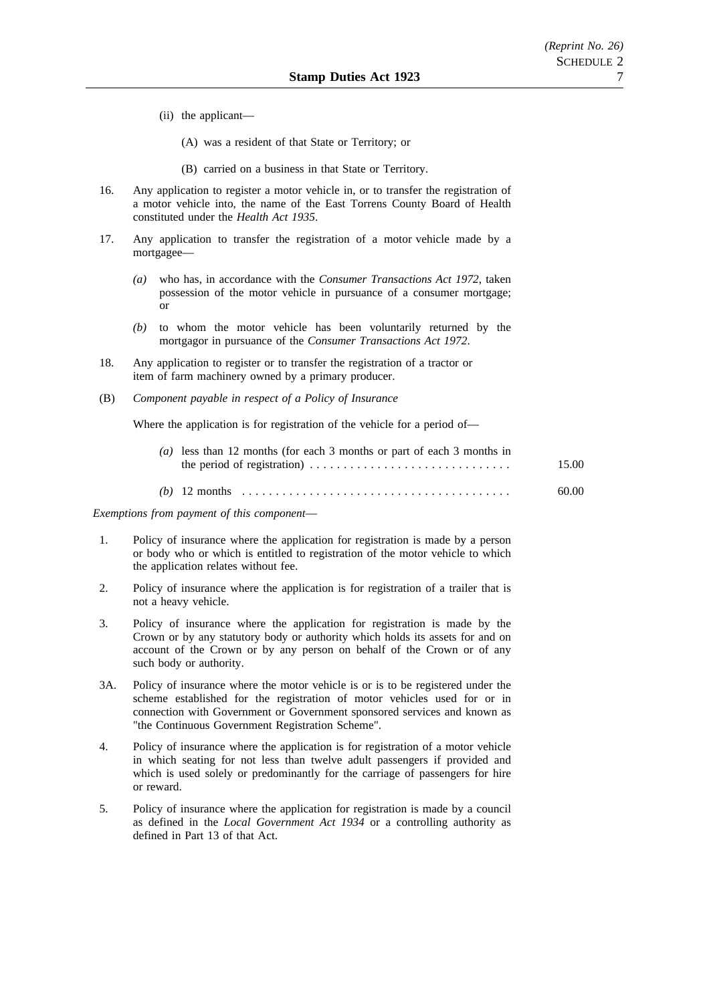- (ii) the applicant—
	- (A) was a resident of that State or Territory; or
	- (B) carried on a business in that State or Territory.
- 16. Any application to register a motor vehicle in, or to transfer the registration of a motor vehicle into, the name of the East Torrens County Board of Health constituted under the *Health Act 1935*.
- 17. Any application to transfer the registration of a motor vehicle made by a mortgagee—
	- *(a)* who has, in accordance with the *Consumer Transactions Act 1972*, taken possession of the motor vehicle in pursuance of a consumer mortgage; or
	- *(b)* to whom the motor vehicle has been voluntarily returned by the mortgagor in pursuance of the *Consumer Transactions Act 1972*.
- 18. Any application to register or to transfer the registration of a tractor or item of farm machinery owned by a primary producer.
- (B) *Component payable in respect of a Policy of Insurance*

Where the application is for registration of the vehicle for a period of—

| (a) less than 12 months (for each 3 months or part of each 3 months in | 15.00 |
|------------------------------------------------------------------------|-------|
|                                                                        | 60.00 |

*Exemptions from payment of this component*—

- 1. Policy of insurance where the application for registration is made by a person or body who or which is entitled to registration of the motor vehicle to which the application relates without fee.
- 2. Policy of insurance where the application is for registration of a trailer that is not a heavy vehicle.
- 3. Policy of insurance where the application for registration is made by the Crown or by any statutory body or authority which holds its assets for and on account of the Crown or by any person on behalf of the Crown or of any such body or authority.
- 3A. Policy of insurance where the motor vehicle is or is to be registered under the scheme established for the registration of motor vehicles used for or in connection with Government or Government sponsored services and known as "the Continuous Government Registration Scheme".
- 4. Policy of insurance where the application is for registration of a motor vehicle in which seating for not less than twelve adult passengers if provided and which is used solely or predominantly for the carriage of passengers for hire or reward.
- 5. Policy of insurance where the application for registration is made by a council as defined in the *Local Government Act 1934* or a controlling authority as defined in Part 13 of that Act.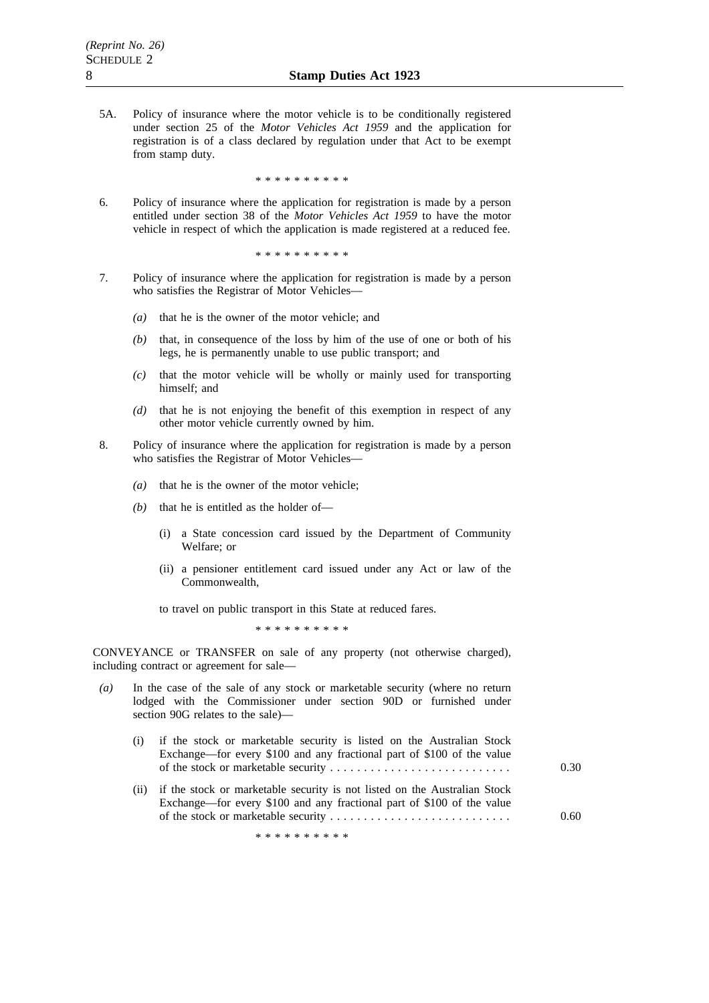5A. Policy of insurance where the motor vehicle is to be conditionally registered under section 25 of the *Motor Vehicles Act 1959* and the application for registration is of a class declared by regulation under that Act to be exempt from stamp duty.

\*\*\*\*\*\*\*\*\*\*

6. Policy of insurance where the application for registration is made by a person entitled under section 38 of the *Motor Vehicles Act 1959* to have the motor vehicle in respect of which the application is made registered at a reduced fee.

\*\*\*\*\*\*\*\*\*\*

- 7. Policy of insurance where the application for registration is made by a person who satisfies the Registrar of Motor Vehicles—
	- *(a)* that he is the owner of the motor vehicle; and
	- *(b)* that, in consequence of the loss by him of the use of one or both of his legs, he is permanently unable to use public transport; and
	- *(c)* that the motor vehicle will be wholly or mainly used for transporting himself; and
	- *(d)* that he is not enjoying the benefit of this exemption in respect of any other motor vehicle currently owned by him.
- 8. Policy of insurance where the application for registration is made by a person who satisfies the Registrar of Motor Vehicles—
	- *(a)* that he is the owner of the motor vehicle;
	- *(b)* that he is entitled as the holder of—
		- (i) a State concession card issued by the Department of Community Welfare; or
		- (ii) a pensioner entitlement card issued under any Act or law of the Commonwealth,

to travel on public transport in this State at reduced fares.

\*\*\*\*\*\*\*\*\*\*

CONVEYANCE or TRANSFER on sale of any property (not otherwise charged), including contract or agreement for sale—

- *(a)* In the case of the sale of any stock or marketable security (where no return lodged with the Commissioner under section 90D or furnished under section 90G relates to the sale)—
	- (i) if the stock or marketable security is listed on the Australian Stock Exchange—for every \$100 and any fractional part of \$100 of the value of the stock or marketable security ........................... 0.30
	- (ii) if the stock or marketable security is not listed on the Australian Stock Exchange—for every \$100 and any fractional part of \$100 of the value of the stock or marketable security ........................... 0.60

\*\*\*\*\*\*\*\*\*\*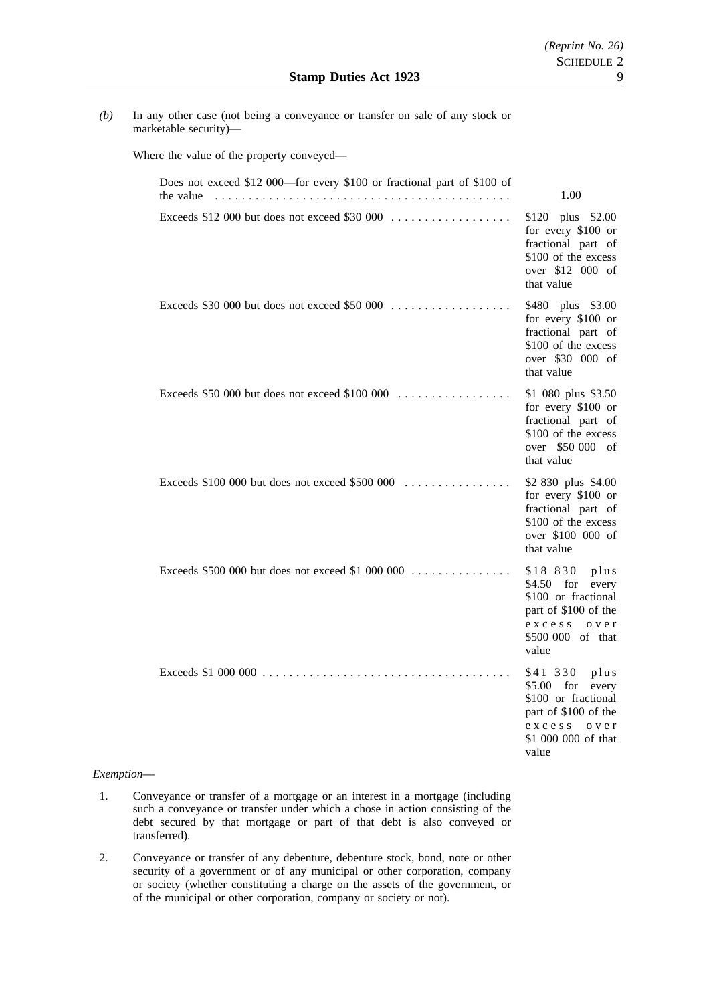*(b)* In any other case (not being a conveyance or transfer on sale of any stock or marketable security)—

Where the value of the property conveyed—

| Does not exceed \$12 000—for every \$100 or fractional part of \$100 of<br>the value | 1.00                                                                                                                                          |
|--------------------------------------------------------------------------------------|-----------------------------------------------------------------------------------------------------------------------------------------------|
| Exceeds \$12 000 but does not exceed \$30 000                                        | \$120 plus \$2.00<br>for every \$100 or<br>fractional part of<br>\$100 of the excess<br>over \$12 000 of<br>that value                        |
| Exceeds \$30 000 but does not exceed \$50 000                                        | \$480 plus \$3.00<br>for every \$100 or<br>fractional part of<br>\$100 of the excess<br>over \$30 000 of<br>that value                        |
| Exceeds \$50 000 but does not exceed \$100 000                                       | \$1 080 plus \$3.50<br>for every \$100 or<br>fractional part of<br>\$100 of the excess<br>over \$50 000 of<br>that value                      |
| Exceeds $$100,000$ but does not exceed $$500,000$                                    | \$2 830 plus \$4.00<br>for every \$100 or<br>fractional part of<br>\$100 of the excess<br>over \$100 000 of<br>that value                     |
| Exceeds \$500 000 but does not exceed \$1 000 000                                    | \$18 830 plus<br>$$4.50$ for<br>every<br>\$100 or fractional<br>part of \$100 of the<br>excess over<br>\$500 000 of that<br>value             |
|                                                                                      | \$41 330<br>plus<br>$$5.00$ for<br>every<br>\$100 or fractional<br>part of \$100 of the<br>exccess<br>o v e r<br>\$1,000,000 of that<br>value |

## *Exemption*—

- 1. Conveyance or transfer of a mortgage or an interest in a mortgage (including such a conveyance or transfer under which a chose in action consisting of the debt secured by that mortgage or part of that debt is also conveyed or transferred).
- 2. Conveyance or transfer of any debenture, debenture stock, bond, note or other security of a government or of any municipal or other corporation, company or society (whether constituting a charge on the assets of the government, or of the municipal or other corporation, company or society or not).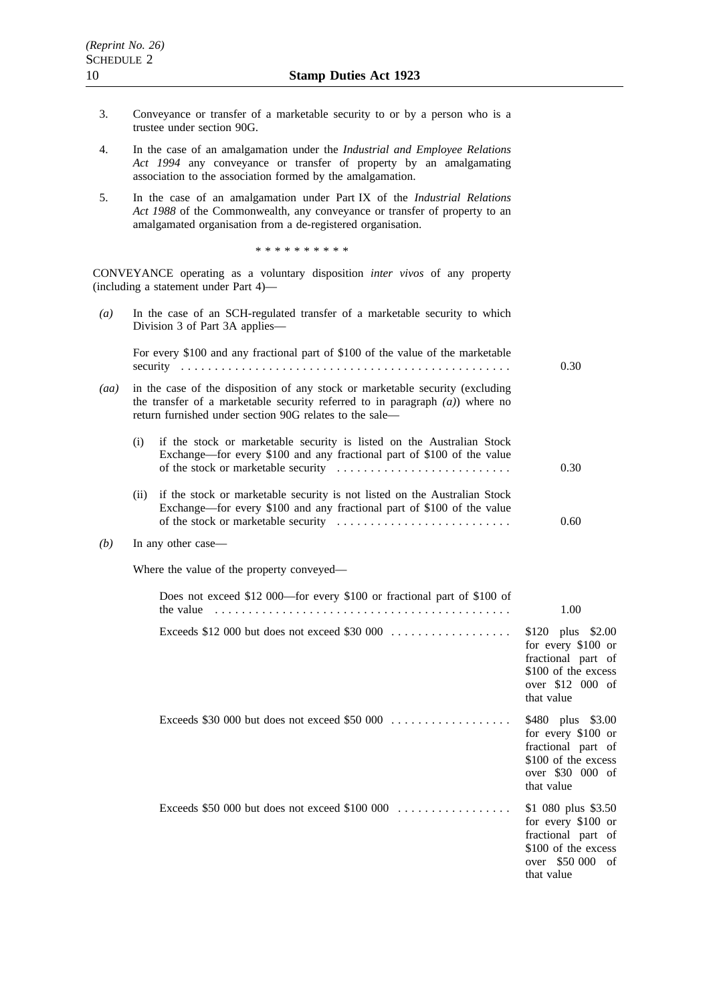- 3. Conveyance or transfer of a marketable security to or by a person who is a trustee under section 90G.
- 4. In the case of an amalgamation under the *Industrial and Employee Relations Act 1994* any conveyance or transfer of property by an amalgamating association to the association formed by the amalgamation.
- 5. In the case of an amalgamation under Part IX of the *Industrial Relations Act 1988* of the Commonwealth, any conveyance or transfer of property to an amalgamated organisation from a de-registered organisation.

\*\*\*\*\*\*\*\*\*\*

CONVEYANCE operating as a voluntary disposition *inter vivos* of any property (including a statement under Part 4)—

*(a)* In the case of an SCH-regulated transfer of a marketable security to which Division 3 of Part 3A applies— For every \$100 and any fractional part of \$100 of the value of the marketable security ................................................. 0.30 *(aa)* in the case of the disposition of any stock or marketable security (excluding the transfer of a marketable security referred to in paragraph *(a)*) where no return furnished under section 90G relates to the sale— (i) if the stock or marketable security is listed on the Australian Stock Exchange—for every \$100 and any fractional part of \$100 of the value of the stock or marketable security  $\dots \dots \dots \dots \dots \dots \dots \dots \dots$ (ii) if the stock or marketable security is not listed on the Australian Stock Exchange—for every \$100 and any fractional part of \$100 of the value of the stock or marketable security .......................... 0.30 0.60 *(b)* In any other case— Where the value of the property conveyed— Does not exceed \$12 000—for every \$100 or fractional part of \$100 of the value  $\ldots \ldots \ldots \ldots \ldots \ldots \ldots \ldots \ldots \ldots \ldots \ldots$ Exceeds \$12 000 but does not exceed \$30 000 .................. \$120 plus \$2.00 for every \$100 or fractional part of \$100 of the excess over \$12 000 of that value Exceeds \$30 000 but does not exceed \$50 000 .................. \$480 plus \$3.00 for every \$100 or fractional part of \$100 of the excess over \$30 000 of that value Exceeds \$50 000 but does not exceed \$100 000 . . . . . . . . . . . . . . . . . \$1 080 plus \$3.50 for every \$100 or fractional part of \$100 of the excess over \$50 000 of that value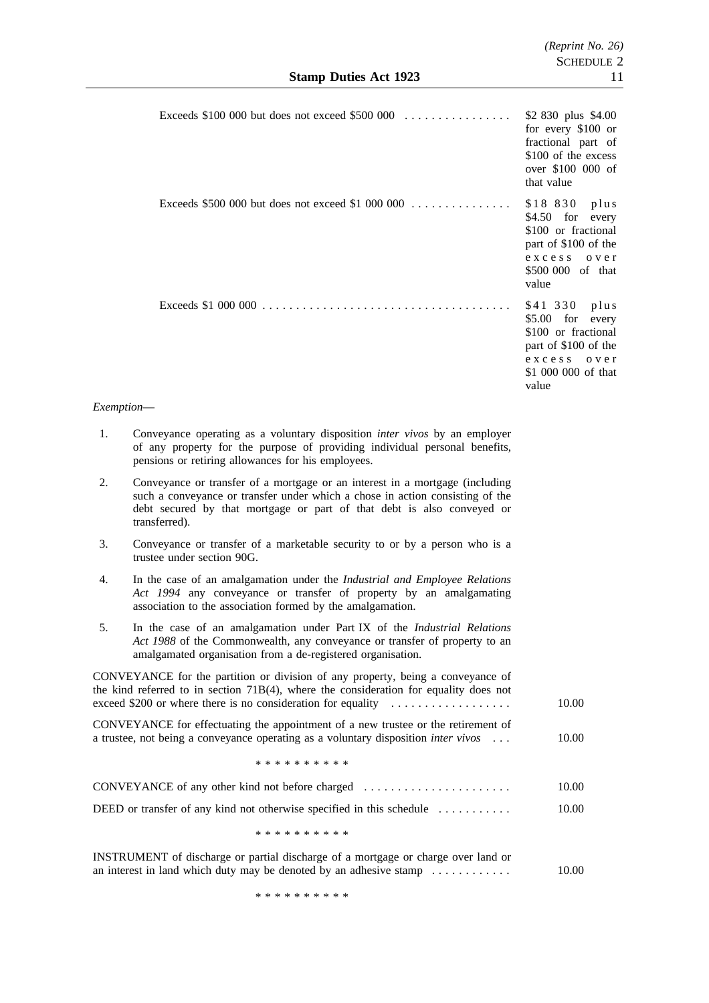| Exceeds \$100 000 but does not exceed \$500 000                                         | \$2 830 plus \$4.00<br>for every \$100 or<br>fractional part of<br>\$100 of the excess<br>over \$100 000 of<br>that value            |
|-----------------------------------------------------------------------------------------|--------------------------------------------------------------------------------------------------------------------------------------|
| Exceeds $$500,000$ but does not exceed \$1,000,000                                      | \$18 830 plus<br>$$4.50$ for<br>every<br>\$100 or fractional<br>part of \$100 of the<br>excces<br>over<br>\$500 000 of that<br>value |
|                                                                                         | \$41 330 plus<br>\$5.00 for every<br>\$100 or fractional<br>part of \$100 of the<br>excess over<br>\$1 000 000 of that<br>value      |
| <i>Exemption—</i>                                                                       |                                                                                                                                      |
| Conveyance operating as a voluntary disposition <i>inter vivos</i> by an employer<br>1. |                                                                                                                                      |

- of any property for the purpose of providing individual personal benefits, pensions or retiring allowances for his employees.
- 2. Conveyance or transfer of a mortgage or an interest in a mortgage (including such a conveyance or transfer under which a chose in action consisting of the debt secured by that mortgage or part of that debt is also conveyed or transferred).
- 3. Conveyance or transfer of a marketable security to or by a person who is a trustee under section 90G.
- 4. In the case of an amalgamation under the *Industrial and Employee Relations Act 1994* any conveyance or transfer of property by an amalgamating association to the association formed by the amalgamation.
- 5. In the case of an amalgamation under Part IX of the *Industrial Relations Act 1988* of the Commonwealth, any conveyance or transfer of property to an amalgamated organisation from a de-registered organisation.

CONVEYANCE for the partition or division of any property, being a conveyance of the kind referred to in section 71B(4), where the consideration for equality does not exceed \$200 or where there is no consideration for equality .................. 10.00 CONVEYANCE for effectuating the appointment of a new trustee or the retirement of a trustee, not being a conveyance operating as a voluntary disposition *inter vivos* ... \*\*\*\*\*\*\*\*\*\* 10.00 CONVEYANCE of any other kind not before charged ...................... 10.00 DEED or transfer of any kind not otherwise specified in this schedule ........... \*\*\*\*\*\*\*\*\*\* 10.00 INSTRUMENT of discharge or partial discharge of a mortgage or charge over land or

an interest in land which duty may be denoted by an adhesive stamp  $\ldots$ ......... 10.00

\*\*\*\*\*\*\*\*\*\*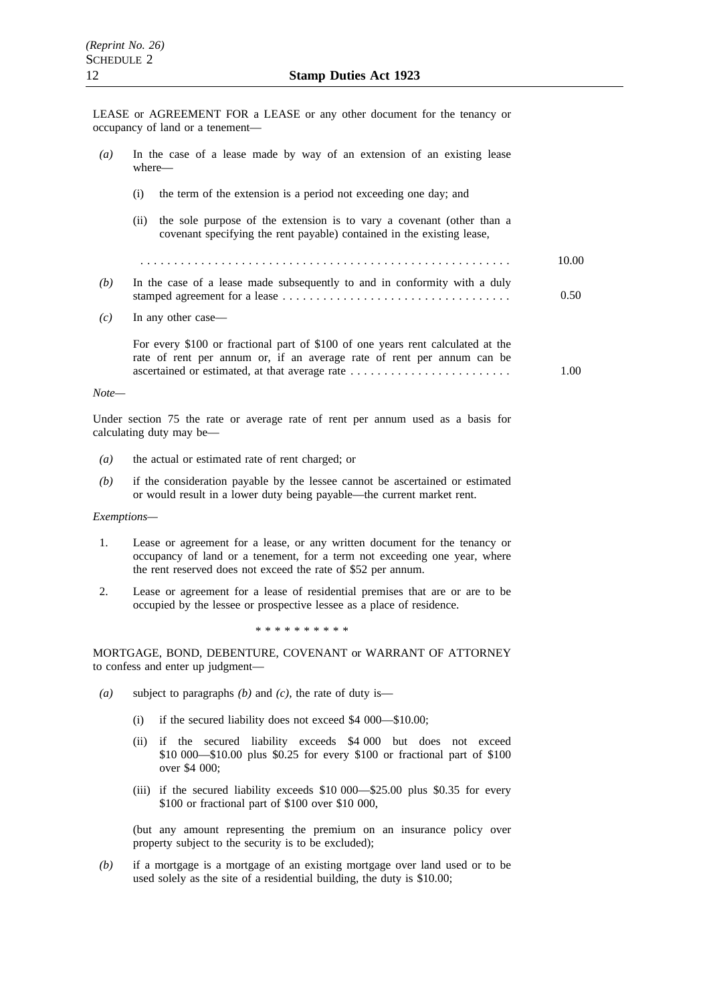LEASE or AGREEMENT FOR a LEASE or any other document for the tenancy or occupancy of land or a tenement—

| $\left(a\right)$ | In the case of a lease made by way of an extension of an existing lease<br>where—                                                                         |       |
|------------------|-----------------------------------------------------------------------------------------------------------------------------------------------------------|-------|
|                  | the term of the extension is a period not exceeding one day; and<br>(i)                                                                                   |       |
|                  | the sole purpose of the extension is to vary a covenant (other than a<br>(i)<br>covenant specifying the rent payable) contained in the existing lease,    |       |
|                  |                                                                                                                                                           | 10.00 |
| (b)              | In the case of a lease made subsequently to and in conformity with a duly                                                                                 | 0.50  |
| (c)              | In any other case—                                                                                                                                        |       |
|                  | For every \$100 or fractional part of \$100 of one years rent calculated at the<br>rate of rent per annum or, if an average rate of rent per annum can be | 1.00  |
| Note—            |                                                                                                                                                           |       |

Under section 75 the rate or average rate of rent per annum used as a basis for calculating duty may be—

- *(a)* the actual or estimated rate of rent charged; or
- *(b)* if the consideration payable by the lessee cannot be ascertained or estimated or would result in a lower duty being payable—the current market rent.

#### *Exemptions—*

- 1. Lease or agreement for a lease, or any written document for the tenancy or occupancy of land or a tenement, for a term not exceeding one year, where the rent reserved does not exceed the rate of \$52 per annum.
- 2. Lease or agreement for a lease of residential premises that are or are to be occupied by the lessee or prospective lessee as a place of residence.

\*\*\*\*\*\*\*\*\*\*

MORTGAGE, BOND, DEBENTURE, COVENANT or WARRANT OF ATTORNEY to confess and enter up judgment—

- *(a)* subject to paragraphs *(b)* and *(c)*, the rate of duty is—
	- (i) if the secured liability does not exceed \$4 000—\$10.00;
	- (ii) if the secured liability exceeds \$4 000 but does not exceed \$10 000—\$10.00 plus \$0.25 for every \$100 or fractional part of \$100 over \$4 000;
	- (iii) if the secured liability exceeds \$10 000—\$25.00 plus \$0.35 for every \$100 or fractional part of \$100 over \$10 000,

(but any amount representing the premium on an insurance policy over property subject to the security is to be excluded);

*(b)* if a mortgage is a mortgage of an existing mortgage over land used or to be used solely as the site of a residential building, the duty is \$10.00;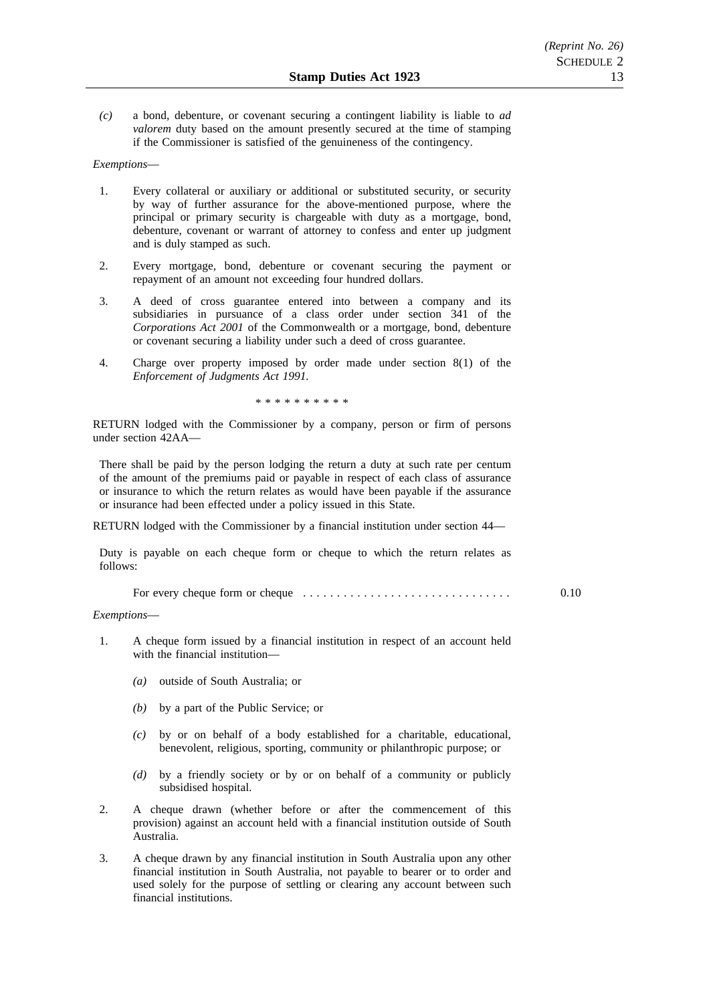*(c)* a bond, debenture, or covenant securing a contingent liability is liable to *ad valorem* duty based on the amount presently secured at the time of stamping if the Commissioner is satisfied of the genuineness of the contingency.

### *Exemptions*—

- 1. Every collateral or auxiliary or additional or substituted security, or security by way of further assurance for the above-mentioned purpose, where the principal or primary security is chargeable with duty as a mortgage, bond, debenture, covenant or warrant of attorney to confess and enter up judgment and is duly stamped as such.
- 2. Every mortgage, bond, debenture or covenant securing the payment or repayment of an amount not exceeding four hundred dollars.
- 3. A deed of cross guarantee entered into between a company and its subsidiaries in pursuance of a class order under section 341 of the *Corporations Act 2001* of the Commonwealth or a mortgage, bond, debenture or covenant securing a liability under such a deed of cross guarantee.
- 4. Charge over property imposed by order made under section 8(1) of the *Enforcement of Judgments Act 1991.*

\*\*\*\*\*\*\*\*\*\*

RETURN lodged with the Commissioner by a company, person or firm of persons under section 42AA—

There shall be paid by the person lodging the return a duty at such rate per centum of the amount of the premiums paid or payable in respect of each class of assurance or insurance to which the return relates as would have been payable if the assurance or insurance had been effected under a policy issued in this State.

RETURN lodged with the Commissioner by a financial institution under section 44—

Duty is payable on each cheque form or cheque to which the return relates as follows:

For every cheque form or cheque ............................... 0.10

#### *Exemptions*—

- 1. A cheque form issued by a financial institution in respect of an account held with the financial institution—
	- *(a)* outside of South Australia; or
	- *(b)* by a part of the Public Service; or
	- *(c)* by or on behalf of a body established for a charitable, educational, benevolent, religious, sporting, community or philanthropic purpose; or
	- *(d)* by a friendly society or by or on behalf of a community or publicly subsidised hospital.
- 2. A cheque drawn (whether before or after the commencement of this provision) against an account held with a financial institution outside of South Australia.
- 3. A cheque drawn by any financial institution in South Australia upon any other financial institution in South Australia, not payable to bearer or to order and used solely for the purpose of settling or clearing any account between such financial institutions.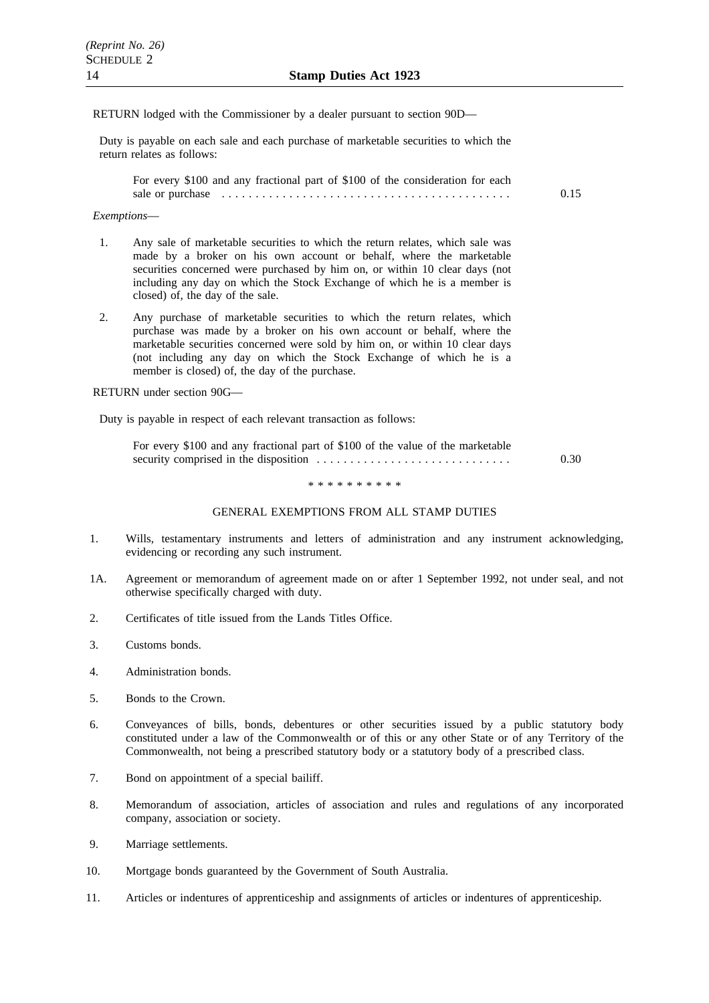### RETURN lodged with the Commissioner by a dealer pursuant to section 90D—

Duty is payable on each sale and each purchase of marketable securities to which the return relates as follows:

For every \$100 and any fractional part of \$100 of the consideration for each sale or purchase ........................................... 0.15

### *Exemptions*—

- 1. Any sale of marketable securities to which the return relates, which sale was made by a broker on his own account or behalf, where the marketable securities concerned were purchased by him on, or within 10 clear days (not including any day on which the Stock Exchange of which he is a member is closed) of, the day of the sale.
- 2. Any purchase of marketable securities to which the return relates, which purchase was made by a broker on his own account or behalf, where the marketable securities concerned were sold by him on, or within 10 clear days (not including any day on which the Stock Exchange of which he is a member is closed) of, the day of the purchase.

RETURN under section 90G—

Duty is payable in respect of each relevant transaction as follows:

| For every \$100 and any fractional part of \$100 of the value of the marketable |      |
|---------------------------------------------------------------------------------|------|
|                                                                                 | 0.30 |

\*\*\*\*\*\*\*\*\*\*

#### GENERAL EXEMPTIONS FROM ALL STAMP DUTIES

- 1. Wills, testamentary instruments and letters of administration and any instrument acknowledging, evidencing or recording any such instrument.
- 1A. Agreement or memorandum of agreement made on or after 1 September 1992, not under seal, and not otherwise specifically charged with duty.
- 2. Certificates of title issued from the Lands Titles Office.
- 3. Customs bonds.
- 4. Administration bonds.
- 5. Bonds to the Crown.
- 6. Conveyances of bills, bonds, debentures or other securities issued by a public statutory body constituted under a law of the Commonwealth or of this or any other State or of any Territory of the Commonwealth, not being a prescribed statutory body or a statutory body of a prescribed class.
- 7. Bond on appointment of a special bailiff.
- 8. Memorandum of association, articles of association and rules and regulations of any incorporated company, association or society.
- 9. Marriage settlements.
- 10. Mortgage bonds guaranteed by the Government of South Australia.
- 11. Articles or indentures of apprenticeship and assignments of articles or indentures of apprenticeship.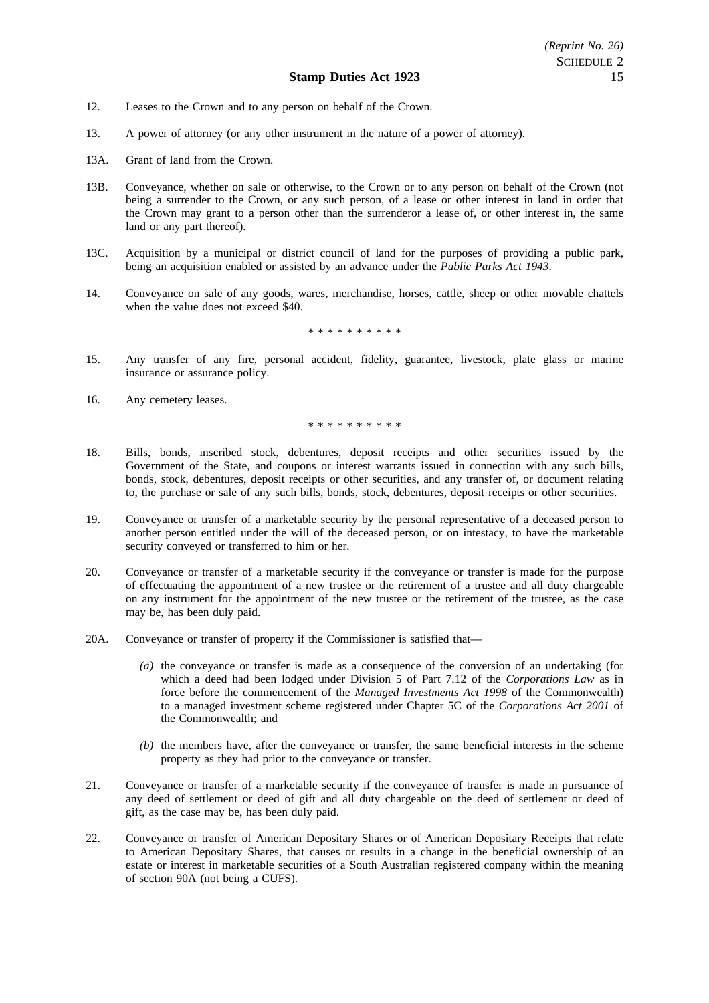- 12. Leases to the Crown and to any person on behalf of the Crown.
- 13. A power of attorney (or any other instrument in the nature of a power of attorney).
- 13A. Grant of land from the Crown.
- 13B. Conveyance, whether on sale or otherwise, to the Crown or to any person on behalf of the Crown (not being a surrender to the Crown, or any such person, of a lease or other interest in land in order that the Crown may grant to a person other than the surrenderor a lease of, or other interest in, the same land or any part thereof).
- 13C. Acquisition by a municipal or district council of land for the purposes of providing a public park, being an acquisition enabled or assisted by an advance under the *Public Parks Act 1943*.
- 14. Conveyance on sale of any goods, wares, merchandise, horses, cattle, sheep or other movable chattels when the value does not exceed \$40.

\*\*\*\*\*\*\*\*\*\*

- 15. Any transfer of any fire, personal accident, fidelity, guarantee, livestock, plate glass or marine insurance or assurance policy.
- 16. Any cemetery leases.

\*\*\*\*\*\*\*\*\*\*

- 18. Bills, bonds, inscribed stock, debentures, deposit receipts and other securities issued by the Government of the State, and coupons or interest warrants issued in connection with any such bills, bonds, stock, debentures, deposit receipts or other securities, and any transfer of, or document relating to, the purchase or sale of any such bills, bonds, stock, debentures, deposit receipts or other securities.
- 19. Conveyance or transfer of a marketable security by the personal representative of a deceased person to another person entitled under the will of the deceased person, or on intestacy, to have the marketable security conveyed or transferred to him or her.
- 20. Conveyance or transfer of a marketable security if the conveyance or transfer is made for the purpose of effectuating the appointment of a new trustee or the retirement of a trustee and all duty chargeable on any instrument for the appointment of the new trustee or the retirement of the trustee, as the case may be, has been duly paid.
- 20A. Conveyance or transfer of property if the Commissioner is satisfied that—
	- *(a)* the conveyance or transfer is made as a consequence of the conversion of an undertaking (for which a deed had been lodged under Division 5 of Part 7.12 of the *Corporations Law* as in force before the commencement of the *Managed Investments Act 1998* of the Commonwealth) to a managed investment scheme registered under Chapter 5C of the *Corporations Act 2001* of the Commonwealth; and
	- *(b)* the members have, after the conveyance or transfer, the same beneficial interests in the scheme property as they had prior to the conveyance or transfer.
- 21. Conveyance or transfer of a marketable security if the conveyance of transfer is made in pursuance of any deed of settlement or deed of gift and all duty chargeable on the deed of settlement or deed of gift, as the case may be, has been duly paid.
- 22. Conveyance or transfer of American Depositary Shares or of American Depositary Receipts that relate to American Depositary Shares, that causes or results in a change in the beneficial ownership of an estate or interest in marketable securities of a South Australian registered company within the meaning of section 90A (not being a CUFS).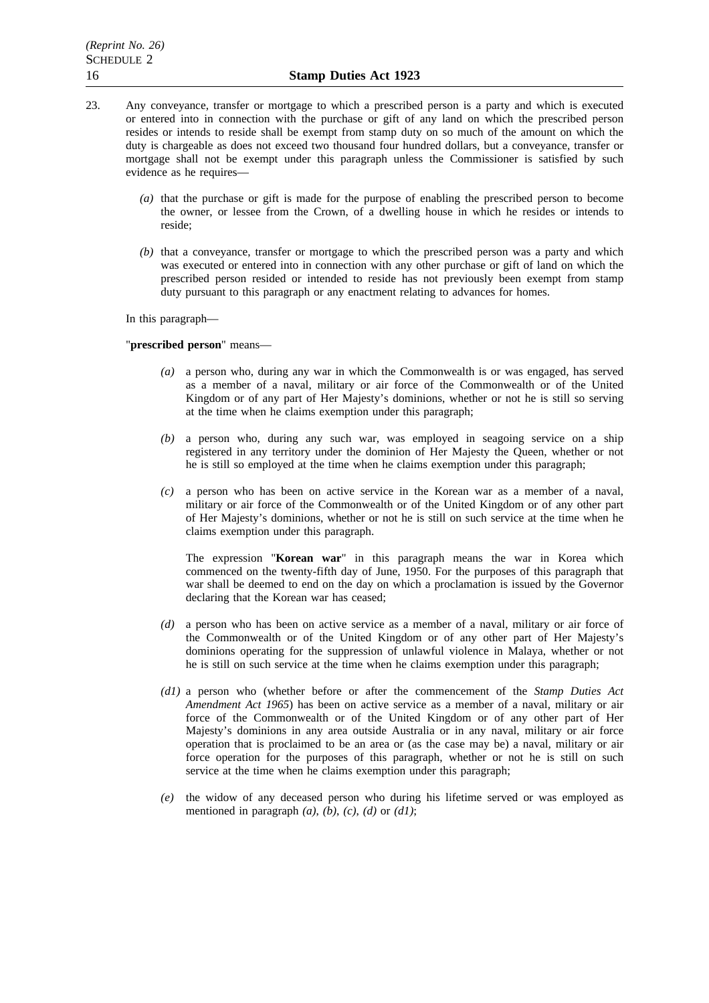- 23. Any conveyance, transfer or mortgage to which a prescribed person is a party and which is executed or entered into in connection with the purchase or gift of any land on which the prescribed person resides or intends to reside shall be exempt from stamp duty on so much of the amount on which the duty is chargeable as does not exceed two thousand four hundred dollars, but a conveyance, transfer or mortgage shall not be exempt under this paragraph unless the Commissioner is satisfied by such evidence as he requires—
	- *(a)* that the purchase or gift is made for the purpose of enabling the prescribed person to become the owner, or lessee from the Crown, of a dwelling house in which he resides or intends to reside;
	- *(b)* that a conveyance, transfer or mortgage to which the prescribed person was a party and which was executed or entered into in connection with any other purchase or gift of land on which the prescribed person resided or intended to reside has not previously been exempt from stamp duty pursuant to this paragraph or any enactment relating to advances for homes.

In this paragraph—

### "**prescribed person**" means—

- *(a)* a person who, during any war in which the Commonwealth is or was engaged, has served as a member of a naval, military or air force of the Commonwealth or of the United Kingdom or of any part of Her Majesty's dominions, whether or not he is still so serving at the time when he claims exemption under this paragraph;
- *(b)* a person who, during any such war, was employed in seagoing service on a ship registered in any territory under the dominion of Her Majesty the Queen, whether or not he is still so employed at the time when he claims exemption under this paragraph;
- *(c)* a person who has been on active service in the Korean war as a member of a naval, military or air force of the Commonwealth or of the United Kingdom or of any other part of Her Majesty's dominions, whether or not he is still on such service at the time when he claims exemption under this paragraph.

The expression "**Korean war**" in this paragraph means the war in Korea which commenced on the twenty-fifth day of June, 1950. For the purposes of this paragraph that war shall be deemed to end on the day on which a proclamation is issued by the Governor declaring that the Korean war has ceased;

- *(d)* a person who has been on active service as a member of a naval, military or air force of the Commonwealth or of the United Kingdom or of any other part of Her Majesty's dominions operating for the suppression of unlawful violence in Malaya, whether or not he is still on such service at the time when he claims exemption under this paragraph;
- *(d1)* a person who (whether before or after the commencement of the *Stamp Duties Act Amendment Act 1965*) has been on active service as a member of a naval, military or air force of the Commonwealth or of the United Kingdom or of any other part of Her Majesty's dominions in any area outside Australia or in any naval, military or air force operation that is proclaimed to be an area or (as the case may be) a naval, military or air force operation for the purposes of this paragraph, whether or not he is still on such service at the time when he claims exemption under this paragraph;
- *(e)* the widow of any deceased person who during his lifetime served or was employed as mentioned in paragraph *(a)*, *(b)*, *(c)*, *(d)* or *(d1)*;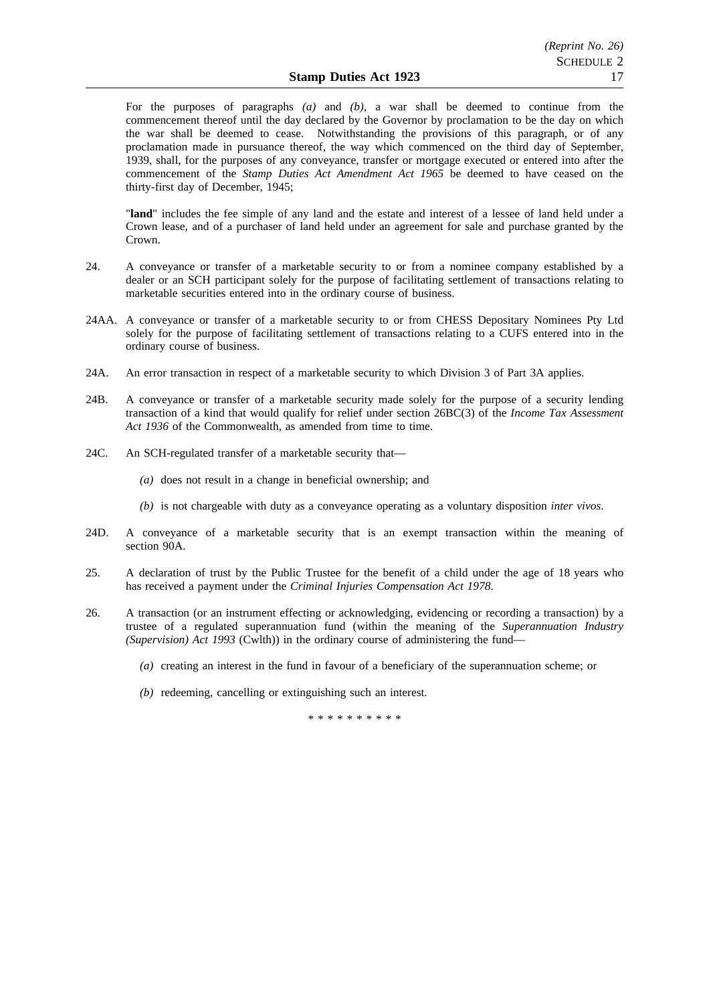For the purposes of paragraphs *(a)* and *(b)*, a war shall be deemed to continue from the commencement thereof until the day declared by the Governor by proclamation to be the day on which the war shall be deemed to cease. Notwithstanding the provisions of this paragraph, or of any proclamation made in pursuance thereof, the way which commenced on the third day of September, 1939, shall, for the purposes of any conveyance, transfer or mortgage executed or entered into after the commencement of the *Stamp Duties Act Amendment Act 1965* be deemed to have ceased on the thirty-first day of December, 1945;

"**land**" includes the fee simple of any land and the estate and interest of a lessee of land held under a Crown lease, and of a purchaser of land held under an agreement for sale and purchase granted by the Crown.

- 24. A conveyance or transfer of a marketable security to or from a nominee company established by a dealer or an SCH participant solely for the purpose of facilitating settlement of transactions relating to marketable securities entered into in the ordinary course of business.
- 24AA. A conveyance or transfer of a marketable security to or from CHESS Depositary Nominees Pty Ltd solely for the purpose of facilitating settlement of transactions relating to a CUFS entered into in the ordinary course of business.
- 24A. An error transaction in respect of a marketable security to which Division 3 of Part 3A applies.
- 24B. A conveyance or transfer of a marketable security made solely for the purpose of a security lending transaction of a kind that would qualify for relief under section 26BC(3) of the *Income Tax Assessment Act 1936* of the Commonwealth, as amended from time to time.
- 24C. An SCH-regulated transfer of a marketable security that—
	- *(a)* does not result in a change in beneficial ownership; and
	- *(b)* is not chargeable with duty as a conveyance operating as a voluntary disposition *inter vivos*.
- 24D. A conveyance of a marketable security that is an exempt transaction within the meaning of section 90A.
- 25. A declaration of trust by the Public Trustee for the benefit of a child under the age of 18 years who has received a payment under the *Criminal Injuries Compensation Act 1978*.
- 26. A transaction (or an instrument effecting or acknowledging, evidencing or recording a transaction) by a trustee of a regulated superannuation fund (within the meaning of the *Superannuation Industry (Supervision) Act 1993* (Cwlth)) in the ordinary course of administering the fund—
	- *(a)* creating an interest in the fund in favour of a beneficiary of the superannuation scheme; or
	- *(b)* redeeming, cancelling or extinguishing such an interest.

\*\*\*\*\*\*\*\*\*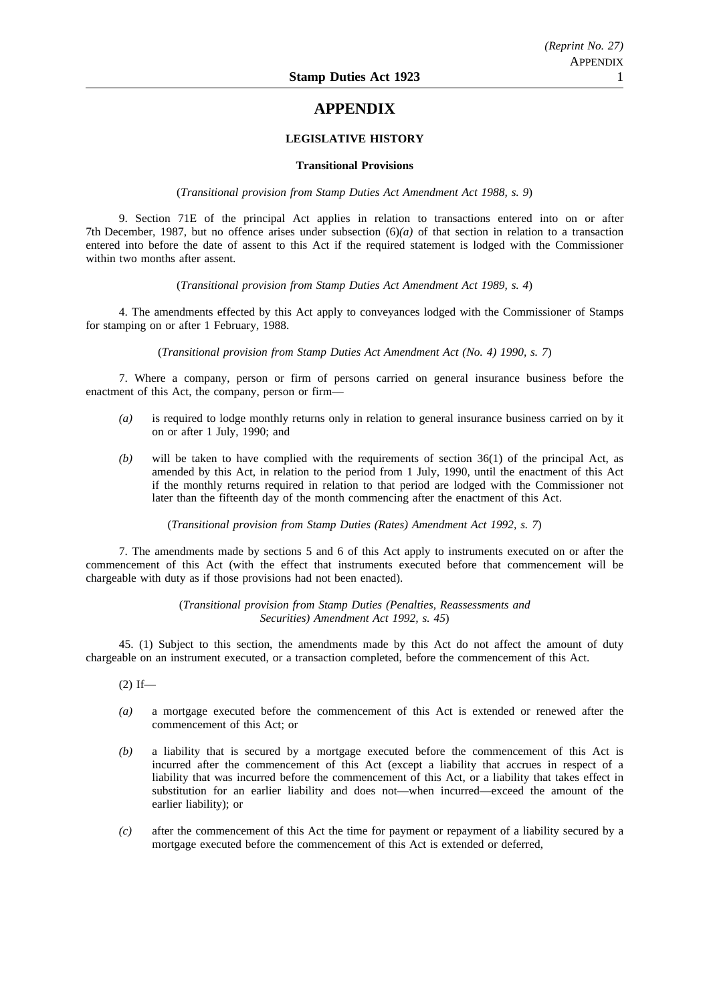# **APPENDIX**

# **LEGISLATIVE HISTORY**

### **Transitional Provisions**

(*Transitional provision from Stamp Duties Act Amendment Act 1988, s. 9*)

9. Section 71E of the principal Act applies in relation to transactions entered into on or after 7th December, 1987, but no offence arises under subsection (6)*(a)* of that section in relation to a transaction entered into before the date of assent to this Act if the required statement is lodged with the Commissioner within two months after assent.

(*Transitional provision from Stamp Duties Act Amendment Act 1989, s. 4*)

4. The amendments effected by this Act apply to conveyances lodged with the Commissioner of Stamps for stamping on or after 1 February, 1988.

(*Transitional provision from Stamp Duties Act Amendment Act (No. 4) 1990, s. 7*)

7. Where a company, person or firm of persons carried on general insurance business before the enactment of this Act, the company, person or firm—

- *(a)* is required to lodge monthly returns only in relation to general insurance business carried on by it on or after 1 July, 1990; and
- *(b)* will be taken to have complied with the requirements of section 36(1) of the principal Act, as amended by this Act, in relation to the period from 1 July, 1990, until the enactment of this Act if the monthly returns required in relation to that period are lodged with the Commissioner not later than the fifteenth day of the month commencing after the enactment of this Act.

(*Transitional provision from Stamp Duties (Rates) Amendment Act 1992, s. 7*)

7. The amendments made by sections 5 and 6 of this Act apply to instruments executed on or after the commencement of this Act (with the effect that instruments executed before that commencement will be chargeable with duty as if those provisions had not been enacted).

> (*Transitional provision from Stamp Duties (Penalties, Reassessments and Securities) Amendment Act 1992, s. 45*)

45. (1) Subject to this section, the amendments made by this Act do not affect the amount of duty chargeable on an instrument executed, or a transaction completed, before the commencement of this Act.

 $(2)$  If—

- *(a)* a mortgage executed before the commencement of this Act is extended or renewed after the commencement of this Act; or
- *(b)* a liability that is secured by a mortgage executed before the commencement of this Act is incurred after the commencement of this Act (except a liability that accrues in respect of a liability that was incurred before the commencement of this Act, or a liability that takes effect in substitution for an earlier liability and does not—when incurred—exceed the amount of the earlier liability); or
- *(c)* after the commencement of this Act the time for payment or repayment of a liability secured by a mortgage executed before the commencement of this Act is extended or deferred,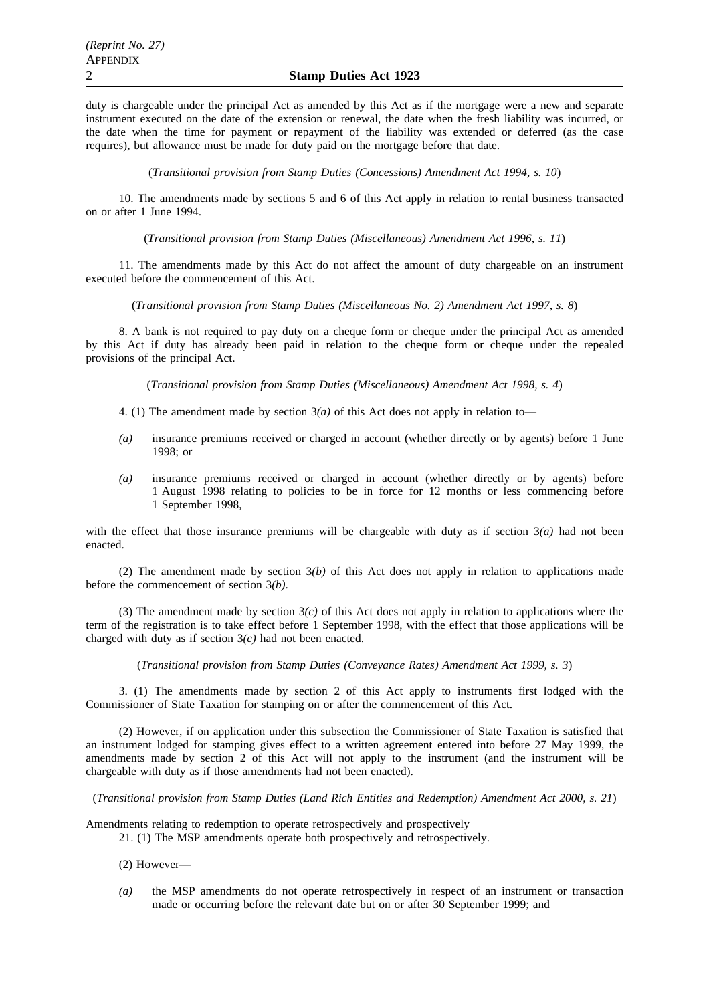duty is chargeable under the principal Act as amended by this Act as if the mortgage were a new and separate instrument executed on the date of the extension or renewal, the date when the fresh liability was incurred, or the date when the time for payment or repayment of the liability was extended or deferred (as the case requires), but allowance must be made for duty paid on the mortgage before that date.

(*Transitional provision from Stamp Duties (Concessions) Amendment Act 1994, s. 10*)

10. The amendments made by sections 5 and 6 of this Act apply in relation to rental business transacted on or after 1 June 1994.

(*Transitional provision from Stamp Duties (Miscellaneous) Amendment Act 1996, s. 11*)

11. The amendments made by this Act do not affect the amount of duty chargeable on an instrument executed before the commencement of this Act.

(*Transitional provision from Stamp Duties (Miscellaneous No. 2) Amendment Act 1997, s. 8*)

8. A bank is not required to pay duty on a cheque form or cheque under the principal Act as amended by this Act if duty has already been paid in relation to the cheque form or cheque under the repealed provisions of the principal Act.

(*Transitional provision from Stamp Duties (Miscellaneous) Amendment Act 1998, s. 4*)

- 4. (1) The amendment made by section 3*(a)* of this Act does not apply in relation to—
- *(a)* insurance premiums received or charged in account (whether directly or by agents) before 1 June 1998; or
- *(a)* insurance premiums received or charged in account (whether directly or by agents) before 1 August 1998 relating to policies to be in force for 12 months or less commencing before 1 September 1998,

with the effect that those insurance premiums will be chargeable with duty as if section  $3(a)$  had not been enacted.

(2) The amendment made by section 3*(b)* of this Act does not apply in relation to applications made before the commencement of section 3*(b)*.

(3) The amendment made by section 3*(c)* of this Act does not apply in relation to applications where the term of the registration is to take effect before 1 September 1998, with the effect that those applications will be charged with duty as if section 3*(c)* had not been enacted.

(*Transitional provision from Stamp Duties (Conveyance Rates) Amendment Act 1999, s. 3*)

3. (1) The amendments made by section 2 of this Act apply to instruments first lodged with the Commissioner of State Taxation for stamping on or after the commencement of this Act.

(2) However, if on application under this subsection the Commissioner of State Taxation is satisfied that an instrument lodged for stamping gives effect to a written agreement entered into before 27 May 1999, the amendments made by section 2 of this Act will not apply to the instrument (and the instrument will be chargeable with duty as if those amendments had not been enacted).

(*Transitional provision from Stamp Duties (Land Rich Entities and Redemption) Amendment Act 2000, s. 21*)

Amendments relating to redemption to operate retrospectively and prospectively

21. (1) The MSP amendments operate both prospectively and retrospectively.

(2) However—

*(a)* the MSP amendments do not operate retrospectively in respect of an instrument or transaction made or occurring before the relevant date but on or after 30 September 1999; and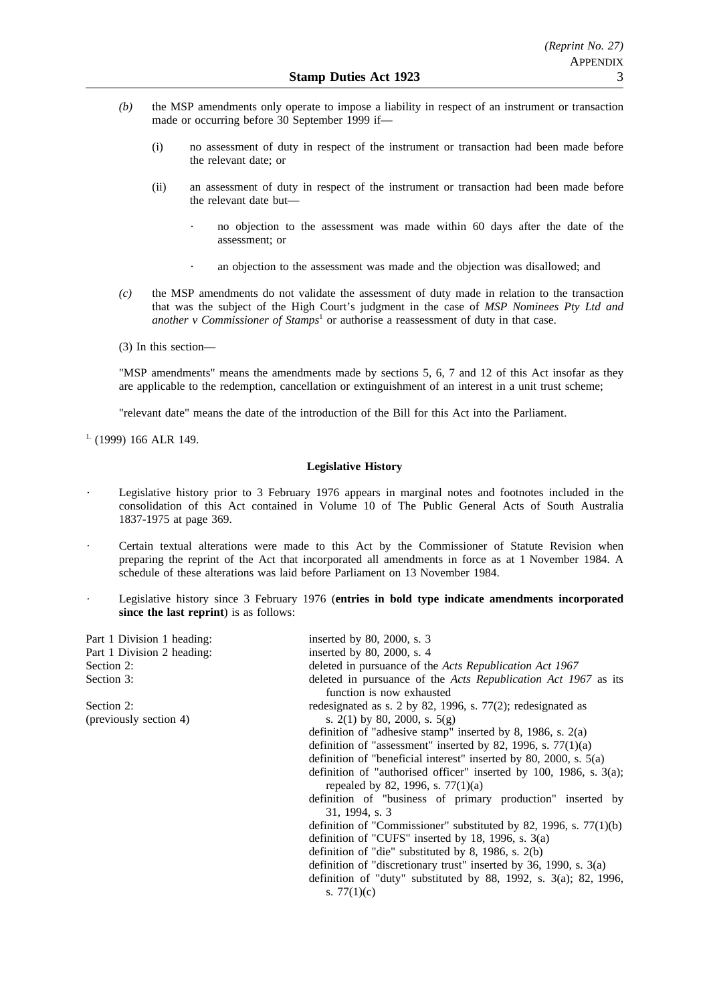- *(b)* the MSP amendments only operate to impose a liability in respect of an instrument or transaction made or occurring before 30 September 1999 if—
	- (i) no assessment of duty in respect of the instrument or transaction had been made before the relevant date; or
	- (ii) an assessment of duty in respect of the instrument or transaction had been made before the relevant date but
		- no objection to the assessment was made within 60 days after the date of the assessment; or
		- an objection to the assessment was made and the objection was disallowed; and
- *(c)* the MSP amendments do not validate the assessment of duty made in relation to the transaction that was the subject of the High Court's judgment in the case of *MSP Nominees Pty Ltd and another v Commissioner of Stamps<sup>1</sup>* or authorise a reassessment of duty in that case.
- (3) In this section—

"MSP amendments" means the amendments made by sections 5, 6, 7 and 12 of this Act insofar as they are applicable to the redemption, cancellation or extinguishment of an interest in a unit trust scheme;

"relevant date" means the date of the introduction of the Bill for this Act into the Parliament.

<sup>1.</sup> (1999) 166 ALR 149.

## **Legislative History**

- Legislative history prior to 3 February 1976 appears in marginal notes and footnotes included in the consolidation of this Act contained in Volume 10 of The Public General Acts of South Australia 1837-1975 at page 369.
- Certain textual alterations were made to this Act by the Commissioner of Statute Revision when preparing the reprint of the Act that incorporated all amendments in force as at 1 November 1984. A schedule of these alterations was laid before Parliament on 13 November 1984.
- Legislative history since 3 February 1976 (**entries in bold type indicate amendments incorporated since the last reprint**) is as follows:

| Part 1 Division 1 heading: | inserted by 80, 2000, s. 3                                                                                   |
|----------------------------|--------------------------------------------------------------------------------------------------------------|
| Part 1 Division 2 heading: | inserted by 80, 2000, s. 4                                                                                   |
| Section 2:                 | deleted in pursuance of the Acts Republication Act 1967                                                      |
| Section 3:                 | deleted in pursuance of the <i>Acts Republication Act 1967</i> as its<br>function is now exhausted           |
| Section 2:                 | redesignated as s. $2$ by 82, 1996, s. 77(2); redesignated as                                                |
| (previously section 4)     | s. 2(1) by 80, 2000, s. $5(g)$                                                                               |
|                            | definition of "adhesive stamp" inserted by 8, 1986, s. $2(a)$                                                |
|                            | definition of "assessment" inserted by 82, 1996, s. $77(1)(a)$                                               |
|                            | definition of "beneficial interest" inserted by 80, 2000, s. $5(a)$                                          |
|                            | definition of "authorised officer" inserted by 100, 1986, s. $3(a)$ ;<br>repealed by 82, 1996, s. $77(1)(a)$ |
|                            | definition of "business of primary production" inserted by<br>31, 1994, s. 3                                 |
|                            | definition of "Commissioner" substituted by 82, 1996, s. $77(1)(b)$                                          |
|                            | definition of "CUFS" inserted by 18, 1996, s. $3(a)$                                                         |
|                            | definition of "die" substituted by 8, 1986, s. $2(b)$                                                        |
|                            | definition of "discretionary trust" inserted by 36, 1990, s. $3(a)$                                          |
|                            | definition of "duty" substituted by 88, 1992, s. $3(a)$ ; 82, 1996,                                          |
|                            | s. $77(1)(c)$                                                                                                |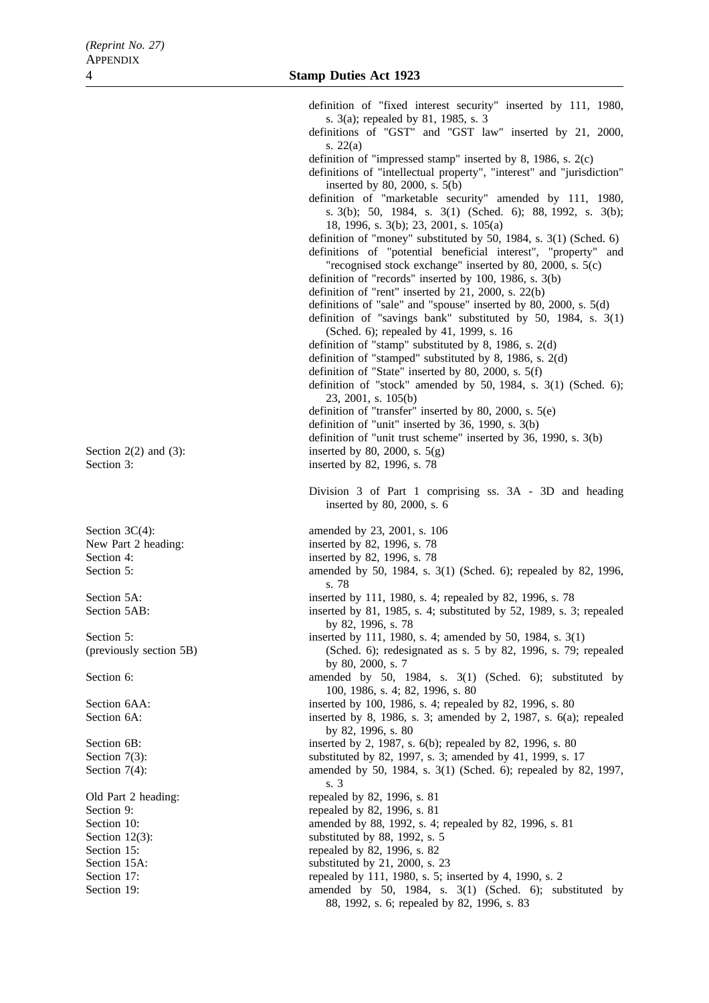definition of "fixed interest security" inserted by 111, 1980, s. 3(a); repealed by 81, 1985, s. 3 definitions of "GST" and "GST law" inserted by 21, 2000, s. 22(a) definition of "impressed stamp" inserted by 8, 1986, s. 2(c) definitions of "intellectual property", "interest" and "jurisdiction" inserted by 80, 2000, s. 5(b) definition of "marketable security" amended by 111, 1980, s. 3(b); 50, 1984, s. 3(1) (Sched. 6); 88, 1992, s. 3(b); 18, 1996, s. 3(b); 23, 2001, s. 105(a) definition of "money" substituted by 50, 1984, s. 3(1) (Sched. 6) definitions of "potential beneficial interest", "property" and "recognised stock exchange" inserted by 80, 2000, s. 5(c) definition of "records" inserted by 100, 1986, s. 3(b) definition of "rent" inserted by 21, 2000, s. 22(b) definitions of "sale" and "spouse" inserted by 80, 2000, s. 5(d) definition of "savings bank" substituted by 50, 1984, s. 3(1) (Sched. 6); repealed by 41, 1999, s. 16 definition of "stamp" substituted by 8, 1986, s. 2(d) definition of "stamped" substituted by 8, 1986, s. 2(d) definition of "State" inserted by 80, 2000, s. 5(f) definition of "stock" amended by 50, 1984, s. 3(1) (Sched. 6); 23, 2001, s. 105(b) definition of "transfer" inserted by 80, 2000, s. 5(e) definition of "unit" inserted by 36, 1990, s. 3(b) definition of "unit trust scheme" inserted by 36, 1990, s. 3(b) Section  $2(2)$  and  $(3)$ : inserted by 80, 2000, s.  $5(g)$ Section 3: inserted by 82, 1996, s. 78 Division 3 of Part 1 comprising ss. 3A - 3D and heading inserted by 80, 2000, s. 6 Section 3C(4): amended by 23, 2001, s. 106 New Part 2 heading: inserted by 82, 1996, s. 78 Section 4: inserted by 82, 1996, s. 78 Section 5: amended by 50, 1984, s. 3(1) (Sched. 6); repealed by 82, 1996, s. 78 Section 5A: inserted by 111, 1980, s. 4; repealed by 82, 1996, s. 78 Section 5AB: inserted by 81, 1985, s. 4; substituted by 52, 1989, s. 3; repealed by 82, 1996, s. 78 Section 5: inserted by 111, 1980, s. 4; amended by 50, 1984, s. 3(1) (previously section 5B) (Sched. 6); redesignated as s. 5 by 82, 1996, s. 79; repealed by 80, 2000, s. 7 Section 6: amended by 50, 1984, s. 3(1) (Sched. 6); substituted by 50, 1984, s. 3(1) (Sched. 6); substituted by 100, 1986, s. 4; 82, 1996, s. 80 Section 6AA: inserted by 100, 1986, s. 4; repealed by 82, 1996, s. 80 Section 6A: inserted by 8, 1986, s. 3; amended by 2, 1987, s. 6(a); repealed by 82, 1996, s. 80 Section 6B: inserted by 2, 1987, s. 6(b); repealed by 82, 1996, s. 80 Section 7(3): substituted by 82, 1997, s. 3; amended by 41, 1999, s. 17 Section 7(4): amended by 50, 1984, s. 3(1) (Sched. 6); repealed by 82, 1997, s. 3 Old Part 2 heading: repealed by 82, 1996, s. 81 Section 9: repealed by 82, 1996, s. 81 Section 10: **amended** by 88, 1992, s. 4; repealed by 82, 1996, s. 81 Section 12(3): substituted by 88, 1992, s. 5 Section 15: repealed by 82, 1996, s. 82 Section 15A: substituted by 21, 2000, s. 23 Section 17: repealed by 111, 1980, s. 5; inserted by 4, 1990, s. 2 Section 19: **amended** by 50, 1984, s. 3(1) (Sched. 6); substituted by

88, 1992, s. 6; repealed by 82, 1996, s. 83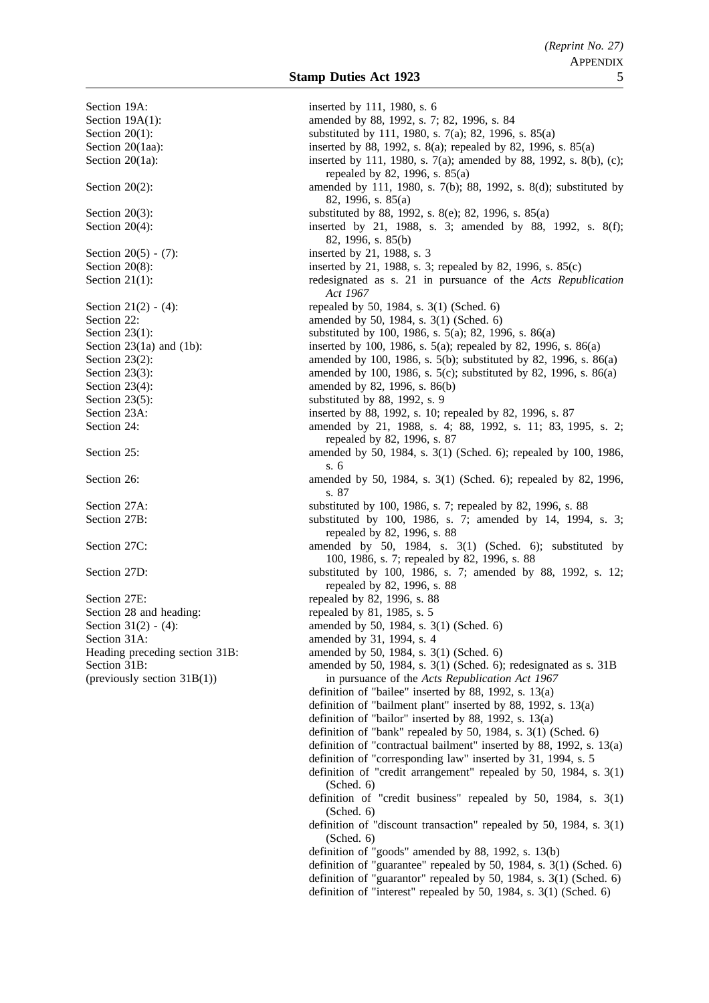Section 19A: inserted by 111, 1980, s. 6 Section 19A(1): amended by 88, 1992, s. 7; 82, 1996, s. 84 Section 20(1): substituted by 111, 1980, s. 7(a); 82, 1996, s. 85(a) Section 20(1aa): inserted by 88, 1992, s. 8(a); repealed by 82, 1996, s. 85(a) Section 20(1a): inserted by 111, 1980, s. 7(a); amended by 88, 1992, s. 8(b), (c); repealed by 82, 1996, s. 85(a) Section 20(2): amended by 111, 1980, s. 7(b); 88, 1992, s. 8(d); substituted by 82, 1996, s. 85(a) Section 20(3): substituted by 88, 1992, s. 8(e); 82, 1996, s. 85(a) Section 20(4): inserted by 21, 1988, s. 3; amended by 88, 1992, s. 8(f); 82, 1996, s. 85(b) Section 20(5) - (7): inserted by 21, 1988, s. 3 Section 20(8): inserted by 21, 1988, s. 3; repealed by 82, 1996, s. 85(c) Section 21(1): redesignated as s. 21 in pursuance of the *Acts Republication Act 1967* Section 21(2) - (4): repealed by 50, 1984, s. 3(1) (Sched. 6) Section 22: **amended** by 50, 1984, s. 3(1) (Sched. 6) Section 23(1): substituted by 100, 1986, s. 5(a); 82, 1996, s. 86(a) Section 23(1a) and (1b): inserted by 100, 1986, s. 5(a); repealed by 82, 1996, s. 86(a) Section 23(2): amended by 100, 1986, s. 5(b); substituted by 82, 1996, s. 86(a) Section 23(3): amended by 100, 1986, s. 5(c); substituted by 82, 1996, s. 86(a) Section 23(4): amended by 82, 1996, s. 86(b) Section 23(5): substituted by 88, 1992, s. 9 Section 23A: inserted by 88, 1992, s. 10; repealed by 82, 1996, s. 87<br>Section 24: **inserted** by 82, 1988, s. 4: 88, 1992, s. 11: 83, 1 amended by 21, 1988, s. 4; 88, 1992, s. 11; 83, 1995, s. 2; repealed by 82, 1996, s. 87 Section 25: **amended** by 50, 1984, s. 3(1) (Sched. 6); repealed by 100, 1986, s. 6 Section 26: amended by 50, 1984, s. 3(1) (Sched. 6); repealed by 82, 1996, s. 87 Section 27A: substituted by 100, 1986, s. 7; repealed by 82, 1996, s. 88 Section 27B: substituted by 100, 1986, s. 7; amended by 14, 1994, s. 3; repealed by 82, 1996, s. 88 Section 27C: amended by 50, 1984, s. 3(1) (Sched. 6); substituted by 50, 1984, s. 3(1) (Sched. 6); substituted by 100, 1986, s. 7; repealed by 82, 1996, s. 88 Section 27D: substituted by 100, 1986, s. 7; amended by 88, 1992, s. 12; repealed by 82, 1996, s. 88 Section 27E: repealed by 82, 1996, s. 88 Section 28 and heading: repealed by 81, 1985, s. 5 Section 31(2) - (4): amended by 50, 1984, s. 3(1) (Sched. 6) Section 31A: amended by 31, 1994, s. 4 Heading preceding section 31B: amended by 50, 1984, s. 3(1) (Sched. 6) Section 31B: amended by 50, 1984, s. 3(1) (Sched. 6); redesignated as s. 31B (previously section 31B(1)) in pursuance of the *Acts Republication Act 1967* definition of "bailee" inserted by 88, 1992, s. 13(a) definition of "bailment plant" inserted by 88, 1992, s. 13(a) definition of "bailor" inserted by 88, 1992, s. 13(a) definition of "bank" repealed by 50, 1984, s. 3(1) (Sched. 6) definition of "contractual bailment" inserted by 88, 1992, s. 13(a) definition of "corresponding law" inserted by 31, 1994, s. 5 definition of "credit arrangement" repealed by 50, 1984, s. 3(1) (Sched. 6) definition of "credit business" repealed by 50, 1984, s. 3(1) (Sched. 6) definition of "discount transaction" repealed by 50, 1984, s. 3(1) (Sched. 6) definition of "goods" amended by 88, 1992, s. 13(b) definition of "guarantee" repealed by 50, 1984, s. 3(1) (Sched. 6) definition of "guarantor" repealed by 50, 1984, s. 3(1) (Sched. 6) definition of "interest" repealed by 50, 1984, s. 3(1) (Sched. 6)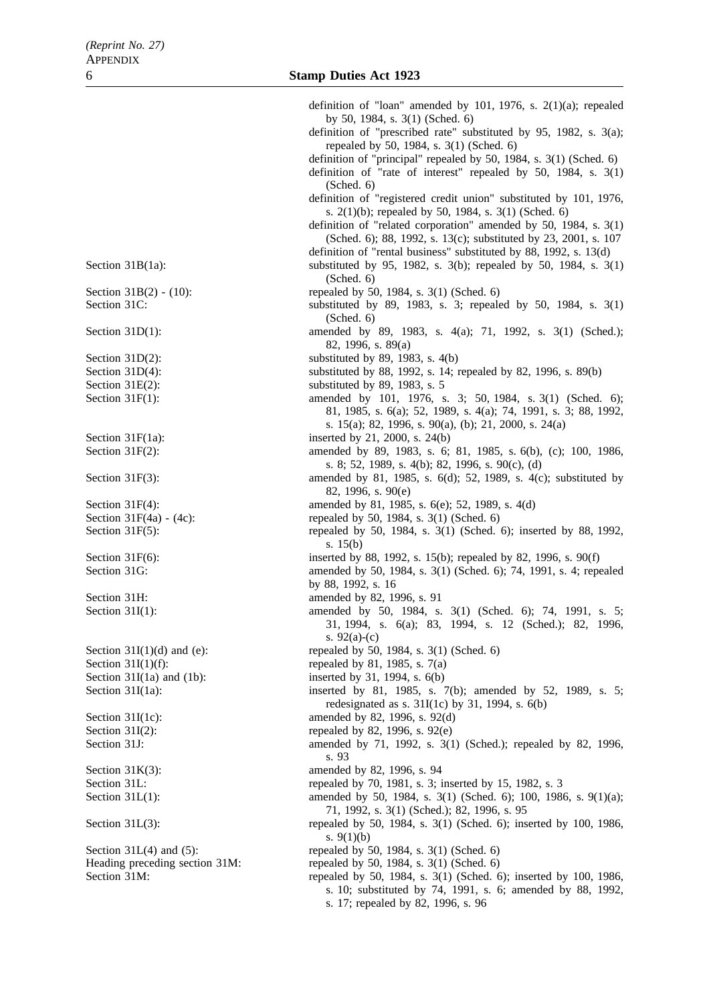definition of "loan" amended by 101, 1976, s. 2(1)(a); repealed by 50, 1984, s. 3(1) (Sched. 6) definition of "prescribed rate" substituted by 95, 1982, s. 3(a); repealed by 50, 1984, s. 3(1) (Sched. 6) definition of "principal" repealed by 50, 1984, s. 3(1) (Sched. 6) definition of "rate of interest" repealed by 50, 1984, s. 3(1) (Sched. 6) definition of "registered credit union" substituted by 101, 1976, s. 2(1)(b); repealed by 50, 1984, s. 3(1) (Sched. 6) definition of "related corporation" amended by 50, 1984, s. 3(1) (Sched. 6); 88, 1992, s. 13(c); substituted by 23, 2001, s. 107 definition of "rental business" substituted by 88, 1992, s. 13(d) Section 31B(1a): substituted by 95, 1982, s. 3(b); repealed by 50, 1984, s. 3(1) (Sched. 6) Section 31B(2) - (10): repealed by 50, 1984, s. 3(1) (Sched. 6) Section 31C: substituted by 89, 1983, s. 3; repealed by 50, 1984, s. 3(1) (Sched. 6) Section 31D(1): amended by 89, 1983, s. 4(a); 71, 1992, s. 3(1) (Sched.); 82, 1996, s. 89(a) Section  $31D(2)$ : substituted by 89, 1983, s.  $4(b)$ Section 31D(4): substituted by 88, 1992, s. 14; repealed by 82, 1996, s. 89(b) Section 31E(2): substituted by 89, 1983, s. 5 Section 31F(1): amended by 101, 1976, s. 3; 50, 1984, s. 3(1) (Sched. 6); 81, 1985, s. 6(a); 52, 1989, s. 4(a); 74, 1991, s. 3; 88, 1992, s. 15(a); 82, 1996, s. 90(a), (b); 21, 2000, s. 24(a) Section  $31F(1a)$ : inserted by 21, 2000, s. 24(b) Section 31F(2): amended by 89, 1983, s. 6; 81, 1985, s. 6(b), (c); 100, 1986, s. 8; 52, 1989, s. 4(b); 82, 1996, s. 90(c), (d) Section 31F(3): amended by 81, 1985, s. 6(d); 52, 1989, s. 4(c); substituted by 82, 1996, s. 90(e) Section 31F(4): amended by 81, 1985, s. 6(e); 52, 1989, s. 4(d) Section  $31F(4a) - (4c)$ : repealed by 50, 1984, s. 3(1) (Sched. 6) Section 31F(5): repealed by 50, 1984, s. 3(1) (Sched. 6); inserted by 88, 1992, s. 15(b) Section 31F(6): inserted by 88, 1992, s. 15(b); repealed by 82, 1996, s. 90(f) Section 31G: amended by 50, 1984, s. 3(1) (Sched. 6); 74, 1991, s. 4; repealed by 88, 1992, s. 16 Section 31H: amended by 82, 1996, s. 91 Section 31I(1): amended by 50, 1984, s. 3(1) (Sched. 6); 74, 1991, s. 5; 31, 1994, s. 6(a); 83, 1994, s. 12 (Sched.); 82, 1996, s. 92(a)-(c) Section  $31I(1)(d)$  and (e): repealed by 50, 1984, s.  $3(1)$  (Sched. 6) Section 31I(1)(f): repealed by 81, 1985, s.  $7(a)$ Section  $31I(1a)$  and  $(1b)$ : inserted by 31, 1994, s.  $6(b)$ Section 31I(1a): inserted by 81, 1985, s. 7(b); amended by 52, 1989, s. 5; redesignated as s.  $31I(1c)$  by 31, 1994, s.  $6(b)$ Section 31I(1c): amended by 82, 1996, s. 92(d) Section 31I(2): repealed by 82, 1996, s.  $92(e)$ Section 31J: amended by 71, 1992, s. 3(1) (Sched.); repealed by 82, 1996, s. 93 Section 31K(3): amended by 82, 1996, s. 94 Section 31L: repealed by 70, 1981, s. 3; inserted by 15, 1982, s. 3 Section 31L(1): amended by 50, 1984, s. 3(1) (Sched. 6); 100, 1986, s. 9(1)(a); 71, 1992, s. 3(1) (Sched.); 82, 1996, s. 95 Section 31L(3): repealed by 50, 1984, s. 3(1) (Sched. 6); inserted by 100, 1986, s.  $9(1)(b)$ Section 31L(4) and (5): repealed by 50, 1984, s. 3(1) (Sched. 6) Heading preceding section 31M: repealed by 50, 1984, s. 3(1) (Sched. 6) Section 31M: repealed by 50, 1984, s. 3(1) (Sched. 6); inserted by 100, 1986, s. 10; substituted by 74, 1991, s. 6; amended by 88, 1992, s. 17; repealed by 82, 1996, s. 96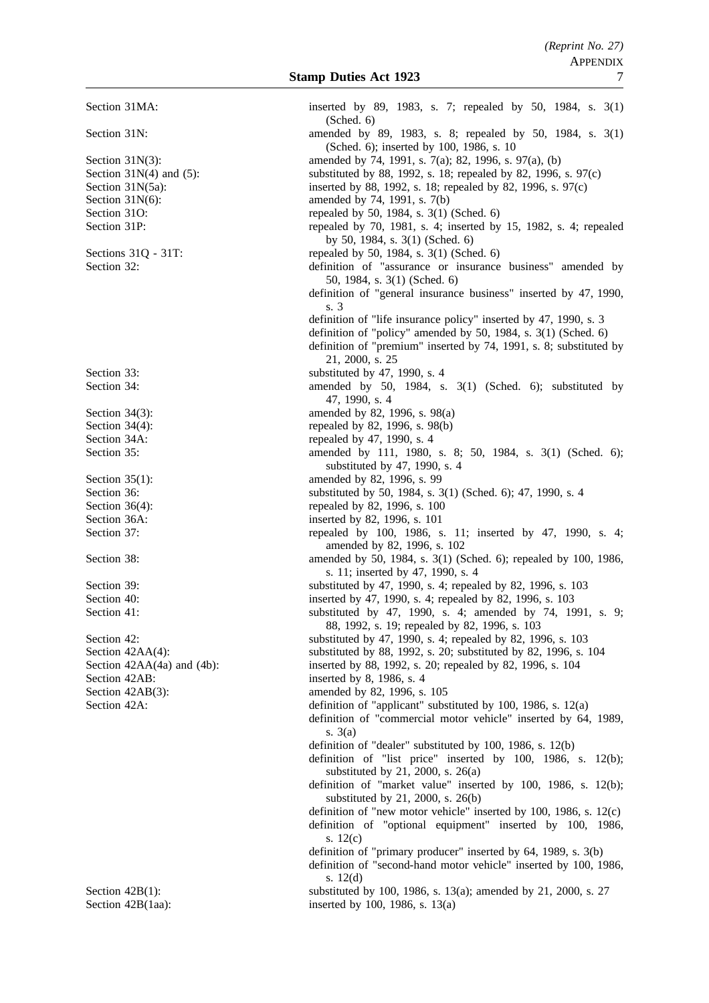Section 42AB: inserted by 8, 1986, s. 4

Section 31MA: inserted by 89, 1983, s. 7; repealed by 50, 1984, s. 3(1) (Sched. 6) Section 31N: amended by 89, 1983, s. 8; repealed by 50, 1984, s. 3(1) (Sched. 6); inserted by 100, 1986, s. 10 Section 31N(3): amended by 74, 1991, s. 7(a); 82, 1996, s. 97(a), (b) Section 31N(4) and (5): substituted by 88, 1992, s. 18; repealed by 82, 1996, s. 97(c) Section 31N(5a): inserted by 88, 1992, s. 18; repealed by 82, 1996, s. 97(c) Section  $31N(6)$ : amended by 74, 1991, s. 7(b) Section 31O: repealed by 50, 1984, s. 3(1) (Sched. 6) Section 31P: repealed by 70, 1981, s. 4; inserted by 15, 1982, s. 4; repealed by 50, 1984, s. 3(1) (Sched. 6) Sections 31Q - 31T: repealed by 50, 1984, s. 3(1) (Sched. 6) Section 32: definition of "assurance or insurance business" amended by 50, 1984, s. 3(1) (Sched. 6) definition of "general insurance business" inserted by 47, 1990, s. 3 definition of "life insurance policy" inserted by 47, 1990, s. 3 definition of "policy" amended by 50, 1984, s. 3(1) (Sched. 6) definition of "premium" inserted by 74, 1991, s. 8; substituted by 21, 2000, s. 25 Section 33: substituted by 47, 1990, s. 4 Section 34: amended by 50, 1984, s. 3(1) (Sched. 6); substituted by 47, 1990, s. 4 Section 34(3): amended by 82, 1996, s. 98(a)<br>Section 34(4): The section 34(4):  $\frac{34(4)}{8}$ Section 34(4): repealed by 82, 1996, s. 98(b)<br>Section 34A: repealed by 47, 1990, s. 4 Section 34A: repealed by 47, 1990, s. 4<br>Section 35: amended by 111, 1980. amended by 111, 1980, s. 8; 50, 1984, s. 3(1) (Sched. 6); substituted by 47, 1990, s. 4 Section 35(1): amended by 82, 1996, s. 99 Section 36: substituted by 50, 1984, s. 3(1) (Sched. 6); 47, 1990, s. 4 Section 36(4): repealed by 82, 1996, s. 100 Section 36A: inserted by 82, 1996, s. 101 Section 37: repealed by 100, 1986, s. 11; inserted by 47, 1990, s. 4; amended by 82, 1996, s. 102 Section 38: **amended** by 50, 1984, s. 3(1) (Sched. 6); repealed by 100, 1986, s. 11; inserted by 47, 1990, s. 4 Section 39: substituted by 47, 1990, s. 4; repealed by 82, 1996, s. 103 Section 40: inserted by 47, 1990, s. 4; repealed by 82, 1996, s. 103 Section 41: substituted by 47, 1990, s. 4; amended by 74, 1991, s. 9; 88, 1992, s. 19; repealed by 82, 1996, s. 103 Section 42: substituted by 47, 1990, s. 4; repealed by 82, 1996, s. 103 Section 42AA(4): substituted by 88, 1992, s. 20; substituted by 82, 1996, s. 104 Section 42AA(4a) and (4b): inserted by 88, 1992, s. 20; repealed by 82, 1996, s. 104 Section 42AB(3): amended by 82, 1996, s. 105 Section 42A: definition of "applicant" substituted by 100, 1986, s. 12(a) definition of "commercial motor vehicle" inserted by 64, 1989, s. 3(a) definition of "dealer" substituted by 100, 1986, s. 12(b) definition of "list price" inserted by 100, 1986, s. 12(b); substituted by 21, 2000, s. 26(a) definition of "market value" inserted by 100, 1986, s. 12(b); substituted by 21, 2000, s. 26(b) definition of "new motor vehicle" inserted by 100, 1986, s. 12(c) definition of "optional equipment" inserted by 100, 1986, s. 12(c) definition of "primary producer" inserted by 64, 1989, s. 3(b) definition of "second-hand motor vehicle" inserted by 100, 1986, s. 12(d) Section 42B(1): substituted by 100, 1986, s. 13(a); amended by 21, 2000, s. 27 Section 42B(1aa): inserted by 100, 1986, s. 13(a)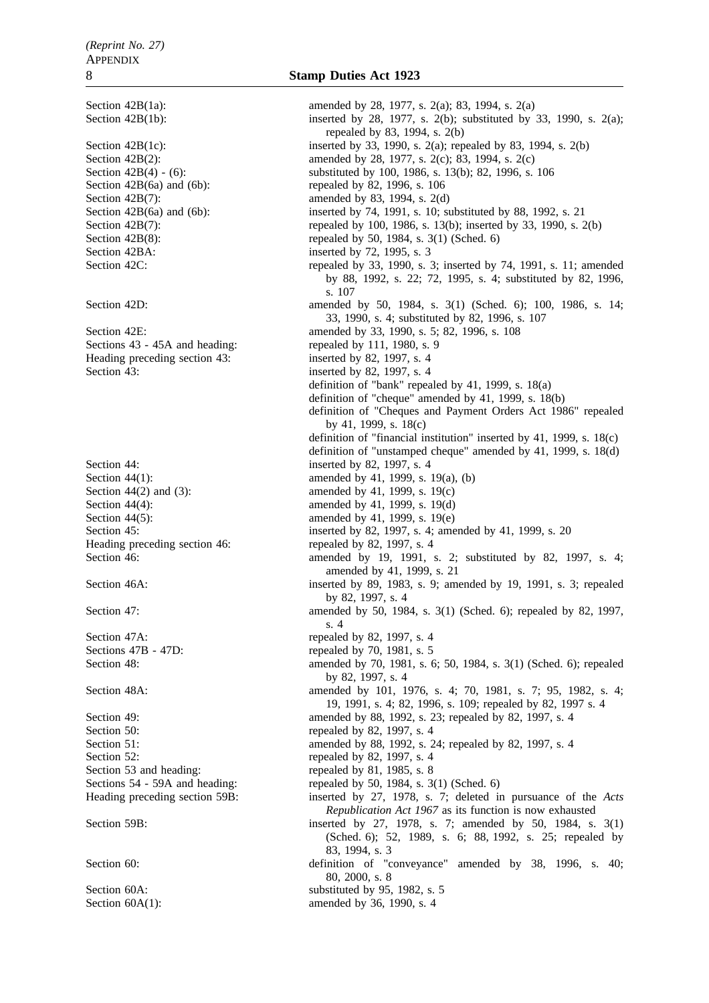Section 42B(6a) and (6b): repealed by 82, 1996, s. 106 Section 42B(7): amended by 83, 1994, s. 2(d) Section 42B(8): repealed by 50, 1984, s. 3(1) (Sched. 6) Section 42BA: inserted by 72, 1995, s. 3 Section 42E: amended by 33, 1990, s. 5; 82, 1996, s. 108 Sections 43 - 45A and heading: repealed by 111, 1980, s. 9<br>Heading preceding section 43: inserted by 82, 1997, s. 4 Heading preceding section 43: Section 43: inserted by 82, 1997, s. 4 Section 44: inserted by 82, 1997, s. 4 Section 44(1): amended by 41, 1999, s. 19(a), (b) Section 44(2) and (3): amended by 41, 1999, s. 19(c) Section 44(4): amended by 41, 1999, s. 19(d) Section 44(5): amended by 41, 1999, s. 19(e) Heading preceding section 46: repealed by 82, 1997, s. 4 Section 47A: repealed by 82, 1997, s. 4 Sections 47B - 47D: repealed by 70, 1981, s. 5 Section 50: repealed by 82, 1997, s. 4 Section 52: repealed by 82, 1997, s. 4 Section 53 and heading: repealed by 81, 1985, s. 8 Sections 54 - 59A and heading: repealed by 50, 1984, s. 3(1) (Sched. 6)

Section 42B(1a): amended by 28, 1977, s. 2(a); 83, 1994, s. 2(a) Section 42B(1b): inserted by 28, 1977, s. 2(b); substituted by 33, 1990, s. 2(a); repealed by 83, 1994, s. 2(b) Section 42B(1c): inserted by 33, 1990, s. 2(a); repealed by 83, 1994, s. 2(b) Section 42B(2): amended by 28, 1977, s. 2(c); 83, 1994, s. 2(c) Section 42B(4) - (6): substituted by 100, 1986, s. 13(b); 82, 1996, s. 106 Section 42B(6a) and (6b): inserted by 74, 1991, s. 10; substituted by 88, 1992, s. 21 Section 42B(7): repealed by 100, 1986, s. 13(b); inserted by 33, 1990, s. 2(b) Section 42C: repealed by 33, 1990, s. 3; inserted by 74, 1991, s. 11; amended by 88, 1992, s. 22; 72, 1995, s. 4; substituted by 82, 1996, s. 107 Section 42D: **amended** by 50, 1984, s. 3(1) (Sched. 6); 100, 1986, s. 14; 33, 1990, s. 4; substituted by 82, 1996, s. 107 definition of "bank" repealed by 41, 1999, s. 18(a) definition of "cheque" amended by 41, 1999, s. 18(b) definition of "Cheques and Payment Orders Act 1986" repealed by 41, 1999, s. 18(c) definition of "financial institution" inserted by 41, 1999, s. 18(c) definition of "unstamped cheque" amended by 41, 1999, s. 18(d) Section 45: **inserted by 82, 1997, s. 4; amended by 41, 1999, s. 20** Section 46: **amended** by 19, 1991, s. 2; substituted by 82, 1997, s. 4; amended by 41, 1999, s. 21 Section 46A: inserted by 89, 1983, s. 9; amended by 19, 1991, s. 3; repealed by 82, 1997, s. 4 Section 47: **amended** by 50, 1984, s. 3(1) (Sched. 6); repealed by 82, 1997, s. 4 Section 48: **amended** by 70, 1981, s. 6; 50, 1984, s. 3(1) (Sched. 6); repealed by 82, 1997, s. 4 Section 48A: amended by 101, 1976, s. 4; 70, 1981, s. 7; 95, 1982, s. 4; 95, 1982, s. 4; 19, 1991, s. 4; 82, 1996, s. 109; repealed by 82, 1997 s. 4 Section 49: **amended** by 88, 1992, s. 23; repealed by 82, 1997, s. 4 Section 51: **amended** by 88, 1992, s. 24; repealed by 82, 1997, s. 4 Heading preceding section 59B: inserted by 27, 1978, s. 7; deleted in pursuance of the *Acts Republication Act 1967* as its function is now exhausted Section 59B: inserted by 27, 1978, s. 7; amended by 50, 1984, s. 3(1) (Sched. 6); 52, 1989, s. 6; 88, 1992, s. 25; repealed by 83, 1994, s. 3 Section 60: definition of "conveyance" amended by 38, 1996, s. 40; 80, 2000, s. 8 Section 60A: substituted by 95, 1982, s. 5 Section 60A(1): amended by 36, 1990, s. 4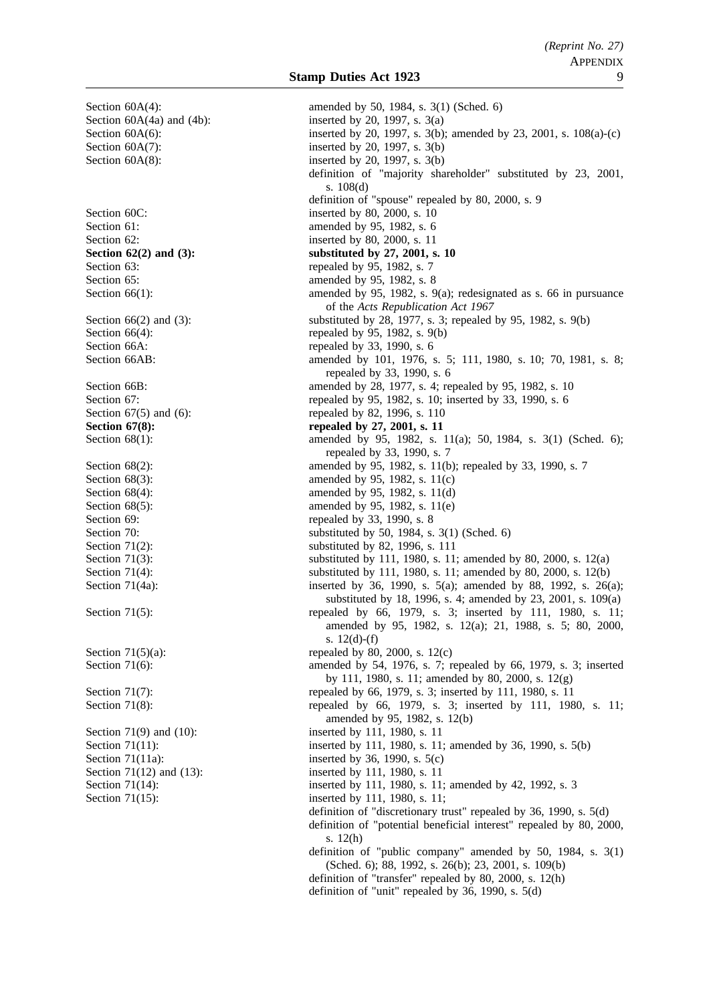Section 63: repealed by 95, 1982, s. 7

Section 60A(4): amended by 50, 1984, s. 3(1) (Sched. 6) Section  $60A(4a)$  and  $(4b)$ : inserted by 20, 1997, s.  $3(a)$ Section 60A(6): inserted by 20, 1997, s. 3(b); amended by 23, 2001, s. 108(a)-(c) Section  $60A(7)$ : inserted by 20, 1997, s.  $3(b)$ Section  $60A(8)$ : inserted by 20, 1997, s. 3(b) definition of "majority shareholder" substituted by 23, 2001, s. 108(d) definition of "spouse" repealed by 80, 2000, s. 9 Section 60C: inserted by 80, 2000, s. 10 Section 61: **amended** by 95, 1982, s. 6 Section 62: inserted by 80, 2000, s. 11 **Section 62(2) and (3):** substituted by 27, 2001, s. 10 Section 65: **amended** by 95, 1982, s. 8 Section 66(1): amended by 95, 1982, s. 9(a); redesignated as s. 66 in pursuance of the *Acts Republication Act 1967* Section 66(2) and (3): substituted by 28, 1977, s. 3; repealed by 95, 1982, s. 9(b) Section  $66(4)$ : repealed by 95, 1982, s. 9(b) Section 66A: repealed by 33, 1990, s. 6 Section 66AB: amended by 101, 1976, s. 5; 111, 1980, s. 10; 70, 1981, s. 8; repealed by 33, 1990, s. 6 Section 66B: amended by 28, 1977, s. 4; repealed by 95, 1982, s. 10 Section 67: repealed by 95, 1982, s. 10; inserted by 33, 1990, s. 6 Section 67(5) and (6): repealed by 82, 1996, s. 110 **Section 67(8):** repealed by 27, 2001, s. 11 Section 68(1): amended by 95, 1982, s. 11(a); 50, 1984, s. 3(1) (Sched. 6); repealed by 33, 1990, s. 7 Section 68(2): amended by 95, 1982, s. 11(b); repealed by 33, 1990, s. 7 Section 68(3): amended by 95, 1982, s. 11(c) Section 68(4): amended by 95, 1982, s. 11(d) Section 68(5): amended by 95, 1982, s. 11(e) Section 69: repealed by 33, 1990, s. 8 Section 70: substituted by 50, 1984, s. 3(1) (Sched. 6)<br>Section 71(2): substituted by 82, 1996, s. 111 substituted by 82, 1996, s. 111 Section 71(3): substituted by 111, 1980, s. 11; amended by 80, 2000, s. 12(a) Section 71(4): substituted by 111, 1980, s. 11; amended by 80, 2000, s. 12(b) Section 71(4a): inserted by 36, 1990, s. 5(a); amended by 88, 1992, s. 26(a); substituted by 18, 1996, s. 4; amended by 23, 2001, s. 109(a) Section 71(5): repealed by 66, 1979, s. 3; inserted by 111, 1980, s. 11; amended by 95, 1982, s. 12(a); 21, 1988, s. 5; 80, 2000, s. 12(d)-(f) Section  $71(5)(a)$ : repealed by 80, 2000, s.  $12(c)$ Section 71(6): amended by 54, 1976, s. 7; repealed by 66, 1979, s. 3; inserted by 111, 1980, s. 11; amended by 80, 2000, s. 12(g) Section 71(7): repealed by 66, 1979, s. 3; inserted by 111, 1980, s. 11 Section 71(8): repealed by 66, 1979, s. 3; inserted by 111, 1980, s. 11; amended by 95, 1982, s. 12(b) Section 71(9) and (10): inserted by 111, 1980, s. 11 Section 71(11): inserted by 111, 1980, s. 11; amended by 36, 1990, s. 5(b) Section 71(11a): inserted by 36, 1990, s. 5(c) Section 71(12) and (13): inserted by 111, 1980, s. 11 Section 71(14): inserted by 111, 1980, s. 11; amended by 42, 1992, s. 3 Section 71(15): inserted by 111, 1980, s. 11; definition of "discretionary trust" repealed by 36, 1990, s. 5(d) definition of "potential beneficial interest" repealed by 80, 2000, s. 12(h) definition of "public company" amended by 50, 1984, s. 3(1) (Sched. 6); 88, 1992, s. 26(b); 23, 2001, s. 109(b) definition of "transfer" repealed by 80, 2000, s. 12(h)

definition of "unit" repealed by 36, 1990, s. 5(d)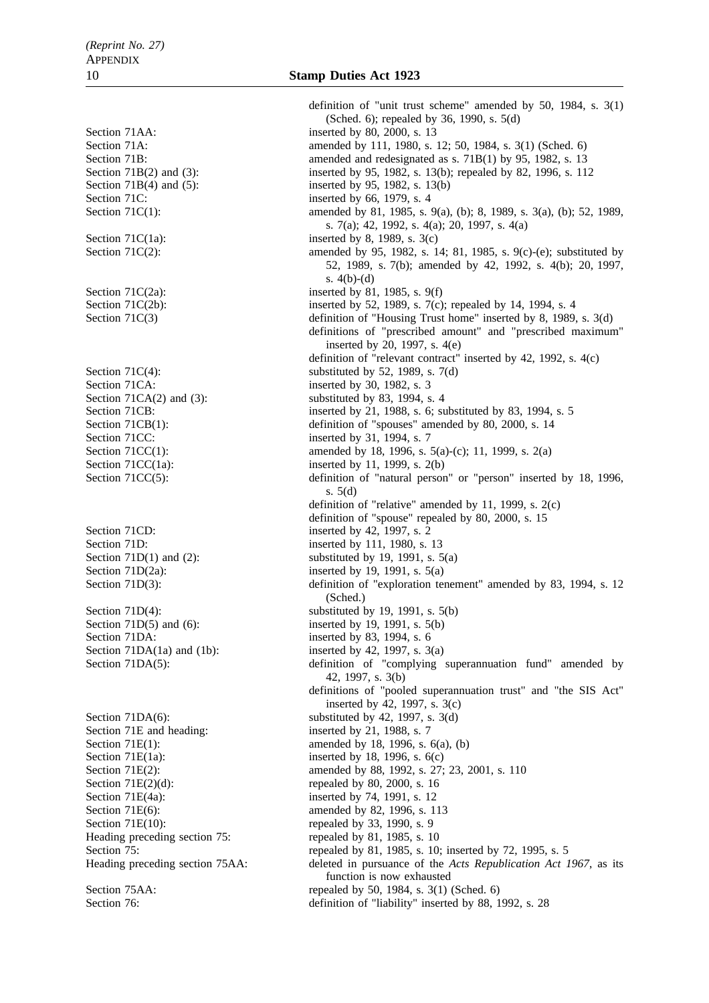Section 71C: inserted by 66, 1979, s. 4 Section 71C(1a): inserted by 8, 1989, s. 3(c)<br>Section 71C(2): amended by 95, 1982, s. 1 Section 71 $C(2a)$ : inserted by 81, 1985, s. 9(f) Section 71CA: inserted by 30, 1982, s. 3 Section 71CC: inserted by 31, 1994, s. 7 Section 71CD: inserted by 42, 1997, s. 2 Section 71D: inserted by 111, 1980, s. 13 Section 71DA: inserted by 83, 1994, s. 6 Section 71E and heading: inserted by 21, 1988, s. 7 Section  $71E(2)(d)$ : repealed by 80, 2000, s. 16 Section 71E(4a): inserted by 74, 1991, s. 12 Section 71E(10): repealed by 33, 1990, s. 9 Heading preceding section 75: repealed by 81, 1985, s. 10

definition of "unit trust scheme" amended by 50, 1984, s. 3(1) (Sched. 6); repealed by 36, 1990, s. 5(d) Section 71AA: inserted by 80, 2000, s. 13 Section 71A: amended by 111, 1980, s. 12; 50, 1984, s. 3(1) (Sched. 6) Section 71B: amended and redesignated as s. 71B(1) by 95, 1982, s. 13 Section 71B(2) and (3): inserted by 95, 1982, s. 13(b); repealed by 82, 1996, s. 112 Section 71B(4) and (5): inserted by 95, 1982, s. 13(b) Section 71C(1): amended by 81, 1985, s. 9(a), (b); 8, 1989, s. 3(a), (b); 52, 1989, s. 7(a); 42, 1992, s. 4(a); 20, 1997, s. 4(a) amended by 95, 1982, s. 14; 81, 1985, s. 9(c)-(e); substituted by 52, 1989, s. 7(b); amended by 42, 1992, s. 4(b); 20, 1997, s. 4(b)-(d) Section 71C(2b): inserted by 52, 1989, s. 7(c); repealed by 14, 1994, s. 4 Section 71C(3) definition of "Housing Trust home" inserted by 8, 1989, s. 3(d) definitions of "prescribed amount" and "prescribed maximum" inserted by  $20$ , 1997, s. 4(e) definition of "relevant contract" inserted by 42, 1992, s. 4(c) Section 71 $C(4)$ : substituted by 52, 1989, s. 7(d) Section 71CA(2) and (3): substituted by 83, 1994, s. 4 Section 71CB: inserted by 21, 1988, s. 6; substituted by 83, 1994, s. 5 Section 71CB(1): definition of "spouses" amended by 80, 2000, s. 14 Section 71CC(1): amended by 18, 1996, s. 5(a)-(c); 11, 1999, s. 2(a) Section 71CC(1a): inserted by 11, 1999, s.  $2(b)$ Section 71CC(5): definition of "natural person" or "person" inserted by 18, 1996, s. 5(d) definition of "relative" amended by 11, 1999, s. 2(c) definition of "spouse" repealed by 80, 2000, s. 15 Section  $71D(1)$  and  $(2)$ : substituted by 19, 1991, s.  $5(a)$ Section  $71D(2a)$ : inserted by 19, 1991, s.  $5(a)$ Section 71D(3): definition of "exploration tenement" amended by 83, 1994, s. 12 (Sched.) Section  $71D(4)$ : substituted by 19, 1991, s.  $5(b)$ Section 71D(5) and (6): inserted by 19, 1991, s. 5(b) Section 71DA(1a) and (1b): inserted by 42, 1997, s.  $3(a)$ Section 71DA(5): definition of "complying superannuation fund" amended by 42, 1997, s. 3(b) definitions of "pooled superannuation trust" and "the SIS Act" inserted by 42, 1997, s. 3(c) Section 71DA(6): substituted by 42, 1997, s.  $3(d)$ Section 71E(1): amended by 18, 1996, s.  $6(a)$ , (b) Section 71E(1a): inserted by 18, 1996, s.  $6(c)$ Section 71E(2): amended by 88, 1992, s. 27; 23, 2001, s. 110 Section 71E(6): amended by 82, 1996, s. 113 Section 75: repealed by 81, 1985, s. 10; inserted by 72, 1995, s. 5 Heading preceding section 75AA: deleted in pursuance of the *Acts Republication Act 1967*, as its function is now exhausted Section 75AA: repealed by 50, 1984, s. 3(1) (Sched. 6) Section 76: **definition of "liability" inserted by 88, 1992, s. 28**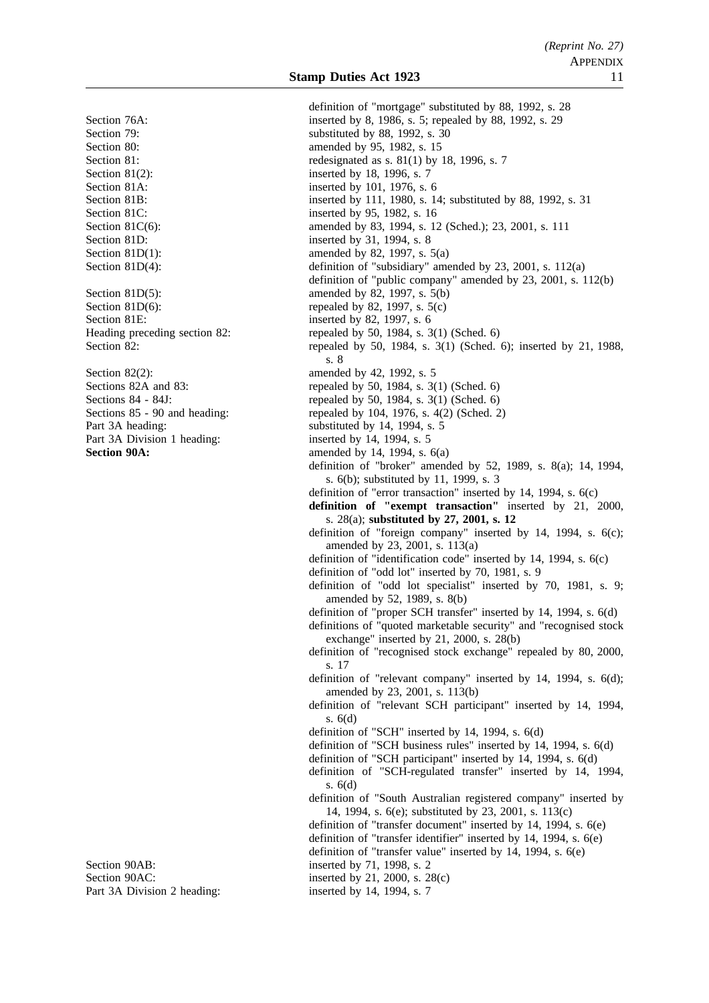Section 80: **amended** by 95, 1982, s. 15 Section 81(2): inserted by 18, 1996, s. 7 Section 81A: inserted by 101, 1976, s. 6 Section 81C: inserted by 95, 1982, s. 16 Section 81D: inserted by 31, 1994, s. 8 Section 81E: inserted by 82, 1997, s. 6 Section 82(2): amended by 42, 1992, s. 5 Part 3A Division 1 heading:<br>Section 90A:

Part 3A Division 2 heading: inserted by 14, 1994, s. 7

definition of "mortgage" substituted by 88, 1992, s. 28 Section 76A: inserted by 8, 1986, s. 5; repealed by 88, 1992, s. 29 Section 79: substituted by 88, 1992, s. 30 Section 81: redesignated as s. 81(1) by 18, 1996, s. 7 Section 81B: inserted by 111, 1980, s. 14; substituted by 88, 1992, s. 31 Section 81C(6): amended by 83, 1994, s. 12 (Sched.); 23, 2001, s. 111 Section 81D(1): amended by 82, 1997, s.  $5(a)$ Section 81D(4): definition of "subsidiary" amended by 23, 2001, s. 112(a) definition of "public company" amended by 23, 2001, s. 112(b) Section 81D(5): amended by 82, 1997, s. 5(b) Section 81D(6): repealed by 82, 1997, s.  $5(c)$ Heading preceding section 82: repealed by 50, 1984, s. 3(1) (Sched. 6) Section 82: repealed by 50, 1984, s. 3(1) (Sched. 6); inserted by 21, 1988, s. 8 Sections 82A and 83: repealed by 50, 1984, s. 3(1) (Sched. 6)<br>Sections 84 - 84J: repealed by 50, 1984, s. 3(1) (Sched. 6) Sections 84 - 84J:<br>
Sections 85 - 90 and heading:<br>
repealed by 104, 1976, s. 4(2) (Sched. 2) repealed by 104, 1976, s.  $4(2)$  (Sched. 2) Part 3A heading: substituted by 14, 1994, s. 5<br>Part 3A Division 1 heading: substituted by 14, 1994, s. 5 amended by 14, 1994, s. 6(a) definition of "broker" amended by 52, 1989, s. 8(a); 14, 1994, s. 6(b); substituted by 11, 1999, s. 3 definition of "error transaction" inserted by 14, 1994, s. 6(c) **definition of "exempt transaction"** inserted by 21, 2000, s. 28(a); **substituted by 27, 2001, s. 12** definition of "foreign company" inserted by 14, 1994, s. 6(c); amended by 23, 2001, s. 113(a) definition of "identification code" inserted by 14, 1994, s. 6(c) definition of "odd lot" inserted by 70, 1981, s. 9 definition of "odd lot specialist" inserted by 70, 1981, s. 9; amended by 52, 1989, s. 8(b) definition of "proper SCH transfer" inserted by 14, 1994, s. 6(d) definitions of "quoted marketable security" and "recognised stock exchange" inserted by 21, 2000, s. 28(b) definition of "recognised stock exchange" repealed by 80, 2000, s. 17 definition of "relevant company" inserted by 14, 1994, s. 6(d); amended by 23, 2001, s. 113(b) definition of "relevant SCH participant" inserted by 14, 1994, s. 6(d) definition of "SCH" inserted by 14, 1994, s. 6(d) definition of "SCH business rules" inserted by 14, 1994, s. 6(d) definition of "SCH participant" inserted by 14, 1994, s. 6(d) definition of "SCH-regulated transfer" inserted by 14, 1994, s. 6(d) definition of "South Australian registered company" inserted by 14, 1994, s. 6(e); substituted by 23, 2001, s. 113(c) definition of "transfer document" inserted by 14, 1994, s. 6(e) definition of "transfer identifier" inserted by 14, 1994, s. 6(e) definition of "transfer value" inserted by 14, 1994, s. 6(e) Section 90AB: inserted by 71, 1998, s. 2 Section 90AC: inserted by 21, 2000, s. 28(c)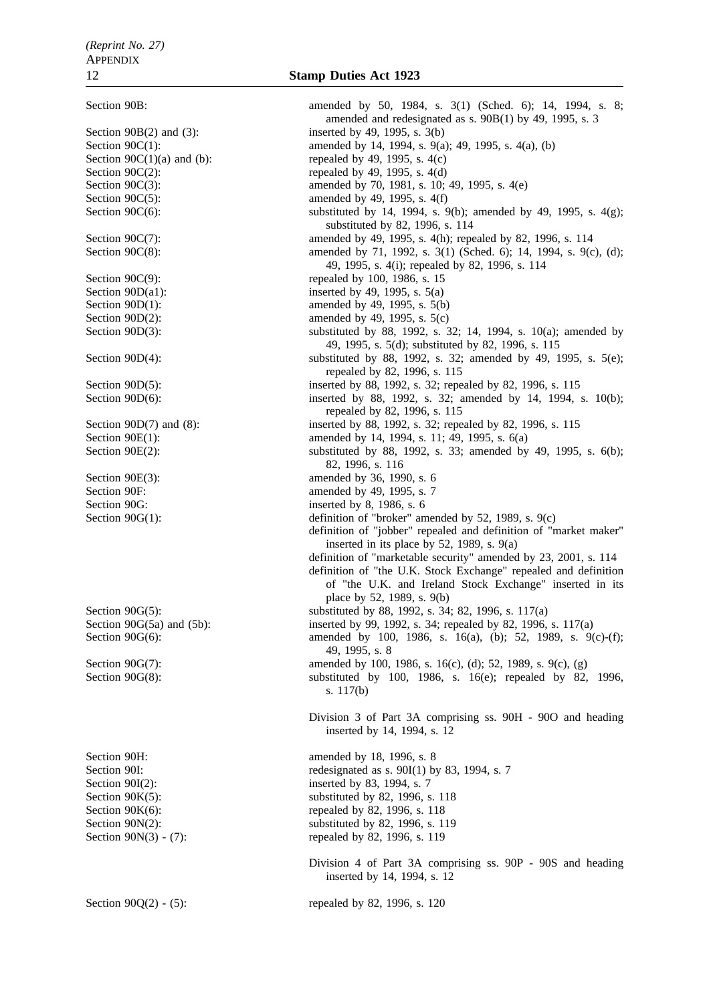Section 90B: amended by 50, 1984, s. 3(1) (Sched. 6); 14, 1994, s. 8; amended and redesignated as s. 90B(1) by 49, 1995, s. 3 Section 90B(2) and (3): inserted by 49, 1995, s. 3(b) Section 90C(1): amended by 14, 1994, s. 9(a); 49, 1995, s. 4(a), (b) Section  $90C(1)(a)$  and (b): repealed by 49, 1995, s. 4(c) Section  $90C(2)$ : repealed by 49, 1995, s. 4(d) Section 90C(3): amended by 70, 1981, s. 10; 49, 1995, s. 4(e) Section  $90C(5)$ : amended by 49, 1995, s. 4(f) Section 90C(6): substituted by 14, 1994, s. 9(b); amended by 49, 1995, s. 4(g); substituted by 82, 1996, s. 114 Section 90C(7): amended by 49, 1995, s. 4(h); repealed by 82, 1996, s. 114 Section 90C(8): amended by 71, 1992, s. 3(1) (Sched. 6); 14, 1994, s. 9(c), (d); 49, 1995, s. 4(i); repealed by 82, 1996, s. 114 Section 90C(9): repealed by 100, 1986, s. 15 Section  $90D(a1)$ : inserted by 49, 1995, s. 5(a) Section 90D(1): amended by 49, 1995, s. 5(b) Section 90D(2): amended by 49, 1995, s. 5(c) Section 90D(3): substituted by 88, 1992, s. 32; 14, 1994, s. 10(a); amended by 49, 1995, s. 5(d); substituted by 82, 1996, s. 115 Section 90D(4): substituted by 88, 1992, s. 32; amended by 49, 1995, s. 5(e); repealed by 82, 1996, s. 115 Section 90D(5): inserted by 88, 1992, s. 32; repealed by 82, 1996, s. 115<br>Section 90D(6): inserted by 88, 1992, s. 32; amended by 14, 1994, inserted by 88, 1992, s. 32; amended by 14, 1994, s. 10(b); repealed by 82, 1996, s. 115 Section 90D(7) and (8): inserted by 88, 1992, s. 32; repealed by 82, 1996, s. 115 Section 90E(1): amended by 14, 1994, s. 11; 49, 1995, s. 6(a) Section 90E(2): substituted by 88, 1992, s. 33; amended by 49, 1995, s. 6(b); 82, 1996, s. 116 Section 90E(3): amended by 36, 1990, s. 6 Section 90F: amended by 49, 1995, s. 7 Section 90G: inserted by 8, 1986, s. 6 Section 90G(1): definition of "broker" amended by 52, 1989, s. 9(c) definition of "jobber" repealed and definition of "market maker" inserted in its place by 52, 1989, s. 9(a) definition of "marketable security" amended by 23, 2001, s. 114 definition of "the U.K. Stock Exchange" repealed and definition of "the U.K. and Ireland Stock Exchange" inserted in its place by 52, 1989, s. 9(b) Section 90G(5): substituted by 88, 1992, s. 34; 82, 1996, s. 117(a) Section 90G(5a) and (5b): inserted by 99, 1992, s. 34; repealed by 82, 1996, s. 117(a) Section 90G(6): amended by 100, 1986, s. 16(a), (b); 52, 1989, s. 9(c)-(f); 49, 1995, s. 8 Section 90G(7): amended by 100, 1986, s. 16(c), (d); 52, 1989, s. 9(c), (g) Section 90G(8): substituted by 100, 1986, s. 16(e); repealed by 82, 1996, s. 117(b) Division 3 of Part 3A comprising ss. 90H - 90O and heading inserted by 14, 1994, s. 12 Section 90H: amended by 18, 1996, s. 8 Section 90I: redesignated as s. 90I(1) by 83, 1994, s. 7 Section 90I(2): inserted by 83, 1994, s. 7 Section 90K(5): substituted by 82, 1996, s. 118 Section  $90K(6)$ : repealed by 82, 1996, s. 118 Section 90N(2): substituted by 82, 1996, s. 119 Section 90N(3) - (7): repealed by 82, 1996, s. 119 Division 4 of Part 3A comprising ss. 90P - 90S and heading inserted by 14, 1994, s. 12

Section 90Q(2) - (5): repealed by 82, 1996, s. 120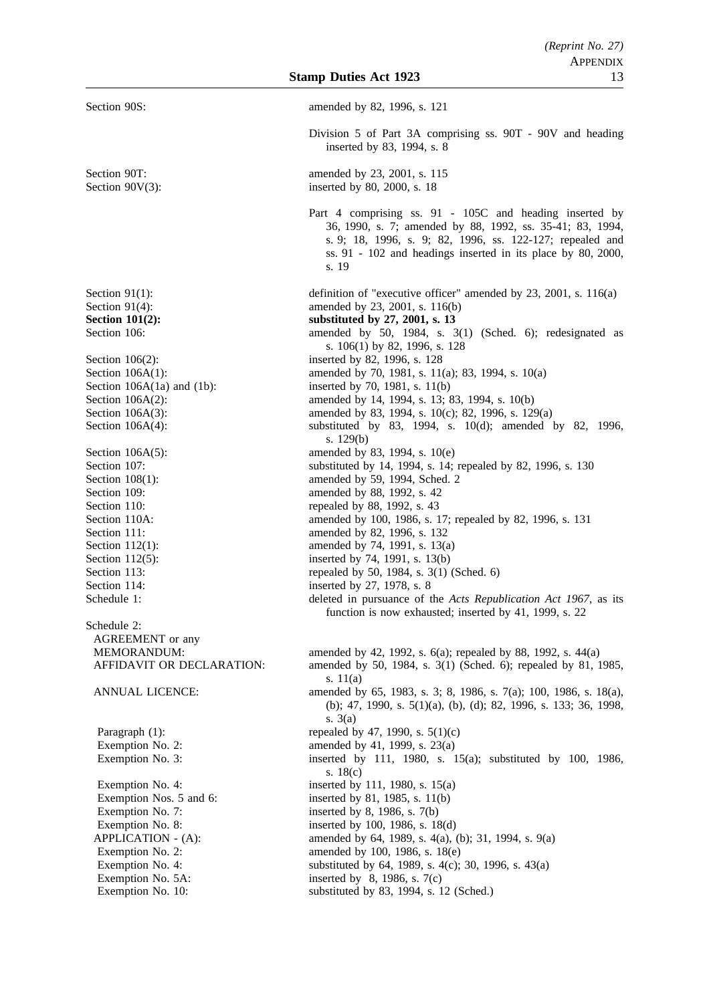| Section 90S:                           | amended by 82, 1996, s. 121                                                                                                                                                                                                                                  |
|----------------------------------------|--------------------------------------------------------------------------------------------------------------------------------------------------------------------------------------------------------------------------------------------------------------|
|                                        | Division 5 of Part 3A comprising ss. 90T - 90V and heading<br>inserted by 83, 1994, s. 8                                                                                                                                                                     |
| Section 90T:<br>Section $90V(3)$ :     | amended by 23, 2001, s. 115<br>inserted by 80, 2000, s. 18                                                                                                                                                                                                   |
|                                        | Part 4 comprising ss. 91 - 105C and heading inserted by<br>36, 1990, s. 7; amended by 88, 1992, ss. 35-41; 83, 1994,<br>s. 9; 18, 1996, s. 9; 82, 1996, ss. 122-127; repealed and<br>ss. $91 - 102$ and headings inserted in its place by 80, 2000,<br>s. 19 |
| Section $91(1)$ :                      | definition of "executive officer" amended by 23, 2001, s. 116(a)                                                                                                                                                                                             |
| Section $91(4)$ :                      | amended by 23, 2001, s. 116(b)                                                                                                                                                                                                                               |
| Section $101(2)$ :                     | substituted by 27, 2001, s. 13                                                                                                                                                                                                                               |
| Section 106:                           | amended by 50, 1984, s. 3(1) (Sched. 6); redesignated as<br>s. 106(1) by 82, 1996, s. 128                                                                                                                                                                    |
| Section $106(2)$ :                     | inserted by 82, 1996, s. 128                                                                                                                                                                                                                                 |
| Section $106A(1)$ :                    | amended by 70, 1981, s. 11(a); 83, 1994, s. 10(a)                                                                                                                                                                                                            |
| Section $106A(1a)$ and $(1b)$ :        | inserted by 70, 1981, s. 11(b)                                                                                                                                                                                                                               |
| Section $106A(2)$ :                    | amended by 14, 1994, s. 13; 83, 1994, s. 10(b)                                                                                                                                                                                                               |
| Section $106A(3)$ :                    | amended by 83, 1994, s. 10(c); 82, 1996, s. 129(a)                                                                                                                                                                                                           |
| Section $106A(4)$ :                    | substituted by 83, 1994, s. 10(d); amended by 82, 1996,<br>s. $129(b)$                                                                                                                                                                                       |
| Section $106A(5)$ :                    | amended by 83, 1994, s. 10(e)                                                                                                                                                                                                                                |
| Section 107:                           | substituted by 14, 1994, s. 14; repealed by 82, 1996, s. 130                                                                                                                                                                                                 |
| Section $108(1)$ :                     | amended by 59, 1994, Sched. 2                                                                                                                                                                                                                                |
| Section 109:<br>Section 110:           | amended by 88, 1992, s. 42<br>repealed by 88, 1992, s. 43                                                                                                                                                                                                    |
| Section 110A:                          | amended by 100, 1986, s. 17; repealed by 82, 1996, s. 131                                                                                                                                                                                                    |
| Section 111:                           | amended by 82, 1996, s. 132                                                                                                                                                                                                                                  |
| Section $112(1)$ :                     | amended by 74, 1991, s. 13(a)                                                                                                                                                                                                                                |
| Section $112(5)$ :                     | inserted by 74, 1991, s. 13(b)                                                                                                                                                                                                                               |
| Section 113:                           | repealed by 50, 1984, s. 3(1) (Sched. 6)                                                                                                                                                                                                                     |
| Section 114:                           | inserted by 27, 1978, s. 8                                                                                                                                                                                                                                   |
| Schedule 1:                            | deleted in pursuance of the Acts Republication Act 1967, as its<br>function is now exhausted; inserted by 41, 1999, s. 22                                                                                                                                    |
| Schedule 2:                            |                                                                                                                                                                                                                                                              |
| <b>AGREEMENT</b> or any                |                                                                                                                                                                                                                                                              |
| MEMORANDUM:                            | amended by 42, 1992, s. 6(a); repealed by 88, 1992, s. 44(a)                                                                                                                                                                                                 |
| AFFIDAVIT OR DECLARATION:              | amended by 50, 1984, s. 3(1) (Sched. 6); repealed by 81, 1985,<br>s. $11(a)$                                                                                                                                                                                 |
| <b>ANNUAL LICENCE:</b>                 | amended by 65, 1983, s. 3; 8, 1986, s. 7(a); 100, 1986, s. 18(a),<br>(b); 47, 1990, s. $5(1)(a)$ , (b), (d); 82, 1996, s. 133; 36, 1998,<br>s. $3(a)$                                                                                                        |
| Paragraph (1):                         | repealed by 47, 1990, s. $5(1)(c)$                                                                                                                                                                                                                           |
| Exemption No. 2:                       | amended by 41, 1999, s. 23(a)                                                                                                                                                                                                                                |
| Exemption No. 3:                       | inserted by 111, 1980, s. 15(a); substituted by 100, 1986,<br>s. $18(c)$                                                                                                                                                                                     |
| Exemption No. 4:                       | inserted by 111, 1980, s. 15(a)                                                                                                                                                                                                                              |
| Exemption Nos. 5 and 6:                | inserted by 81, 1985, s. 11(b)                                                                                                                                                                                                                               |
| Exemption No. 7:                       | inserted by 8, 1986, s. 7(b)                                                                                                                                                                                                                                 |
| Exemption No. 8:                       | inserted by 100, 1986, s. 18(d)                                                                                                                                                                                                                              |
| APPLICATION - (A):<br>Exemption No. 2: | amended by 64, 1989, s. 4(a), (b); 31, 1994, s. 9(a)<br>amended by 100, 1986, s. 18(e)                                                                                                                                                                       |
| Exemption No. 4:                       | substituted by 64, 1989, s. 4(c); 30, 1996, s. 43(a)                                                                                                                                                                                                         |
| Exemption No. 5A:                      | inserted by $8$ , 1986, s. 7(c)                                                                                                                                                                                                                              |
| Exemption No. 10:                      | substituted by 83, 1994, s. 12 (Sched.)                                                                                                                                                                                                                      |
|                                        |                                                                                                                                                                                                                                                              |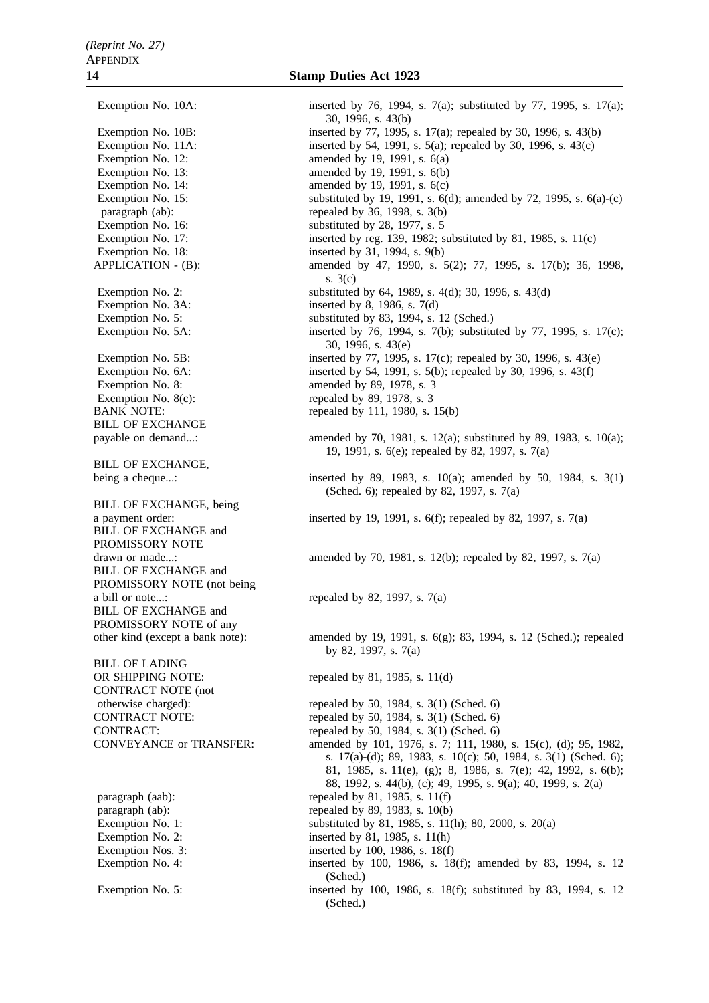Exemption No. 3A: inserted by 8, 1986, s. 7(d) Exemption No. 8: amended by 89, 1978, s. 3<br>Exemption No. 8(c): The repeated by 89, 1978, s. 3 BILL OF EXCHANGE BILL OF EXCHANGE, BILL OF EXCHANGE, being BILL OF EXCHANGE and PROMISSORY NOTE BILL OF EXCHANGE and PROMISSORY NOTE (not being BILL OF EXCHANGE and PROMISSORY NOTE of any BILL OF LADING CONTRACT NOTE (not

OR SHIPPING NOTE: repealed by 81, 1985, s. 11(d)

Exemption No. 10A: inserted by 76, 1994, s. 7(a); substituted by 77, 1995, s. 17(a); 30, 1996, s. 43(b) Exemption No. 10B: inserted by 77, 1995, s. 17(a); repealed by 30, 1996, s. 43(b) Exemption No. 11A: inserted by 54, 1991, s. 5(a); repealed by 30, 1996, s. 43(c) Exemption No. 12: amended by 19, 1991, s.  $6(a)$ Exemption No. 13:  $\qquad \qquad \text{amended by 19, 1991, s. 6(b)}$ Exemption No. 14: amended by 19, 1991, s. 6(c) Exemption No. 15: substituted by 19, 1991, s. 6(d); amended by 72, 1995, s. 6(a)-(c) paragraph (ab): repealed by 36, 1998, s. 3(b) Exemption No. 16: substituted by 28, 1977, s. 5 Exemption No. 17: inserted by reg. 139, 1982; substituted by 81, 1985, s. 11(c) Exemption No. 18: inserted by 31, 1994, s. 9(b) APPLICATION - (B): amended by 47, 1990, s. 5(2); 77, 1995, s. 17(b); 36, 1998, s. 3(c) Exemption No. 2: substituted by 64, 1989, s. 4(d); 30, 1996, s. 43(d) Exemption No. 5: substituted by 83, 1994, s. 12 (Sched.) Exemption No. 5A: inserted by 76, 1994, s. 7(b); substituted by 77, 1995, s. 17(c); 30, 1996, s. 43(e) Exemption No. 5B: inserted by 77, 1995, s. 17(c); repealed by 30, 1996, s. 43(e) Exemption No. 6A: inserted by 54, 1991, s. 5(b); repealed by 30, 1996, s. 43(f)<br>Exemption No. 8: amended by 89, 1978, s. 3 repealed by 89, 1978, s.  $3$ BANK NOTE: repealed by 111, 1980, s. 15(b) payable on demand...: amended by 70, 1981, s. 12(a); substituted by 89, 1983, s. 10(a); 19, 1991, s. 6(e); repealed by 82, 1997, s. 7(a) being a cheque...: inserted by 89, 1983, s. 10(a); amended by 50, 1984, s. 3(1) (Sched. 6); repealed by 82, 1997, s. 7(a) a payment order: inserted by 19, 1991, s. 6(f); repealed by 82, 1997, s. 7(a) drawn or made...: amended by 70, 1981, s. 12(b); repealed by 82, 1997, s. 7(a) a bill or note...: repealed by 82, 1997, s.  $7(a)$ other kind (except a bank note): amended by 19, 1991, s. 6(g); 83, 1994, s. 12 (Sched.); repealed by 82, 1997, s. 7(a) otherwise charged): repealed by 50, 1984, s. 3(1) (Sched. 6)<br>CONTRACT NOTE: repealed by 50, 1984, s. 3(1) (Sched. 6) repealed by 50, 1984, s.  $3(1)$  (Sched. 6) CONTRACT: repealed by 50, 1984, s.  $3(1)$  (Sched. 6) CONVEYANCE or TRANSFER: amended by 101, 1976, s. 7; 111, 1980, s. 15(c), (d); 95, 1982, s. 17(a)-(d); 89, 1983, s. 10(c); 50, 1984, s. 3(1) (Sched. 6); 81, 1985, s. 11(e), (g); 8, 1986, s. 7(e); 42, 1992, s. 6(b); 88, 1992, s. 44(b), (c); 49, 1995, s. 9(a); 40, 1999, s. 2(a) paragraph (aab): repealed by 81, 1985, s. 11(f) paragraph (ab): repealed by 89, 1983, s. 10(b) Exemption No. 1: substituted by 81, 1985, s. 11(h); 80, 2000, s. 20(a) Exemption No. 2: inserted by 81, 1985, s. 11(h) Exemption Nos. 3: inserted by 100, 1986, s. 18(f) Exemption No. 4: inserted by 100, 1986, s. 18(f); amended by 83, 1994, s. 12 (Sched.) Exemption No. 5: inserted by 100, 1986, s. 18(f); substituted by 83, 1994, s. 12 (Sched.)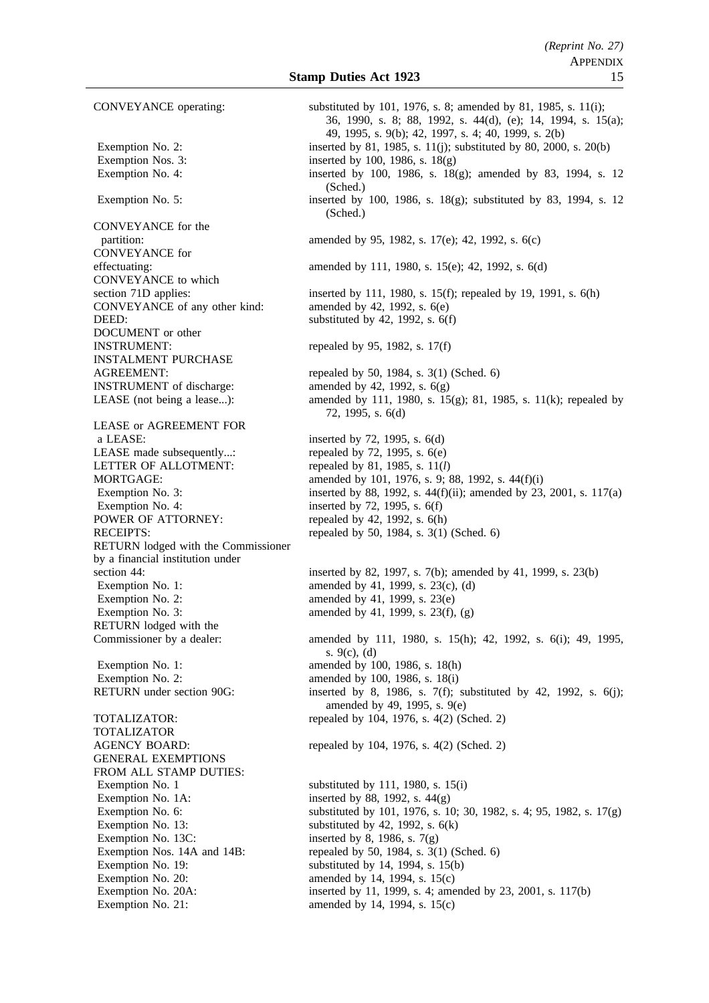Exemption Nos. 3: inserted by 100, 1986, s. 18(g) CONVEYANCE for the CONVEYANCE for CONVEYANCE to which CONVEYANCE of any other kind: DEED: substituted by 42, 1992, s. 6(f) DOCUMENT or other<br>INSTRUMENT: INSTALMENT PURCHASE **INSTRUMENT** of discharge: amended by 42, 1992, s.  $6(g)$ LEASE or AGREEMENT FOR<br>a LEASE: LEASE made subsequently...: LETTER OF ALLOTMENT: repealed by 81, 1985, s. 11(*l*) Exemption No. 4: inserted by  $72$ ,  $1995$ , s.  $6(f)$ POWER OF ATTORNEY: repealed by 42, 1992, s. 6(h) RETURN lodged with the Commissioner by a financial institution under Exemption No. 1:  $\qquad \qquad \text{amended by 41, 1999, s. 23(c), (d)}$ Exemption No. 2:  $\qquad \qquad \text{amended by 41, 1999, s. 23(e)}$ Exemption No. 3: amended by 41, 1999, s.  $23(f)$ , (g) RETURN lodged with the Exemption No. 1: amended by 100, 1986, s. 18(h) Exemption No. 2:  $\qquad \qquad \text{amended by 100, 1986, s. 18(i)}$ TOTALIZATOR GENERAL EXEMPTIONS FROM ALL STAMP DUTIES: Exemption No. 1 substituted by 111, 1980, s. 15(i) Exemption No. 1A: inserted by 88, 1992, s.  $44(g)$ Exemption No. 13: substituted by 42, 1992, s. 6(k) Exemption No. 13C: inserted by 8, 1986, s.  $7(g)$ Exemption No. 19: substituted by 14, 1994, s. 15(b) Exemption No. 20: amended by 14, 1994, s. 15(c)

CONVEYANCE operating: substituted by 101, 1976, s. 8; amended by 81, 1985, s. 11(i); 36, 1990, s. 8; 88, 1992, s. 44(d), (e); 14, 1994, s. 15(a); 49, 1995, s. 9(b); 42, 1997, s. 4; 40, 1999, s. 2(b) Exemption No. 2: inserted by 81, 1985, s. 11(j); substituted by 80, 2000, s. 20(b) Exemption No. 4: inserted by 100, 1986, s. 18(g); amended by 83, 1994, s. 12 (Sched.) Exemption No. 5: inserted by 100, 1986, s. 18(g); substituted by 83, 1994, s. 12 (Sched.) partition: amended by 95, 1982, s. 17(e); 42, 1992, s. 6(c) effectuating: amended by 111, 1980, s. 15(e); 42, 1992, s. 6(d) section 71D applies: inserted by 111, 1980, s. 15(f); repealed by 19, 1991, s. 6(h)<br>CONVEYANCE of any other kind: amended by 42, 1992, s. 6(e) repealed by 95, 1982, s.  $17(f)$ AGREEMENT: repealed by 50, 1984, s. 3(1) (Sched. 6) LEASE (not being a lease...): amended by 111, 1980, s. 15(g); 81, 1985, s. 11(k); repealed by 72, 1995, s. 6(d) inserted by 72, 1995, s.  $6(d)$ <br>repealed by 72, 1995, s.  $6(e)$ MORTGAGE: amended by 101, 1976, s. 9; 88, 1992, s. 44(f)(i) Exemption No. 3: inserted by 88, 1992, s.  $44(f)(ii)$ ; amended by 23, 2001, s. 117(a) RECEIPTS: repealed by 50, 1984, s. 3(1) (Sched. 6) section 44: inserted by 82, 1997, s. 7(b); amended by 41, 1999, s. 23(b) Commissioner by a dealer: amended by 111, 1980, s. 15(h); 42, 1992, s. 6(i); 49, 1995, s. 9(c), (d) RETURN under section 90G: inserted by 8, 1986, s. 7(f); substituted by 42, 1992, s. 6(j); amended by 49, 1995, s. 9(e) TOTALIZATOR: repealed by 104, 1976, s. 4(2) (Sched. 2) AGENCY BOARD: repealed by 104, 1976, s. 4(2) (Sched. 2) Exemption No. 6: substituted by 101, 1976, s. 10; 30, 1982, s. 4; 95, 1982, s. 17(g) Exemption Nos. 14A and 14B: repealed by 50, 1984, s. 3(1) (Sched. 6) Exemption No. 20A: inserted by 11, 1999, s. 4; amended by 23, 2001, s. 117(b) Exemption No. 21:  $\qquad \qquad \text{amended by 14, 1994, s. 15(c)}$